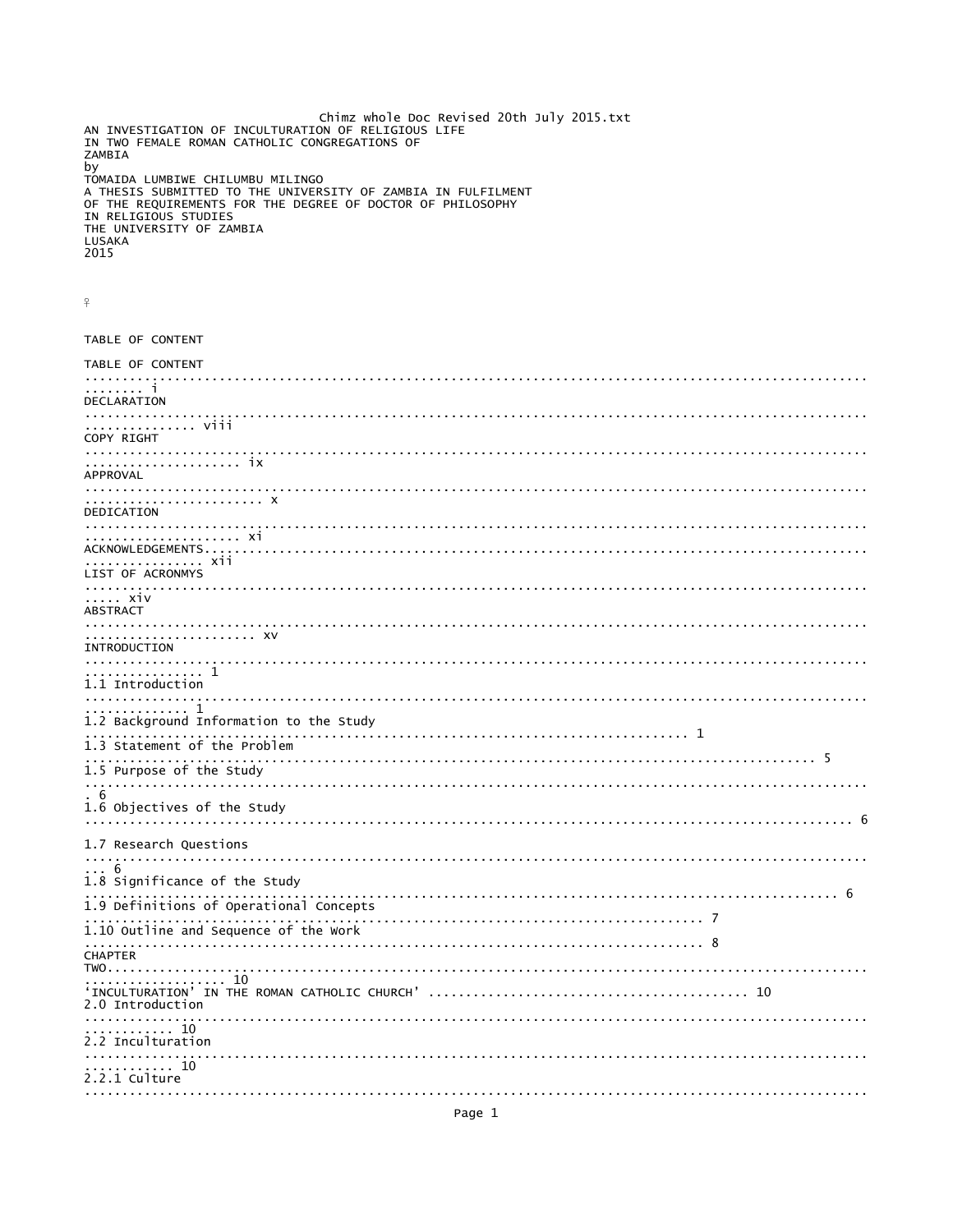```
Chimz whole Doc Revised 20th July 2015.txt
AN INVESTIGATION OF INCULTURATION OF RELIGIOUS LIFE<br>IN TWO FEMALE ROMAN CATHOLIC CONGREGATIONS OF
ZAMBIA
by
TOMAIDA LUMBIWE CHILUMBU MILINGO
A THESIS SUBMITTED TO THE UNIVERSITY OF ZAMBIA IN FULFILMENT<br>OF THE REQUIREMENTS FOR THE DEGREE OF DOCTOR OF PHILOSOPHY
IN RELIGIOUS STUDIES
THE UNIVERSITY OF ZAMBIA
LUSAKA
2015
\overline{P}TARLE OF CONTENT
TABLE OF CONTENT
÷
DECLARATION
. . . . . . . . . . . . . . . . .
         ............. viii
COPY RIGHT
APPROVAL
DEDICATION
. . . . . . . . . . . . . . . .
.... xiv
ABSTRACT
. . . . . . . . . . . . . XV
TNTRODUCTTON
1.1 Introduction
      .. 1
. . . . . . . . . . . . . . . . .
        . . . . . . . . . . . 1
1.2 Background Information to the Study
                    1.3 Statement of the Problem
 1.5 Purpose of the Study
6
1.6 Objectives of the Study
1.7 Research Questions
- 6
1.8 Significance of the Study
                 1.9 Definitions of Operational Concepts
                  . . . . . . . . . . .
1.10 Outline and Sequence of the Work
   CHAPTERTWO. . . . . . . . . . . . . . . . . . .
          2.0 Introduction
. . . . . . . . . . . . . . . . . .
                                   \begin{array}{ccccccccc}\n& \cdots & \cdots & \cdots & \cdots & \cdots & \cdots \\
\vdots & \vdots & \ddots & \vdots & \ddots & \vdots & \vdots & \vdots \\
\end{array}2.2.1 Culture
```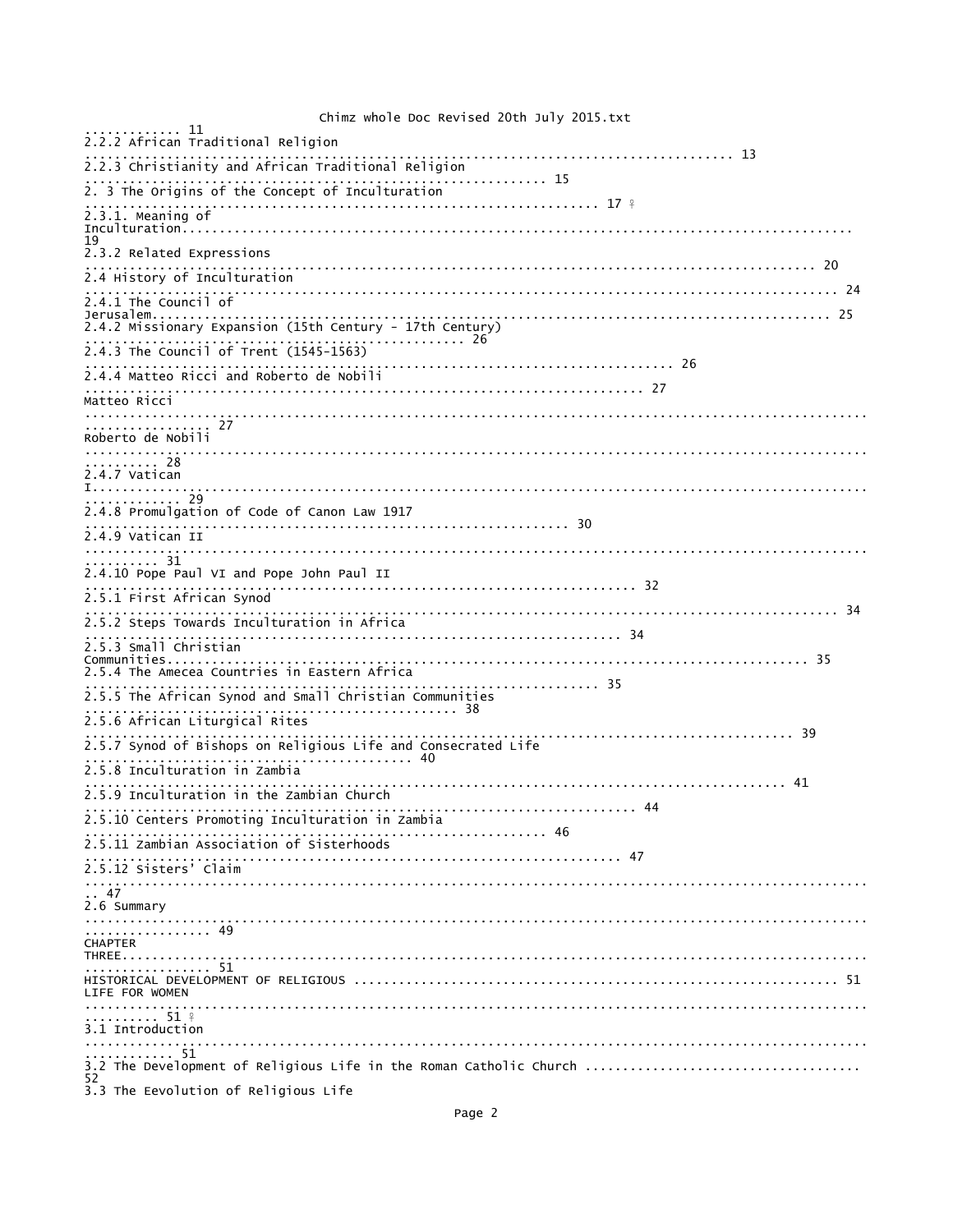Chimz whole Doc Revised 20th July 2015.txt  $\begin{minipage}{0.2.2.2} \begin{tabular}{l} \bf 2.2.2 \end{tabular} \begin{tabular}{l} \bf 2.2.2 \end{tabular} \end{minipage}$ 2.2.3 Christianity and African Traditional Religion 2. 3 The Origins of the Concept of Inculturation  $2.3.1$ . Meaning of 19<br>2.3.2 Related Expressions 2.4 History of Inculturation . . . . . . . . . . 2.4.1 The Council of Jerusalem............ 2.4.2 Missionary Expansion (15th Century - 17th Century) . . . . . . . . . . . . . . 26 . . . . . . . . 2.4.3 The Council of Trent (1545-1563) 2.4.4 Matteo Ricci and Roberto de Nobili Matteo Ricci . . . . . . . . . . . . . . . . . . .  $\frac{1}{27}$ . . . . . . . . . . . . . . Roberto de Nobili .......................<br>.......... 28<br>2.4.7 Vatican 2.4.8 Promulgation of Code of Canon Law 1917  $2.4.9$  Vatican II 2.4.10 Pope Paul VI and Pope John Paul II 2.5.1 First African Synod . . . . . . . . . 34 2.5.3 Small Christian Communities........... 2.5.4 The Amecea Countries in Eastern Africa . . . . . . . . . . . . . . . . . 35  $\sim$   $\sim$   $\sim$   $\sim$   $\sim$ 2.5.5 The African Synod and Small Christian Communities 2.5.6 African Liturgical Rites . . . . . . . . . . . . . . . . <del>.</del> . . . . . . . . . . 2.5.8 Inculturation in Zambia . . . . . . . . . . . . . . 2.5.9 Inculturation in the Zambian Church . . . . . . . . . . . 44 2.5.10 Centers Promoting Inculturation in Zambia  $2.5.11 zambian Association of Sisterhoods$ . . . . . . . . . . . . . . . 47 .......................<br>2.5.12 Sisters' Claim 2.6 Summary . . . . . . . . . . . . . . . . . . . . . . . . . . . . . . . . . . 49 CHAPTER HISTORICAL DEVELOPMENT OF RELIGIOUS ............. LIFE FOR WOMEN  $\ldots \ldots \ldots \ldots$  51  $\frac{9}{7}$ . . . . . . . . . . . . . . . 3.1 Introduction  $\begin{array}{ccc}\n& \cdots & \cdots & \cdots & \cdots & \cdots \\
& \cdots & \cdots & \cdots & \cdots & \cdots & \cdots \\
& \cdots & \cdots & \cdots & \cdots & \cdots & \cdots\n\end{array}$ 3.2 The Development of Religious Life in the Roman Catholic Church ................................ 52 3.3 The Eevolution of Religious Life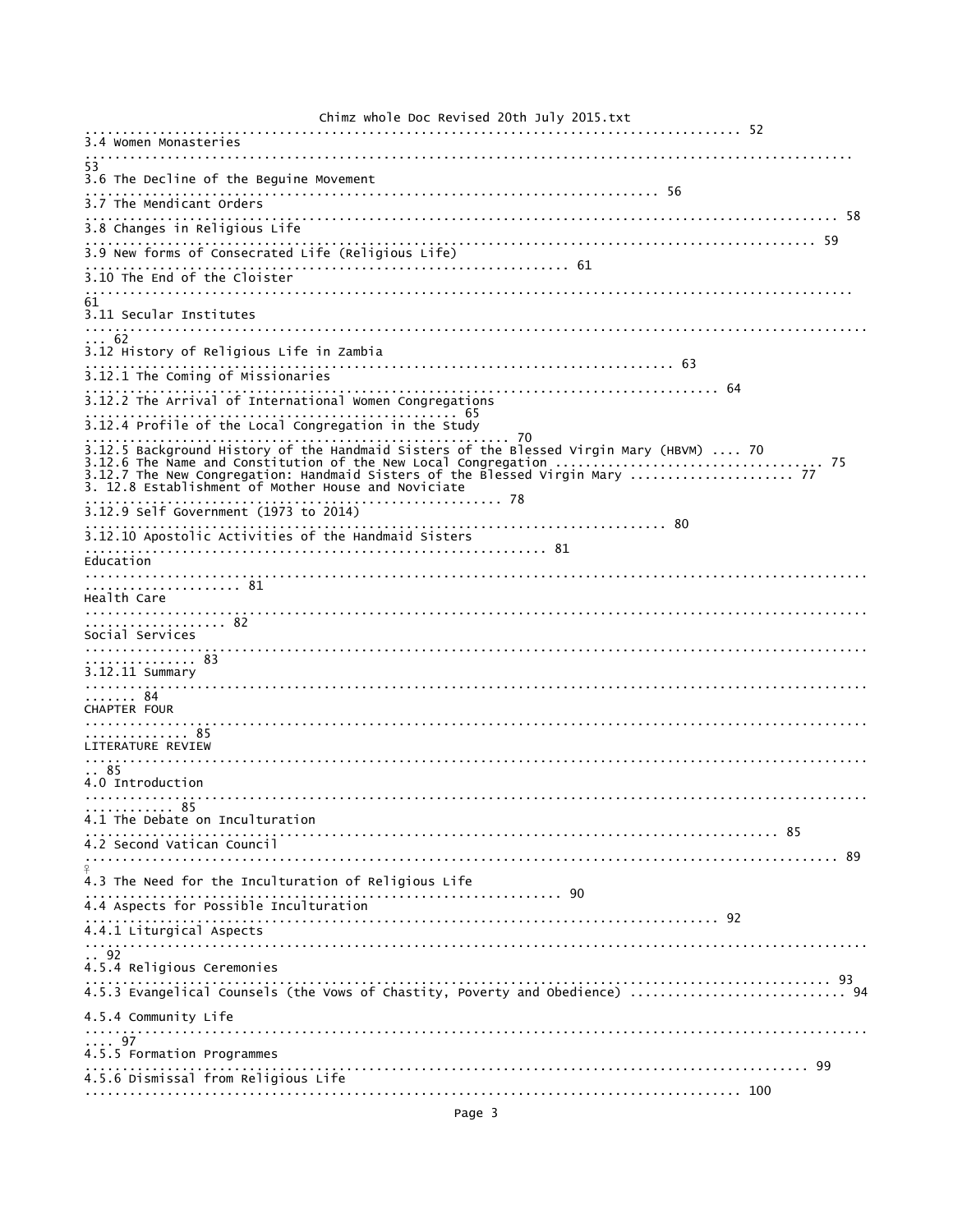| CITTING WILDTE DOC REVISED ZULII JUTY ZUIJ.LXL                                                           |
|----------------------------------------------------------------------------------------------------------|
| 3.4 Women Monasteries                                                                                    |
| 53<br>3.6 The Decline of the Beguine Movement                                                            |
| 3.7 The Mendicant Orders                                                                                 |
| 3.8 Changes in Religious Life                                                                            |
| 3.9 New forms of Consecrated Life (Religious Life)<br>3.9 New forms of Consecrated Life (Religious Life) |
| 3.10 The End of the Cloister                                                                             |
| 61                                                                                                       |
| 3.11 Secular Institutes                                                                                  |
| . . 62<br>3.12 History of Religious Life in Zambia                                                       |
| 3.12.1 The Coming of Missionaries                                                                        |
| 3.12.2 The Arrival of International Women Congregations                                                  |
| 3.12.4 Profile of the Local Congregation in the Study                                                    |
| 3.12.5 Background History of the Handmaid Sisters of the Blessed Virgin Mary (HBVM)  70<br>. 78          |
| 3.12.9 Self Government (1973 to 2014)                                                                    |
| 3.12.10 Apostolic Activities of the Handmaid Sisters                                                     |
| Education                                                                                                |
| Health Care<br>. 82<br>Social Services<br>. 83<br>3.12.11 Summary<br>. 84                                |
| <b>CHAPTER FOUR</b><br>. 85                                                                              |
| LITERATURE REVIEW                                                                                        |
| . . 85<br>4.0 Introduction                                                                               |
| . 85                                                                                                     |
| 4.1 The Debate on Inculturation<br>4.2 Second Vatican Council                                            |
|                                                                                                          |
| 4.3 The Need for the Inculturation of Religious Life                                                     |
| 4.4 Aspects for Possible Inculturation                                                                   |
| 4.4.1 Liturgical Aspects                                                                                 |
| . 92<br>4.5.4 Religious Ceremonies                                                                       |
| 4.5.3 Evangelical Counsels (the Vows of Chastity, Poverty and Obedience)  94                             |
| 4.5.4 Community Life                                                                                     |
| $\ldots$ 97                                                                                              |
| 4.5.5 Formation Programmes                                                                               |
| 4.5.6 Dismissal from Religious Life                                                                      |
|                                                                                                          |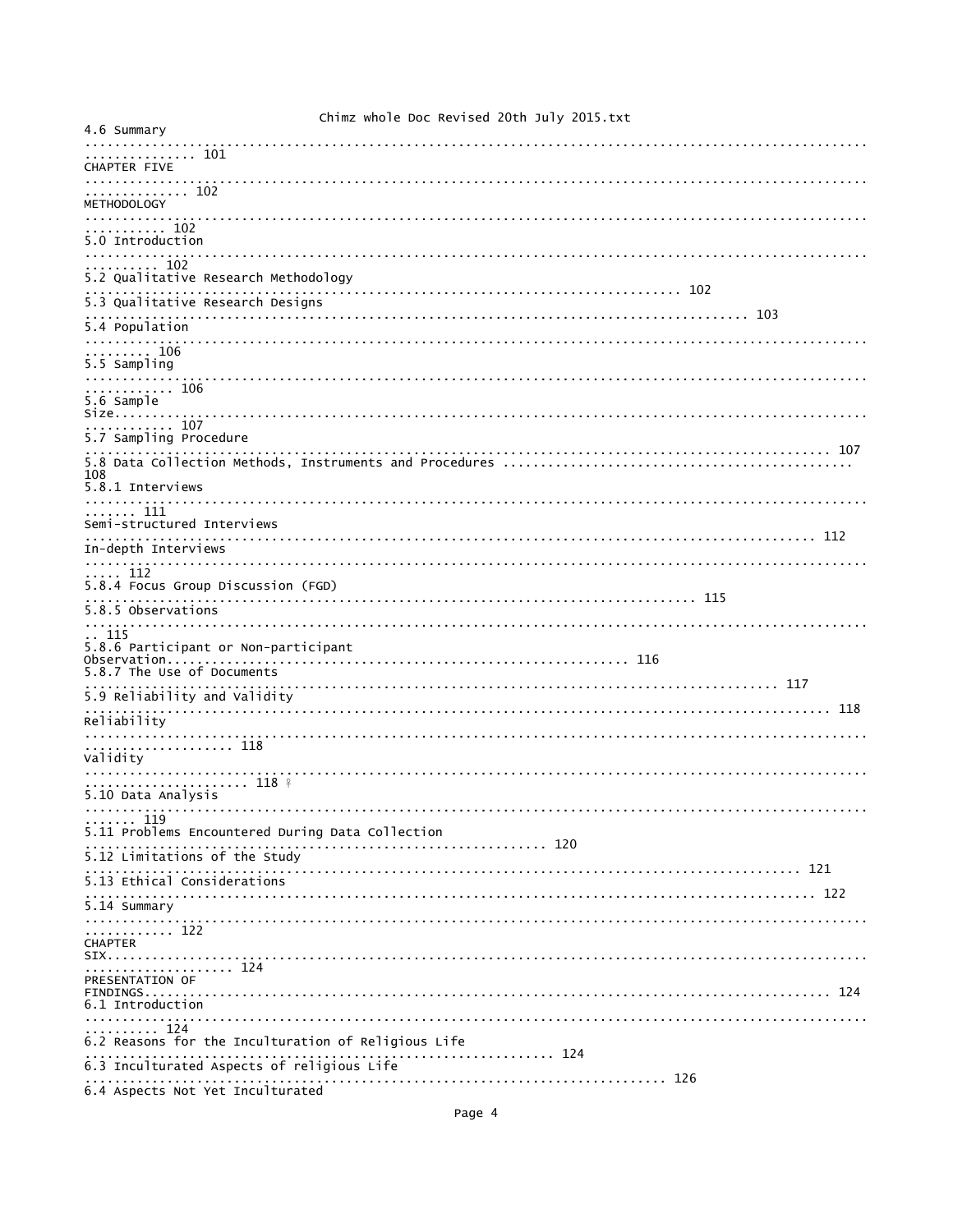| 4.6 Summary                                                  |
|--------------------------------------------------------------|
| . 101                                                        |
| <b>CHAPTER FIVE</b>                                          |
| .<br>. 102<br><b>METHODOLOGY</b>                             |
| $\cdots$ 102<br>5.0 Introduction                             |
|                                                              |
| 102<br>5.2 Qualitative Research Methodology                  |
| 5.3 Qualitative Research Designs                             |
| 5.4 Population<br>.                                          |
| . 106<br>5.5 Sampling<br>.                                   |
| . 106<br>5.6 Sample<br>Size                                  |
| . 107<br>5.7 Sampling Procedure                              |
| 108<br>5.8.1 Interviews                                      |
|                                                              |
| . 111<br>Semi-structured Interviews                          |
| In-depth Interviews                                          |
| $\ldots$ 112<br>5.8.4 Focus Group Discussion (FGD)           |
| 5.8.5 Observations                                           |
| 115                                                          |
| 5.8.6 Participant or Non-participant                         |
| 5.8.7 The Use of Documents                                   |
| 5.9 Reliability and Validity                                 |
| Reliability                                                  |
|                                                              |
| . 118<br>Validity                                            |
|                                                              |
| 118 %<br>5.10 Data Analysis                                  |
| . 119                                                        |
| 5.11 Problems Encountered During Data Collection             |
| 5.12 Limitations of the Study                                |
| 5.13 Ethical Considerations                                  |
| 5.14 Summary                                                 |
|                                                              |
| . 122<br><b>CHAPTER</b>                                      |
| . 124<br>PRESENTATION OF                                     |
| 6.1 Introduction                                             |
| . 124                                                        |
| 6.2 Reasons for the Inculturation of Religious Life<br>. 124 |
| 6.3 Inculturated Aspects of religious Life                   |
| 6.4 Aspects Not Yet Inculturated                             |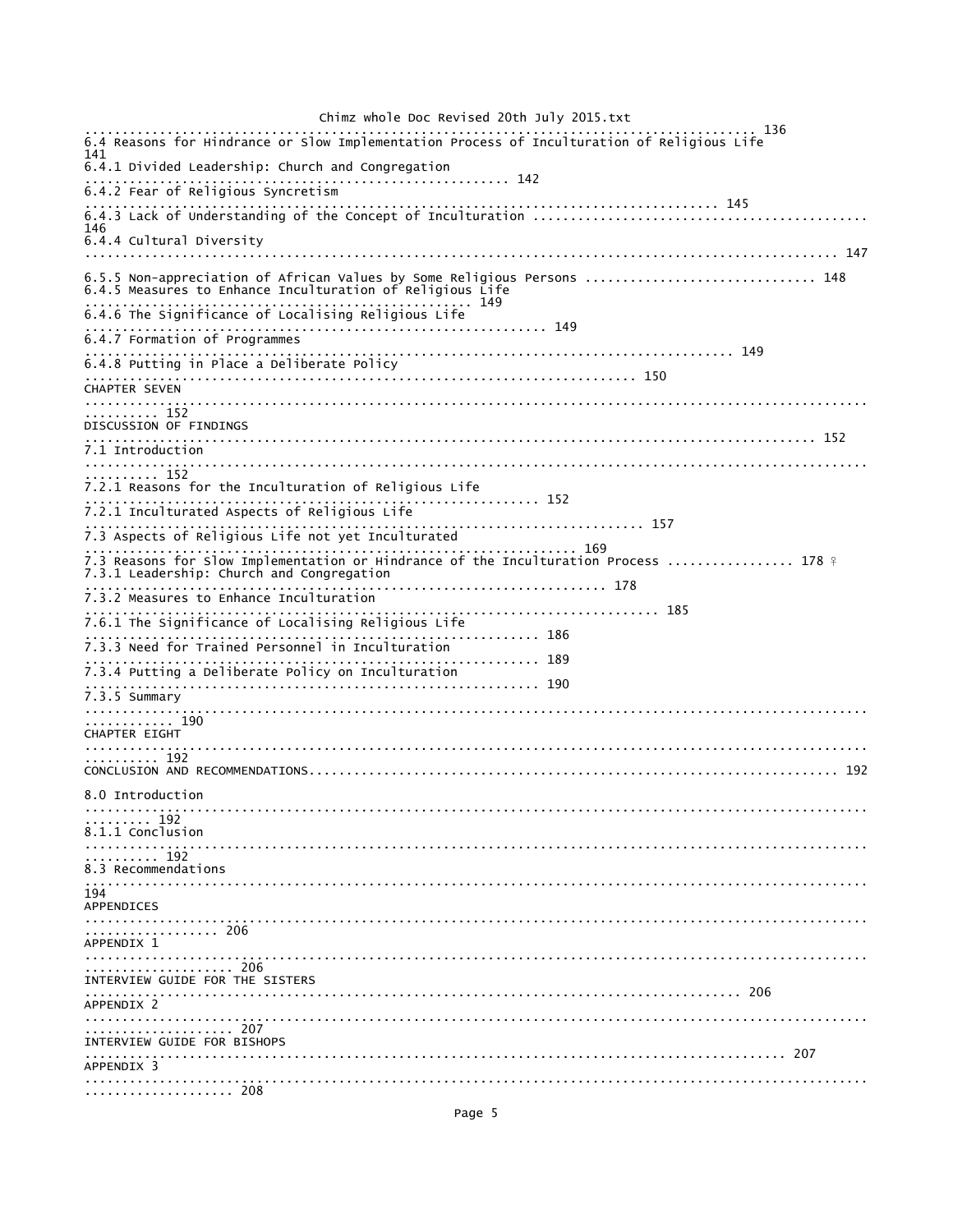Chimz whole Doc Revised 20th July 2015.txt 136 6.4 Reasons for Hindrance or Slow Implementation Process of Inculturation of Religious Life 141 6.4.1 Divided Leadership: Church and Congregation  $\cdots \cdots \cdots$  142 6.4.2 Fear of Religious Syncretism 146 6.4.4 Cultural Diversity 6.5.5 Non-appreciation of African Values by Some Religious Persons ............................... 148<br>6.4.5 Measures to Enhance Inculturation of Religious Life .. 149 6.4.6 The Significance of Localising Religious Life 6.4.7 Formation of Programmes 6.4.8 Putting in Place a Deliberate Policy . . . . . . . . . . . 150 CHAPTER SEVEN . . . . . . . . . . . . ..............152<br>DISCUSSION OF FINDINGS 7.1 Introduction  $\ldots \ldots \ldots \ldots \ldots$ 7.2.1 Reasons for the Inculturation of Religious Life . . . . . . . . . . . . . . . 152 7.2.1 Inculturated Aspects of Religious Life 7.3 Aspects of Religious Life not yet Inculturated 169 7.3.1 Leadership: Church and Congregation 7.3.2 Measures to Enhance Inculturation 7.6.1 The Significance of Localising Religious Life . . . . . . . . . . . . . 186 7.3.3 Need for Trained Personnel in Inculturation . . . . . . . . . 7.3.4 Putting a Deliberate Policy on Inculturation 7.3.5 Summary . . . . . . . . . . . . . 190 CHAPTER EIGHT . . . . . . . . . . . 8.0 Introduction  $\begin{array}{ccc}\n\cdots & \cdots & \cdots & \cdots & \cdots \\
\cdots & \cdots & \cdots & \cdots & 192\n\end{array}$ 8.1.1 Conclusion 8.3 Recommendations APPENDICES . . . . . . . . . . . . . . . . . . . . . . . . . . . . . . . . . . . . 206 APPENDIX 1 . . . . . . . . . . . . . . . . . 206 INTERVIEW GUIDE FOR THE SISTERS APPENDIX 2  $\begin{array}{c}\n... \\
... \\
... \\
... \\
... \\
... \\
... \\
... \\
... \\
207\n\end{array}$ INTERVIEW GUIDE FOR BISHOPS  $\ldots \ldots \ldots \ldots \ldots \ldots$ <br>APPENDIX 3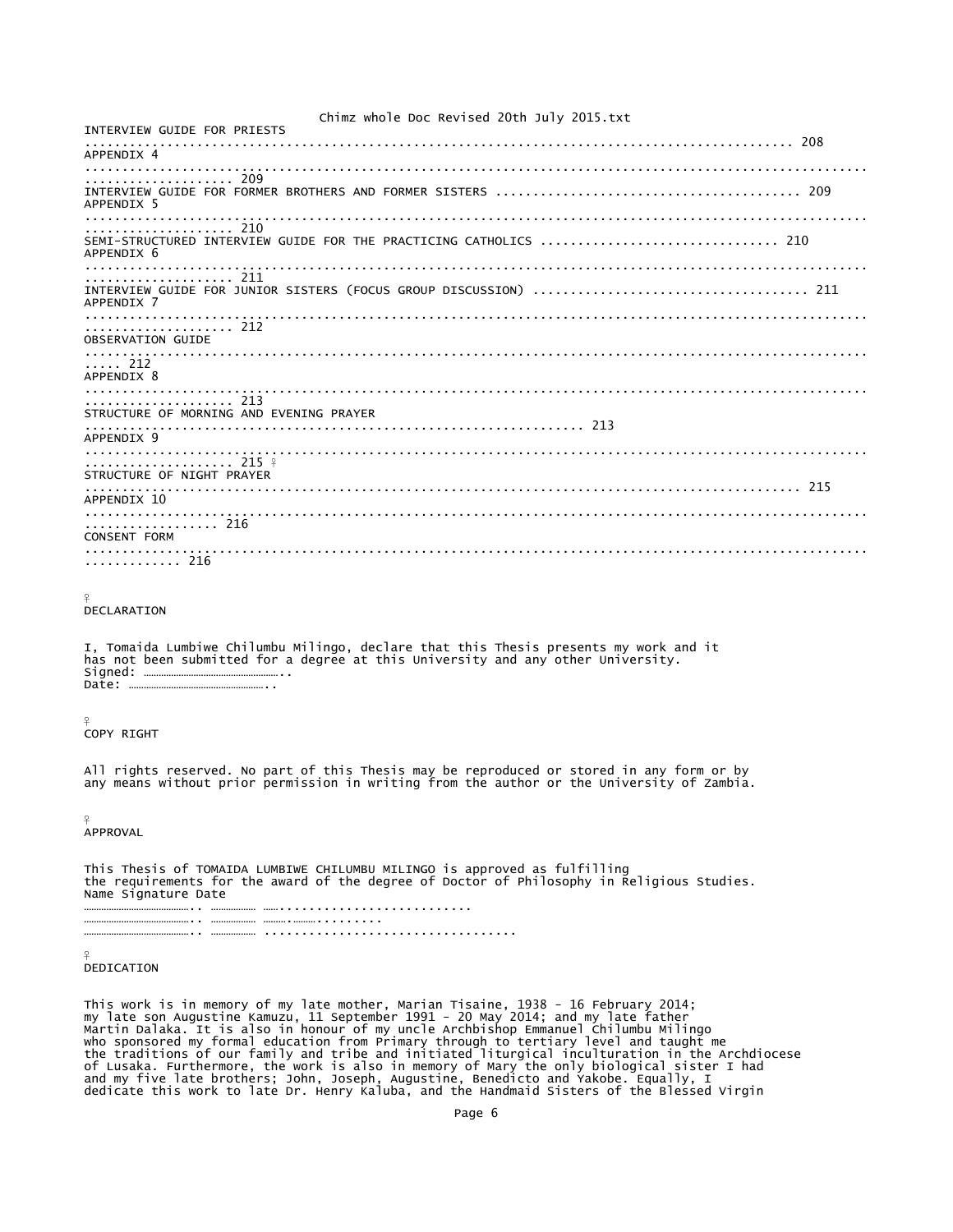Chimz whole Doc Revised 20th July 2015.txt INTERVIEW GUIDE FOR PRIESTS ............................................................................................... 208 APPENDIX 4 ......................................................................................................... .................... 209 INTERVIEW GUIDE FOR FORMER BROTHERS AND FORMER SISTERS ......................................... 209 APPENDIX 5 ......................................................................................................... .................... 210 SEMI-STRUCTURED INTERVIEW GUIDE FOR THE PRACTICING CATHOLICS ................................ 210 APPENDIX 6 ......................................................................................................... .................... 211 INTERVIEW GUIDE FOR JUNIOR SISTERS (FOCUS GROUP DISCUSSION) ..................................... 211 APPENDIX 7 ......................................................................................................... .................... 212 OBSERVATION GUIDE .........................................................................................................  $\ldots$  212 APPENDIX 8 ......................................................................................................... .................... 213 STRUCTURE OF MORNING AND EVENING PRAYER ................................................................... 213 APPENDIX 9<br>...................... ......................................................................................................... .................... 215 <del>?</del> STRUCTURE OF NIGHT PRAYER ................................................................................................ 215 APPENDIX 10 ......................................................................................................... ....... 216 CONSENT FORM ......................................................................................................... ............. 216 ¥ DECLARATION I, Tomaida Lumbiwe Chilumbu Milingo, declare that this Thesis presents my work and it has not been submitted for a degree at this University and any other University. Signed: ……………………………………………….. Date: … ¥ COPY RIGHT All rights reserved. No part of this Thesis may be reproduced or stored in any form or by any means without prior permission in writing from the author or the University of Zambia.  $\overline{Q}$ APPROVAL This Thesis of TOMAIDA LUMBIWE CHILUMBU MILINGO is approved as fulfilling the requirements for the award of the degree of Doctor of Philosophy in Religious Studies. Name Signature Date …………………………………….. ……………… …….......................... …………………………………….. ……………… ……….………......... …………………………………….. ……………… ..................................  $\frac{9}{5}$ 

DEDICATION

This work is in memory of my late mother, Marian Tisaine, 1938 - 16 February 2014;<br>my late son Augustine Kamuzu, 11 September 1991 - 20 May 2014; and my late father<br>Martin Dalaka. It is also in honour of my uncle Archbisho dedicate this work to late Dr. Henry Kaluba, and the Handmaid Sisters of the Blessed Virgin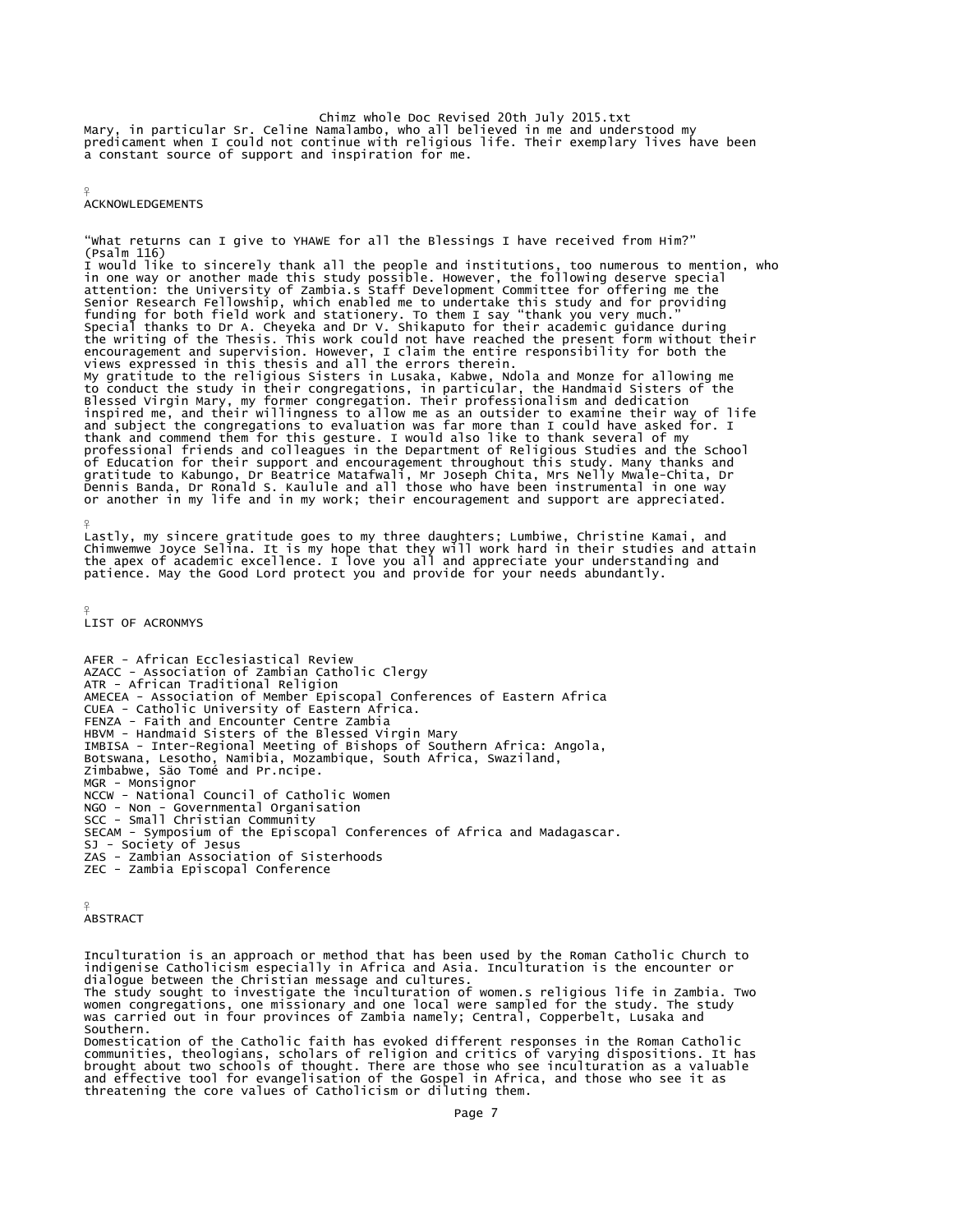Chimz whole Doc Revised 20th July 2015.txt<br>Mary, in particular Sr. Celine Namalambo, who all believed in me and understood my<br>predicament when I could not continue with religious life. Their exemplary lives have been a constant source of support and inspiration for me.

¥ **ACKNOWLEDGEMENTS** 

"What returns can I give to YHAWE for all the Blessings I have received from Him?" (Psalm 116) I would like to sincerely thank all the people and institutions, too numerous to mention, who<br>in one way or another made this study possible. However, the following deserve special<br>attention: the University of Zambia.s Sta Senior Research Fellowship, which enabled me to undertake this study and for providing<br>funding for both field work and stationery. To them I say "thank you very much."<br>Special thanks to Dr A. Cheyeka and Dr V. Shikaputo fo encouragement and supervision. However, I claim the entire responsibility for both the<br>views expressed in this thesis and all the errors therein.<br>My gratitude to the religious Sisters in Lusaka, Kabwe, Ndola and Monze for

inspired me, and their willingness to allow me as an outsider to examine their way of life<br>and subject the congregations to evaluation was far more than I could have asked for. I<br>thank and commend them for this gesture. I of Education for their support and encouragement throughout this study. Many thanks and<br>gratitude to Kabungo, Dr Beatrice Matafwali, Mr Joseph Chita, Mrs Nelly Mwale-Chita, Dr<br>Dennis Banda, Dr Ronald S. Kaulule and all tho

Lastly, my sincere gratitude goes to my three daughters; Lumbiwe, Christine Kamai, and<br>Chimwemwe Joyce Selina. It is my hope that they will work hard in their studies and attain<br>the apex of academic excellence. I love you patience. May the Good Lord protect you and provide for your needs abundantly.

¥ LIST OF ACRONMYS

¥

AFER - African Ecclesiastical Review AZACC - Association of Zambian Catholic Clergy ATR - African Traditional Religion AMECEA - Association of Member Episcopal Conferences of Eastern Africa CUEA - Catholic University of Eastern Africa. FENZA - Faith and Encounter Centre Zambia<br>HBVM - Handmaid Sisters of the Blessed Virgin Mary<br>IMBISA - Inter-Regional Meeting of Bishops of Southern Africa: Angola,<br>Botswana, Lesotho, Namibia, Mozambique, South Africa, Swaz MGR - Monsignor<br>NCCW - National Council of Catholic Women NGO - Non - Governmental Organisation SCC - Small Christian Community SECAM - Symposium of the Episcopal Conferences of Africa and Madagascar. SJ - Society of Jesus ZAS - Zambian Association of Sisterhoods ZEC - Zambia Episcopal Conference

```
¥
ABSTRACT
```
Inculturation is an approach or method that has been used by the Roman Catholic Church to indigenise Catholicism especially in Africa and Asia. Inculturation is the encounter or dialogue between the Christian message and cultures. The study sought to investigate the inculturation of women.s religious life in Zambia. Two women congregations, one missionary and one local were sampled for the study. The study was carried out in four provinces of Zambia namely; Central, Copperbelt, Lusaka and Southern.

Domestication of the Catholic faith has evoked different responses in the Roman Catholic communities, theologians, scholars of religion and critics of varying dispositions. It has brought about two schools of thought. There are those who see inculturation as a valuable and effective tool for evangelisation of the Gospel in Africa, and those who see it as threatening the core values of Catholicism or diluting them.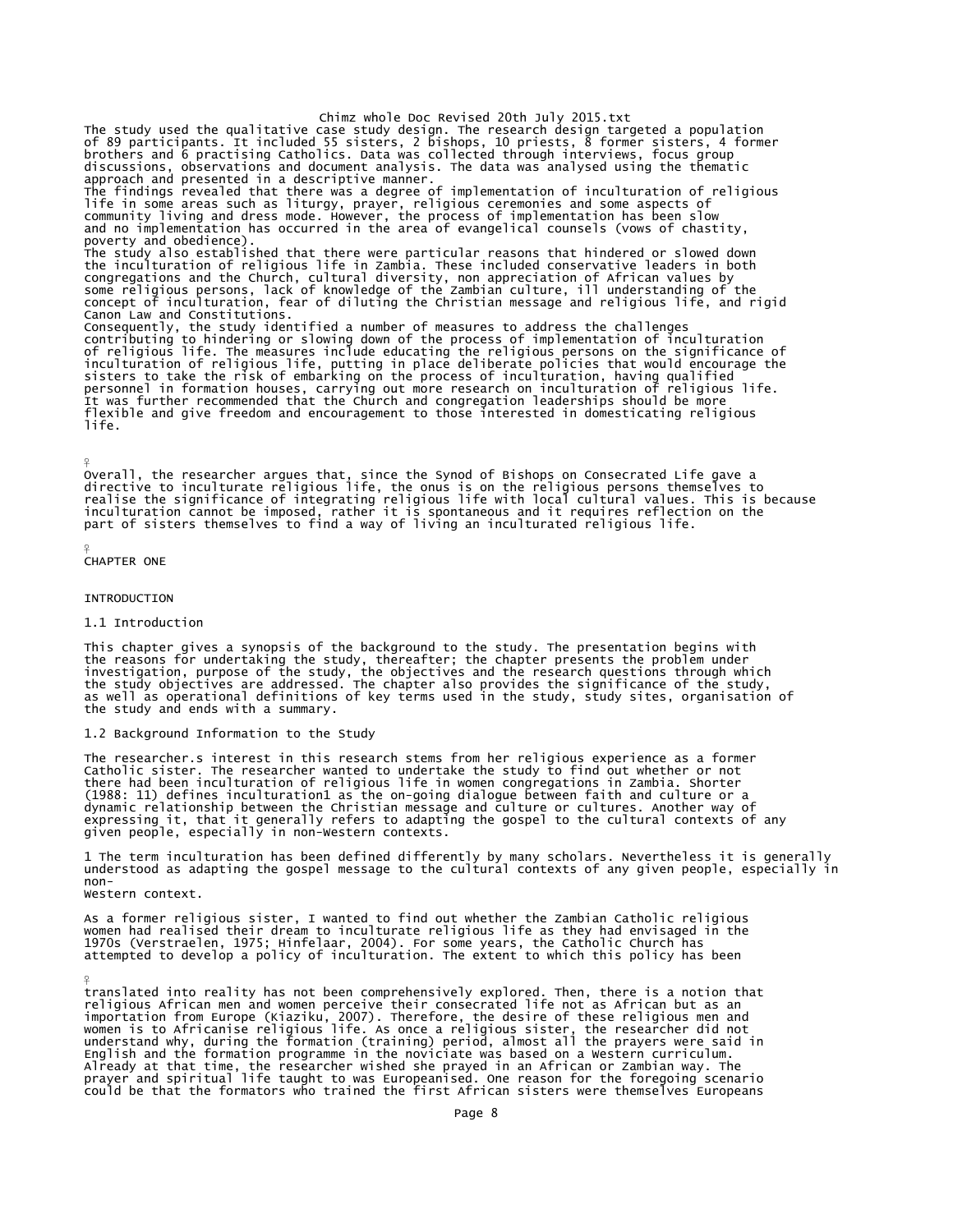Chimz whole Doc Revised 20th July 2015.txt The study used the qualitative case study design. The research design targeted a population<br>of 89 participants. It included 55 sisters, 2 bishops, 10 priests, 8 former sisters, 4 former<br>brothers and 6 practising Catholics. discussions, observations and document analysis. The data was analysed using the thematic approach and presented in a descriptive manner. The findings revealed that there was a degree of implementation of inculturation of religious<br>life in some areas such as liturgy, prayer, religious ceremonies and some aspects of<br>community living and dress mode. However, t poverty and obedience). The study also established that there were particular reasons that hindered or slowed down the inculturation of religious life in Zambia. These included conservative leaders in both congregations and the Church, cultural diversity, non appreciation of African values by<br>some religious persons, lack of knowledge of the Zambian culture, ill understanding of the<br>concept of inculturation, fear of diluting Consequently, the study identified a number of measures to address the challenges<br>contributing to hindering or slowing down of the process of implementation of inculturation<br>of religious life. The measures include educatin flexible and give freedom and encouragement to those interested in domesticating religious life.

Overall, the researcher argues that, since the Synod of Bishops on Consecrated Life gave a<br>directive to inculturate religious life, the onus is on the religious persons themselves to<br>realise the significance of integrating

### $\frac{9}{5}$ CHAPTER ONE

¥

### **INTRODUCTION**

### 1.1 Introduction

This chapter gives a synopsis of the background to the study. The presentation begins with the reasons for undertaking the study, thereafter; the chapter presents the problem under investigation, purpose of the study, the objectives and the research questions through which<br>the study objectives are addressed. The chapter also provides the significance of the study,<br>as well as operational definitions o the study and ends with a summary.

## 1.2 Background Information to the Study

The researcher.s interest in this research stems from her religious experience as a former<br>Catholic sister. The researcher wanted to undertake the study to find out whether or not there had been inculturation of religious life in women congregations in Zambia. Shorter<br>(1988: 11) defines inculturation1 as the on-going dialogue between faith and culture or a<br>dynamic relationship between the Christian given people, especially in non-Western contexts.

1 The term inculturation has been defined differently by many scholars. Nevertheless it is generally understood as adapting the gospel message to the cultural contexts of any given people, especially in non-

Western context.

¥

As a former religious sister, I wanted to find out whether the Zambian Catholic religious<br>women had realised their dream to inculturate religious life as they had envisaged in the<br>1970s (Verstraelen, 1975; Hinfelaar, 2004)

translated into reality has not been comprehensively explored. Then, there is a notion that religious African men and women perceive their consecrated life not as African but as an<br>importation from Europe (Kiaziku, 2007). Therefore, the desire of these religious men and<br>women is to Africanise religious life. As o could be that the formators who trained the first African sisters were themselves Europeans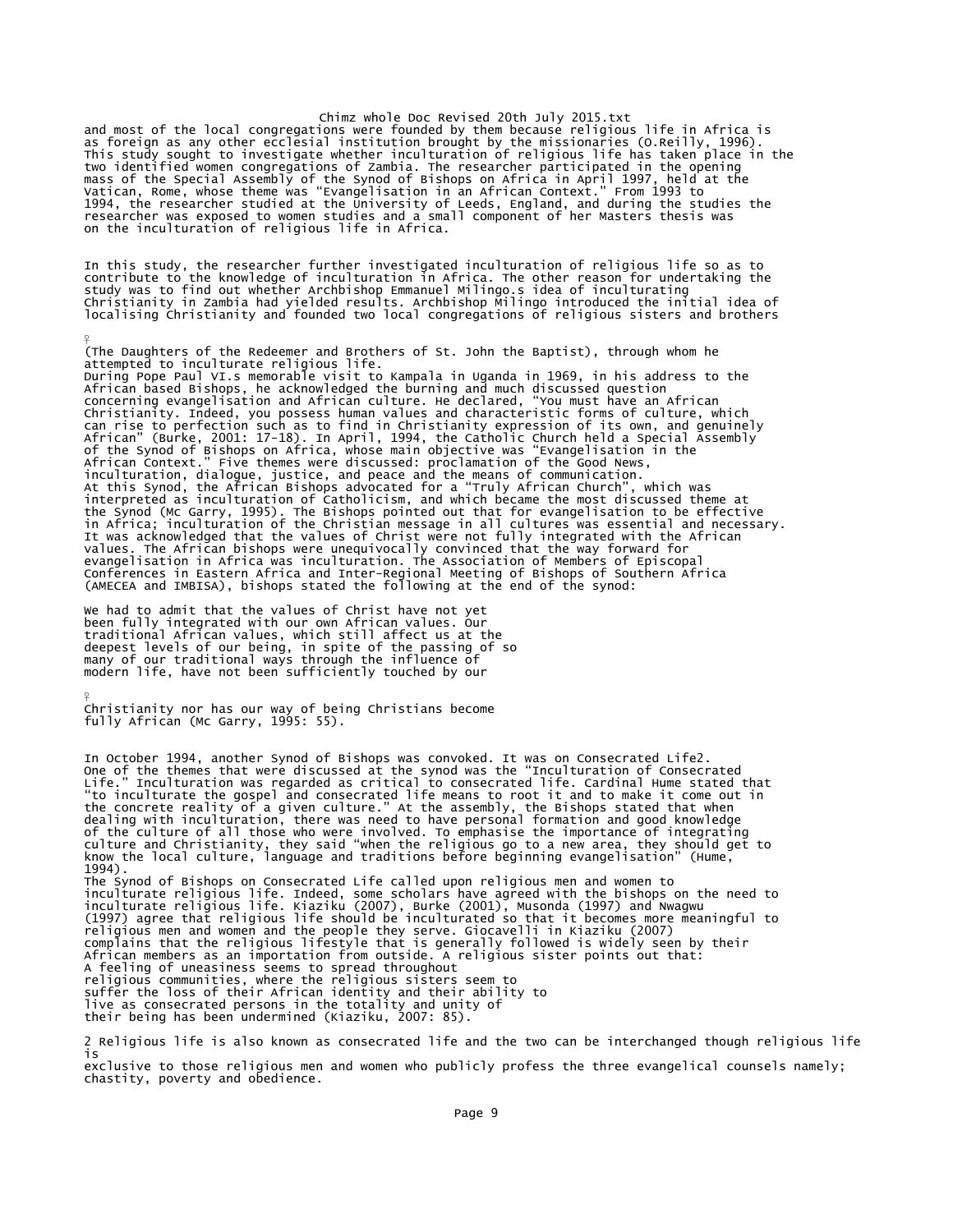and most of the local congregations were founded by them because religious life in Africa is<br>as foreign as any other ecclesial institution brought by the missionaries (O.Reilly, 1996).<br>This study sought to investigate whet two identified women congregations of Zambia. The researcher participated in the opening<br>mass of the Special Assembly of the Synod of Bishops on Africa in April 1997, held at the<br>Vatican, Rome, whose theme was "Evangelisat

In this study, the researcher further investigated inculturation of religious life so as to<br>contribute to the knowledge of inculturation in Africa. The other reason for undertaking the<br>study was to find out whether Archbis

(The Daughters of the Redeemer and Brothers of St. John the Baptist), through whom he attempted to inculturate religious life.

During Pope Paul VI.s memorable visit to Kampala in Uganda in 1969, in his address to the African based Bishops, he acknowledged the burning and much discussed question concerning evangelisation and African culture. He declared, "You must have an African Christianity. Indeed, you possess human values and characteristic forms of culture, which<br>can rise to perfection such as to find in Christianity expression of its own, and genuinely<br>African" (Burke, 2001: 17-18). In April, inculturation, dialogue, justice, and peace and the means of communication.<br>At this synod, the African Bishops advocated for a "Truly African Church", which was<br>interpreted as inculturation of Catholicism, and which became (AMECEA and IMBISA), bishops stated the following at the end of the synod:

we had to admit that the values of Christ have not yet<br>been fully integrated with our own African values. Our<br>traditional African values, which still affect us at the<br>deepest levels of our being, in spite of the passing of modern life, have not been sufficiently touched by our

 $\frac{9}{5}$ 

¥ Christianity nor has our way of being Christians become fully African (Mc Garry, 1995: 55).

In October 1994, another Synod of Bishops was convoked. It was on Consecrated Life2.<br>One of the themes that were discussed at the synod was the "Inculturation of Consecrated<br>Life." Inculturation was regarded as critical to of the culture of all those who were involved. To emphasise the importance of integrating<br>culture and Christianity, they said "when the religious go to a new area, they should get to<br>know the local culture, language and tr The Synod of Bishops on Consecrated Life called upon religious men and women to inculturate religious life. Indeed, some scholars have agreed with the bishops on the need to<br>inculturate religious life. Kiaziku (2007), Burke (2001), Musonda (1997) and Nwagwu<br>(1997) agree that religious life should be i A feeling of uneasiness seems to spread throughout religious communities, where the religious sisters seem to suffer the loss of their African identity and their ability to live as consecrated persons in the totality and unity of their being has been undermined (Kiaziku, 2007: 85).

2 Religious life is also known as consecrated life and the two can be interchanged though religious life is exclusive to those religious men and women who publicly profess the three evangelical counsels namely; chastity, poverty and obedience.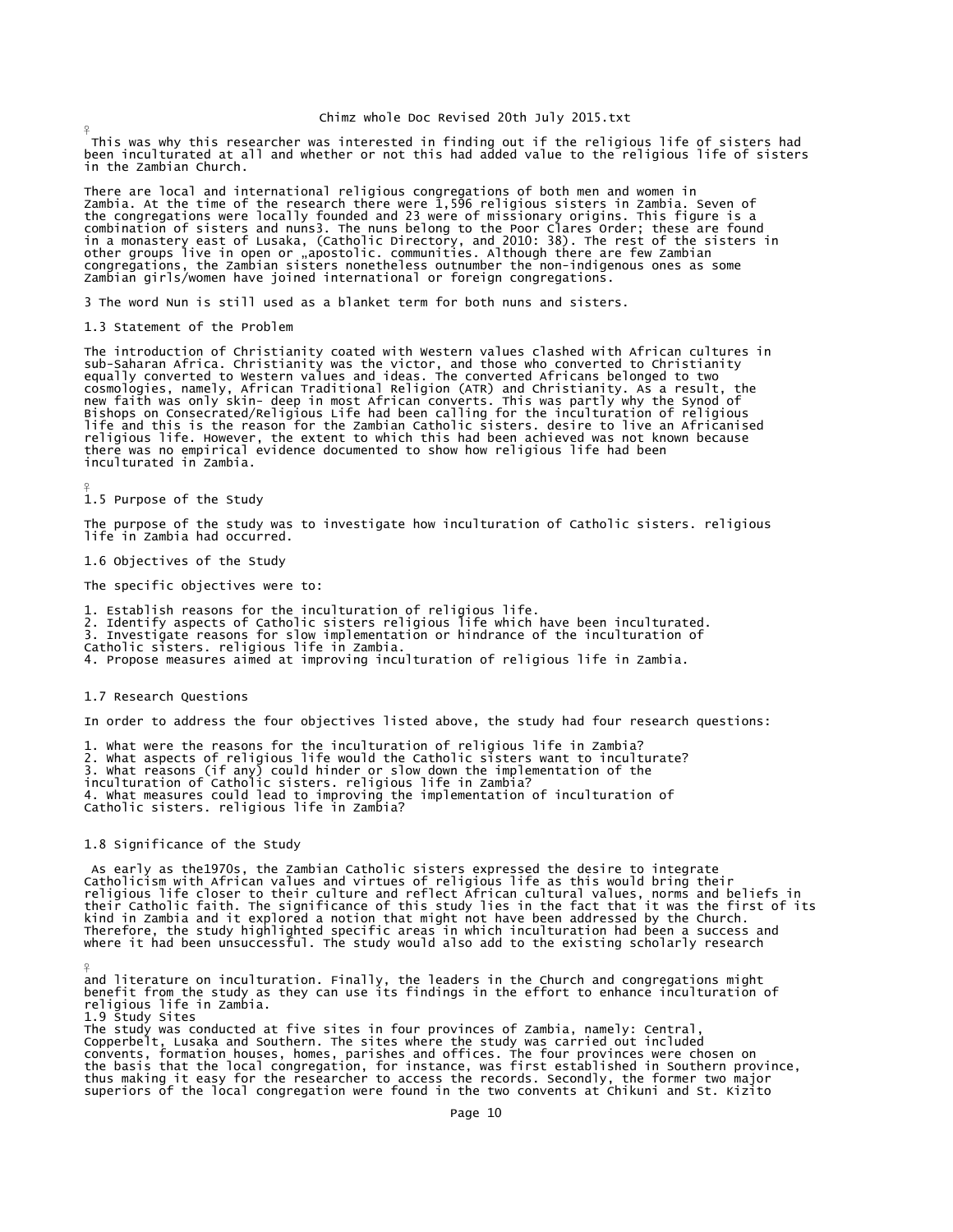This was why this researcher was interested in finding out if the religious life of sisters had been inculturated at all and whether or not this had added value to the religious life of sisters in the Zambian Church.

There are local and international religious congregations of both men and women in<br>Zambia. At the time of the research there were 1,596 religious sisters in Zambia. Seven of<br>the congregations were locally founded and 23 we Zambian girls/women have joined international or foreign congregations.

3 The word Nun is still used as a blanket term for both nuns and sisters.

1.3 Statement of the Problem

 $\frac{9}{5}$ 

¥

¥

The introduction of Christianity coated with Western values clashed with African cultures in sub-Saharan Africa. Christianity was the victor, and those who converted to Christianity<br>equally converted to Western values and ideas. The converted Africans belonged to two<br>cosmologies, namely, African Traditional Religi inculturated in Zambia.

```
1.5 Purpose of the Study
```
The purpose of the study was to investigate how inculturation of Catholic sisters. religious life in Zambia had occurred.

1.6 Objectives of the Study

The specific objectives were to:

1. Establish reasons for the inculturation of religious life.<br>2. Identify aspects of Catholic sisters religious life which have been inculturated.<br>3. Investigate reasons for slow implementation or hindrance of the incultur

4. Propose measures aimed at improving inculturation of religious life in Zambia.

### 1.7 Research Questions

In order to address the four objectives listed above, the study had four research questions:

1. What were the reasons for the inculturation of religious life in Zambia?<br>2. What aspects of religious life would the Catholic sisters want to inculturate?<br>3. What reasons (if any) could hinder or slow down the implement

1.8 Significance of the Study

 As early as the1970s, the Zambian Catholic sisters expressed the desire to integrate Catholicism with African values and virtues of religious life as this would bring their<br>religious life closer to their culture and reflect African cultural values, norms and beliefs in<br>their Catholic faith. The significanc kind in Zambia and it explored a notion that might not have been addressed by the Church.<br>Therefore, the study highlighted specific areas in which inculturation had been a success and<br>where it had been unsuccessful. The st

and literature on inculturation. Finally, the leaders in the Church and congregations might<br>benefit from the study as they can use its findings in the effort to enhance inculturation of religious life in Zambia. 1.9 Study Sites

The study was conducted at five sites in four provinces of Zambia, namely: Central, Copperbelt, Lusaka and Southern. The sites where the study was carried out included convents, formation houses, homes, parishes and offices. The four provinces were chosen on<br>the basis that the local congregation, for instance, was first established in Southern province,<br>thus making it easy for the resear superiors of the local congregation were found in the two convents at Chikuni and St. Kizito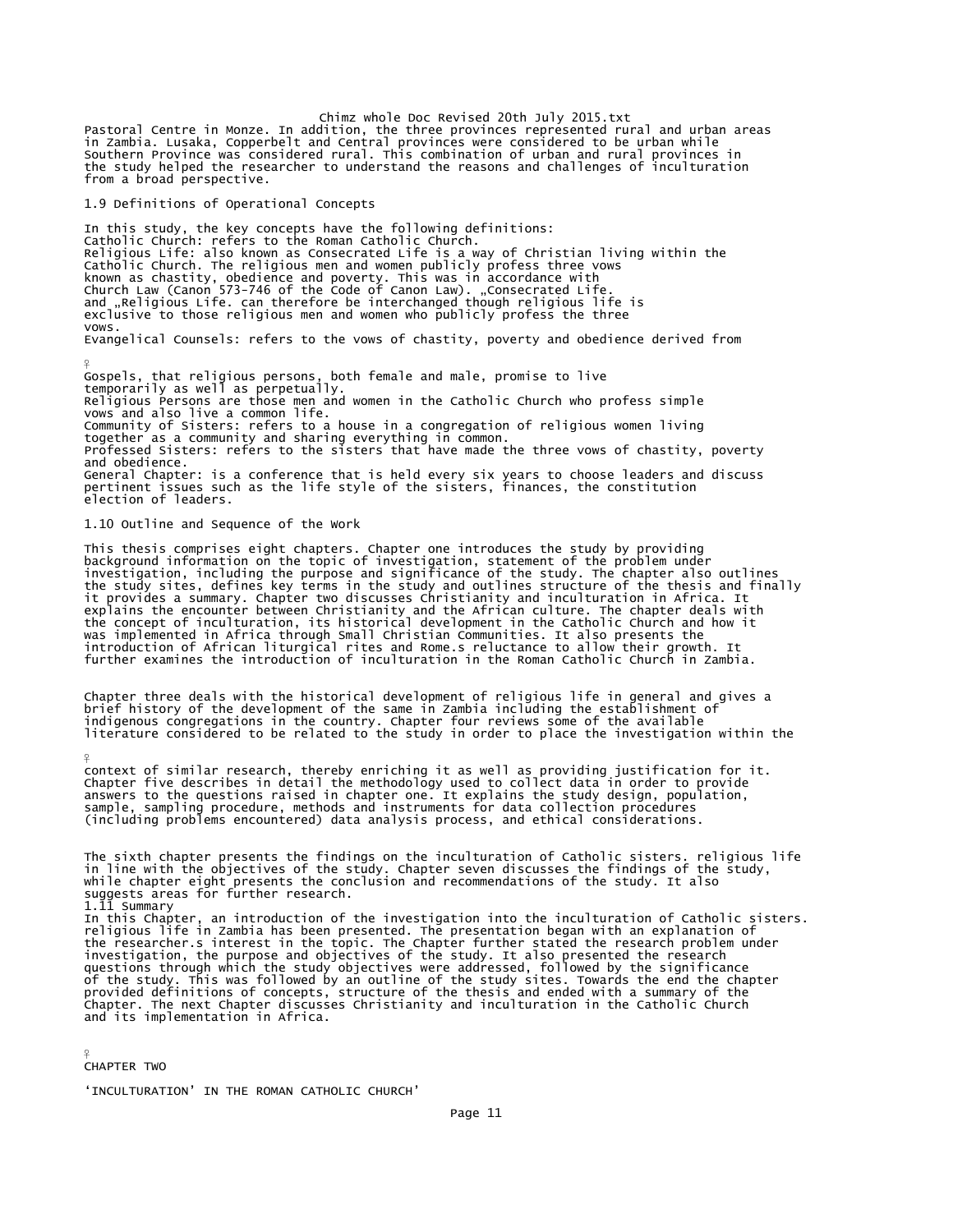Chimz whole Doc Revised 20th July 2015.txt Pastoral Centre in Monze. In addition, the three provinces represented rural and urban areas in Zambia. Lusaka, Copperbelt and Central provinces were considered to be urban while Southern Province was considered rural. This combination of urban and rural provinces in the study helped the researcher to understand the reasons and challenges of inculturation from a broad perspective.

1.9 Definitions of Operational Concepts

In this study, the key concepts have the following definitions: Catholic Church: refers to the Roman Catholic Church. Religious Life: also known as Consecrated Life is a way of Christian living within the Catholic Church. The religious men and women publicly profess three vows known as chastity, obedience and poverty. This was in accordance with Church Law (Canon 573-746 of the Code of Canon Law). "Consecrated Life. and "Religious Life. can therefore be interchanged though religious life is<br>exclusive to those religious men and women who publicly profess the three vows. Evangelical Counsels: refers to the vows of chastity, poverty and obedience derived from

Gospels, that religious persons, both female and male, promise to live temporarily as well as perpetually. Religious Persons are those men and women in the Catholic Church who profess simple vows and also live a common life. Community of Sisters: refers to a house in a congregation of religious women living together as a community and sharing everything in common. Professed Sisters: refers to the sisters that have made the three vows of chastity, poverty and obedience. General Chapter: is a conference that is held every six years to choose leaders and discuss pertinent issues such as the life style of the sisters, finances, the constitution election of leaders.

1.10 Outline and Sequence of the Work

¥

This thesis comprises eight chapters. Chapter one introduces the study by providing<br>background information on the topic of investigation, statement of the problem under<br>investigation, including the purpose and significance the study sites, defines key terms in the study and outlines structure of the thesis and finally<br>it provides a summary. Chapter two discusses Christianity and inculturation in Africa. It<br>explains the encounter between Chri further examines the introduction of inculturation in the Roman Catholic Church in Zambia.

Chapter three deals with the historical development of religious life in general and gives a brief history of the development of the same in Zambia including the establishment of<br>indigenous congregations in the country. Chapter four reviews some of the available<br>literature considered to be related to the study in

¥ context of similar research, thereby enriching it as well as providing justification for it. Chapter five describes in detail the methodology used to collect data in order to provide answers to the questions raised in chapter one. It explains the study design, population, sample, sampling procedure, methods and instruments for data collection procedures (including problems encountered) data analysis process, and ethical considerations.

The sixth chapter presents the findings on the inculturation of Catholic sisters. religious life in line with the objectives of the study. Chapter seven discusses the findings of the study, while chapter eight presents the conclusion and recommendations of the study. It also suggests areas for further research. 1.11 Summary In this Chapter, an introduction of the investigation into the inculturation of Catholic sisters.<br>religious life in Zambia has been presented. The presentation began with an explanation of<br>the researcher.s interest in the questions through which the study objectives were addressed, followed by the significance of the study. This was followed by an outline of the study sites. Towards the end the chapter provided definitions of concepts, structure of the thesis and ended with a summary of the Chapter. The next Chapter discusses Christianity and inculturation in the Catholic Church and its implementation in Africa.

 $\frac{9}{5}$ CHAPTER TWO

'INCULTURATION' IN THE ROMAN CATHOLIC CHURCH'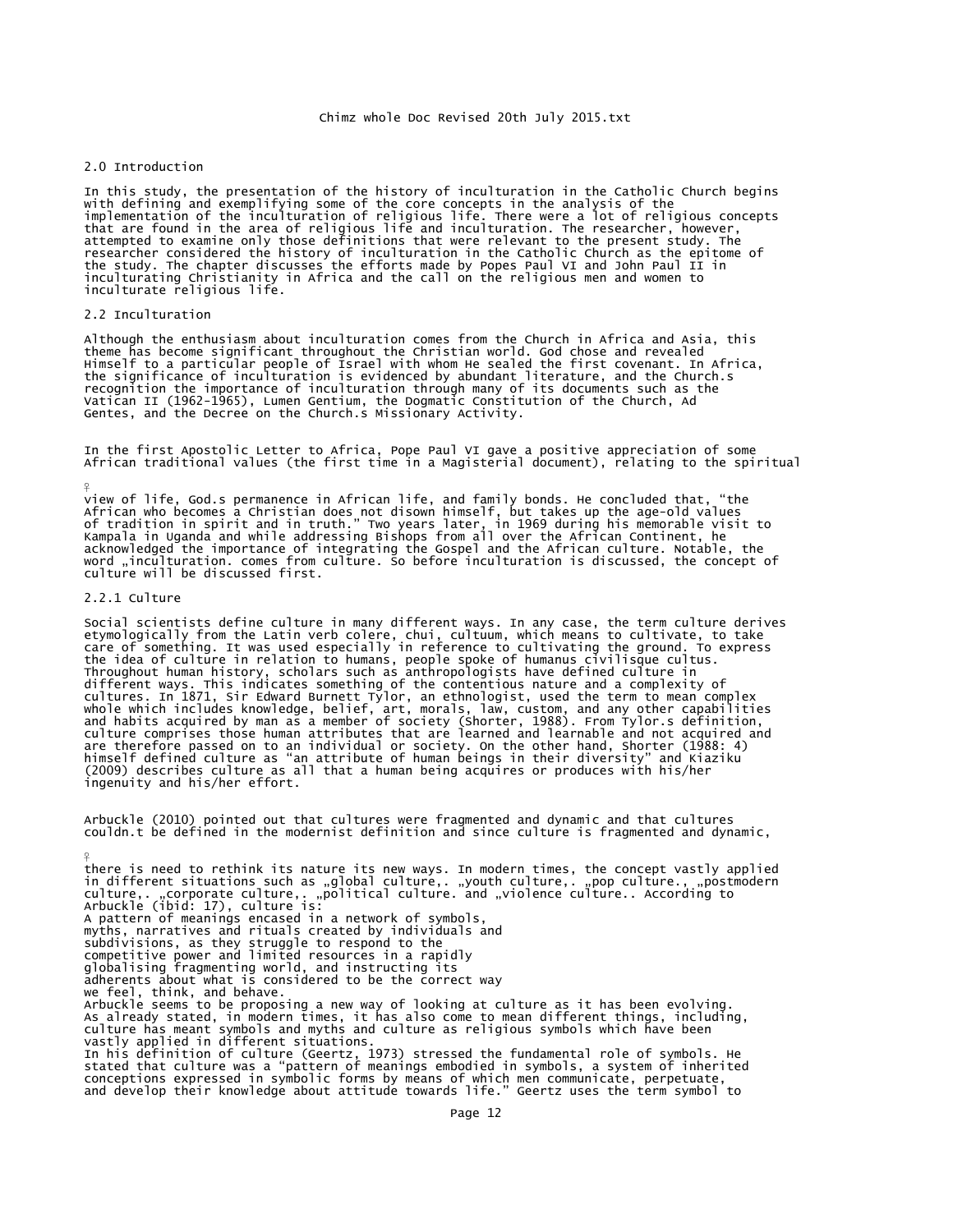### 2.0 Introduction

In this study, the presentation of the history of inculturation in the Catholic Church begins<br>with defining and exemplifying some of the core concepts in the analysis of the<br>implementation of the inculturation of religious the study. The chapter discusses the efforts made by Popes Paul VI and John Paul II in inculturating Christianity in Africa and the call on the religious men and women to inculturate religious life.

## 2.2 Inculturation

Although the enthusiasm about inculturation comes from the Church in Africa and Asia, this theme has become significant throughout the Christian world. God chose and revealed<br>Himself to a particular people of Israel with whom He sealed the first covenant. In Africa,<br>the significance of inculturation is evidenced Gentes, and the Decree on the Church.s Missionary Activity.

In the first Apostolic Letter to Africa, Pope Paul VI gave a positive appreciation of some African traditional values (the first time in a Magisterial document), relating to the spiritual

view of life, God.s permanence in African life, and family bonds. He concluded that, "the<br>African who becomes a Christian does not disown himself, but takes up the age-old values<br>of tradition in spirit and in truth." Two y culture will be discussed first.

## 2.2.1 Culture

¥

 $\frac{9}{5}$ 

Social scientists define culture in many different ways. In any case, the term culture derives etymologically from the Latin verb colere, chui, cultuum, which means to cultivate, to take care of something. It was used especially in reference to cultivating the ground. To express the idea of culture in relation to humans, people spoke of humanus civilisque cultus.<br>Throughout human history, scholars such as anthropologists have defined culture in<br>different ways. This indicates something of the conte are therefore passed on to an individual or society. On the other hand, Shorter (1988: 4)<br>himself defined culture as "an attribute of human beings in their diversity" and Kiaziku<br>(2009) describes culture as all that a huma ingenuity and his/her effort.

Arbuckle (2010) pointed out that cultures were fragmented and dynamic and that cultures couldn.t be defined in the modernist definition and since culture is fragmented and dynamic,

there is need to rethink its nature its new ways. In modern times, the concept vastly applied in different situations such as "global culture,. "youth culture,. "pop culture., "postmodern<br>culture,. "corporate culture,. "political culture. and "violence culture.. According to<br>Arbuckle (ibid: 17), culture is: A pattern of meanings encased in a network of symbols,<br>myths, narratives and rituals created by individuals and<br>subdivisions, as they struggle to respond to the<br>competitive power and limited resources in a rapidly<br>globalis we feel, think, and behave. Arbuckle seems to be proposing a new way of looking at culture as it has been evolving.<br>As already stated, in modern times, it has also come to mean different things, including,<br>culture has meant symbols and myths and cult In his definition of culture (Geertz, 1973) stressed the fundamental role of symbols. He stated that culture was a "pattern of meanings embodied in symbols, a system of inherited conceptions expressed in symbolic forms by means of which men communicate, perpetuate, and develop their knowledge about attitude towards life." Geertz uses the term symbol to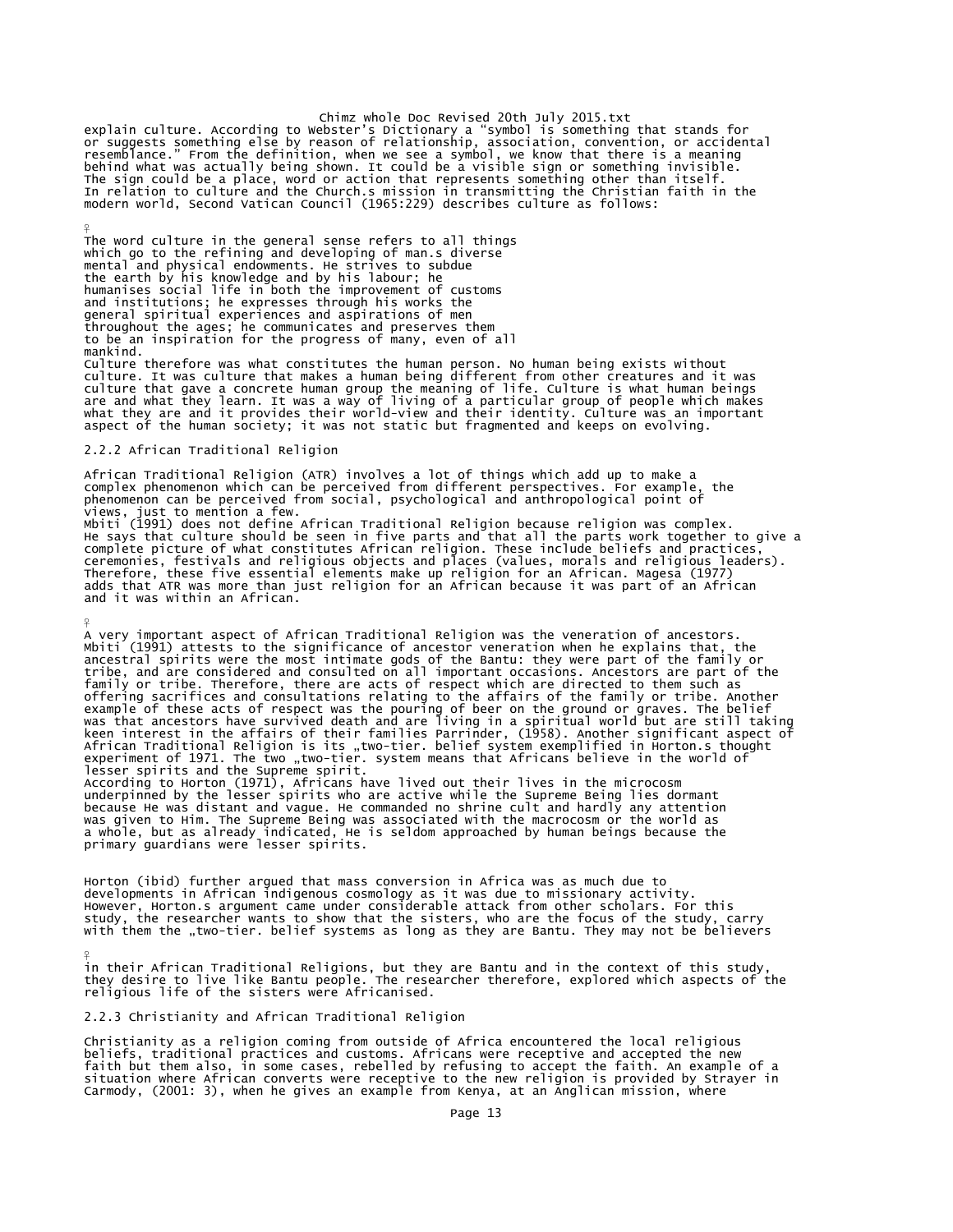Chimz whole Doc Revised 20th July 2015.txt<br>or suggests something else by reason of relationship, association, convention, or accidental<br>resemblance." From the definition, when we see a symbol, we know that there is a meani

The word culture in the general sense refers to all things which go to the refining and developing of man.s diverse mental and physical endowments. He strives to subdue<br>the earth by his knowledge and by his labour; he<br>humanises social life in both the improvement of customs<br>and institutions; he expresses through his works the<br>general sp throughout the ages; he communicates and preserves them to be an inspiration for the progress of many, even of all mankind.

Culture therefore was what constitutes the human person. No human being exists without<br>culture. It was culture that makes a human being different from other creatures and it was<br>culture that gave a concrete human group the

### 2.2.2 African Traditional Religion

 $\frac{9}{5}$ 

¥

 $\frac{9}{5}$ 

African Traditional Religion (ATR) involves a lot of things which add up to make a complex phenomenon which can be perceived from different perspectives. For example, the phenomenon can be perceived from social, psychological and anthropological point of views, just to mention a few.<br>Mbiti (1991) does not define African Traditional Religion because religion was complex.<br>He says that culture should be seen in five parts and that all the parts work together to give a complete picture of what constitutes African religion. These include beliefs and practices,<br>ceremonies, festivals and religious objects and places (values, morals and religious leaders).<br>Therefore, these five essential ele adds that ATR was more than just religion for an African because it was part of an African and it was within an African.

A very important aspect of African Traditional Religion was the veneration of ancestors.<br>Mbiti (1991) attests to the significance of ancestor veneration when he explains that, the<br>ancestral spirits were the most intimate g tribe, and are considered and consulted on all important occasions. Ancestors are part of the<br>family or tribe. Therefore, there are acts of respect which are directed to them such as<br>offering sacrifices and consultations r lesser spirits and the Supreme spirit.

According to Horton (1971), Africans have lived out their lives in the microcosm underpinned by the lesser spirits who are active while the Supreme Being lies dormant because He was distant and vague. He commanded no shrine cult and hardly any attention was given to Him. The Supreme Being was associated with the macrocosm or the world as a whole, but as already indicated, He is seldom approached by human beings because the primary guardians were lesser spirits.

Horton (ibid) further argued that mass conversion in Africa was as much due to developments in African indigenous cosmology as it was due to missionary activity. However, Horton.s argument came under considerable attack from other scholars. For this study, the researcher wants to show that the sisters, who are the focus of the study, carry<br>with them the "two-tier. belief systems as long as they are Bantu. They may not be believers

in their African Traditional Religions, but they are Bantu and in the context of this study, they desire to live like Bantu people. The researcher therefore, explored which aspects of the religious life of the sisters were Africanised.

## 2.2.3 Christianity and African Traditional Religion

Christianity as a religion coming from outside of Africa encountered the local religious beliefs, traditional practices and customs. Africans were receptive and accepted the new faith but them also, in some cases, rebelled by refusing to accept the faith. An example of a situation where African converts were receptive to the new religion is provided by Strayer in Carmody, (2001: 3), when he gives an example from Kenya, at an Anglican mission, where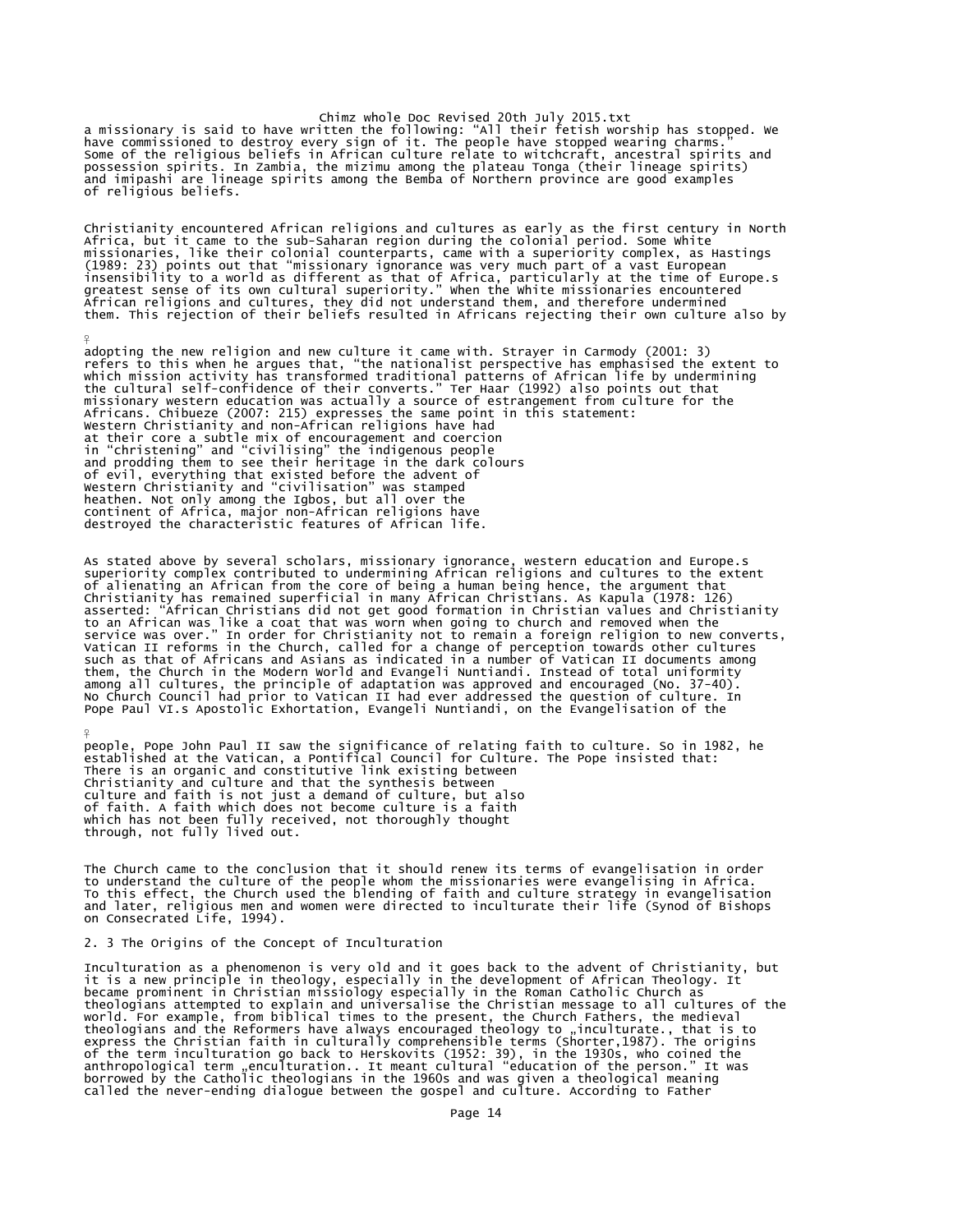Chimz whole Doc Revised 20th July 2015.txt<br>a missionary is said to have written the following: "All their fetish worship has stopped. We<br>have commissioned to destroy every sign of it. The people have stopped wearing charms possession spirits. In Zambia, the mizimu among the plateau Tonga (their lineage spirits) and imipashi are lineage spirits among the Bemba of Northern province are good examples of religious beliefs.

Christianity encountered African religions and cultures as early as the first century in North Africa, but it came to the sub-Saharan region during the colonial period. Some White missionaries, like their colonial counterparts, came with a superiority complex, as Hastings (1989: 23) points out that "missionary ignorance was very much part of a vast European<br>insensibility to a world as different as that of Africa, particularly at the time of Europe.s<br>greatest sense of its own cultural superi

adopting the new religion and new culture it came with. Strayer in Carmody (2001: 3) refers to this when he argues that, "the nationalist perspective has emphasised the extent to which mission activity has transformed traditional patterns of African life by undermining<br>the cultural self-confidence of their converts." Ter Haar (1992) also points out that<br>missionary western education was actually a s Africans. Chibueze (2007: 215) expresses the same point in this statement:<br>Western Christianity and non-African religions have had<br>at their core a subtle mix of encouragement and coercion<br>in "christening" and "civilising" of evil, everything that existed before the advent of Western Christianity and "civilisation" was stamped heathen. Not only among the Igbos, but all over the continent of Africa, major non-African religions have destroyed the characteristic features of African life.

As stated above by several scholars, missionary ignorance, western education and Europe.s superiority complex contributed to undermining African religions and cultures to the extent of alienating an African from the core of being a human being hence, the argument that<br>Christianity has remained superficial in many African Christians. As Kapula (1978: 126)<br>asserted: "African Christians did not get good such as that of Africans and Asians as indicated in a number of Vatican II documents among<br>them, the Church in the Modern World and Evangeli Nuntiandi. Instead of total uniformity<br>among all cultures, the principle of adapt

people, Pope John Paul II saw the significance of relating faith to culture. So in 1982, he established at the Vatican, a Pontifical Council for Culture. The Pope insisted that: There is an organic and constitutive link existing between Christianity and culture and that the synthesis between culture and faith is not just a demand of culture, but also of faith. A faith which does not become culture is a faith which has not been fully received, not thoroughly thought through, not fully lived out.

The Church came to the conclusion that it should renew its terms of evangelisation in order to understand the culture of the people whom the missionaries were evangelising in Africa.<br>To this effect, the Church used the blending of faith and culture strategy in evangelisation<br>and later, religious men and women wer

## 2. 3 The Origins of the Concept of Inculturation

 $\frac{9}{5}$ 

¥

Inculturation as a phenomenon is very old and it goes back to the advent of Christianity, but it is a new principle in theology, especially in the development of African Theology. It became prominent in Christian missiology especially in the Roman Catholic Church as theologians attempted to explain and universalise the Christian message to all cultures of the world. For example, from biblical times to the present, the Church Fathers, the medieval theologians and the Reformers have always encouraged theology to "inculturate., that is to<br>express the Christian faith in culturally comprehensible terms (Shorter,1987). The origins<br>of the term inculturation go back to Her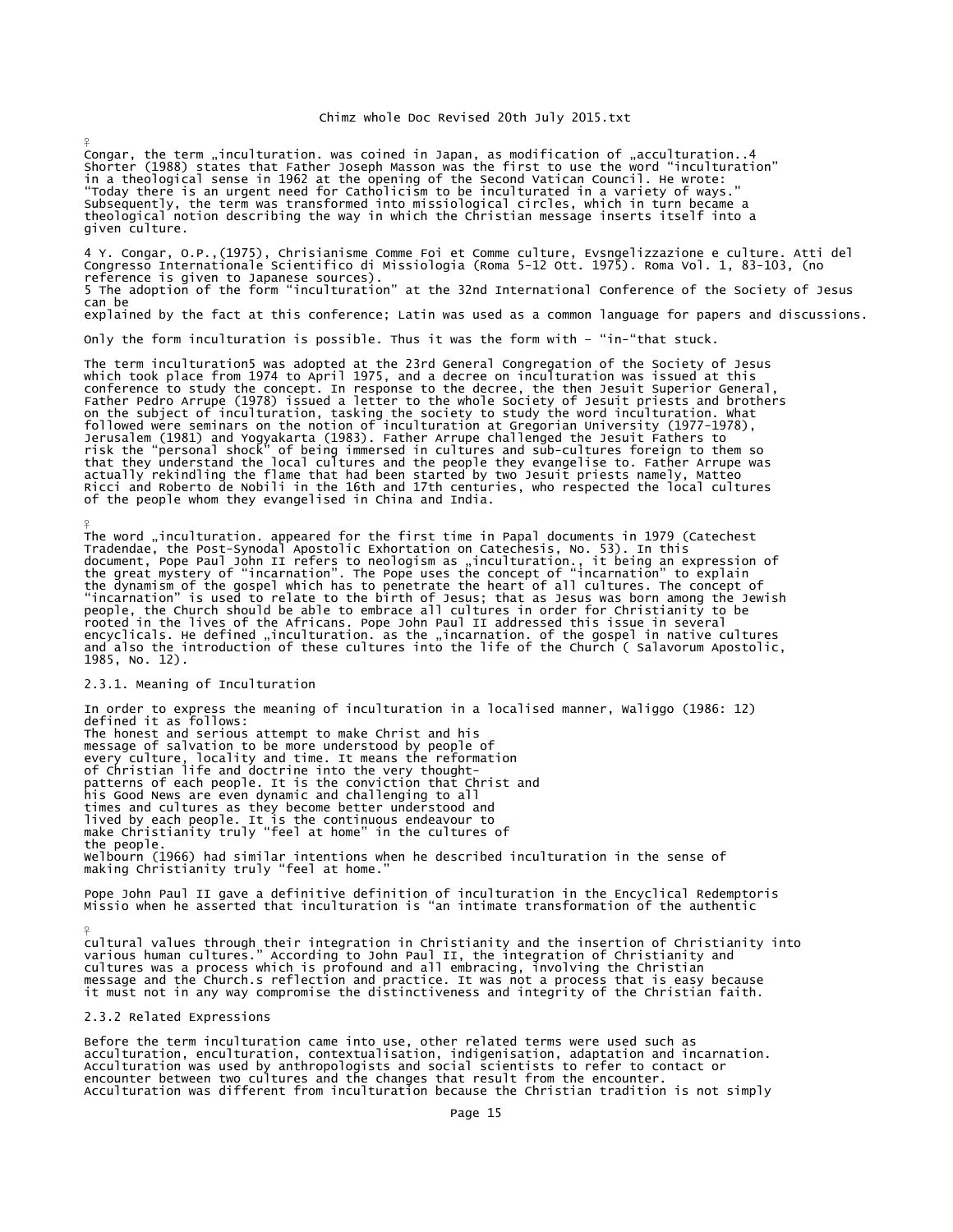Congar, the term "inculturation. was coined in Japan, as modification of "acculturation..4 Shorter (1988) states that Father Joseph Masson was the first to use the word "inculturation"<br>in a theological sense in 1962 at the opening of the Second Vatican Council. He wrote:<br>"Today there is an urgent need for Cathol Subsequently, the term was transformed into missiological circles, which in turn became a theological notion describing the way in which the Christian message inserts itself into a given culture.

4 Y. Congar, O.P.,(1975), Chrisianisme Comme Foi et Comme culture, Evsngelizzazione e culture. Atti del Congresso Internationale Scientifico di Missiologia (Roma 5-12 Ott. 1975). Roma Vol. 1, 83-103, (no reference is given to Japanese sources). 5 The adoption of the form "inculturation" at the 32nd International Conference of the Society of Jesus can be explained by the fact at this conference; Latin was used as a common language for papers and discussions.

Only the form inculturation is possible. Thus it was the form with – "in-"that stuck.

The term inculturation5 was adopted at the 23rd General Congregation of the Society of Jesus which took place from 1974 to April 1975, and a decree on inculturation was issued at this conference to study the concept. In response to the decree, the then Jesuit Superior General, Father Pedro Arrupe (1978) issued a letter to the whole Society of Jesuit priests and brothers on the subject of inculturation, tasking the society to study the word inculturation. What<br>followed were seminars on the notion of inculturation at Gregorian University (1977-1978),<br>Jerusalem (1981) and Yogyakarta (1983). of the people whom they evangelised in China and India.

The word "inculturation. appeared for the first time in Papal documents in 1979 (Catechest<br>Tradendae, the Post-Synodal Apostolic Exhortation on Catechesis, No. 53). In this<br>document, Pope Paul John II refers to neologism a 1985, No. 12).

## 2.3.1. Meaning of Inculturation

¥

¥

¥

In order to express the meaning of inculturation in a localised manner, Waliggo (1986: 12) defined it as follows: The honest and serious attempt to make Christ and his message of salvation to be more understood by people of every culture, locality and time. It means the reformation of Christian life and doctrine into the very thoughtpatterns of each people. It is the conviction that Christ and his Good News are even dynamic and challenging to all times and cultures as they become better understood and lived by each people. It is the continuous endeavour to make Christianity truly "feel at home" in the cultures of the people. Welbourn (1966) had similar intentions when he described inculturation in the sense of making Christianity truly "feel at home."

Pope John Paul II gave a definitive definition of inculturation in the Encyclical Redemptoris Missio when he asserted that inculturation is "an intimate transformation of the authentic

cultural values through their integration in Christianity and the insertion of Christianity into various human cultures." According to John Paul II, the integration of Christianity and cultures was a process which is profound and all embracing, involving the Christian<br>message and the Church.s reflection and practice. It was not a process that is easy because<br>it must not in any way compromise the distinct

## 2.3.2 Related Expressions

Before the term inculturation came into use, other related terms were used such as acculturation, enculturation, contextualisation, indigenisation, adaptation and incarnation. Acculturation was used by anthropologists and social scientists to refer to contact or encounter between two cultures and the changes that result from the encounter. Acculturation was different from inculturation because the Christian tradition is not simply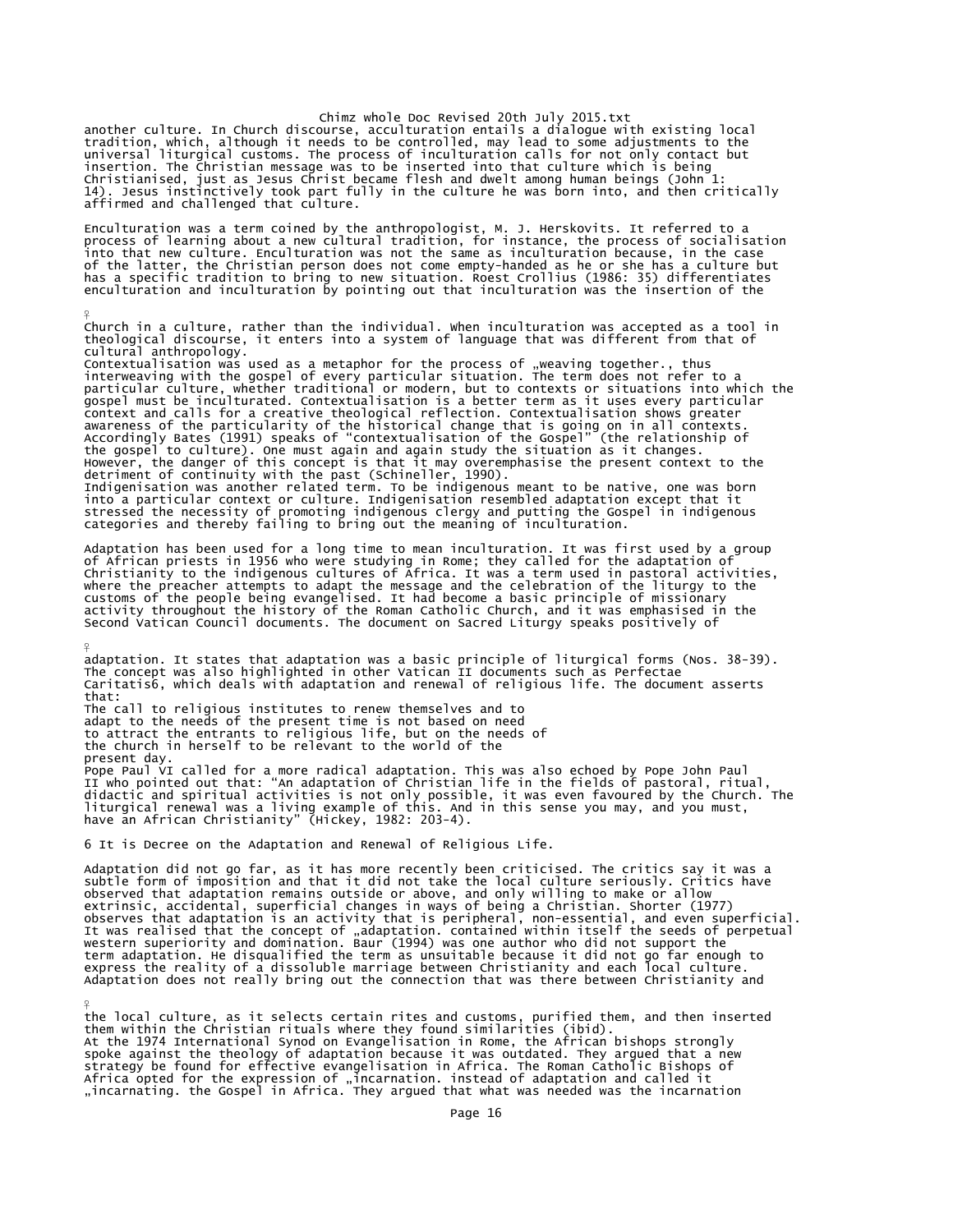another culture. In Church discourse, acculturation entails a dialogue with existing local<br>tradition, which, although it needs to be controlled, may lead to some adjustments to the<br>universal liturgical customs. The process insertion. The Christian message was to be inserted into that culture which is being<br>Christianised, just as Jesus Christ became flesh and dwelt among human beings (John 1:<br>14). Jesus instinctively took part fully in the cu

Enculturation was a term coined by the anthropologist, M. J. Herskovits. It referred to a process of learning about a new cultural tradition, for instance, the process of socialisation<br>into that new culture. Enculturation was not the same as inculturation because, in the case<br>of the latter, the Christian person

Church in a culture, rather than the individual. When inculturation was accepted as a tool in theological discourse, it enters into a system of language that was different from that of

cultural anthropology.<br>Contextualisation was used as a metaphor for the process of "weaving together., thus<br>Contextualisation was used as a metaphor for the process of "weaving together., thus<br>interweaving with the gospel

Adaptation has been used for a long time to mean inculturation. It was first used by a group<br>of African priests in 1956 who were studying in Rome; they called for the adaptation of<br>Christianity to the indigenous cultures o where the preacher attempts to adapt the message and the celebration of the liturgy to the customs of the people being evangelised. It had become a basic principle of missionary activity throughout the history of the Roman Catholic Church, and it was emphasised in the Second Vatican Council documents. The document on Sacred Liturgy speaks positively of

 $\frac{9}{5}$ adaptation. It states that adaptation was a basic principle of liturgical forms (Nos. 38-39).<br>The concept was also highlighted in other Vatican II documents such as Perfectae<br>Caritatis6, which deals with adaptation and ren that: The call to religious institutes to renew themselves and to adapt to the needs of the present time is not based on need to attract the entrants to religious life, but on the needs of the church in herself to be relevant to the world of the present day. Pope Paul VI called for a more radical adaptation. This was also echoed by Pope John Paul<br>II who pointed out that: "An adaptation of Christian life in the fields of pastoral, ritual,<br>didactic and spiritual activities is no

6 It is Decree on the Adaptation and Renewal of Religious Life.

¥

¥

Adaptation did not go far, as it has more recently been criticised. The critics say it was a subtle form of imposition and that it did not take the local culture seriously. Critics have observed that adaptation remains outside or above, and only willing to make or allow extrinsic, accidental, superficial changes in ways of being a Christian. Shorter (1977) observes that adaptation is an activity that is peripheral, non-essential, and even superficial.<br>It was realised that the concept of "adaptation. contained within itself the seeds of perpetual<br>western superiority and domin Adaptation does not really bring out the connection that was there between Christianity and

the local culture, as it selects certain rites and customs, purified them, and then inserted them within the Christian rituals where they found similarities (ibid). At the 1974 International Synod on Evangelisation in Rome, the African bishops strongly spoke against the theology of adaptation because it was outdated. They argued that a new strategy be found for effective evangelisation in Africa. The Roman Catholic Bishops of Africa opted for the expression of "incarnation. instead of adaptation and called it<br>"incarnating. the Gospel in Africa. They argued that what was needed was the incarnation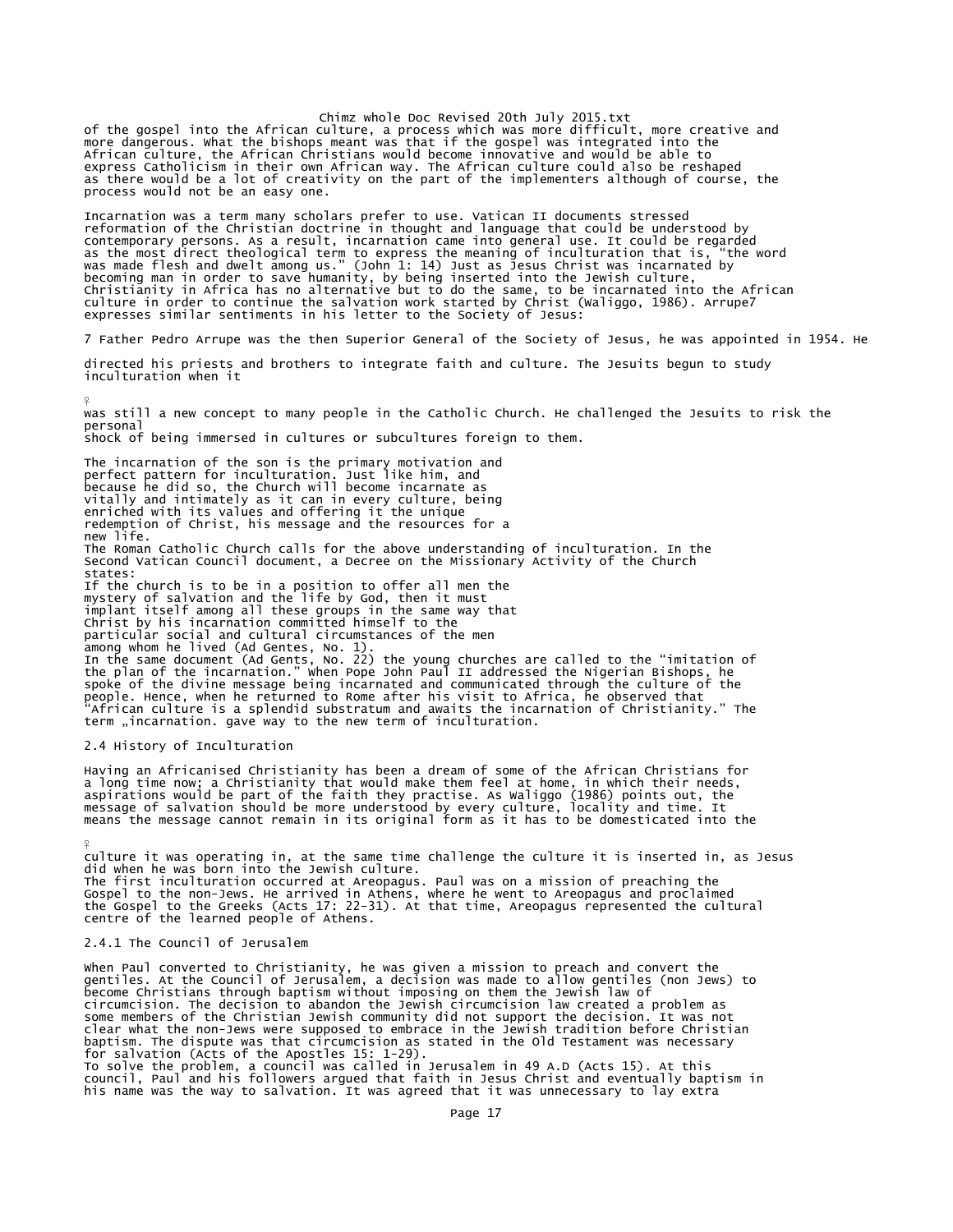Chimz whole Doc Revised 20th July 2015.txt of the gospel into the African culture, a process which was more difficult, more creative and more dangerous. What the bishops meant was that if the gospel was integrated into the African culture, the African Christians would become innovative and would be able to express Catholicism in their own African way. The African culture could also be reshaped as there would be a lot of creativity on the part of the implementers although of course, the process would not be an easy one.

Incarnation was a term many scholars prefer to use. Vatican II documents stressed reformation of the Christian doctrine in thought and language that could be understood by contemporary persons. As a result, incarnation came into general use. It could be regarded<br>as the most direct theological term to express the meaning of inculturation that is, "the word<br>was made flesh and dwelt among us."

7 Father Pedro Arrupe was the then Superior General of the Society of Jesus, he was appointed in 1954. He

directed his priests and brothers to integrate faith and culture. The Jesuits begun to study inculturation when it

¥ was still a new concept to many people in the Catholic Church. He challenged the Jesuits to risk the personal shock of being immersed in cultures or subcultures foreign to them.

The incarnation of the son is the primary motivation and perfect pattern for inculturation. Just like him, and because he did so, the Church will become incarnate as vitally and intimately as it can in every culture, being enriched with its values and offering it the unique redemption of Christ, his message and the resources for a new life. The Roman Catholic Church calls for the above understanding of inculturation. In the Second Vatican Council document, a Decree on the Missionary Activity of the Church states: If the church is to be in a position to offer all men the<br>mystery of salvation and the life by God, then it must<br>implant itself among all these groups in the same way that<br>Christ by his incarnation committed himself to the particular social and cultural circumstances of the men among whom he lived (Ad Gentes, No. 1). In the same document (Ad Gents, No. 22) the young churches are called to the "imitation of<br>the plan of the incarnation." when Pope John Paul II addressed the Nigerian Bishops, he<br>spoke of the divine message being incarnate people. Hence, when he returned to Rome after his visit to Africa, he observed that "African culture is a splendid substratum and awaits the incarnation of Christianity." The term "incarnation. gave way to the new term of inculturation.

## 2.4 History of Inculturation

 $\frac{9}{5}$ 

Having an Africanised Christianity has been a dream of some of the African Christians for a long time now; a Christianity that would make them feel at home, in which their needs,<br>aspirations would be part of the faith they practise. As waliggo (1986) points out, the<br>message of salvation should be more understoo

culture it was operating in, at the same time challenge the culture it is inserted in, as Jesus did when he was born into the Jewish culture. The first inculturation occurred at Areopagus. Paul was on a mission of preaching the Gospel to the non-Jews. He arrived in Athens, where he went to Areopagus and proclaimed the Gospel to the Greeks (Acts 17: 22-31). At that time, Areopagus represented the cultural centre of the learned people of Athens.

## 2.4.1 The Council of Jerusalem

When Paul converted to Christianity, he was given a mission to preach and convert the gentiles. At the Council of Jerusalem, a decision was made to allow gentiles (non Jews) to become Christians through baptism without imposing on them the Jewish law of circumcision. The decision to abandon the Jewish circumcision law created a problem as<br>some members of the Christian Jewish community did not support the decision. It was not<br>clear what the non-Jews were supposed to embrac council, Paul and his followers argued that faith in Jesus Christ and eventually baptism in his name was the way to salvation. It was agreed that it was unnecessary to lay extra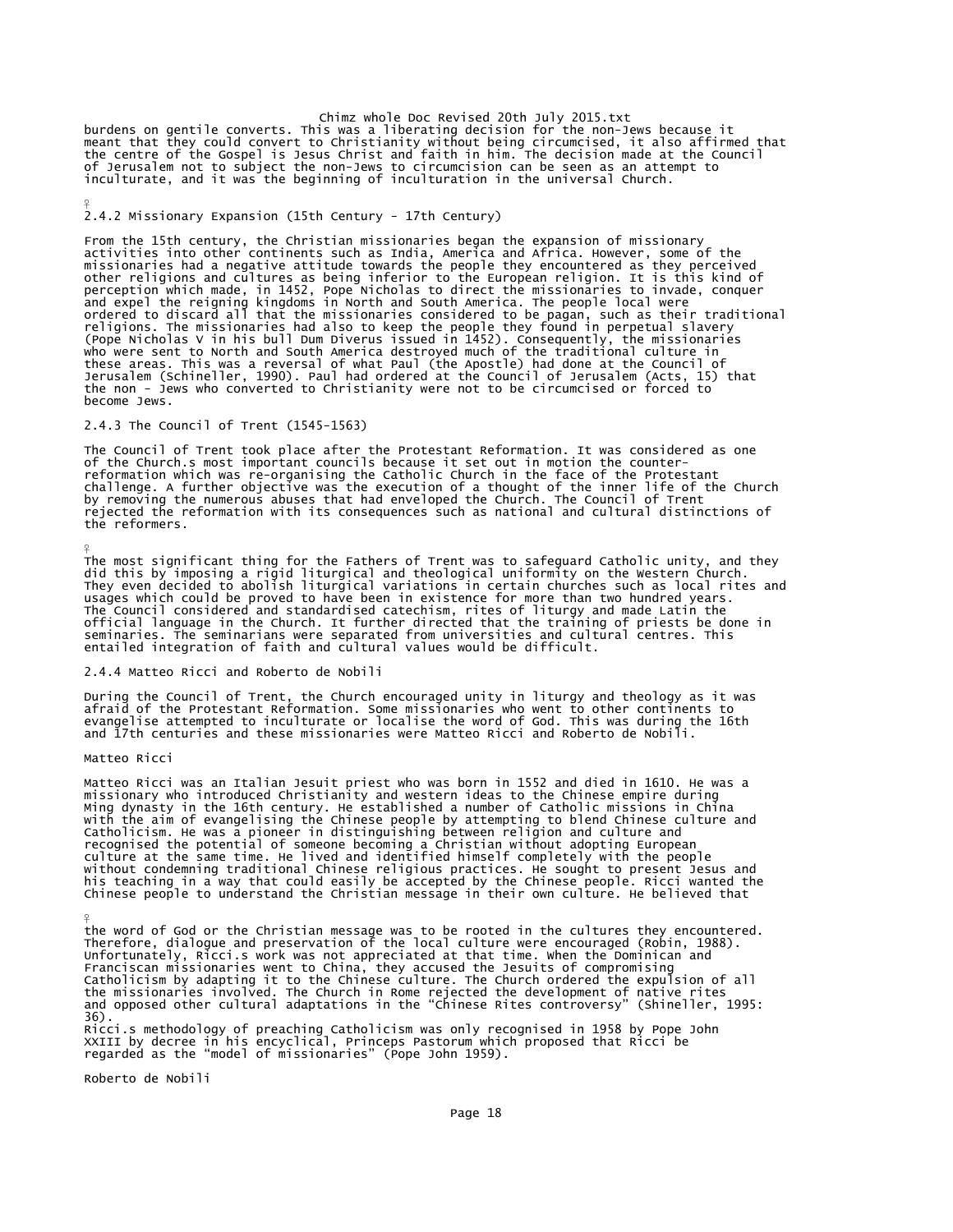Chimz whole Doc Revised 20th July 2015.txt<br>burdens on gentile converts. This was a liberating decision for the non-Jews because it<br>meant that they could convert to Christianity without being circumcised, it also affirmed t of Jerusalem not to subject the non-Jews to circumcision can be seen as an attempt to inculturate, and it was the beginning of inculturation in the universal Church.

## 2.4.2 Missionary Expansion (15th Century - 17th Century)

From the 15th century, the Christian missionaries began the expansion of missionary activities into other continents such as India, America and Africa. However, some of the missionaries had a negative attitude towards the people they encountered as they perceived other religions and cultures as being inferior to the European religion. It is this kind of<br>perception which made, in 1452, Pope Nicholas to direct the missionaries to invade, conquer<br>and expel the reigning kingdoms in Nor these areas. This was a reversal of what Paul (the Apostle) had done at the Council of Jerusalem (Schineller, 1990). Paul had ordered at the Council of Jerusalem (Acts, 15) that the non - Jews who converted to Christianity were not to be circumcised or forced to become Jews.

## 2.4.3 The Council of Trent (1545-1563)

The Council of Trent took place after the Protestant Reformation. It was considered as one of the Church.s most important councils because it set out in motion the counterreformation which was re-organising the Catholic Church in the face of the Protestant<br>challenge. A further objective was the execution of a thought of the inner life of the Church<br>by removing the numerous abuses that had e the reformers.

The most significant thing for the Fathers of Trent was to safeguard Catholic unity, and they did this by imposing a rigid liturgical and theological uniformity on the Western Church. They even decided to abolish liturgical variations in certain churches such as local rites and<br>usages which could be proved to have been in existence for more than two hundred years.<br>The Council considered and standardised

## 2.4.4 Matteo Ricci and Roberto de Nobili

During the Council of Trent, the Church encouraged unity in liturgy and theology as it was<br>afraid of the Protestant Reformation. Some missionaries who went to other continents to<br>evangelise attempted to inculturate or loca

### Matteo Ricci

¥

 $\frac{9}{5}$ 

¥

Matteo Ricci was an Italian Jesuit priest who was born in 1552 and died in 1610. He was a<br>missionary who introduced Christianity and western ideas to the Chinese empire during<br>Ming dynasty in the 16th century. He establish Catholicism. He was a pioneer in distinguishing between religion and culture and<br>recognised the potential of someone becoming a Christian without adopting European<br>culture at the same time. He lived and identified himself his teaching in a way that could easily be accepted by the Chinese people. Ricci wanted the Chinese people to understand the Christian message in their own culture. He believed that

the word of God or the Christian message was to be rooted in the cultures they encountered.<br>Therefore, dialogue and preservation of the local culture were encouraged (Robin, 1988).<br>Unfortunately, Ricci.s work was not appre Catholicism by adapting it to the Chinese culture. The Church ordered the expulsion of all<br>the missionaries involved. The Church in Rome rejected the development of native rites<br>and opposed other cultural adaptations in th 36).

Ricci.s methodology of preaching Catholicism was only recognised in 1958 by Pope John<br>XXIII by decree in his encyclical, Princeps Pastorum which proposed that Ricci be<br>regarded as the "model of missionaries" (Pope John 195

Roberto de Nobili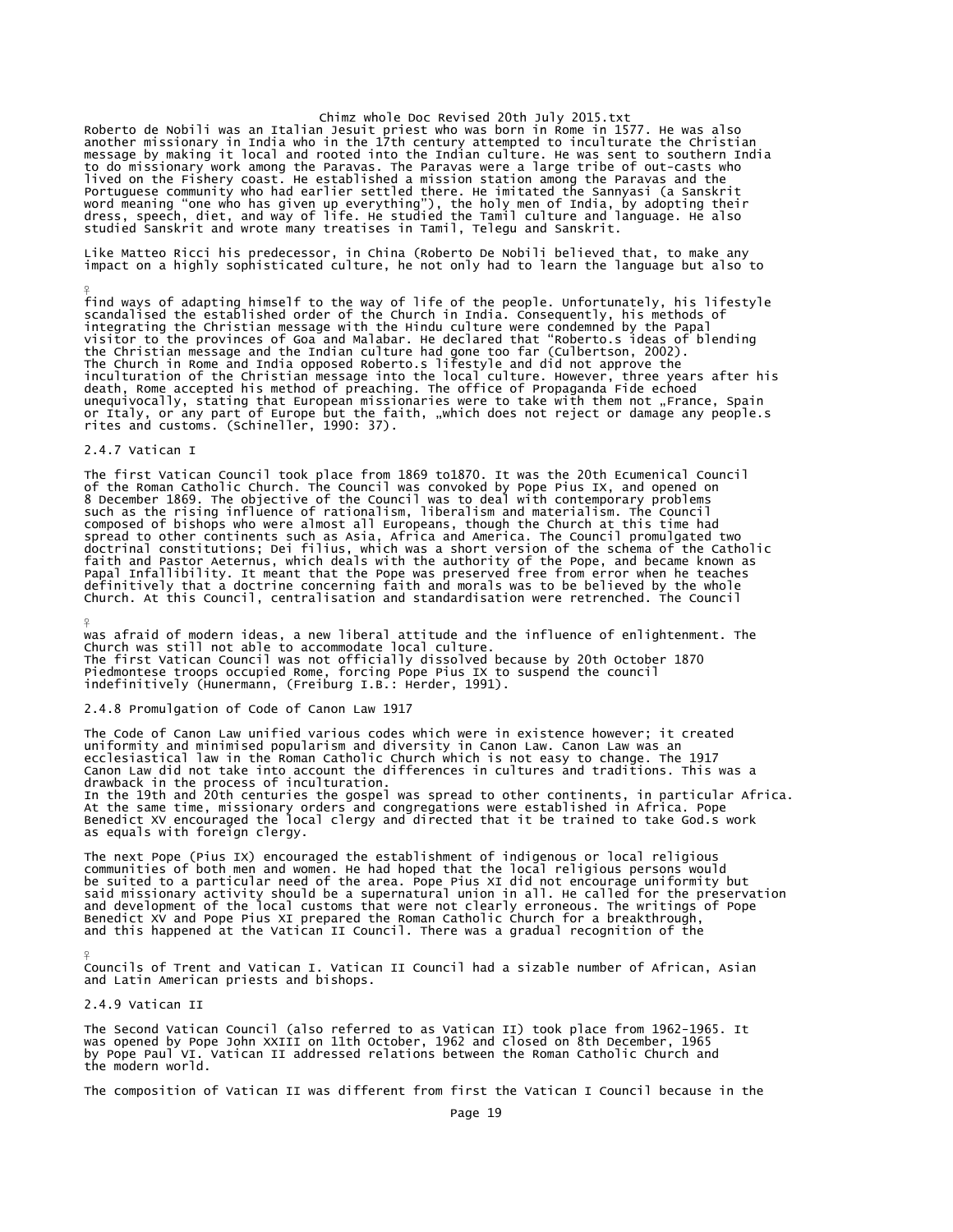Chimz whole Doc Revised 20th July 2015.txt<br>Roberto de Nobili was an Italian Jesuit priest who was born in Rome in 1577. He was also<br>another missionary in India who in the 17th century attempted to inculturate the Christian to do missionary work among the Paravas. The Paravas were a large tribe of out-casts who lived on the Fishery coast. He established a mission station among the Paravas and the Portuguese community who had earlier settled there. He imitated the Sannyasi (a Sanskrit<br>word meaning "one who has given up everything"), the holy men of India, by adopting their<br>dress, speech, diet, and way of life. He st

Like Matteo Ricci his predecessor, in China (Roberto De Nobili believed that, to make any impact on a highly sophisticated culture, he not only had to learn the language but also to

find ways of adapting himself to the way of life of the people. Unfortunately, his lifestyle<br>scandalised the established order of the Church in India. Consequently, his methods of<br>integrating the Christian message with the death, Rome accepted his method of preaching. The office of Propaganda Fide echoed<br>unequivocally, stating that European missionaries were to take with them not "France, Spain<br>or Italy, or any part of Europe but the faith,

## 2.4.7 Vatican I

¥

¥

 $\frac{9}{5}$ 

The first Vatican Council took place from 1869 to1870. It was the 20th Ecumenical Council<br>of the Roman Catholic Church. The Council was convoked by Pope Pius IX, and opened on<br>8 December 1869. The objective of the Council composed of bishops who were almost all Europeans, though the Church at this time had<br>spread to other continents such as Asia, Africa and America. The Council promulgated two<br>doctrinal constitutions; Dei filius, which was definitively that a doctrine concerning faith and morals was to be believed by the whole Church. At this Council, centralisation and standardisation were retrenched. The Council

was afraid of modern ideas, a new liberal attitude and the influence of enlightenment. The<br>Church was still not able to accommodate local culture.<br>The first Vatican Council was not officially dissolved because by 20th Octo

## 2.4.8 Promulgation of Code of Canon Law 1917

The Code of Canon Law unified various codes which were in existence however; it created uniformity and minimised popularism and diversity in Canon Law. Canon Law was an ecclesiastical law in the Roman Catholic Church which is not easy to change. The 1917 Canon Law did not take into account the differences in cultures and traditions. This was a drawback in the process of inculturation. In the 19th and 20th centuries the gospel was spread to other continents, in particular Africa. At the same time, missionary orders and congregations were established in Africa. Pope Benedict XV encouraged the local clergy and directed that it be trained to take God.s work as equals with foreign clergy.

The next Pope (Pius IX) encouraged the establishment of indigenous or local religious communities of both men and women. He had hoped that the local religious persons would be suited to a particular need of the area. Pope Pius XI did not encourage uniformity but said missionary activity should be a supernatural union in all. He called for the preservation and development of the local customs that were not clearly erroneous. The writings of Pope Benedict XV and Pope Pius XI prepared the Roman Catholic Church for a breakthrough, and this happened at the Vatican II Council. There was a gradual recognition of the

Councils of Trent and Vatican I. Vatican II Council had a sizable number of African, Asian and Latin American priests and bishops.

2.4.9 Vatican II

The Second Vatican Council (also referred to as Vatican II) took place from 1962-1965. It was opened by Pope John XXIII on 11th October, 1962 and closed on 8th December, 1965 by Pope Paul VI. Vatican II addressed relations between the Roman Catholic Church and the modern world.

The composition of Vatican II was different from first the Vatican I Council because in the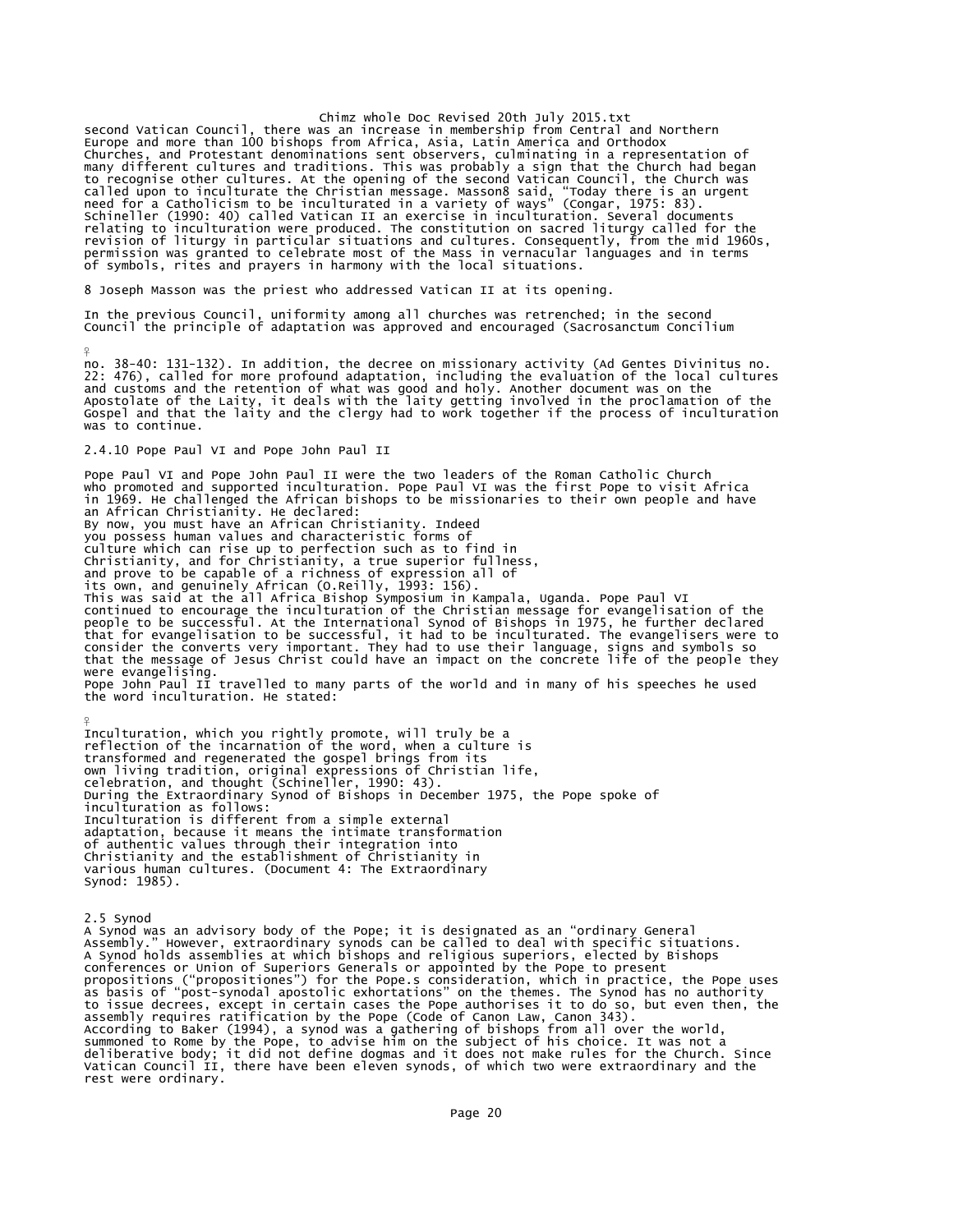second Vatican Council, there was an increase in membership from Central and Northern Europe and more than 100 bishops from Africa, Asia, Latin America and Orthodox Churches, and Protestant denominations sent observers, culminating in a representation of<br>many different cultures and traditions. This was probably a sign that the Church had began<br>to recognise other culturate. At the open of symbols, rites and prayers in harmony with the local situations.

8 Joseph Masson was the priest who addressed Vatican II at its opening.

In the previous Council, uniformity among all churches was retrenched; in the second Council the principle of adaptation was approved and encouraged (Sacrosanctum Concilium

no. 38-40: 131-132). In addition, the decree on missionary activity (Ad Gentes Divinitus no.<br>22: 476), called for more profound adaptation, including the evaluation of the local cultures<br>and customs and the retention of wh Gospel and that the laity and the clergy had to work together if the process of inculturation was to continue.

2.4.10 Pope Paul VI and Pope John Paul II

¥

Pope Paul VI and Pope John Paul II were the two leaders of the Roman Catholic Church who promoted and supported inculturation. Pope Paul VI was the first Pope to visit Africa in 1969. He challenged the African bishops to be missionaries to their own people and have an African Christianity. He declared: By now, you must have an African Christianity. Indeed you possess human values and characteristic forms of culture which can rise up to perfection such as to find in Christianity, and for Christianity, a true superior fullness, and prove to be capable of a richness of expression all of its own, and genuinely African (O.Reilly, 1993: 156). This was said at the all Africa Bishop Symposium in Kampala, Uganda. Pope Paul VI continued to encourage the inculturation of the Christian message for evangelisation of the people to be successful. At the International Synod of Bishops in 1975, he further declared that for evangelisation to be successful, it had to be inculturated. The evangelisers were to<br>consider the converts very important. They had to use their language, signs and symbols so<br>that the message of Jesus Christ coul were evangelising. Pope John Paul II travelled to many parts of the world and in many of his speeches he used the word inculturation. He stated:

¥ Inculturation, which you rightly promote, will truly be a<br>reflection of the incarnation of the word, when a culture is<br>transformed and regenerated the gospel brings from its<br>own living tradition, original expressions of Ch celebration, and thought (Schineller, 1990: 43). During the Extraordinary Synod of Bishops in December 1975, the Pope spoke of inculturation as follows: Inculturation is different from a simple external adaptation, because it means the intimate transformation of authentic values through their integration into Christianity and the establishment of Christianity in various human cultures. (Document 4: The Extraordinary Synod: 1985).

2.5 Synod A Synod was an advisory body of the Pope; it is designated as an "ordinary General<br>Assembly." However, extraordinary synods can be called to deal with specific situations.<br>A Synod holds assemblies at which bishops and reli to issue decrees, except in certain cases the Pope authorises it to do so, but even then, the<br>assembly requires ratification by the Pope (Code of Canon Law, Canon 343).<br>According to Baker (1994), a synod was a gathering of rest were ordinary.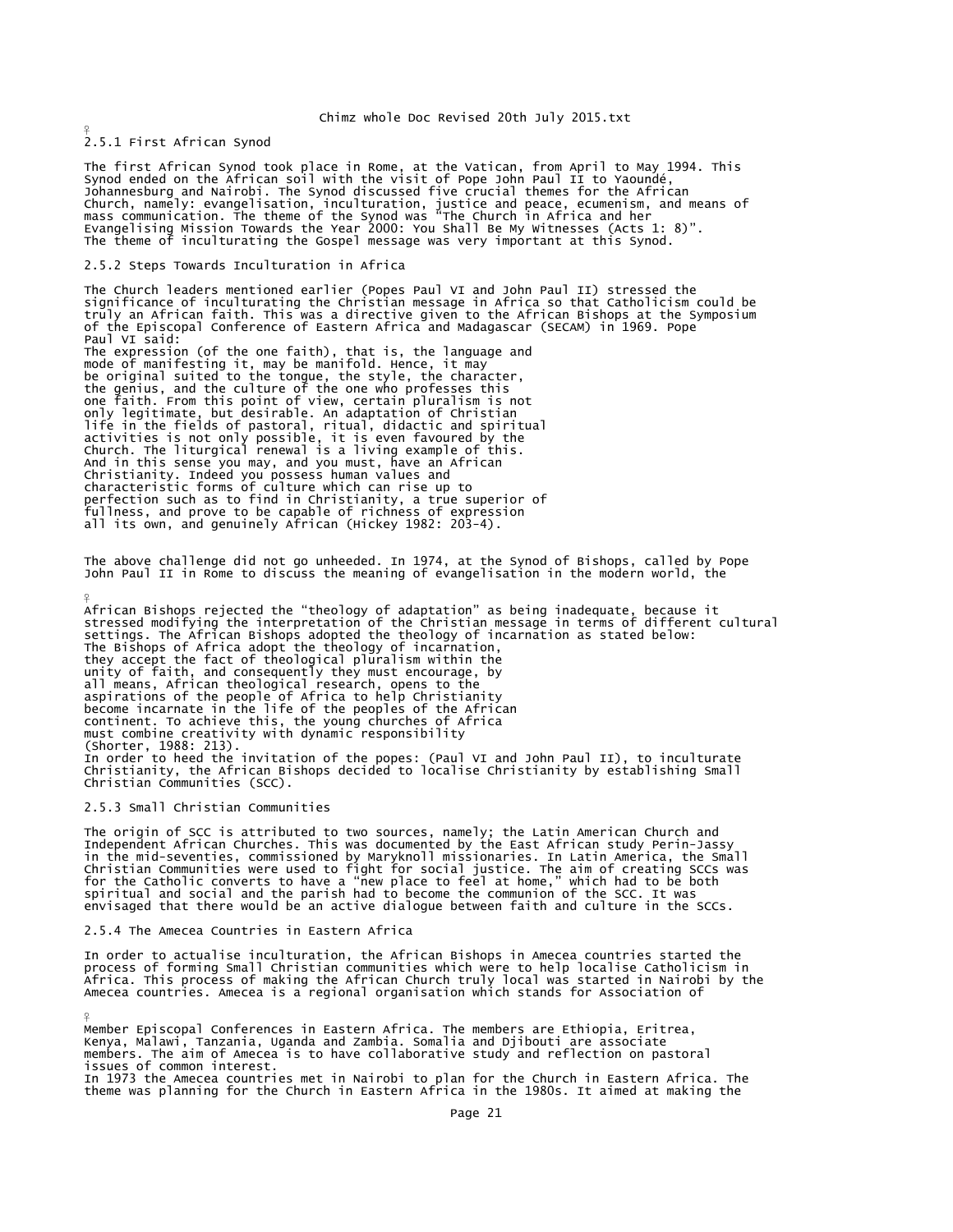2.5.1 First African Synod

 $\frac{9}{5}$ 

¥

The first African Synod took place in Rome, at the Vatican, from April to May 1994. This<br>Synod ended on the African soil with the visit of Pope John Paul II to Yaoundé,<br>Johannesburg and Nairobi. The Synod discussed five cr Church, namely: evangelisation, inculturation, justice and peace, ecumenism, and means of<br>mass communication. The theme of the Synod was "The Church in Africa and her<br>Evangelising Mission Towards the Year 2000: You Shall B

### 2.5.2 Steps Towards Inculturation in Africa

The Church leaders mentioned earlier (Popes Paul VI and John Paul II) stressed the significance of inculturating the Christian message in Africa so that Catholicism could be truly an African faith. This was a directive given to the African Bishops at the Symposium of the Episcopal Conference of Eastern Africa and Madagascar (SECAM) in 1969. Pope Paul VI said: The expression (of the one faith), that is, the language and mode of manifesting it, may be manifold. Hence, it may be original suited to the tongue, the style, the character, the genius, and the culture of the one who professes this one faith. From this point of view, certain pluralism is not only legitimate, but desirable. An adaptation of Christian<br>life in the fields of pastoral, ritual, didactic and spiritual<br>activities is not only possible, it is even favoured by the<br>Church. The liturgical renewal is a livi And in this sense you may, and you must, have an African Christianity. Indeed you possess human values and<br>characteristic forms of culture which can rise up to<br>perfection such as to find in Christianity, a true superior of<br>fullness, and prove to be capable of richness of express

The above challenge did not go unheeded. In 1974, at the Synod of Bishops, called by Pope John Paul II in Rome to discuss the meaning of evangelisation in the modern world, the

African Bishops rejected the "theology of adaptation" as being inadequate, because it<br>stressed modifying the interpretation of the Christian message in terms of different cultural<br>settings. The Africa adopt and theology of unity of faith, and consequently they must encourage, by all means, African theological research, opens to the aspirations of the people of Africa to help Christianity become incarnate in the life of the peoples of the African continent. To achieve this, the young churches of Africa must combine creativity with dynamic responsibility (Shorter, 1988: 213).<br>In order to heed the invitation of the popes: (Paul VI and John Paul II), to inculturate<br>Christianity, the African Bishops decided to localise Christianity by establishing Small Christian Communities (SCC).

### 2.5.3 Small Christian Communities

The origin of SCC is attributed to two sources, namely; the Latin American Church and<br>Independent African Churches. This was documented by the East African study Perin-Jassy<br>in the mid-seventies, commissioned by Maryknoll

### 2.5.4 The Amecea Countries in Eastern Africa

In order to actualise inculturation, the African Bishops in Amecea countries started the process of forming Small Christian communities which were to help localise Catholicism in Africa. This process of making the African Church truly local was started in Nairobi by the Amecea countries. Amecea is a regional organisation which stands for Association of

¥ Member Episcopal Conferences in Eastern Africa. The members are Ethiopia, Eritrea, Kenya, Malawi, Tanzania, Uganda and Zambia. Somalia and Djibouti are associate members. The aim of Amecea is to have collaborative study and reflection on pastoral issues of common interest. In 1973 the Amecea countries met in Nairobi to plan for the Church in Eastern Africa. The theme was planning for the Church in Eastern Africa in the 1980s. It aimed at making the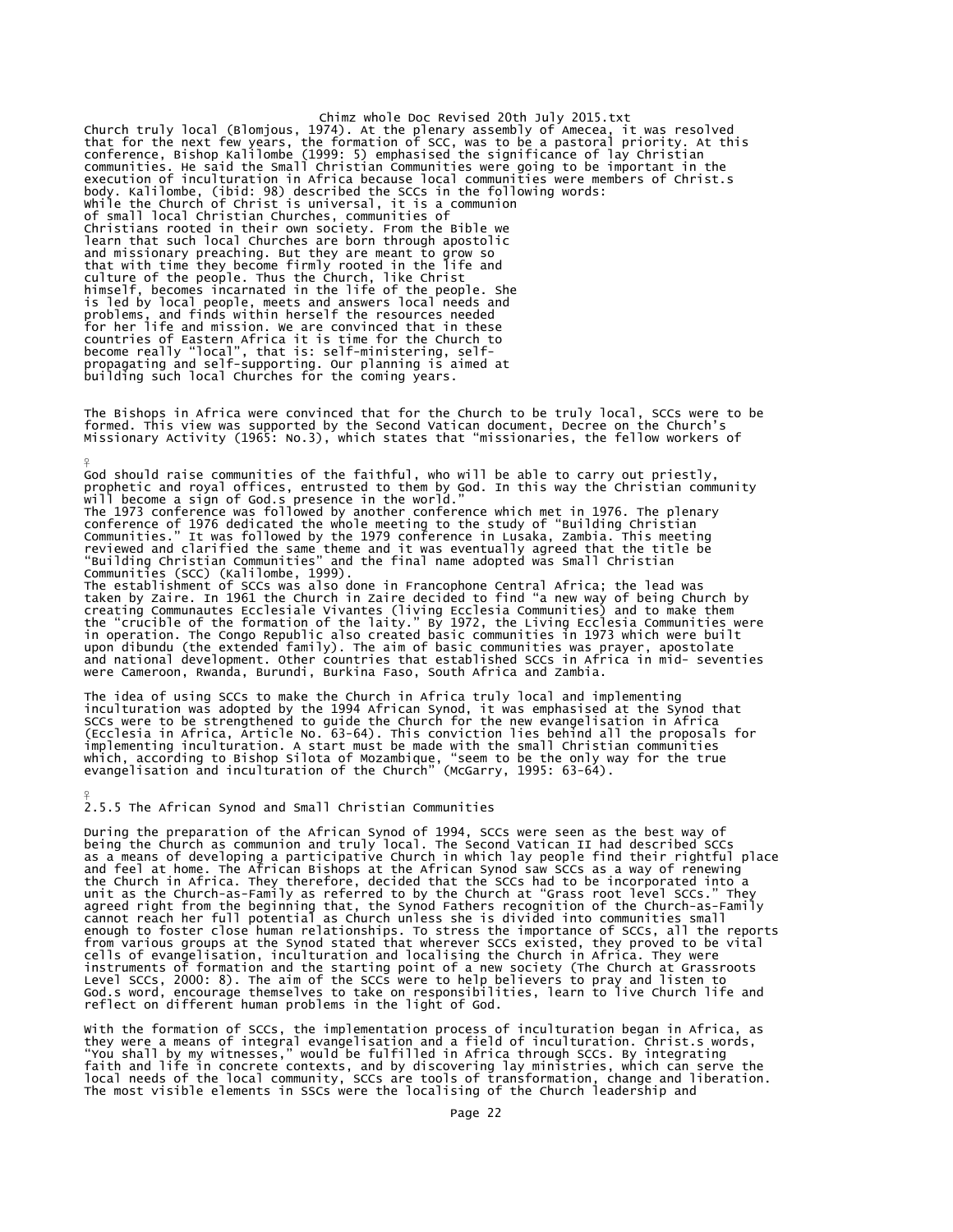Chimz whole Doc Revised 20th July 2015.txt Church truly local (Blomjous, 1974). At the plenary assembly of Amecea, it was resolved<br>that for the next few years, the formation of SCC, was to be a pastoral priority. At this<br>conference, Bishop Kalilombe (1999: 5) empha body. Kalilombe, (ibid: 98) described the SCCs in the following words: While the Church of Christ is universal, it is a communion of small local Christian Churches, communities of Christians rooted in their own society. From the Bible we learn that such local Churches are born through apostolic and missionary preaching. But they are meant to grow so that with time they become firmly rooted in the life and culture of the people. Thus the Church, like Christ<br>himself, becomes incarnated in the life of the people. She<br>is led by local people, meets and answers local needs and<br>problems, and finds within herself the resources need

The Bishops in Africa were convinced that for the Church to be truly local, SCCs were to be<br>formed. This view was supported by the Second Vatican document, Decree on the Church's<br>Missionary Activity (1965: No.3), which sta

God should raise communities of the faithful, who will be able to carry out priestly,<br>prophetic and royal offices, entrusted to them by God. In this way the Christian community<br>will become a sign of God.s presence in the w Communities (SCC) (Kalilombe, 1999).

The establishment of SCCs was also done in Francophone Central Africa; the lead was taken by Zaire. In 1961 the Church in Zaire decided to find "a new way of being Church by creating Communautes Ecclesiale Vivantes (living Ecclesia Communities) and to make them<br>the "crucible of the formation of the laity." By 1972, the Living Ecclesia Communities were<br>in operation. The Congo Republic also crea and national development. Other countries that established SCCs in Africa in mid- seventies were Cameroon, Rwanda, Burundi, Burkina Faso, South Africa and Zambia.

The idea of using SCCs to make the Church in Africa truly local and implementing<br>inculturation was adopted by the 1994 African Synod, it was emphasised at the Synod that<br>SCCs were to be strengthened to guide the Church for

### 2.5.5 The African Synod and Small Christian Communities

¥

¥

During the preparation of the African Synod of 1994, SCCs were seen as the best way of<br>being the Church as communion and truly local. The Second Vatican II had described SCCs<br>as a means of developing a participative Church the Church in Africa. They therefore, decided that the SCCs had to be incorporated into a<br>unit as the Church-as-Family as referred to by the Church at "Grass root level SCCs." They<br>agreed right from the beginning that, the reflect on different human problems in the light of God.

with the formation of SCCs, the implementation process of inculturation began in Africa, as<br>they were a means of integral evangelisation and a field of inculturation. Christ.s words,<br>"You shall by my witnesses," would be f The most visible elements in SSCs were the localising of the Church leadership and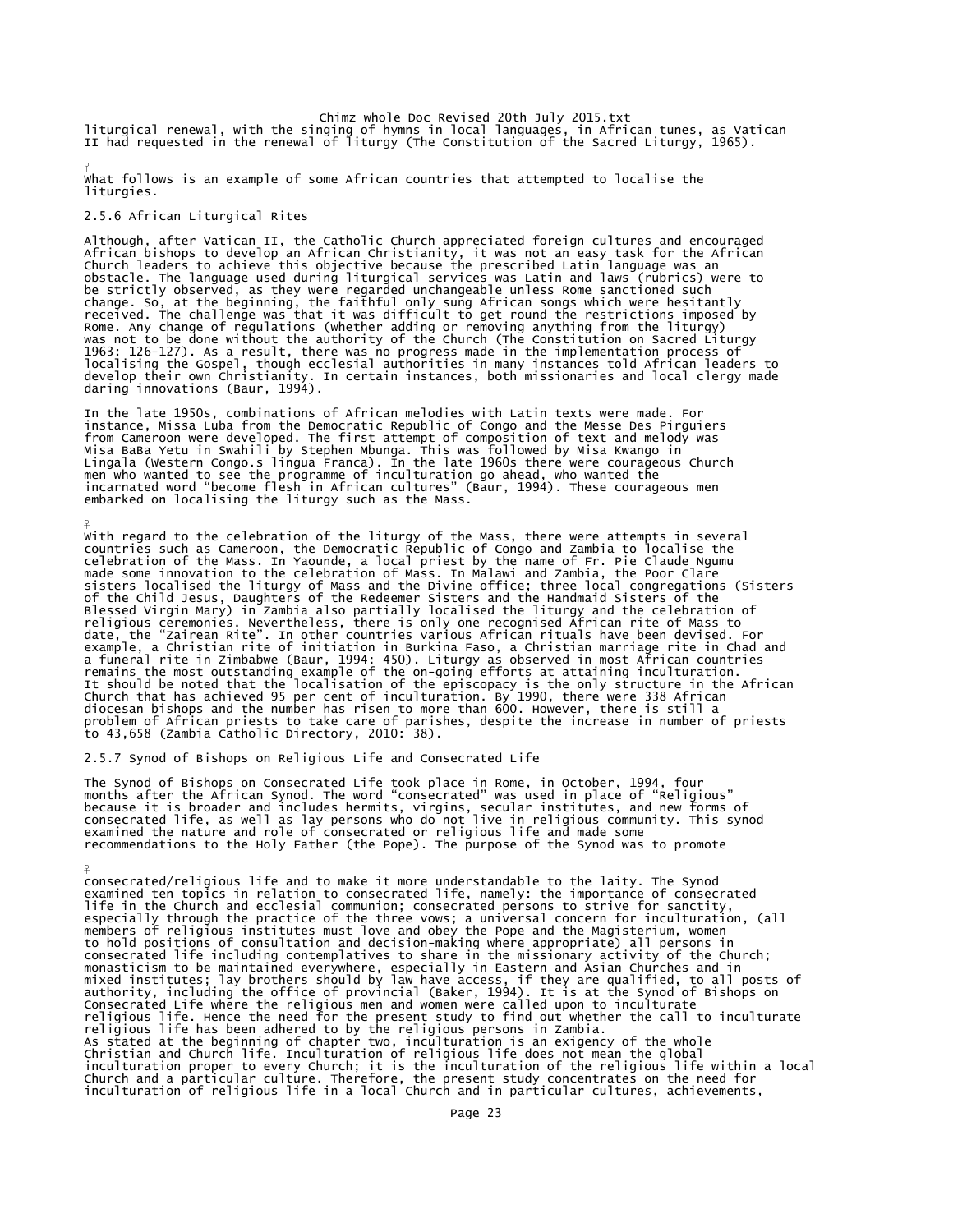Chimz whole Doc Revised 20th July 2015.txt<br>liturgical renewal, with the singing of hymns in local languages, in African tunes, as Vatican<br>II had requested in the renewal of liturgy (The Constitution of the Sacred Liturgy,

What follows is an example of some African countries that attempted to localise the liturgies.

### 2.5.6 African Liturgical Rites

¥

¥

¥

Although, after Vatican II, the Catholic Church appreciated foreign cultures and encouraged<br>African bishops to develop an African Christianity, it was not an easy task for the African<br>Church leaders to achieve this objecti obstacle. The language used during liturgical services was Latin and laws (rubrics) were to<br>be strictly observed, as they were regarded unchangeable unless Rome sanctioned such<br>change. So, at the beginning, the faithful on

In the late 1950s, combinations of African melodies with Latin texts were made. For instance, Missa Luba from the Democratic Republic of Congo and the Messe Des Pirguiers from Cameroon were developed. The first attempt of composition of text and melody was<br>Misa BaBa Yetu in Swahili by Stephen Mbunga. This was followed by Misa Kwango in<br>Lingala (Western Congo.s lingua Franca). In the late 19 embarked on localising the liturgy such as the Mass.

With regard to the celebration of the liturgy of the Mass, there were attempts in several countries such as Cameroon, the Democratic Republic of Congo and Zambia to localise the<br>celebration of the Mass. In Yaounde, a local priest by the name of Fr. Pie Claude Ngumu<br>made some innovation to the celebration of Mas sisters localised the liturgy of Mass and the Divine office; three local congregations (Sisters<br>of the Chil Jesus, Daughters of the Redeemer Sisters and the Handmaid Sisters of the Redeemer Sisters<br>Blessed Virgin Mary) in

2.5.7 Synod of Bishops on Religious Life and Consecrated Life

The Synod of Bishops on Consecrated Life took place in Rome, in October, 1994, four<br>months after the African Synod. The word "consecrated" was used in place of "Religious"<br>because it is broader and includes hermits, virgin

consecrated/religious life and to make it more understandable to the laity. The Synod<br>examined ten topics in relation to consecrated life, namely: the importance of consecrated<br>life in the Church and ecclesial communion; c especially through the practice of the three vows; a universal concern for inculturation, (all<br>members of religious institutes must love and obey the Pope and the Magisterium, women<br>to hold positions of consultation and de inculturation of religious life in a local Church and in particular cultures, achievements,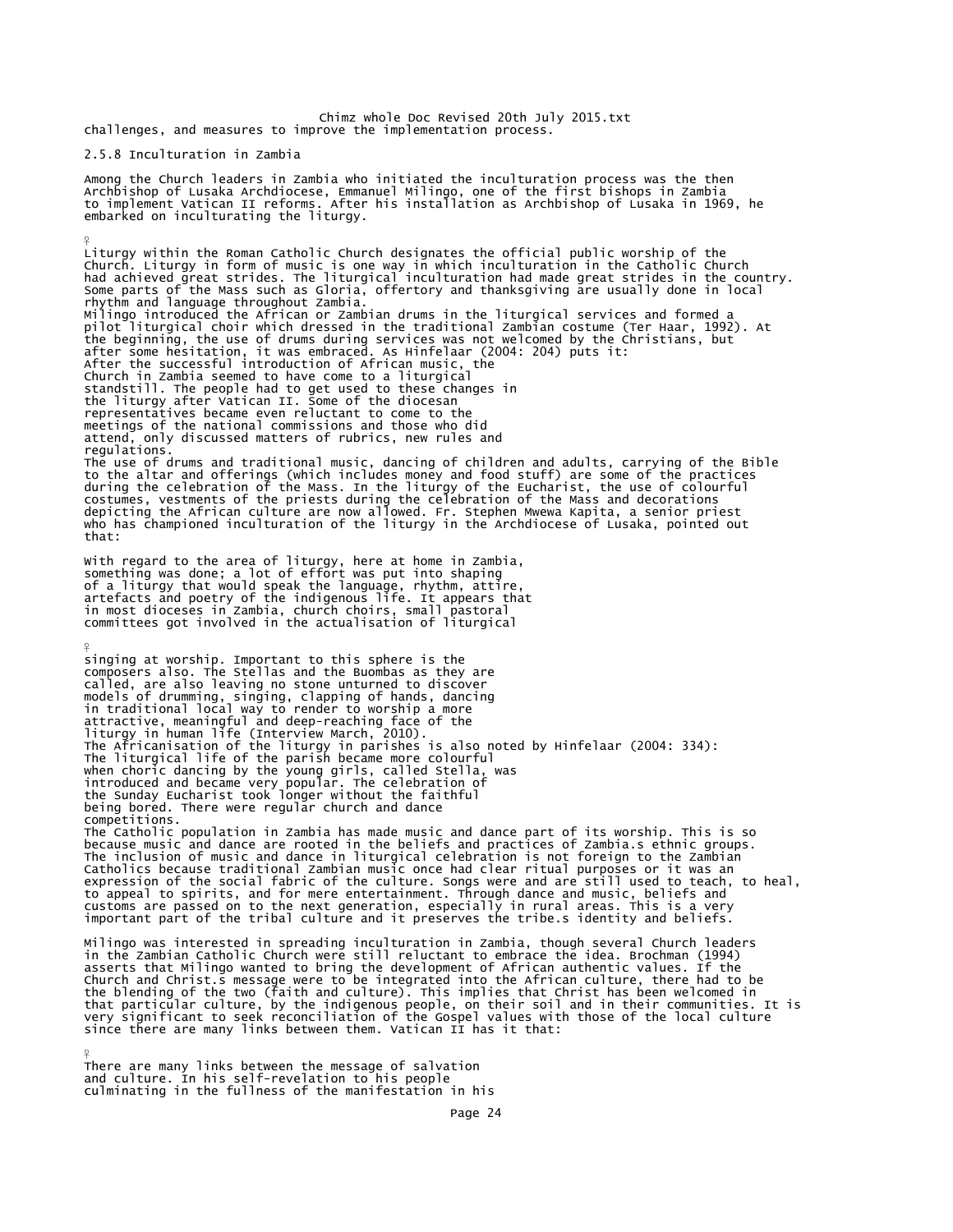Chimz whole Doc Revised 20th July 2015.txt challenges, and measures to improve the implementation process.

2.5.8 Inculturation in Zambia

 $\frac{9}{5}$ 

Among the Church leaders in Zambia who initiated the inculturation process was the then Archbishop of Lusaka Archdiocese, Emmanuel Milingo, one of the first bishops in Zambia to implement Vatican II reforms. After his installation as Archbishop of Lusaka in 1969, he embarked on inculturating the liturgy.

Liturgy within the Roman Catholic Church designates the official public worship of the Church. Liturgy in form of music is one way in which inculturation in the Catholic Church<br>had achieved great strides. The liturgical inculturation had made great strides in the country.<br>Some parts of the Mass such as Glori pilot liturgical choir which dressed in the traditional Zambian costume (Ter Haar, 1992). At<br>the beginning, the use of drums during services was not welcomed by the Christians, but<br>after some hesitation, it was embraced. A After the successful introduction of African music, the Church in Zambia seemed to have come to a liturgical standstill. The people had to get used to these changes in the liturgy after Vatican II. Some of the diocesan representatives became even reluctant to come to the meetings of the national commissions and those who did attend, only discussed matters of rubrics, new rules and regulations<sup>.</sup> The use of drums and traditional music, dancing of children and adults, carrying of the Bible<br>to the altar and offerings (which includes money and food stuff) are some of the practices<br>during the celebration of the Mass. I who has championed inculturation of the liturgy in the Archdiocese of Lusaka, pointed out that:

With regard to the area of liturgy, here at home in Zambia, something was done; a lot of effort was put into shaping of a liturgy that would speak the language, rhythm, attire,<br>artefacts and poetry of the indigenous life. It appears that<br>in most dioceses in Zambia, church choirs, small pastoral<br>committees got involved in the actualisatio

 $\frac{9}{5}$ singing at worship. Important to this sphere is the composers also. The Stellas and the Buombas as they are called, are also leaving no stone unturned to discover models of drumming, singing, clapping of hands, dancing in traditional local way to render to worship a more attractive, meaningful and deep-reaching face of the<br>liturgy in human life (Interview March, 2010).<br>The Africanisation of the liturgy in parishes is also noted by Hinfelaar (2004: 334):<br>The liturgical life of the parish be introduced and became very popular. The celebration of the Sunday Eucharist took longer without the faithful being bored. There were regular church and dance competitions. The Catholic population in Zambia has made music and dance part of its worship. This is so because music and dance are rooted in the beliefs and practices of Zambia.s ethnic groups. The inclusion of music and dance in liturgical celebration is not foreign to the Zambian Catholics because traditional Zambian music once had clear ritual purposes or it was an

expression of the social fabric of the culture. Songs were and are still used to teach, to heal, to appeal to spirits, and for mere entertainment. Through dance and music, beliefs and customs are passed on to the next generation, especially in rural areas. This is a very important part of the tribal culture and it preserves the tribe.s identity and beliefs.

Milingo was interested in spreading inculturation in Zambia, though several Church leaders<br>in the Zambian Catholic Church were still reluctant to embrace the idea. Brochman (1994)<br>asserts that Milingo wanted to bring the d Church and Christ.s message were to be integrated into the African culture, there had to be<br>the blending of the two (faith and culture). This implies that Christ has been welcomed in<br>that particular culture, by the indigen since there are many links between them. Vatican II has it that:

 $\frac{9}{5}$ There are many links between the message of salvation and culture. In his self-revelation to his people culminating in the fullness of the manifestation in his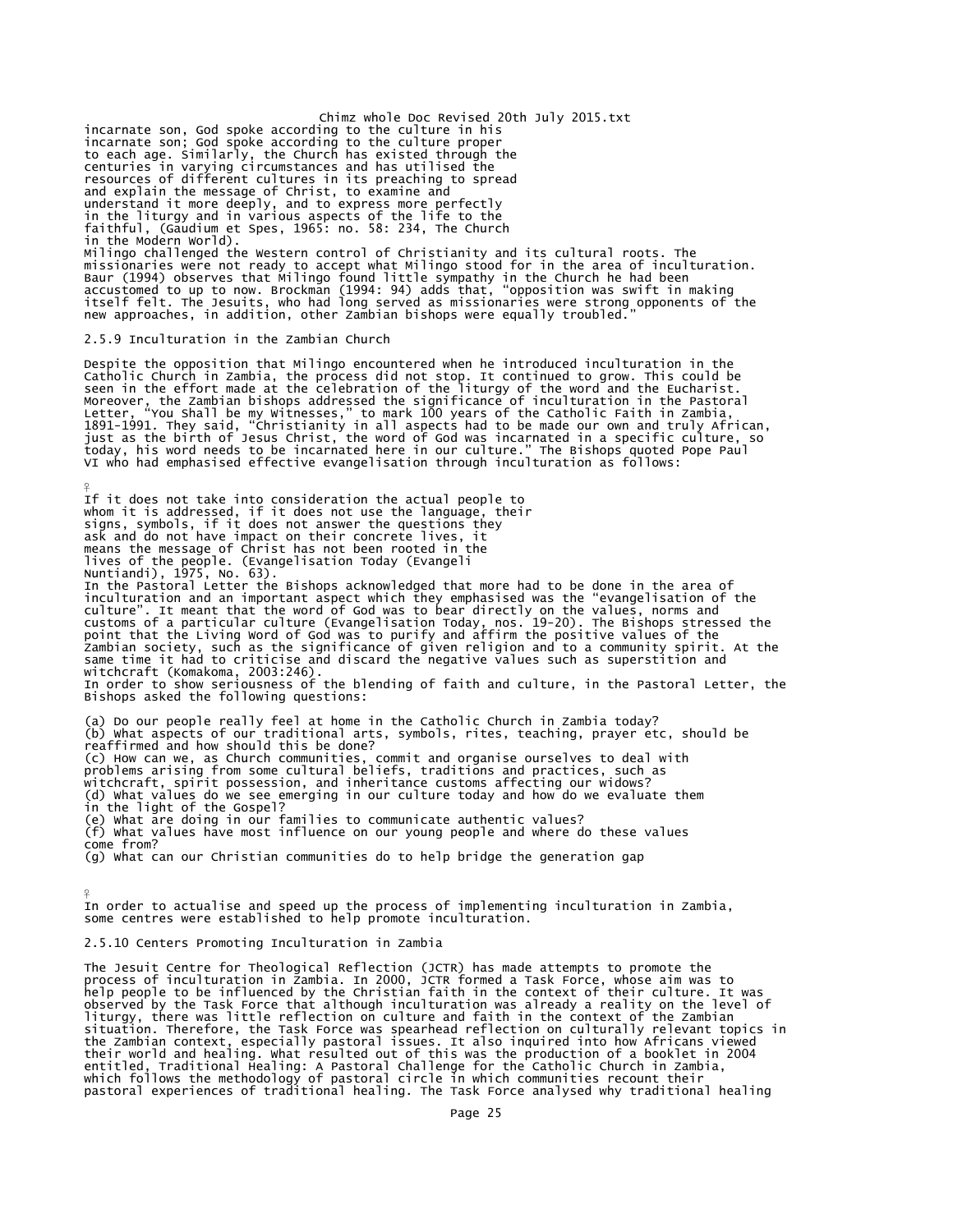Chimz whole Doc Revised 20th July 2015.txt incarnate son, God spoke according to the culture in his<br>incarnate son; God spoke according to the culture proper<br>to each age. Similarly, the Church has existed through the<br>centuries in varying circumstances and has utilis and explain the message of Christ, to examine and<br>understand it more deeply, and to express more perfectly<br>in the liturgy and in various aspects of the life to the<br>faithful, (Gaudium et Spes, 1965: no. 58: 234, The Church<br> Milingo challenged the Western control of Christianity and its cultural roots. The missionaries were not ready to accept what Milingo stood for in the area of inculturation.<br>Baur (1994) observes that Milingo found little sympathy in the Church he had been<br>accustomed to up to now. Brockman (1994: 94) adds

## 2.5.9 Inculturation in the Zambian Church

¥

Despite the opposition that Milingo encountered when he introduced inculturation in the Catholic Church in Zambia, the process did not stop. It continued to grow. This could be seen in the effort made at the celebration of VI who had emphasised effective evangelisation through inculturation as follows:

If it does not take into consideration the actual people to whom it is addressed, if it does not use the language, their signs, symbols, if it does not answer the questions they ask and do not have impact on their concrete lives, it means the message of Christ has not been rooted in the lives of the people. (Evangelisation Today (Evangeli Nuntiandi), 1975, No. 63). In the Pastoral Letter the Bishops acknowledged that more had to be done in the area of inculturation and an important aspect which they emphasised was the "evangelisation of the culture". It meant that the word of God was to bear directly on the values, norms and<br>customs of a particular culture (Evangelisation Today, nos. 19-20). The Bishops stressed the<br>point that the Living Word of God was to pu witchcraft (Komakoma, 2003:246). In order to show seriousness of the blending of faith and culture, in the Pastoral Letter, the Bishops asked the following questions: (a) Do our people really feel at home in the Catholic Church in Zambia today? (b) What aspects of our traditional arts, symbols, rites, teaching, prayer etc, should be reaffirmed and how should this be done? (c) How can we, as Church communities, commit and organise ourselves to deal with problems arising from some cultural beliefs, traditions and practices, such as witchcraft, spirit possession, and inheritance customs affecting our widows? (d) What values do we see emerging in our culture today and how do we evaluate them in the light of the Gospel? (e) What are doing in our families to communicate authentic values? (f) What values have most influence on our young people and where do these values come from?

(g) What can our Christian communities do to help bridge the generation gap

¥ In order to actualise and speed up the process of implementing inculturation in Zambia, some centres were established to help promote inculturation.

## 2.5.10 Centers Promoting Inculturation in Zambia

The Jesuit Centre for Theological Reflection (JCTR) has made attempts to promote the process of inculturation in Żambia. In 2000, JCTR formed a Task Force, whose aim was to<br>help people to be influenced by the Christian faith in the context of their culture. It was observed by the Task Force that although inculturation was already a reality on the level of liturgy, there was little reflection on culture and faith in the context of the Zambian situation. Therefore, the Task Force was spearhead reflection on culturally relevant topics in<br>the Zambian context, especially pastoral issues. It also inquired into how Africans viewed<br>their world and healing. What result pastoral experiences of traditional healing. The Task Force analysed why traditional healing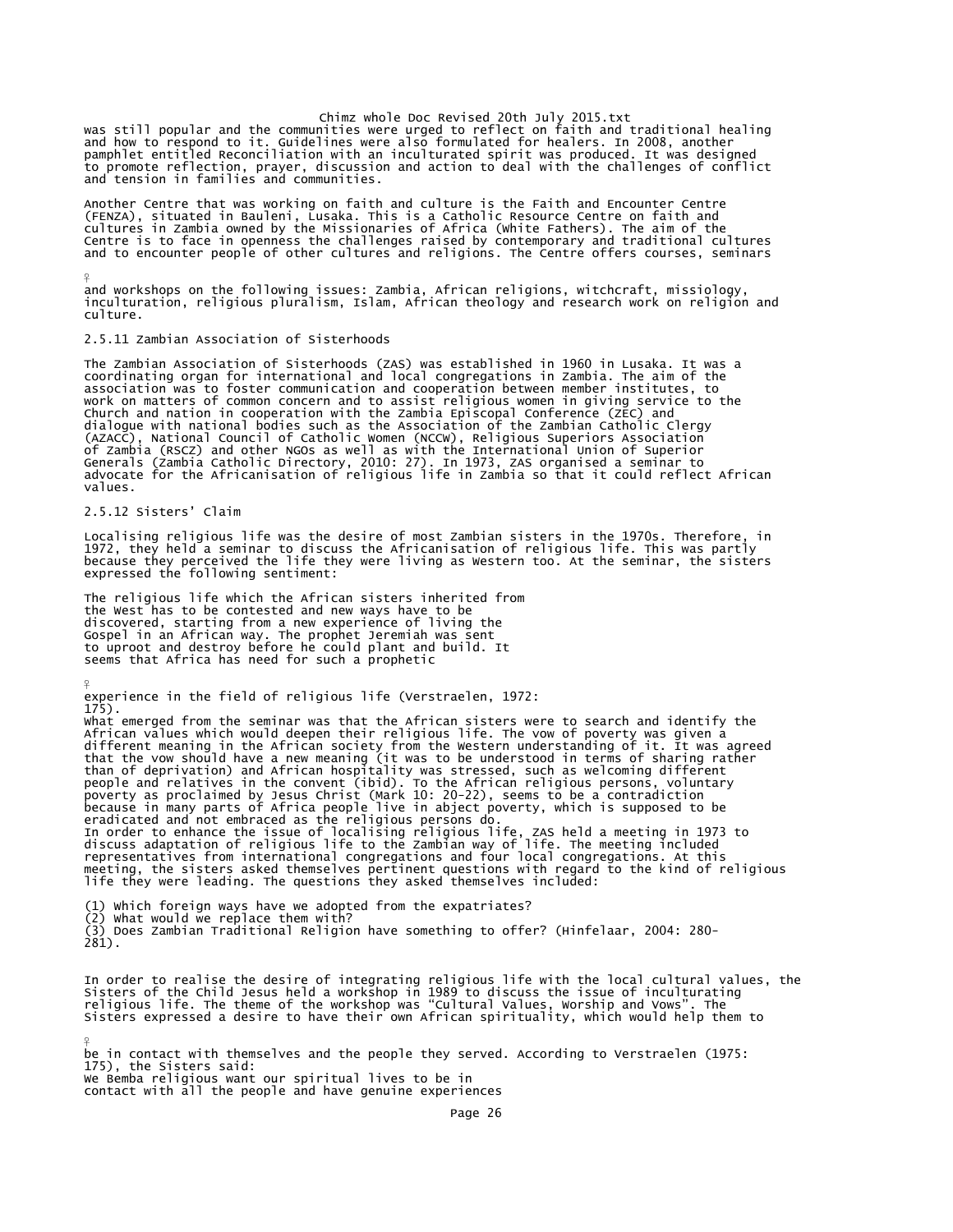was still popular and the communities were urged to reflect on faith and traditional healing<br>and how to respond to it. Guidelines were also formulated for healers. In 2008, another<br>pamphlet entitled Reconciliation with an to promote reflection, prayer, discussion and action to deal with the challenges of conflict and tension in families and communities.

Another Centre that was working on faith and culture is the Faith and Encounter Centre (FENZA), situated in Bauleni, Lusaka. This is a Catholic Resource Centre on faith and<br>cultures in Zambia owned by the Missionaries of Africa (white Fathers). The aim of the<br>Centre is to face in openness the challenges rais

¥ and workshops on the following issues: Zambia, African religions, witchcraft, missiology, inculturation, religious pluralism, Islam, African theology and research work on religion and culture.

## 2.5.11 Zambian Association of Sisterhoods

The Zambian Association of Sisterhoods (ZAS) was established in 1960 in Lusaka. It was a coordinating organ for international and local congregations in Zambia. The aim of the association was to foster communication and cooperation between member institutes, to<br>work on matters of common concern and to assist religious women in giving service to the<br>Church and nation in cooperation with the Zambi (AZACC), National Council of Catholic Women (NCCW), Religious Superiors Association<br>of Zambia (RSCZ) and other NGOs as well as with the International Union of Superior<br>Generals (Zambia Catholic Directory, 2010: 27). In 197 values.

## 2.5.12 Sisters' Claim

¥

Localising religious life was the desire of most Zambian sisters in the 1970s. Therefore, in 1972, they held a seminar to discuss the Africanisation of religious life. This was partly because they perceived the life they were living as Western too. At the seminar, the sisters expressed the following sentiment:

The religious life which the African sisters inherited from the West has to be contested and new ways have to be discovered, starting from a new experience of living the Gospel in an African way. The prophet Jeremiah was sent to uproot and destroy before he could plant and build. It seems that Africa has need for such a prophetic

experience in the field of religious life (Verstraelen, 1972:<br>175). 175).<br>What emerged from the seminar was that the African sisters were to search and identify the<br>African values which would deepen their religious life. The vow of poverty was given a<br>different meaning in the African socie In order to enhance the issue of localising religious life, ZAS held a meeting in 1973 to<br>discuss adaptation of religious life to the Zambian way of life. The meeting included<br>representatives from international congregatio life they were leading. The questions they asked themselves included:

(1) Which foreign ways have we adopted from the expatriates? (2) What would we replace them with? (3) Does Zambian Traditional Religion have something to offer? (Hinfelaar, 2004: 280- 281).

In order to realise the desire of integrating religious life with the local cultural values, the<br>Sisters of the Child Jesus held a workshop in 1989 to discuss the issue of inculturating<br>religious life. The theme of the wor

¥ be in contact with themselves and the people they served. According to Verstraelen (1975: 175), the Sisters said: We Bemba religious want our spiritual lives to be in contact with all the people and have genuine experiences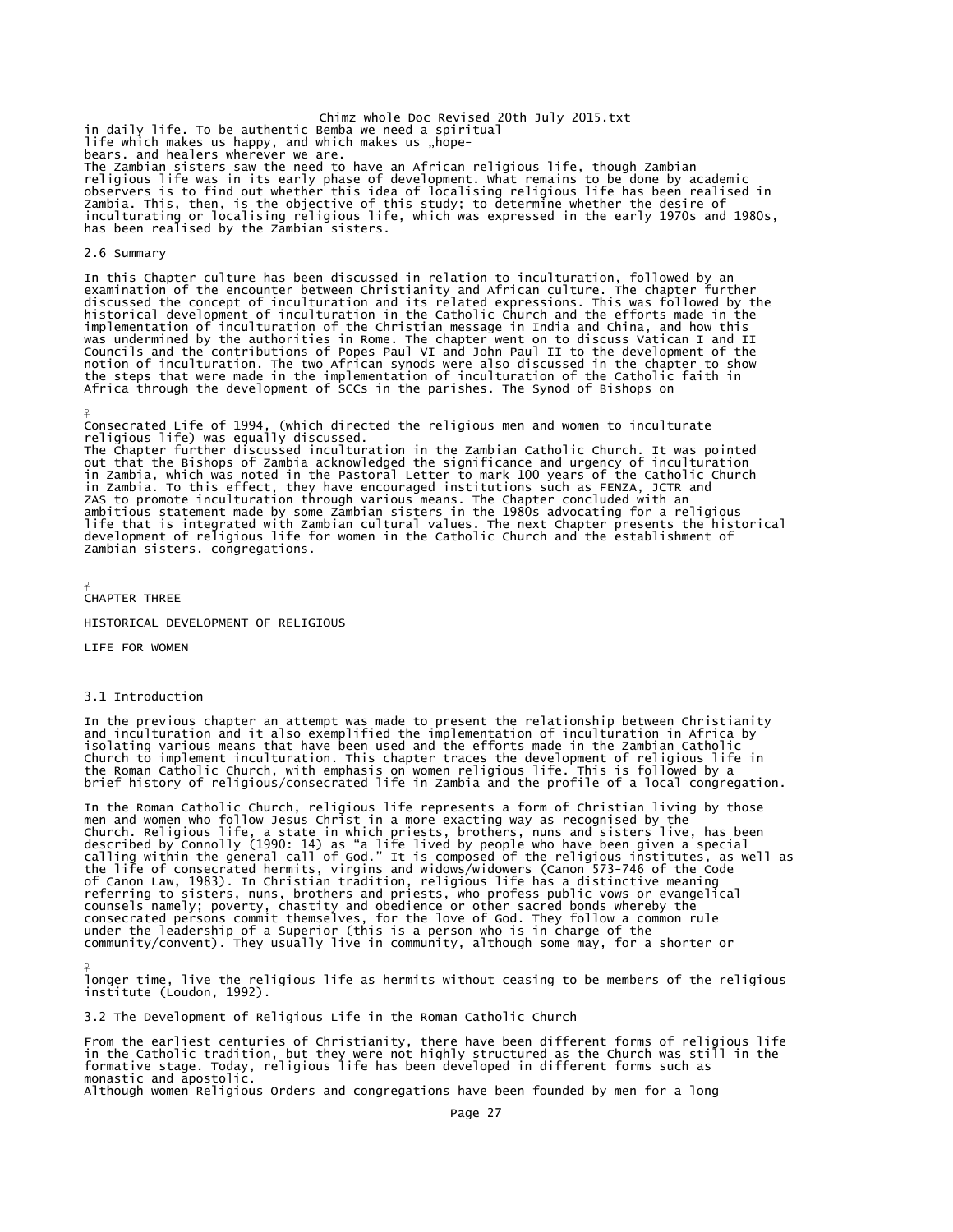Chimz whole Doc Revised 20th July 2015.txt in daily life. To be authentic Bemba we need a spiritual life which makes us happy, and which makes us "hopebears. and healers wherever we are. The Zambian sisters saw the need to have an African religious life, though Zambian religious life was in its early phase of development. What remains to be done by academic observers is to find out whether this idea of localising religious life has been realised in<br>Zambia. This, then, is the objective of this study; to determine whether the desire of<br>inculturating or localising religious life

### 2.6 Summary

In this Chapter culture has been discussed in relation to inculturation, followed by an<br>examination of the encounter between Christianity and African culture. The chapter further<br>discussed the concept of inculturation and notion of inculturation. The two African synods were also discussed in the chapter to show the steps that were made in the implementation of inculturation of the Catholic faith in Africa through the development of SCCs in the parishes. The Synod of Bishops on

¥ Consecrated Life of 1994, (which directed the religious men and women to inculturate religious life) was equally discussed. The Chapter further discussed inculturation in the Zambian Catholic Church. It was pointed out that the Bishops of Zambia acknowledged the significance and urgency of inculturation in Zambia, which was noted in the Pastoral Letter to mark 100 years of the Catholic Church in Zambia. To this effect, they have encouraged institutions such as FENZA, JCTR and ZAS to promote inculturation through various means. The Chapter concluded with an<br>ambitious statement made by some Zambian sisters in the 1980s advocating for a religious<br>life that is integrated with Zambian cultural value Zambian sisters. congregations.

¥ CHAPTER THREE

HISTORICAL DEVELOPMENT OF RELIGIOUS

LIFE FOR WOMEN

### 3.1 Introduction

¥

In the previous chapter an attempt was made to present the relationship between Christianity and inculturation and it also exemplified the implementation of inculturation in Africa by isolating various means that have been used and the efforts made in the Zambian Catholic<br>Church to implement inculturation. This chapter traces the development of religious life in<br>the Roman Catholic Church, with emphasis

In the Roman Catholic Church, religious life represents a form of Christian living by those men and women who follow Jesus Christ in a more exacting way as recognised by the Church. Religious life, a state in which priests, brothers, nuns and sisters live, has been<br>described by Connolly (1990: 14) as "a life lived by people who have been given a special<br>calling within the general call of God." of Canon Law, 1983). In Christian tradition, religious life has a distinctive meaning referring to sisters, nuns, brothers and priests, who profess public vows or evangelical<br>counsels namely; poverty, chastity and obedience or other sacred bonds whereby the<br>consecrated persons commit themselves, for the lov

longer time, live the religious life as hermits without ceasing to be members of the religious institute (Loudon, 1992).

3.2 The Development of Religious Life in the Roman Catholic Church

From the earliest centuries of Christianity, there have been different forms of religious life<br>in the Catholic tradition, but they were not highly structured as the Church was still in the<br>formative stage. Today, religious monastic and apostolic.

Although women Religious Orders and congregations have been founded by men for a long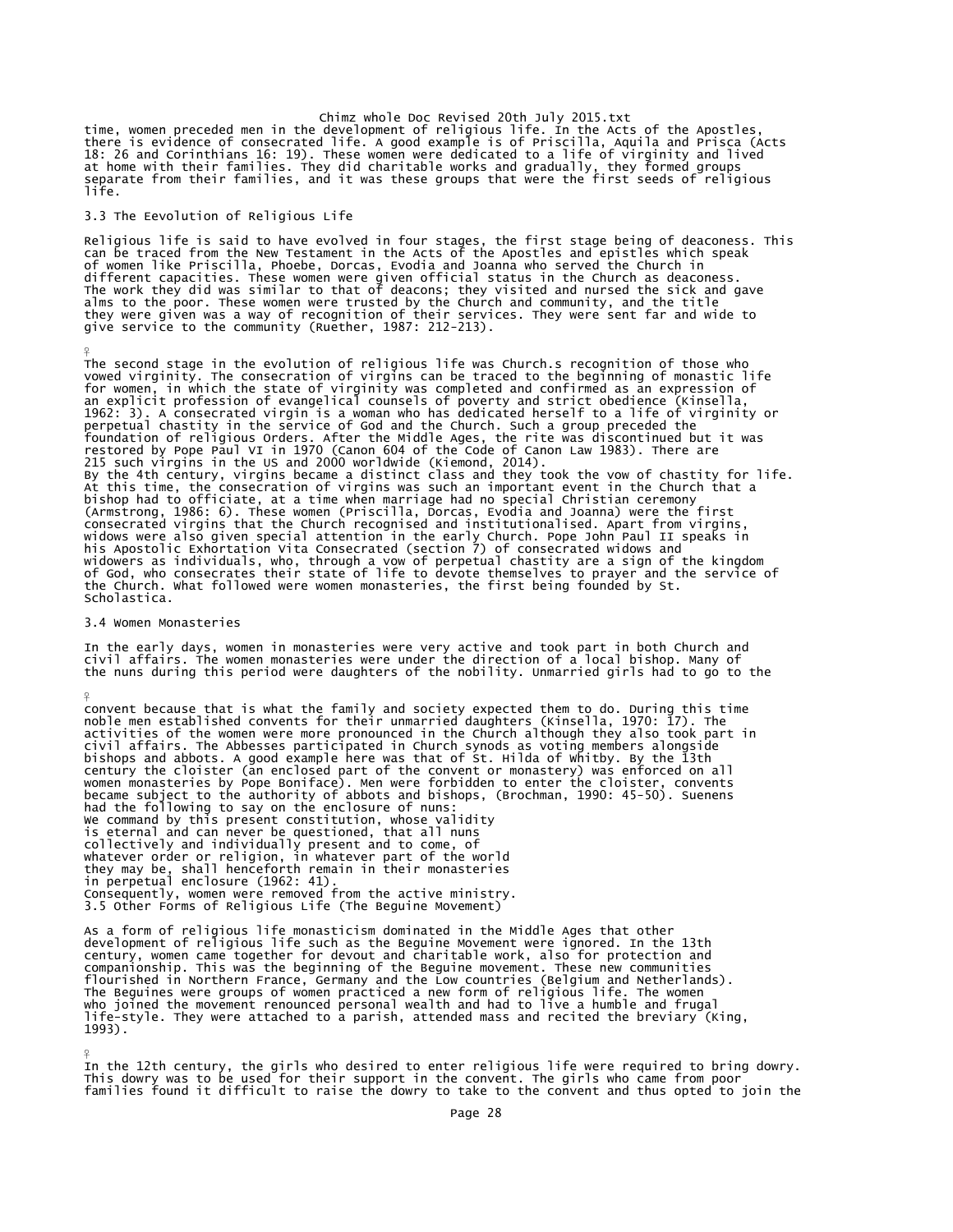Chimz whole Doc Revised 20th July 2015.txt<br>time, women preceded men in the development of religious life. In the Acts of the Apostles,<br>there is evidence of consecrated life. A good example is of Priscilla, Aquila and Prisc at home with their families. They did charitable works and gradually, they formed groups separate from their families, and it was these groups that were the first seeds of religious life.

### 3.3 The Eevolution of Religious Life

Religious life is said to have evolved in four stages, the first stage being of deaconess. This<br>can be traced from the New Testament in the Acts of the Apostles and epistles which speak<br>of women like Priscilla, Phoebe, Dor different capacities. These women were given official status in the Church as deaconess.<br>The work they did was similar to that of deacons; they visited and nursed the sick and gave<br>alms to the poor. These women were truste

The second stage in the evolution of religious life was Church.s recognition of those who vowed virginity. The consecration of virgins can be traced to the beginning of monastic life vowed virginity. The consecration of virgins can be traced to the beginning of monastic life<br>for women, in which the state of virginity was completed and confirmed as an expression of<br>an explicit profession of evangelical the Church. What followed were women monasteries, the first being founded by St.<br>Scholastica.

### 3.4 Women Monasteries

¥

¥

 $\frac{9}{5}$ 

In the early days, women in monasteries were very active and took part in both Church and civil affairs. The women monasteries were under the direction of a local bishop. Many of the nuns during this period were daughters of the nobility. Unmarried girls had to go to the

convent because that is what the family and society expected them to do. During this time<br>noble men established convents for their unmarried daughters (Kinsella, 1970: 17). The<br>activities of the women were more pronounced women monasteries by Pope Boniface). Men were forbidden to enter the cloister, convents became subject to the authority of abbots and bishops, (Brochman, 1990: 45-50). Suenens had the following to say on the enclosure of nuns: We command by this present constitution, whose validity is eternal and can never be questioned, that all nuns collectively and individually present and to come, of whatever order or religion, in whatever part of the world<br>they may be, shall henceforth remain in their monasteries<br>in perpetual enclosure (1962: 41).<br>Consequently, women were removed from the active ministry.<br>3.5 Other Fo

As a form of religious life monasticism dominated in the Middle Ages that other development of religious life such as the Beguine Movement were ignored. In the 13th<br>century, women came together for devout and charitable work, also for protection and<br>companionship. This was the beginning of the Beguine flourished in Northern France, Germany and the Low countries (Belgium and Netherlands).<br>The Beguines were groups of women practiced a new form of religious life. The women<br>who joined the movement renounced personal wealth 1993).

In the 12th century, the girls who desired to enter religious life were required to bring dowry. This dowry was to be used for their support in the convent. The girls who came from poor families found it difficult to raise the dowry to take to the convent and thus opted to join the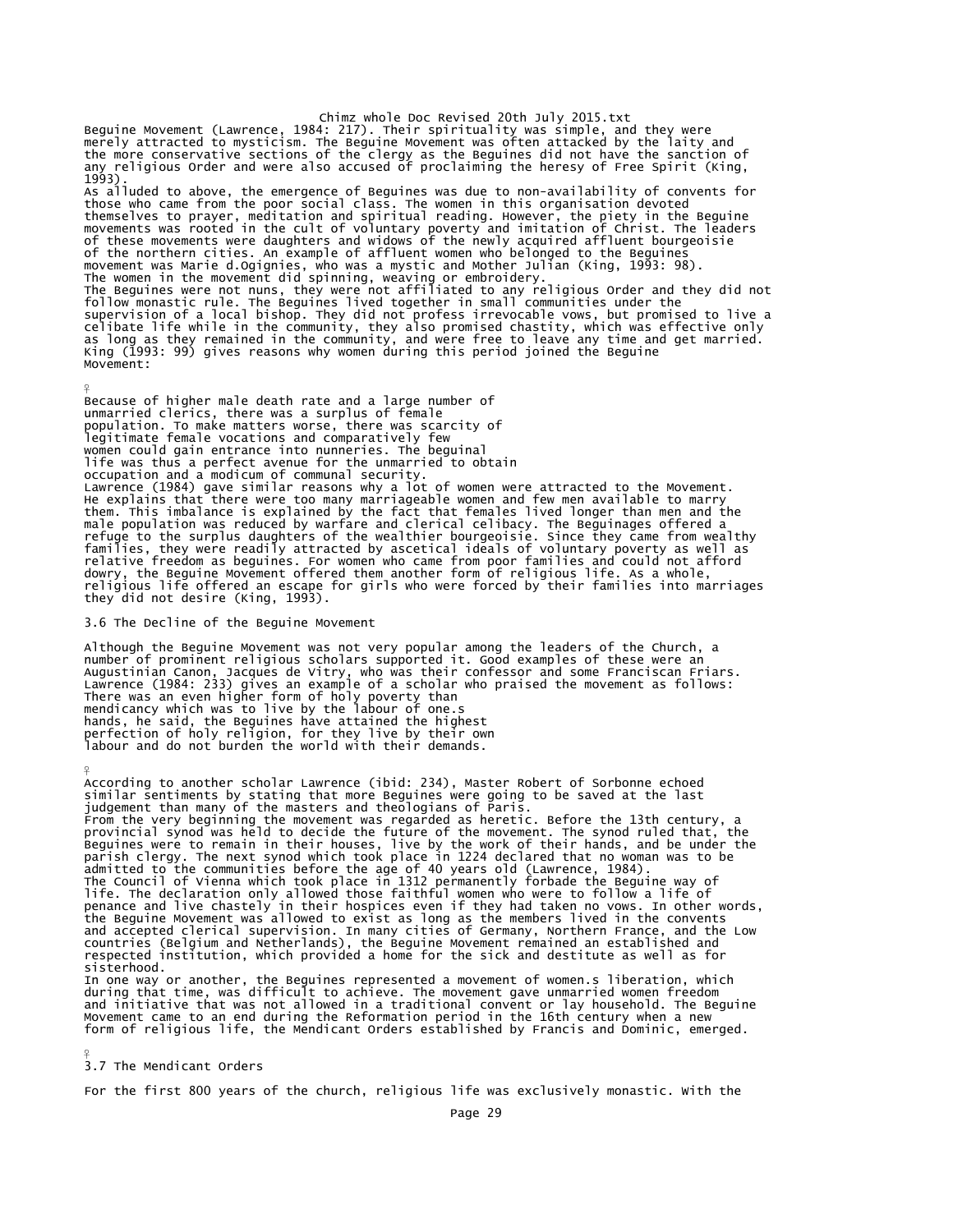Chimz whole Doc Revised 20th July 2015.txt<br>merely attracted to mysticism. The Beguine Movement was simple, and they were<br>merely attracted to mysticism. The Beguine Movement was offen attacked by the laity and<br>the more cons 1993). As alluded to above, the emergence of Beguines was due to non-availability of convents for<br>those who came from the poor social class. The women in this organisation devoted<br>themselves to prayer, meditation and spiritual re movement was Marie d.Ogignies, who was a mystic and Mother Julian (King, 1993: 98).<br>The women in the movement did spinning, weaving or embroidery.<br>The Beguines were not nuns, they were not affiliated to any religious Order follow monastic rule. The Beguines lived together in small communities under the<br>supervision of a local bishop. They did not profess irrevocable vows, but promised to live a<br>celibate life while in the community, they also Movement:

Because of higher male death rate and a large number of unmarried clerics, there was a surplus of female population. To make matters worse, there was scarcity of legitimate female vocations and comparatively few women could gain entrance into nunneries. The beguinal life was thus a perfect avenue for the unmarried to obtain occupation and a modicum of communal security. Lawrence (1984) gave similar reasons why a lot of women were attracted to the Movement. He explains that there were too many marriageable women and few men available to marry them. This imbalance is explained by the fact that females lived longer than men and the male population was reduced by warfare and clerical celibacy. The Beguinages offered a<br>refuge to the surplus daughters of the wealthier bourgeoisie. Since they came from wealthy<br>families, they were readily attracted by asc religious life offered an escape for girls who were forced by their families into marriages they did not desire (King, 1993).

3.6 The Decline of the Beguine Movement

¥

Although the Beguine Movement was not very popular among the leaders of the Church, a number of prominent religious scholars supported it. Good examples of these were an Augustinian Canon, Jacques de Vitry, who was their confessor and some Franciscan Friars. Lawrence (1984: 233) gives an example of a scholar who praised the movement as follows: There was an even higher form of holy poverty than mendicancy which was to live by the labour of one.s hands, he said, the Beguines have attained the highest perfection of holy religion, for they live by their own labour and do not burden the world with their demands.

¥ According to another scholar Lawrence (ibid: 234), Master Robert of Sorbonne echoed similar sentiments by stating that more Beguines were going to be saved at the last judgement than many of the masters and theologians of Paris. From the very beginning the movement was regarded as heretic. Before the 13th century, a<br>provincial synod was held to decide the future of the movement. The synod ruled that, the<br>Beguines were to remain in their houses, li life. The declaration only allowed those faithful women who were to follow a life of penance and live chastely in their hospices even if they had taken no vows. In other words, the Beguine Movement was allowed to exist as long as the members lived in the convents<br>and accepted clerical supervision. In many cities of Germany, Northern France, and the Low<br>countries (Belgium and Netherlands), the Beg sisterhood. In one way or another, the Beguines represented a movement of women.s liberation, which during that time, was difficult to achieve. The movement gave unmarried women freedom

and initiative that was not allowed in a traditional convent or lay household. The Beguine Movement came to an end during the Reformation period in the 16th century when a new form of religious life, the Mendicant Orders established by Francis and Dominic, emerged.

```
\frac{9}{5}3.7 The Mendicant Orders
```
For the first 800 years of the church, religious life was exclusively monastic. With the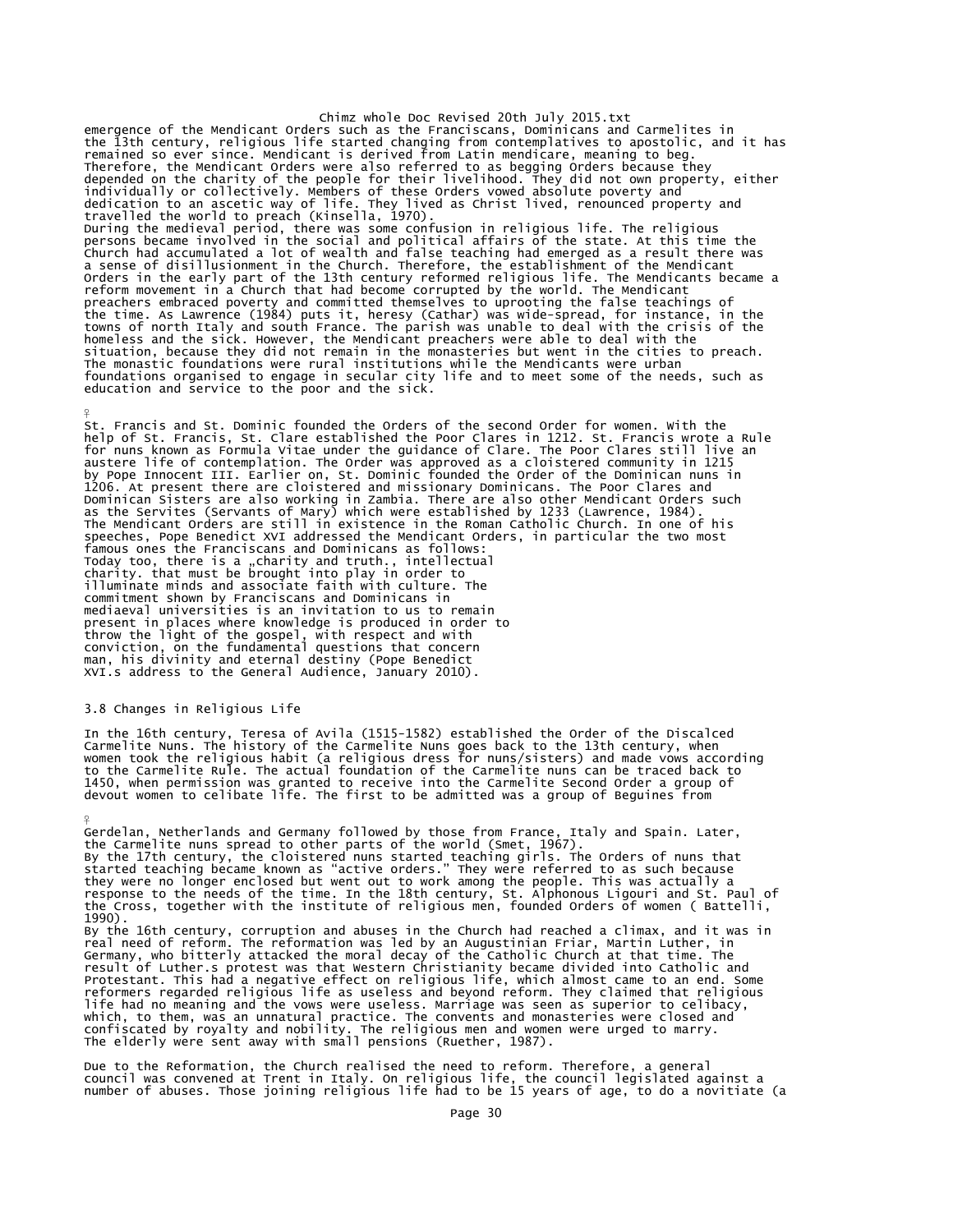Chimz whole Doc Revised 20th July 2015.txt emergence of the Mendicant Orders such as the Franciscans, Dominicans and Carmelites in<br>the 13th century, religious life started changing from contemplatives to apostolic, and it has<br>remained so ever since. Mendicant is de Therefore, the Mendicant Orders were also referred to as begging Orders because they<br>depended on the charity of the people for their livelihood. They did not own property, either<br>individually or collectively. Members of th persons became involved in the social and political affairs of the state. At this time the<br>Church had accumulated a lot of wealth and false teaching had emerged as a result there was<br>a sense of disilusionment in the Church preachers embraced poverty and committed themselves to uprooting the false teachings of<br>the time. As Lawrence (1984) puts it, heresy (Cathar) was wide-spread, for instance, in the<br>towns of north Italy and south France. The The monastic foundations were rural institutions while the Mendicants were urban foundations organised to engage in secular city life and to meet some of the needs, such as education and service to the poor and the sick.

St. Francis and St. Dominic founded the Orders of the second Order for women. With the help of St. Francis, St. Clare established the Poor Clares in 1212. St. Francis wrote a Rule<br>for nuns known as Formula Vitae under the guidance of Clare. The Poor Clares still live an<br>austere life of contemplation. The Ord Dominican Sisters are also working in Zambia. There are also other Mendicant Orders such<br>as the Servites (Servants of Mary) which were established by 1233 (Lawrence, 1984).<br>The Mendicant Orders are still in existence in th famous ones the Franciscans and Dominicans as follows:<br>Today too, there is a "charity and truth., intellectual<br>charity. that must be brought into play in order to illuminate minds and associate faith with culture. The commitment shown by Franciscans and Dominicans in mediaeval universities is an invitation to us to remain present in places where knowledge is produced in order to throw the light of the gospel, with respect and with conviction, on the fundamental questions that concern man, his divinity and eternal destiny (Pope Benedict XVI.s address to the General Audience, January 2010).

## 3.8 Changes in Religious Life

¥

¥

In the 16th century, Teresa of Avila (1515-1582) established the Order of the Discalced<br>Carmelite Nuns. The history of the Carmelite Nuns goes back to the 13th century, when<br>women took the religious habit (a religious dres 1450, when permission was granted to receive into the Carmelite Second Order a group of devout women to celibate life. The first to be admitted was a group of Beguines from

Gerdelan, Netherlands and Germany followed by those from France, Italy and Spain. Later,<br>the Carmelite nuns spread to other parts of the world (Smet, 1967).<br>By the 17th century, the cloistered nuns started teaching girls. 1990).

By the 16th century, corruption and abuses in the Church had reached a climax, and it was in<br>real need of reform. The reformation was led by an Augustinian Friar, Martin Luther, in<br>Germany, who bitterly attacked the moral result of Luther.s protest was that Western Christianity became divided into Catholic and Protestant. This had a negative effect on religious life, which almost came to an end. Some reformers regarded religious life as useless and beyond reform. They claimed that religious life had no meaning and the vows were useless. Marriage was seen as superior to celibacy, which, to them, was an unnatural practice. The convents and monasteries were closed and confiscated by royalty and nobility. The religious men and women were urged to marry. The elderly were sent away with small pensions (Ruether, 1987).

Due to the Reformation, the Church realised the need to reform. Therefore, a general council was convened at Trent in Italy. On religious life, the council legislated against a number of abuses. Those joining religious life had to be 15 years of age, to do a novitiate (a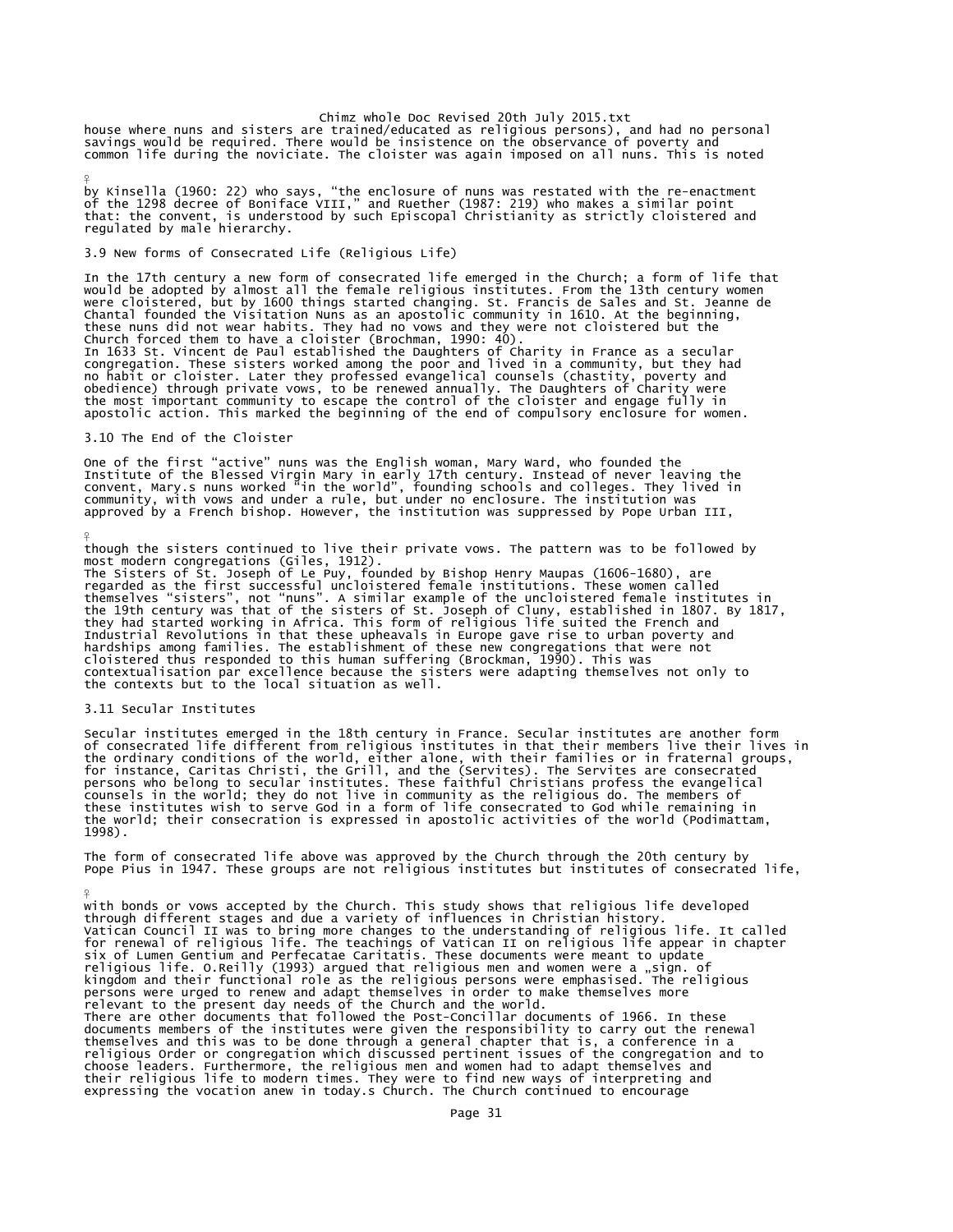house where nuns and sisters are trained/educated as religious persons), and had no personal<br>savings would be required. There would be insistence on the observance of poverty and<br>common life during the noviciate. The clois

by Kinsella (1960: 22) who says, "the enclosure of nuns was restated with the re-enactment<br>of the 1298 decree of Boniface VIII," and Ruether (1987: 219) who makes a similar point<br>that: the convent, is understood by such Ep

3.9 New forms of Consecrated Life (Religious Life)

In the 17th century a new form of consecrated life emerged in the Church; a form of life that<br>would be adopted by almost all the female religious institutes. From the 13th century women<br>were cloistered, but by 1600 things In 1633 St. Vincent de Paul established the Daughters of Charity in France as a secular congregation. These sisters worked among the poor and lived in a community, but they had<br>no habit or cloister. Later they professed evangelical counsels (chastity, poverty and<br>obedience) through private vows, to be renewed

3.10 The End of the Cloister

¥

 $\frac{9}{5}$ 

¥

One of the first "active" nuns was the English woman, Mary Ward, who founded the<br>Institute of the Blessed Virgin Mary in early 17th century. Instead of never leaving the<br>convent, Mary.s nuns worked "in the world", founding

though the sisters continued to live their private vows. The pattern was to be followed by<br>most modern congregations (Giles, 1912).<br>The Sisters of St. Joseph of Le Puy, founded by Bishop Henry Maupas (1606-1680), are<br>regar Industrial Revolutions in that these upheavals in Europe gave rise to urban poverty and<br>hardships among families. The establishment of these new congregations that were not<br>cloistered thus responded to this human suffering contextualisation par excellence because the sisters were adapting themselves not only to the contexts but to the local situation as well.

### 3.11 Secular Institutes

Secular institutes emerged in the 18th century in France. Secular institutes are another form<br>of consecrated life different from religious institutes in that their members live their lives in<br>the ordinary conditions of the

The form of consecrated life above was approved by the Church through the 20th century by Pope Pius in 1947. These groups are not religious institutes but institutes of consecrated life,

with bonds or vows accepted by the Church. This study shows that religious life developed<br>through different stages and due a variety of influences in Christian history.<br>Vatican Council II was to bring more changes to the u expressing the vocation and the vocation and their religious life to modern times. They were to find new ways of interpreting and expressing the vocation anew in today.s Church. The Church continued to encourage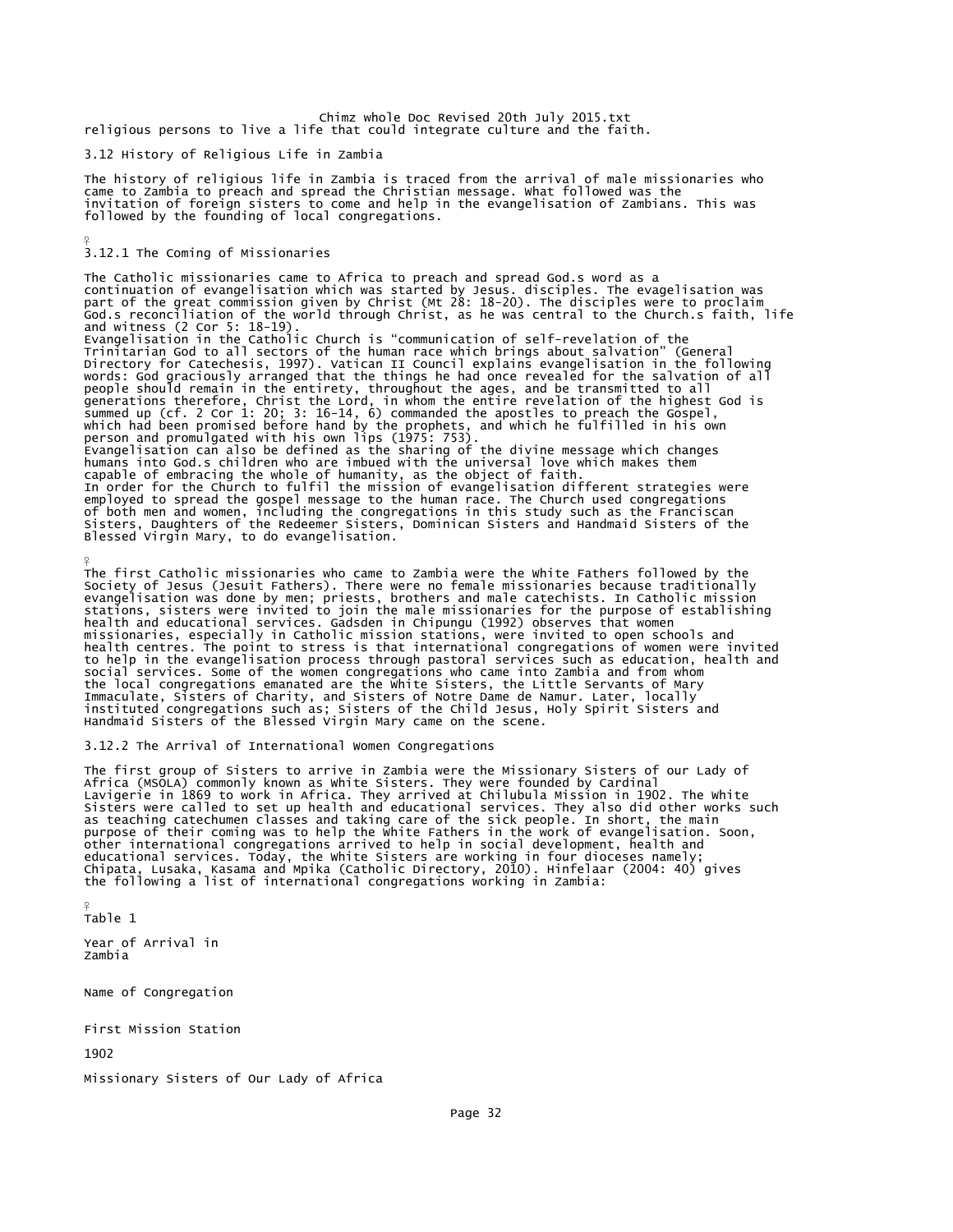Chimz whole Doc Revised 20th July 2015.txt religious persons to live a life that could integrate culture and the faith.

3.12 History of Religious Life in Zambia

The history of religious life in Zambia is traced from the arrival of male missionaries who came to Zambia to preach and spread the Christian message. What followed was the invitation of foreign sisters to come and help in the evangelisation of Zambians. This was followed by the founding of local congregations.

### $\frac{9}{5}$ 3.12.1 The Coming of Missionaries

The Catholic missionaries came to Africa to preach and spread God.s word as a<br>continuation of evangelisation which was started by Jesus. disciples. The evagelisation was<br>part of the great commission given by Christ (Mt 28: Directory for Catechesis, 1997). Vatican II Council explains evangelisation in the following words: God graciously arranged that the things he had once revealed for the salvation of all people should remain in the entirety, throughout the ages, and be transmitted to all<br>generations therefore, Christ the Lord, in whom the entire revelation of the highest God is<br>summed up (cf. 2 Cor 1: 20; 3: 16-14, 6) comm humans into God.s children who are imbued with the universal love which makes them<br>capable of embracing the whole of humanity, as the object of faith.<br>In order for the Church to fulfil the mission of evangelisation differe employed to spread the gospel message to the human race. The Church used congregations<br>of both men and women, including the congregations in this study such as the Franciscan<br>Sisters, Daughters of the Redeemer Sisters, Dom

¥ The first Catholic missionaries who came to Zambia were the White Fathers followed by the Society of Jesus (Jesuit Fathers). There were no female missionaries because traditionally evangelisation was done by men; priests, brothers and male catechists. In Catholic mission stations, sisters were invited to join the male missionaries for the purpose of establishing health and educational services. Gadsden in Chipungu (1992) observes that women missionaries, especially in Catholic mission stations, were invited to open schools and health centres. The point to stress is that international congregations of women were invited to help in the evangelisation process through pastoral services such as education, health and social services. Some of the women congregations who came into Zambia and from whom<br>the local congregations emanated are the White Sisters, the Little Servants of Mary<br>Immaculate, Sisters of Charity, and Sisters of Notre D Handmaid Sisters of the Blessed Virgin Mary came on the scene.

3.12.2 The Arrival of International Women Congregations

The first group of Sisters to arrive in Zambia were the Missionary Sisters of our Lady of Africa (MSOLA) commonly known as White Sisters. They were founded by Cardinal Lavigerie in 1869 to work in Africa. They arrived at Chilubula Mission in 1902. The White Sisters were called to set up health and educational services. They also did other works such<br>as teaching catechumen classes and taking care of the sick people. In short, the main<br>purpose of their coming was to help the Wh

Table 1 Year of Arrival in Zambia

Name of Congregation

First Mission Station

1902

¥

Missionary Sisters of Our Lady of Africa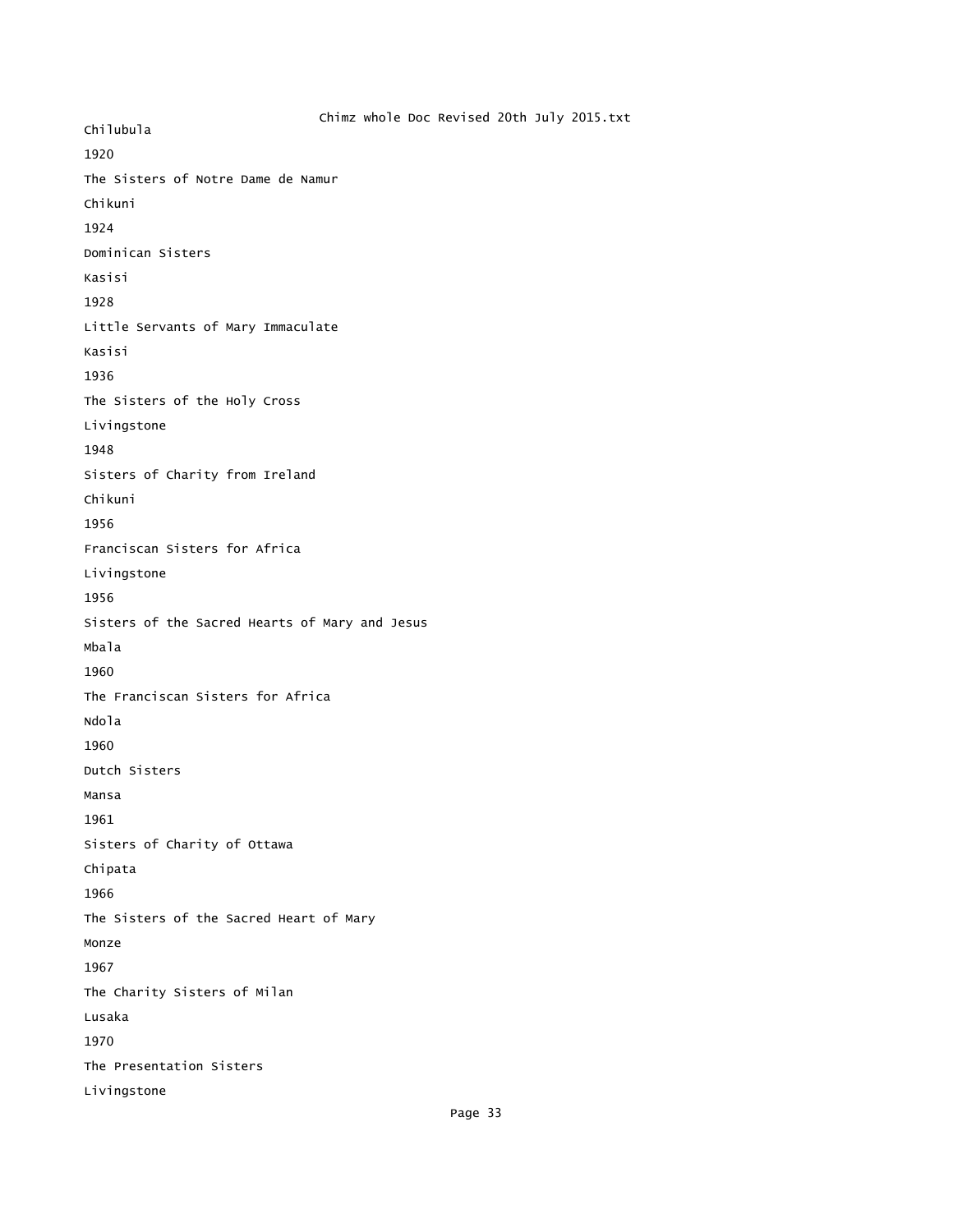Chimz whole Doc Revised 20th July 2015.txt Chilubula 1920 The Sisters of Notre Dame de Namur Chikuni 1924 Dominican Sisters Kasisi 1928 Little Servants of Mary Immaculate Kasisi 1936 The Sisters of the Holy Cross Livingstone 1948 Sisters of Charity from Ireland Chikuni 1956 Franciscan Sisters for Africa Livingstone 1956 Sisters of the Sacred Hearts of Mary and Jesus Mbala 1960 The Franciscan Sisters for Africa Ndola 1960 Dutch Sisters Mansa 1961 Sisters of Charity of Ottawa Chipata 1966 The Sisters of the Sacred Heart of Mary Monze 1967 The Charity Sisters of Milan Lusaka 1970 The Presentation Sisters Livingstone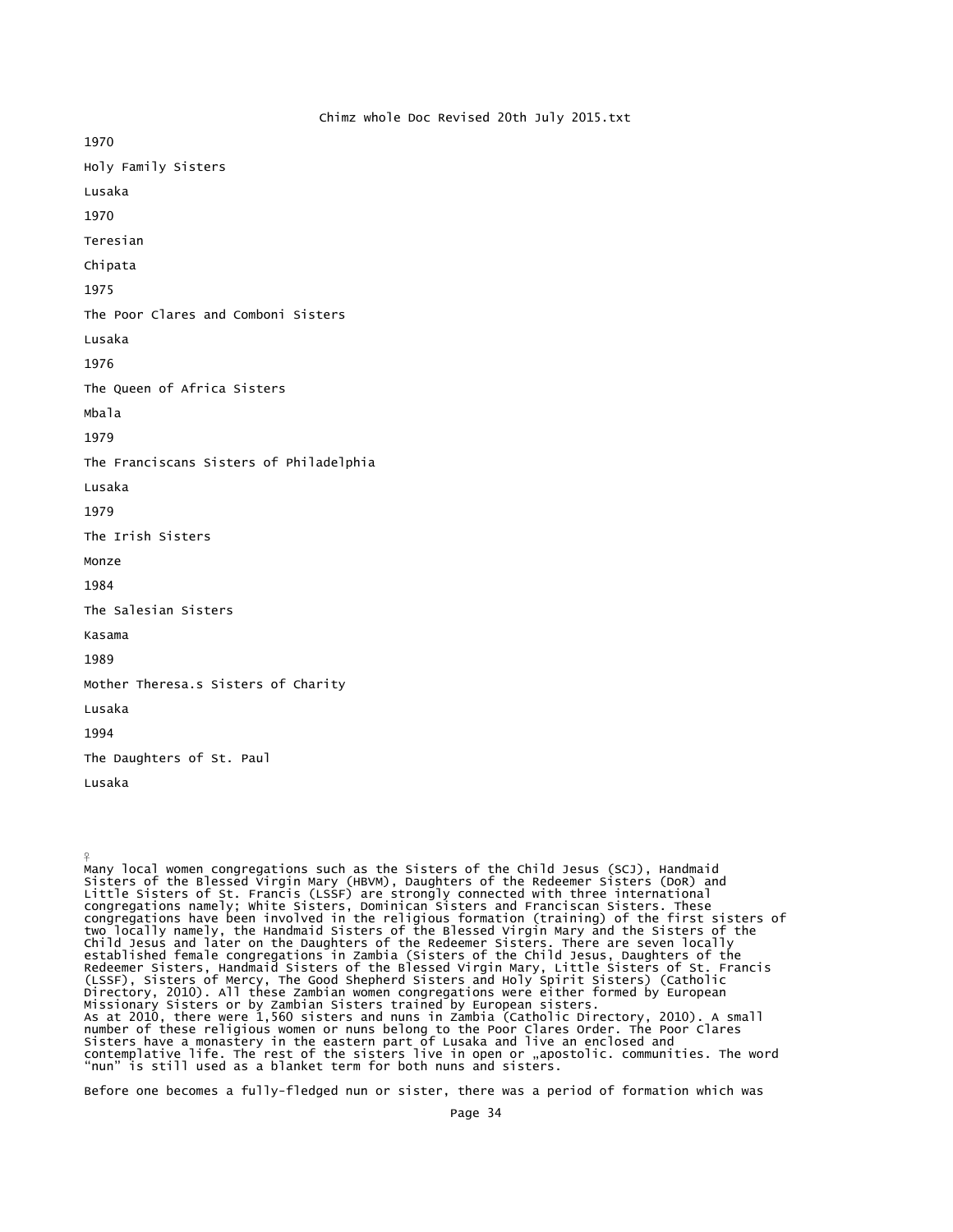1970 Holy Family Sisters Lusaka 1970 Teresian Chipata 1975 The Poor Clares and Comboni Sisters Lusaka 1976 The Queen of Africa Sisters Mbala 1979 The Franciscans Sisters of Philadelphia Lusaka 1979 The Irish Sisters Monze 1984 The Salesian Sisters Kasama 1989 Mother Theresa.s Sisters of Charity Lusaka 1994 The Daughters of St. Paul Lusaka

 $\frac{9}{5}$ 

Many local women congregations such as the Sisters of the Child Jesus (SCJ), Handmaid Sisters of the Blessed Virgin Mary (HBVM), Daughters of the Redeemer Sisters (DoR) and Little Sisters of St. Francis (LSSF) are strongly connected with three international<br>congregations namely; White Sisters, Dominican Sisters and Franciscan Sisters. These<br>congregations have been involved in the religious fo Redeemer Sisters, Handmaid Sisters of the Blessed Virgin Mary, Little Sisters of St. Francis (LSSF), Sisters of Mercy, The Good Shepherd Sisters and Holy Spirit Sisters) (Catholic Directory, 2010). All these Zambian women congregations were either formed by European Missionary Sisters or by Zambian Sisters trained by European sisters. As at 2010, there were 1,560 sisters and nuns in Zambia (Catholic Directory, 2010). A small number of these religious women or nuns belong to the Poor Clares Order. The Poor Clares Sisters have a monastery in the eastern part of Lusaka and live an enclosed and contemplative life. The rest of the sisters live in open or "apostolic. communities. The word<br>"nun" is still used as a blanket term for both nuns and sisters.

Before one becomes a fully-fledged nun or sister, there was a period of formation which was

Chimz whole Doc Revised 20th July 2015.txt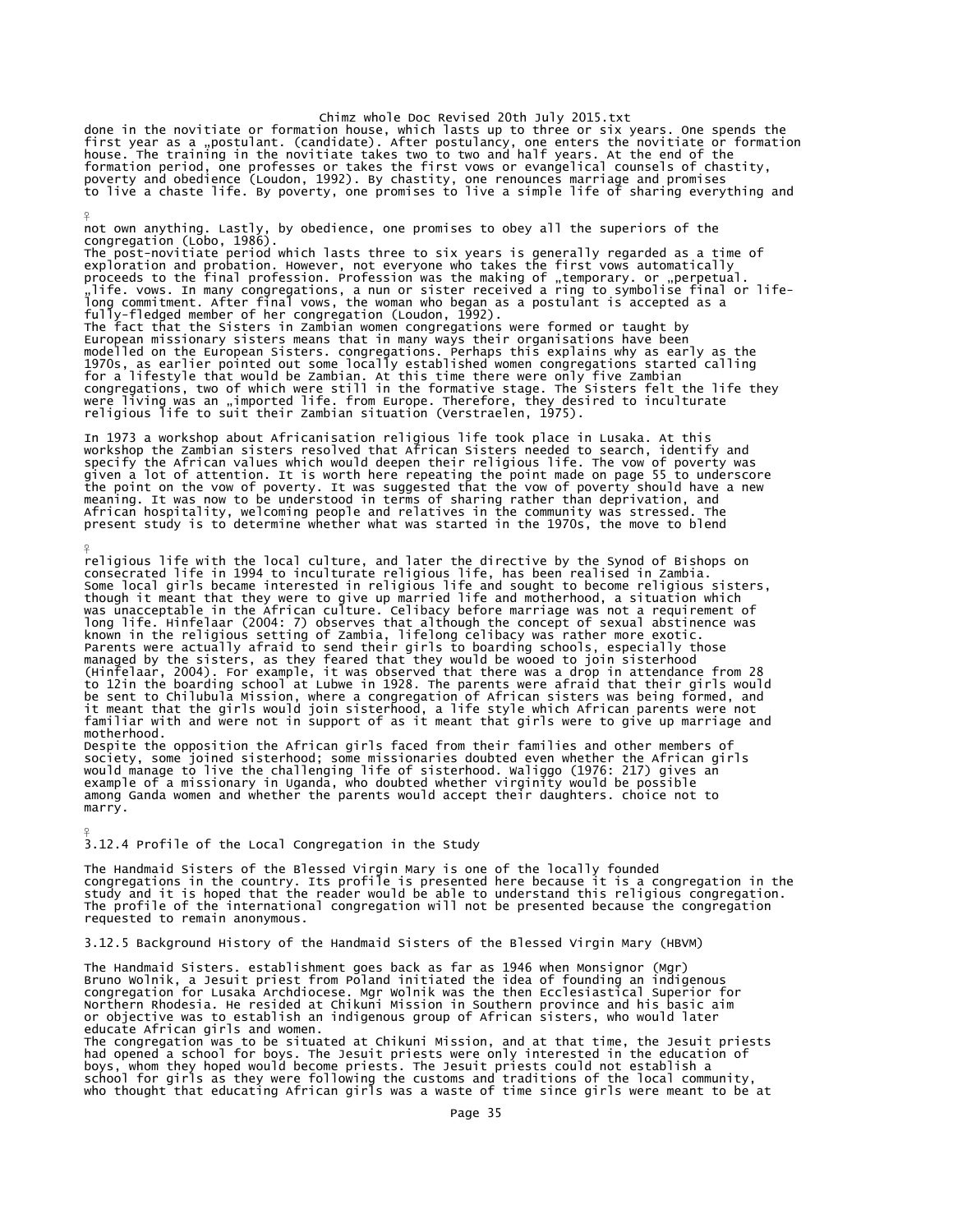done in the novitiate or formation house, which lasts up to three or six years. One spends the<br>first year as a "postulant. (candidate). After postulancy, one enters the novitiate or formation<br>house. The training in the nov formation period, one professes or takes the first vows or evangelical counsels of chastity,<br>poverty and obedience (Loudon, 1992). By chastity, one renounces marriage and promises<br>to live a chaste life. By poverty, one pro

not own anything. Lastly, by obedience, one promises to obey all the superiors of the congregation (Lobo, 1986). The post-novitiate period which lasts three to six years is generally regarded as a time of exploration and probation. However, not everyone who takes the first vows automatically proceeds to the final profession. Profession was the making of "temporary. or "perpetual.<br>"life. vows. In many congregations, a nun or sister received a ring to symbolise final or life-<br>long commitment. After final vows, t The fact that the Sisters in Zambian women congregations were formed or taught by European missionary sisters means that in many ways their organisations have been modelled on the European Sisters. congregations. Perhaps this explains why as early as the<br>1970s, as earlier pointed out some locally established women congregations started calling<br>for a lifestyle that would be Zambian. A

In 1973 a workshop about Africanisation religious life took place in Lusaka. At this workshop the Zambian sisters resolved that African Sisters needed to search, identify and specify the African values which would deepen their religious life. The vow of poverty was given a lot of attention. It is worth here repeating the point made on page 55 to underscore the point on the vow of poverty. It was suggested that the vow of poverty should have a new<br>meaning. It was now to be understood in terms of sharing rather than deprivation, and<br>African hospitality, welcoming people and re

religious life with the local culture, and later the directive by the Synod of Bishops on consecrated life in 1994 to inculturate religious life, has been realised in Zambia. Some local girls became interested in religious life and sought to become religious sisters,<br>though it meant that they were to give up married life and motherhood, a situation which<br>was unacceptable in the African culture. known in the religious setting of Zambia, lifelong celibacy was rather more exotic.<br>Parents were actually afraid to send their girls to boarding schools, especially those managed by the sisters, as they feared that they would be wooed to join sisterhood<br>(Hinfelaar, 2004). For example, it was observed that there was a drop in attendance from 28<br>to 12in the boarding school at Lubwe in 1928. T familiar with and were not in support of as it meant that girls were to give up marriage and motherhood.

Despite the opposition the African girls faced from their families and other members of<br>society, some joined sisterhood; some missionaries doubted even whether the African girls<br>would manage to live the challenging life of example of a missionary in Uganda, who doubted whether virginity would be possible among Ganda women and whether the parents would accept their daughters. choice not to marry.

3.12.4 Profile of the Local Congregation in the Study

¥

 $\frac{9}{5}$ 

¥

The Handmaid Sisters of the Blessed Virgin Mary is one of the locally founded congregations in the country. Its profile is presented here because it is a congregation in the study and it is hoped that the reader would be able to understand this religious congregation. The profile of the international congregation will not be presented because the congregation requested to remain anonymous.

3.12.5 Background History of the Handmaid Sisters of the Blessed Virgin Mary (HBVM)

The Handmaid Sisters. establishment goes back as far as 1946 when Monsignor (Mgr) Bruno Wolnik, a Jesuit priest from Poland initiated the idea of founding an indigenous<br>congregation for Lusaka Archdiocese. Mgr Wolnik was the then Ecclesiastical Superior for<br>Northern Rhodesia. He resided at Chikuni Missi educate African girls and women.

The congregation was to be situated at Chikuni Mission, and at that time, the Jesuit priests<br>had opened a school for boys. The Jesuit priests were only interested in the education of<br>boys, whom they hoped would become prie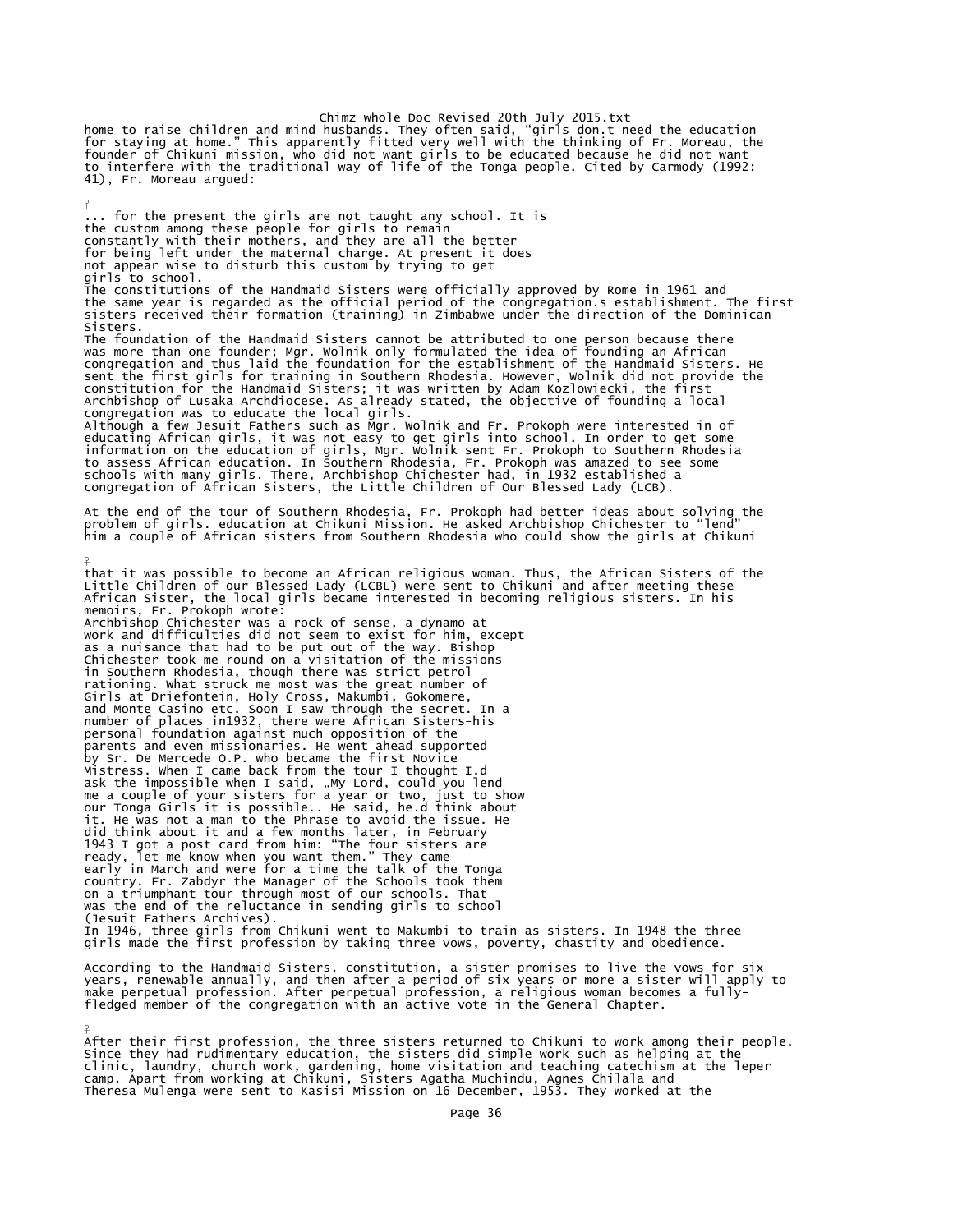Chimz whole Doc Revised 20th July 2015.txt<br>home to raise children and mind husbands. They often said, "girls don.t need the education<br>for staying at home." This apparently fitted very well with the thinking of Fr. Moreau, to interfere with the traditional way of life of the Tonga people. Cited by Carmody (1992: 41), Fr. Moreau argued:

¥

¥

... for the present the girls are not taught any school. It is the custom among these people for girls to remain constantly with their mothers, and they are all the better for being left under the maternal charge. At present it does not appear wise to disturb this custom by trying to get girls to school. The constitutions of the Handmaid Sisters were officially approved by Rome in 1961 and the same year is regarded as the official period of the congregation.s establishment. The first sisters received their formation (training) in Zimbabwe under the direction of the Dominican Sisters. The foundation of the Handmaid Sisters cannot be attributed to one person because there<br>was more than one founder; Mgr. Wolnik only formulated the idea of founding an African<br>congregation and thus laid the foundation for t congregation was to educate the local girls. Although a few Jesuit Fathers such as Mgr. Wolnik and Fr. Prokoph were interested in of educating African girls, it was not easy to get girls into school. In order to get some<br>information on the education of girls, Mgr. Wolnik sent Fr. Prokoph to Southern Rhodesia<br>to assess African education. In Southern Rhod schools with many girls. There, Archbishop Chichester had, in 1932 established a congregation of African Sisters, the Little Children of Our Blessed Lady (LCB). At the end of the tour of Southern Rhodesia, Fr. Prokoph had better ideas about solving the<br>problem of girls. education at Chikuni Mission. He asked Archbishop Chichester to "lend"<br>him a couple of African sisters from Sout ¥ that it was possible to become an African religious woman. Thus, the African Sisters of the Little Children of our Blessed Lady (LCBL) were sent to Chikuni and after meeting these African Sister, the local girls became interested in becoming religious sisters. In his memoirs, Fr. Prokoph wrote:<br>Archbishop Chichester was a rock of sense, a dynamo at work and difficulties did not seem to exist for him, except

as a nuisance that had to be put out of the way. Bishop Chichester took me round on a visitation of the missions in Southern Rhodesia, though there was strict petrol rationing. What struck me most was the great number of Girls at Driefontein, Holy Cross, Makumbi, Gokomere, and Monte Casino etc. Soon I saw through the secret. In a number of places in1932, there were African Sisters-his personal foundation against much opposition of the parents and even missionaries. He went ahead supported by Sr. De Mercede O.P. who became the first Novice Mistress. When I came back from the tour I thought I.d ask the impossible when I said, "My Lord, could you lend<br>me a couple of your sisters for a year or two, just to show<br>our Tonga Girls it is possible.. He said, he.d think about it. He was not a man to the Phrase to avoid the issue. He did think about it and a few months later, in February 1943 I got a post card from him: "The four sisters are ready, let me know when you want them." They came early in March and were for a time the talk of the Tonga country. Fr. Zabdyr the Manager of the Schools took them on a triumphant tour through most of our schools. That was the end of the reluctance in sending girls to school (Jesuit Fathers Archives). In 1946, three girls from Chikuni went to Makumbi to train as sisters. In 1948 the three girls made the first profession by taking three vows, poverty, chastity and obedience.

According to the Handmaid Sisters. constitution, a sister promises to live the vows for six years, renewable annually, and then after a period of six years or more a sister will apply to make perpetual profession. After perpetual profession, a religious woman becomes a fullyfledged member of the congregation with an active vote in the General Chapter.

After their first profession, the three sisters returned to Chikuni to work among their people. Since they had rudimentary education, the sisters did simple work such as helping at the<br>clinic, laundry, church work, gardening, home visitation and teaching catechism at the leper<br>camp. Apart from working at Chikuni, Sis Theresa Mulenga were sent to Kasisi Mission on 16 December, 1953. They worked at the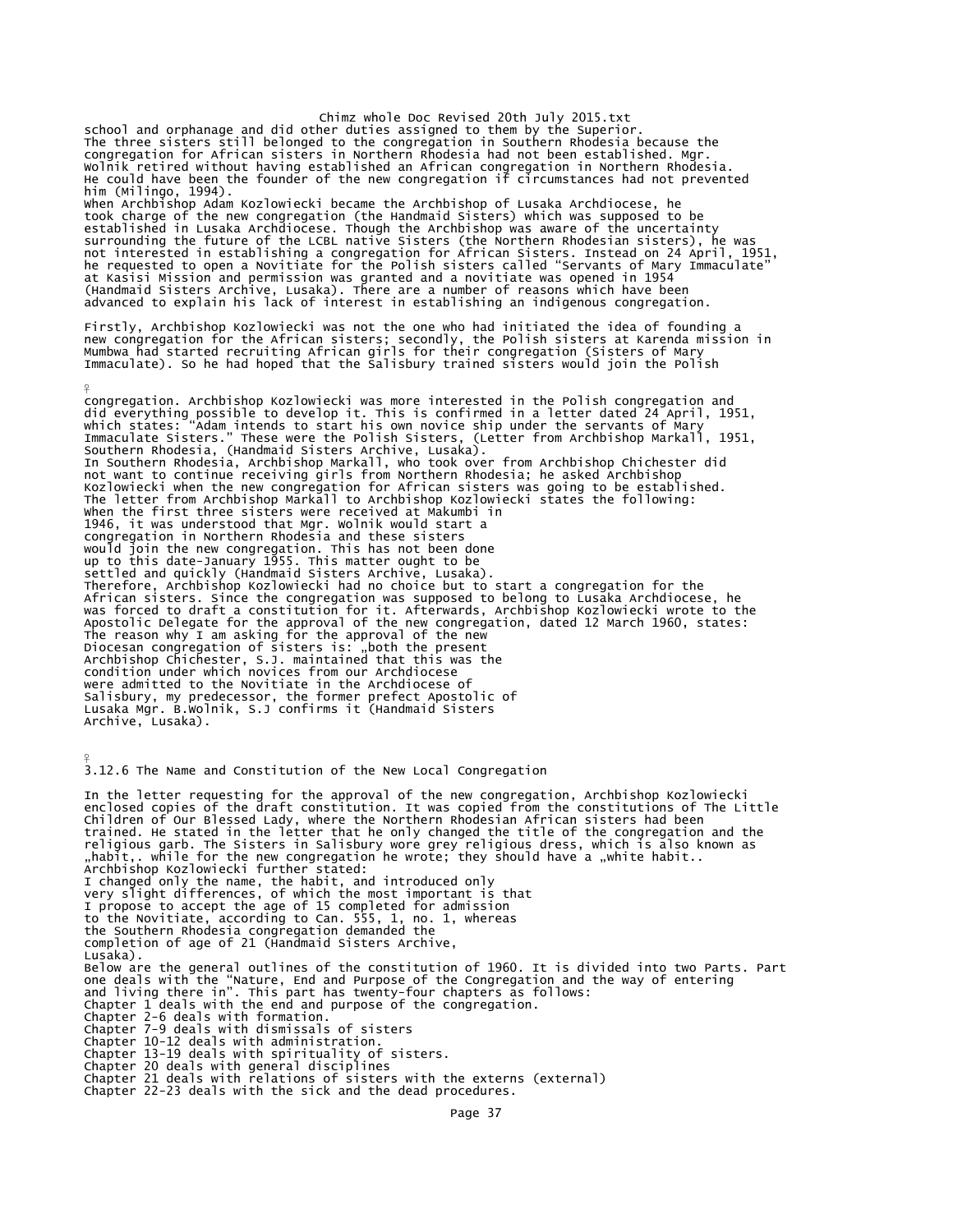Chimz whole Doc Revised 20th July 2015.txt school and orphanage and did other duties assigned to them by the Superior.<br>The three sisters still belonged to the congregation in Southern Rhodesia because the<br>congregation for African sisters in Northern Rhodesia had no Wolnik retired without having established an African congregation in Northern Rhodesia. He could have been the founder of the new congregation if circumstances had not prevented him (Milingo, 1994). When Archbishop Adam Kozlowiecki became the Archbishop of Lusaka Archdiocese, he took charge of the new congregation (the Handmaid Sisters) which was supposed to be established in Lusaka Archdiocese. Though the Archbishop was aware of the uncertainty surrounding the future of the LCBL native Sisters (the Northern Rhodesian sisters), he was<br>not interested in establishing a congregation for African Sisters. Instead on 24 April, 1951,<br>he requested to open a Novitiate for at Kasisi Mission and permission was granted and a novitiate was opened in 1954 (Handmaid Sisters Archive, Lusaka). There are a number of reasons which have been advanced to explain his lack of interest in establishing an indigenous congregation. Firstly, Archbishop Kozlowiecki was not the one who had initiated the idea of founding a new congregation for the African sisters; secondly, the Polish sisters at Karenda mission in Mumbwa had started recruiting African girls for their congregation (Sisters of Mary Immaculate). So he had hoped that the Salisbury trained sisters would join the Polish ¥ congregation. Archbishop Kozlowiecki was more interested in the Polish congregation and did everything possible to develop it. This is confirmed in a letter dated 24 April, 1951,<br>which states: "Adam intends to start his own novice ship under the servants of Mary<br>Immaculate Sisters." These were the Polish Sist Kozlowiecki when the new congregation for African sisters was going to be established. The letter from Archbishop Markall to Archbishop Kozlowiecki states the following: When the first three sisters were received at Makumbi in 1946, it was understood that Mgr. Wolnik would start a<br>congregation in Northern Rhodesia and these sisters<br>would join the new congregation. This has not been done<br>up to this date-January 1955. This matter ought to be<br>settl Therefore, Archbishop Kozlowiecki had no choice but to start a congregation for the African sisters. Since the congregation was supposed to belong to Lusaka Archdiocese, he was forced to draft a constitution for it. Afterwards, Archbishop Kozlowiecki wrote to the<br>Apostolic Delegate for the approval of the new congregation, dated 12 March 1960, states:<br>The reason why I am asking for the approv condition under which novices from our Archdiocese were admitted to the Novitiate in the Archdiocese of Salisbury, my predecessor, the former prefect Apostolic of Lusaka Mgr. B.Wolnik, S.J confirms it (Handmaid Sisters Archive, Lusaka). ¥ 3.12.6 The Name and Constitution of the New Local Congregation In the letter requesting for the approval of the new congregation, Archbishop Kozlowiecki enclosed copies of the draft constitution. It was copied from the constitutions of The Little Children of Our Blessed Lady, where the Northern Rhodesian African sisters had been trained. He stated in the letter that he only changed the title of the congregation and the<br>religious garb. The Sisters in Salisbury wore grey religious dress, which is also known as<br>"habit,. while for the new congregation I changed only the name, the habit, and introduced only very slight differences, of which the most important is that I propose to accept the age of 15 completed for admission to the Novitiate, according to Can. 555, 1, no. 1, whereas the Southern Rhodesia congregation demanded the completion of age of 21 (Handmaid Sisters Archive, Lusaka). Below are the general outlines of the constitution of 1960. It is divided into two Parts. Part one deals with the "Nature, End and Purpose of the Congregation and the way of entering<br>and living there in". This part has twenty-four chapters as follows:<br>Chapter 1 deals with the end and purpose of the congregation.<br>Cha Chapter 7-9 deals with dismissals of sisters Chapter 10-12 deals with administration. Chapter 13-19 deals with spirituality of sisters. Chapter 20 deals with general disciplines Chapter 21 deals with relations of sisters with the externs (external) Chapter 22-23 deals with the sick and the dead procedures.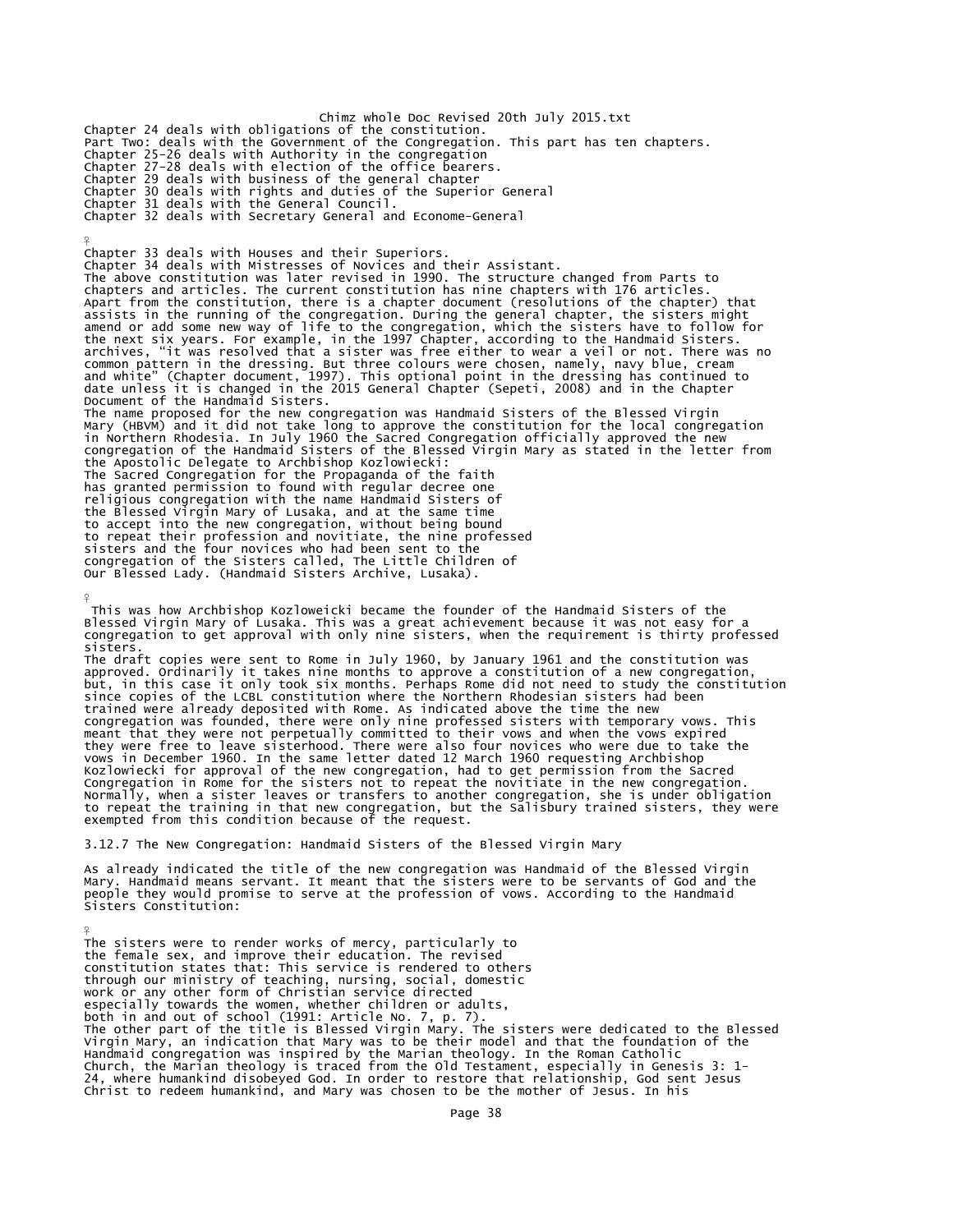Chimz whole Doc Revised 20th July 2015.txt<br>Chapter 24 deals with obligations of the constitution.<br>Part Two: deals with the Government of the Congregation. This part has ten chapters. Chapter 25-26 deals with Authority in the congregation Chapter 27-28 deals with election of the office bearers. Chapter 29 deals with business of the general chapter Chapter 30 deals with rights and duties of the Superior General Chapter 31 deals with the General Council. Chapter 32 deals with Secretary General and Econome-General

 $\frac{9}{5}$ 

¥

Chapter 33 deals with Houses and their Superiors. Chapter 34 deals with Mistresses of Novices and their Assistant. The above constitution was later revised in 1990. The structure changed from Parts to<br>chapters and articles. The current constitution has nine chapters with 176 articles.<br>Apart from the constitution, there is a chapter doc common pattern in the dressing. But three colours were chosen, namely, navy blue, cream<br>and white" (Chapter document, 1997). This optional point in the dressing has continued to<br>date unless it is changed in the 2015 Genera The name proposed for the new congregation was Handmaid Sisters of the Blessed Virgin<br>Mary (HBVM) and it did not take long to approve the constitution for the local congregation<br>in Northern Rhodesia. In July 1960 the Sacre the Apostolic Delegate to Archbishop Kozlowiecki: The Sacred Congregation for the Propaganda of the faith has granted permission to found with regular decree one religious congregation with the name Handmaid Sisters of the Blessed Virgin Mary of Lusaka, and at the same time<br>to accept into the new congregation, without being bound<br>to repeat their profession and novitiate, the nine professed<br>sisters and the four novices who had been sent t

This was how Archbishop Kozloweicki became the founder of the Handmaid Sisters of the<br>Blessed Virgin Mary of Lusaka. This was a great achievement because it was not easy for a<br>congregation to get approval with only nine si sisters.

The draft copies were sent to Rome in July 1960, by January 1961 and the constitution was<br>approved. Ordinarily it takes nine months to approve a constitution of a new congregation,<br>but, in this case it only took six months since copies of the LCBL constitution where the Northern Rhodesian sisters had been<br>trained were already deposited with Rome. As indicated above the time the new<br>congregation was founded, there were only nine professed sis Kozlowiecki for approval of the new congregation, had to get permission from the Sacred Congregation in Rome for the sisters not to repeat the novitiate in the new congregation. Normally, when a sister leaves or transfers to another congregation, she is under obligation to repeat the training in that new congregation, but the Salisbury trained sisters, they were exempted from this condition because of the request.

3.12.7 The New Congregation: Handmaid Sisters of the Blessed Virgin Mary

As already indicated the title of the new congregation was Handmaid of the Blessed Virgin Mary. Handmaid means servant. It meant that the sisters were to be servants of God and the people they would promise to serve at the profession of vows. According to the Handmaid Sisters Constitution:

¥ The sisters were to render works of mercy, particularly to the female sex, and improve their education. The revised constitution states that: This service is rendered to others through our ministry of teaching, nursing, social, domestic work or any other form of Christian service directed especially towards the women, whether children or adults,<br>both in and out of school (1991: Article No. 7, p. 7).<br>The other part of the title is Blessed Virgin Mary. The sisters were dedicated to the Blessed<br>Virgin Mary, an Handmaid congregation was inspired by the Marian theology. In the Roman Catholic Church, the Marian theology is traced from the Old Testament, especially in Genesis 3: 1- 24, where humankind disobeyed God. In order to restore that relationship, God sent Jesus Christ to redeem humankind, and Mary was chosen to be the mother of Jesus. In his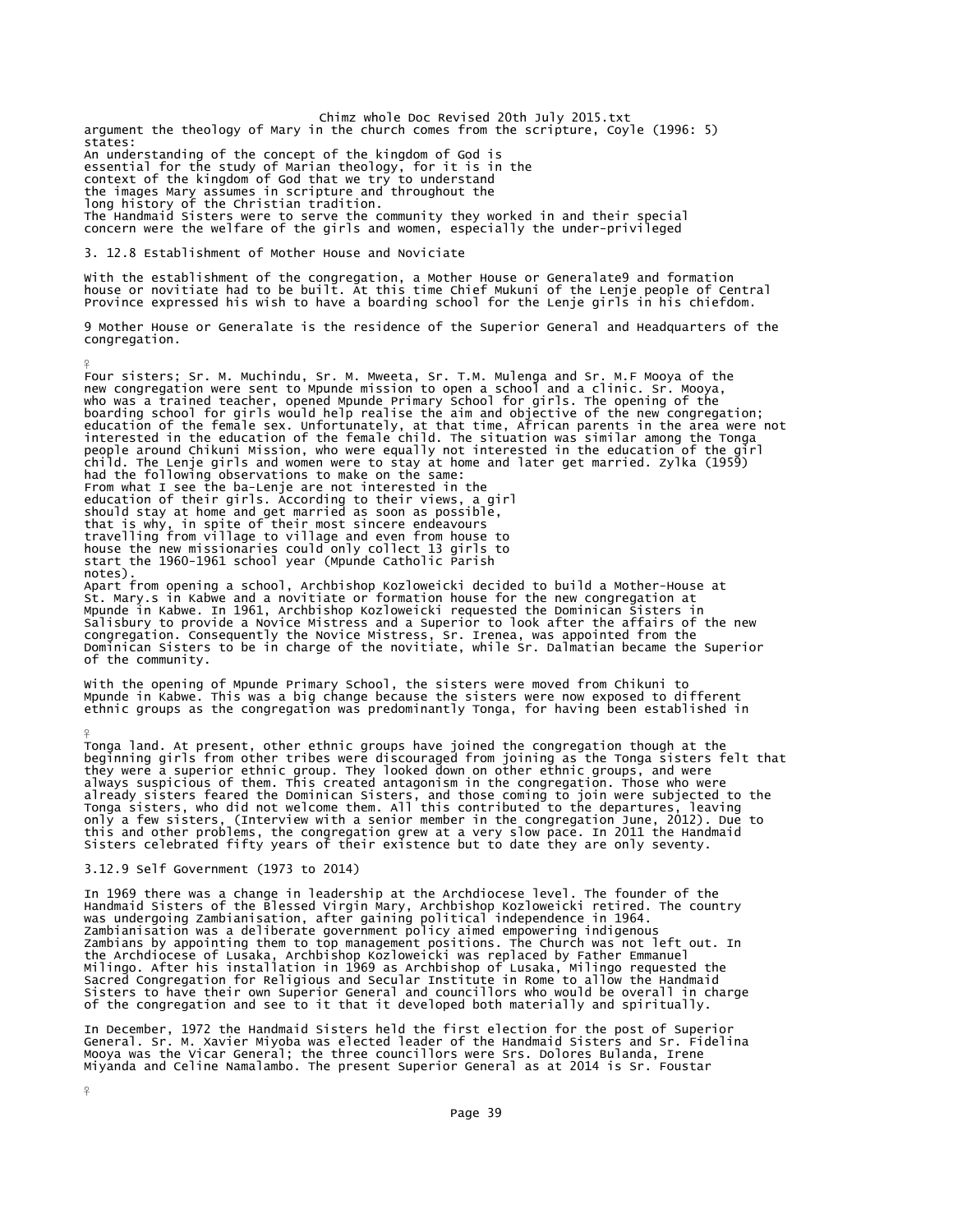Chimz whole Doc Revised 20th July 2015.txt argument the theology of Mary in the church comes from the scripture, Coyle (1996: 5) states: An understanding of the concept of the kingdom of God is essential for the study of Marian theology, for it is in the context of the kingdom of God that we try to understand the images Mary assumes in scripture and throughout the long history of the Christian tradition. The Handmaid Sisters were to serve the community they worked in and their special concern were the welfare of the girls and women, especially the under-privileged

# 3. 12.8 Establishment of Mother House and Noviciate

with the establishment of the congregation, a Mother House or Generalate9 and formation<br>house or novitiate had to be built. At this time Chief Mukuni of the Lenje people of Central<br>Province expressed his wish to have a boa

9 Mother House or Generalate is the residence of the Superior General and Headquarters of the congregation.

Four sisters; Sr. M. Muchindu, Sr. M. Mweeta, Sr. T.M. Mulenga and Sr. M.F Mooya of the new congregation were sent to Mpunde mission to open a school and a clinic. Sr. Mooya,<br>who was a trained teacher, opened Mpunde Primary School for girls. The opening of the<br>boarding school for girls would help realise the child. The Lenje girls and women were to stay at home and later get married. Zylka (1959) had the following observations to make on the same:<br>From what I see the ba-Lenje are not interested in the<br>education of their girls. According to their views, a girl<br>should stay at home and get married as soon as possible, notes). Apart from opening a school, Archbishop Kozloweicki decided to build a Mother-House at<br>St. Mary.s in Kabwe and a novitiate or formation house for the new congregation at<br>Mpunde in Kabwe. In 1961, Archbishop Kozloweicki req Salisbury to provide a Novice Mistress and a Superior to look after the affairs of the new<br>congregation. Consequently the Novice Mistress, Sr. Irenea, was appointed from the<br>Dominican Sisters to be in charge of the novitia

With the opening of Mpunde Primary School, the sisters were moved from Chikuni to Mpunde in Kabwe. This was a big change because the sisters were now exposed to different ethnic groups as the congregation was predominantly Tonga, for having been established in

¥ Tonga land. At present, other ethnic groups have joined the congregation though at the beginning girls from other tribes were discouraged from joining as the Tonga sisters felt that they were a superior ethnic group. They

#### 3.12.9 Self Government (1973 to 2014)

of the community.

In 1969 there was a change in leadership at the Archdiocese level. The founder of the<br>Handmaid Sisters of the Blessed Virgin Mary, Archbishop Kozloweicki retired. The country<br>was undergoing Zambianisation, after gaining po Sacred Congregation for Religious and Secular Institute in Rome to allow the Handmaid Sisters to have their own Superior General and councillors who would be overall in charge of the congregation and see to it that it developed both materially and spiritually.

In December, 1972 the Handmaid Sisters held the first election for the post of Superior<br>General. Sr. M. Xavier Miyoba was elected leader of the Handmaid Sisters and Sr. Fidelina<br>Mooya was the Vicar General; the three counc

¥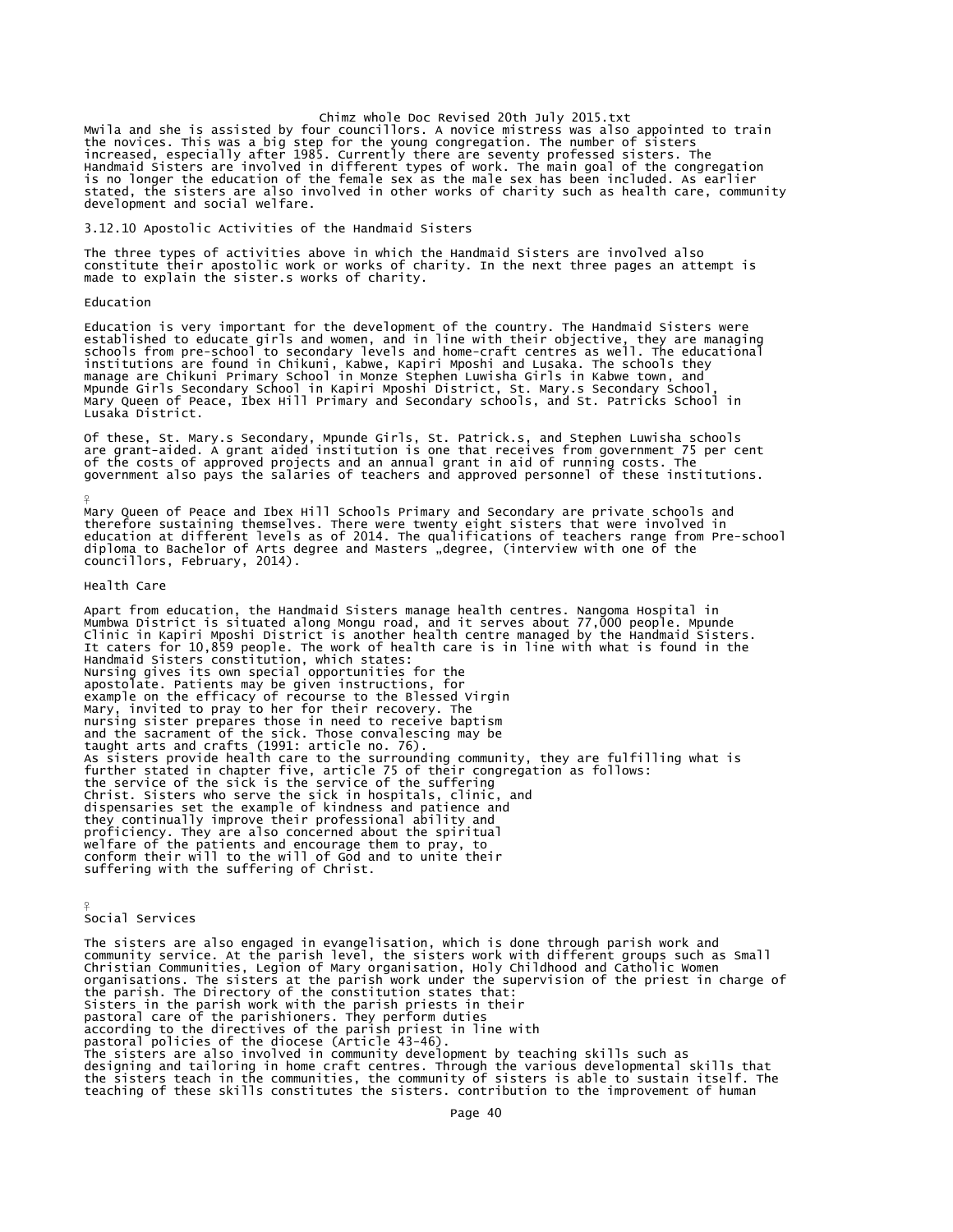Chimz whole Doc Revised 20th July 2015.txt<br>Mwila and she is assisted by four councillors. A novice mistress was also appointed to train<br>the novices. This was a big step for the young congregation. The number of sisters<br>inc Handmaid Sisters are involved in different types of work. The main goal of the congregation<br>is no longer the education of the female sex as the male sex has been included. As earlier<br>stated, the sisters are also involved i

3.12.10 Apostolic Activities of the Handmaid Sisters

The three types of activities above in which the Handmaid Sisters are involved also constitute their apostolic work or works of charity. In the next three pages an attempt is made to explain the sister.s works of charity.

Education

Education is very important for the development of the country. The Handmaid Sisters were<br>established to educate girls and women, and in line with their objective, they are managing<br>schools from pre-school to secondary lev institutions are found in Chikuni, Kabwe, Kapiri Mposhi and Lusaka. The schools they manage are Chikuni Primary School in Monze Stephen Luwisha Girls in Kabwe town, and Mpunde Girls Secondary School in Kapiri Mposhi District, St. Mary.s Secondary School, Mary Queen of Peace, Ibex Hill Primary and Secondary schools, and St. Patricks School in Lusaka District.

Of these, St. Mary.s Secondary, Mpunde Girls, St. Patrick.s, and Stephen Luwisha schools<br>are grant-aided. A grant aided institution is one that receives from government 75 per cent<br>of the costs of approved projects and an

Mary Queen of Peace and Ibex Hill Schools Primary and Secondary are private schools and therefore sustaining themselves. There were twenty eight sisters that were involved in<br>education at different levels as of 2014. The qualifications of teachers range from Pre-school<br>diploma to Bachelor of Arts degree and M

#### Health Care

¥

Apart from education, the Handmaid Sisters manage health centres. Nangoma Hospital in<br>Mumbwa District is situated along Mongu road, and it serves about 77,000 people. Mpunde<br>Clinic in Kapiri Mposhi District is another heal Handmaid Sisters constitution, which states: Nursing gives its own special opportunities for the apostolate. Patients may be given instructions, for example on the efficacy of recourse to the Blessed Virgin Mary, invited to pray to her for their recovery. The nursing sister prepares those in need to receive baptism and the sacrament of the sick. Those convalescing may be<br>taught arts and crafts (1991: article no. 76).<br>As sisters provide health care to the surrounding community, they are fulfilling what is<br>further stated in chapter fiv the service of the sick is the service of the suffering<br>Christ. Sisters who serve the sick in hospitals, clinic, and<br>dispensaries set the example of kindness and patience and<br>they continually improve their professional abi proficiency. They are also concerned about the spiritual welfare of the patients and encourage them to pray, to conform their will to the will of God and to unite their suffering with the suffering of Christ.

Social Services

¥

The sisters are also engaged in evangelisation, which is done through parish work and<br>community service. At the parish level, the sisters work with different groups such as Small<br>Christian Communities, Legion of Mary organ according to the directives of the parish priest in line with pastoral policies of the diocese (Article 43-46). The sisters are also involved in community development by teaching skills such as<br>designing and tailoring in home craft centres. Through the various developmental skills that<br>the sisters teach in the communities, the commu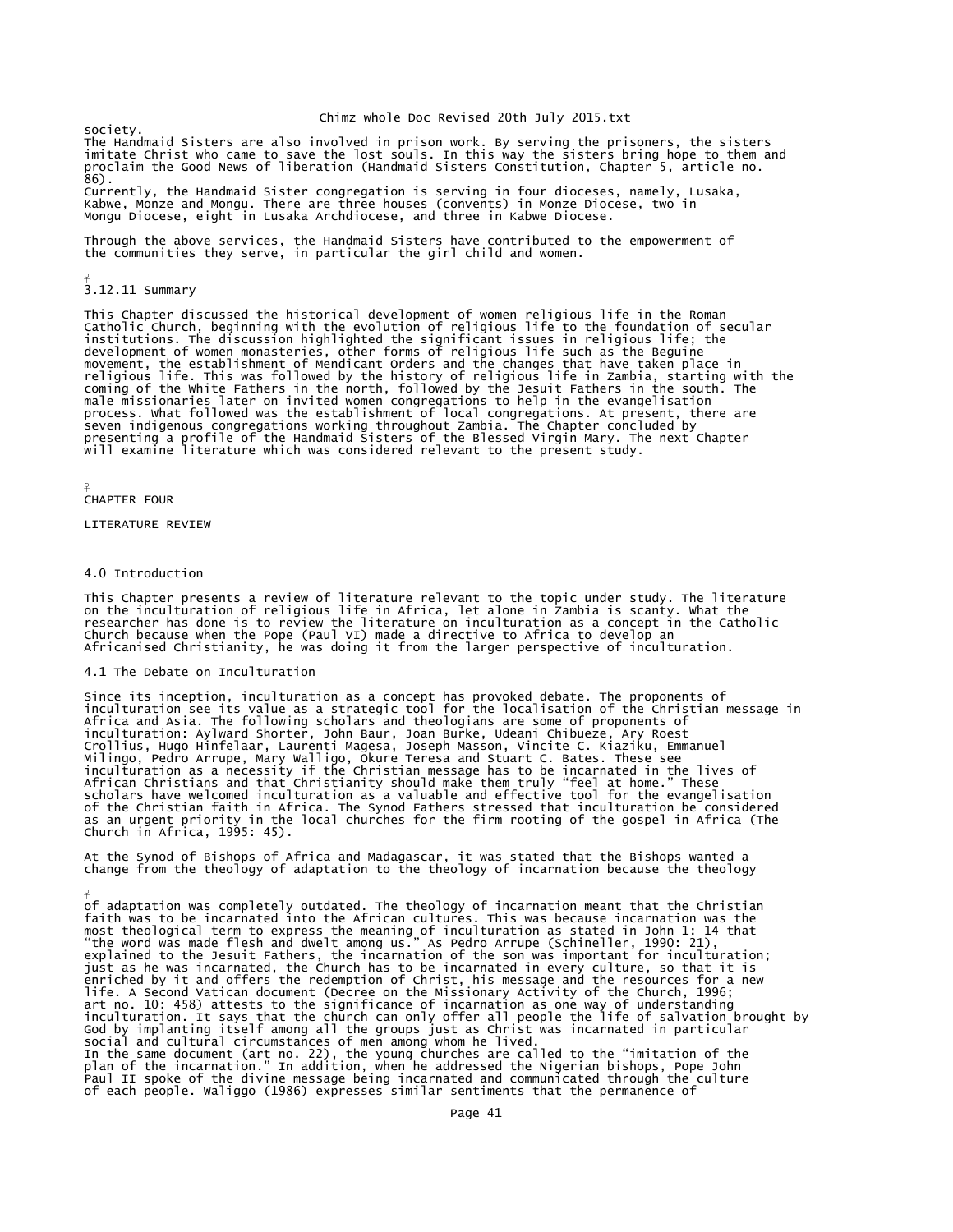society. The Handmaid Sisters are also involved in prison work. By serving the prisoners, the sisters imitate Christ who came to save the lost souls. In this way the sisters bring hope to them and proclaim the Good News of liberation (Handmaid Sisters Constitution, Chapter 5, article no. 86).

Currently, the Handmaid Sister congregation is serving in four dioceses, namely, Lusaka,<br>Kabwe, Monze and Mongu. There are three houses (convents) in Monze Diocese, two in<br>Mongu Diocese, eight in Lusaka Archdiocese, and th

Through the above services, the Handmaid Sisters have contributed to the empowerment of the communities they serve, in particular the girl child and women.

# 3.12.11 Summary

¥

This Chapter discussed the historical development of women religious life in the Roman<br>Catholic Church, beginning with the evolution of religious life to the foundation of secular<br>institutions. The discussion highlighted t movement, the establishment of Mendicant Orders and the changes that have taken place in religious life. This was followed by the history of religious life in Zambia, starting with the coming of the White Fathers in the north, followed by the Jesuit Fathers in the south. The<br>male missionaries later on invited women congregations to help in the evangelisation<br>process. What followed was the establishment o

#### ¥ CHAPTER FOUR

¥

LITERATURE REVIEW

# 4.0 Introduction

This Chapter presents a review of literature relevant to the topic under study. The literature on the inculturation of religious life in Africa, let alone in Zambia is scanty. What the<br>researcher has done is to review the literature on inculturation as a concept in the Catholic<br>Church because when the Pope (Paul VI)

# 4.1 The Debate on Inculturation

Since its inception, inculturation as a concept has provoked debate. The proponents of<br>inculturation see its value as a strategic tool for the localisation of the Christian message in<br>Africa and Asia. The following scholar inculturation: Aylward Shorter, John Baur, Joan Burke, Udeani Chibueze, Ary Roest<br>Crollius, Hugo Hinfelaar, Laurenti Magesa, Joseph Masson, Vincite C. Kiaziku, Emmanuel<br>Milingo, Pedro Arrupe, Mary Walligo, Okure Teresa and of the Christian faith in Africa. The Synod Fathers stressed that inculturation be considered as an urgent priority in the local churches for the firm rooting of the gospel in Africa (The Church in Africa, 1995: 45).

At the Synod of Bishops of Africa and Madagascar, it was stated that the Bishops wanted a change from the theology of adaptation to the theology of incarnation because the theology

of adaptation was completely outdated. The theology of incarnation meant that the Christian<br>faith was to be incarnated into the African cultures. This was because incarnation was the<br>most theological term to express the me enriched by it and offers the redemption of Christ, his message and the resources for a new<br>life. A second Vatican document (Decree on the Missionary Activity of the Church, 1996;<br>art no. 10: 458) attests to the significan Paul II spoke of the divine message being incarnated and communicated through the culture of each people. Waliggo (1986) expresses similar sentiments that the permanence of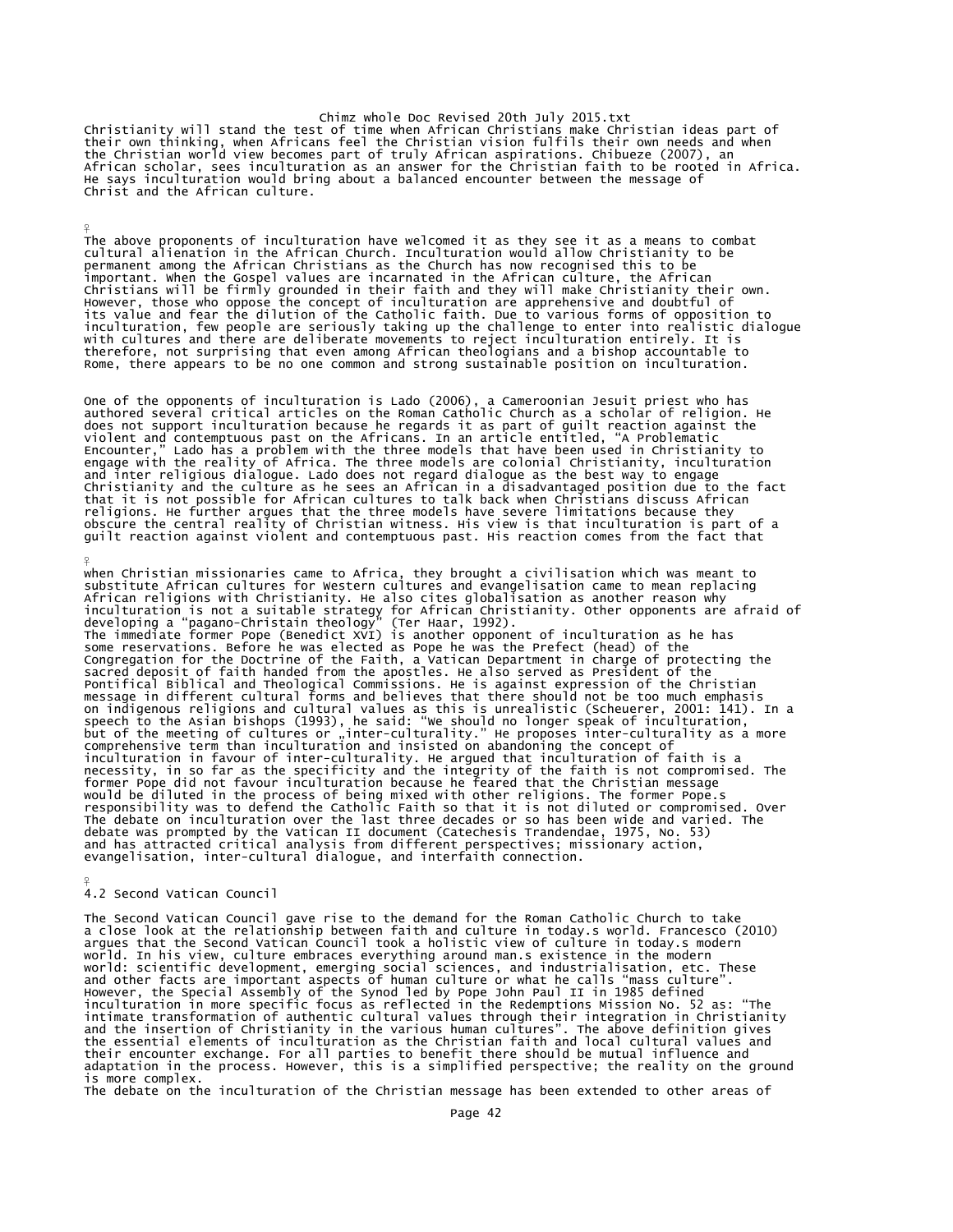Christianity will stand the test of time when African Christians make Christian ideas part of<br>their own thinking, when Africans feel the Christian vision fulfils their own needs and when<br>the Christian world view becomes pa African scholar, sees inculturation as an answer for the Christian faith to be rooted in Africa. He says inculturation would bring about a balanced encounter between the message of Christ and the African culture.

The above proponents of inculturation have welcomed it as they see it as a means to combat cultural alienation in the African Church. Inculturation would allow Christianity to be permanent among the African Christians as the Church has now recognised this to be important. When the Gospel values are incarnated in the African culture, the African<br>Christians will be firmly grounded in their faith and they will make Christianity their own.<br>However, those who oppose the concept of inc therefore, not surprising that even among African theologians and a bishop accountable to Rome, there appears to be no one common and strong sustainable position on inculturation.

One of the opponents of inculturation is Lado (2006), a Cameroonian Jesuit priest who has<br>authored several critical articles on the Roman Catholic Church as a scholar of religion. He<br>does not support inculturation because that it is not possible for African cultures to talk back when Christians discuss African<br>religions. He further argues that the three models have severe limitations because they<br>obscure the central reality of Christian wit

¥ when Christian missionaries came to Africa, they brought a civilisation which was meant to substitute African cultures for Western cultures and evangelisation came to mean replacing African religions with Christianity. He also cites globalisation as another reason why inculturation is not a suitable strategy for African Christianity. Other opponents are afraid of developing a "pagano-christain theolog would be diluted in the process of being mixed with other religions. The former Pope.s<br>responsibility was to defend the Catholic Faith so that it is not diluted or compromised. Over<br>The debate on inculturation over the las evangelisation, inter-cultural dialogue, and interfaith connection.

4.2 Second Vatican Council

¥

 $\frac{9}{5}$ 

The Second Vatican Council gave rise to the demand for the Roman Catholic Church to take a close look at the relationship between faith and culture in today.s world. Francesco (2010)<br>argues that the Second Vatican Council took a holistic view of culture in today.s modern<br>world. In his view, culture embraces ev and other facts are important aspects of human culture or what he calls "mass culture".<br>However, the Special Assembly of the Synod led by Pope John Paul II in 1985 defined<br>inculturation in more specific focus as reflected their encounter exchange. For all parties to benefit there should be mutual influence and adaptation in the process. However, this is a simplified perspective; the reality on the ground is more complex.

The debate on the inculturation of the Christian message has been extended to other areas of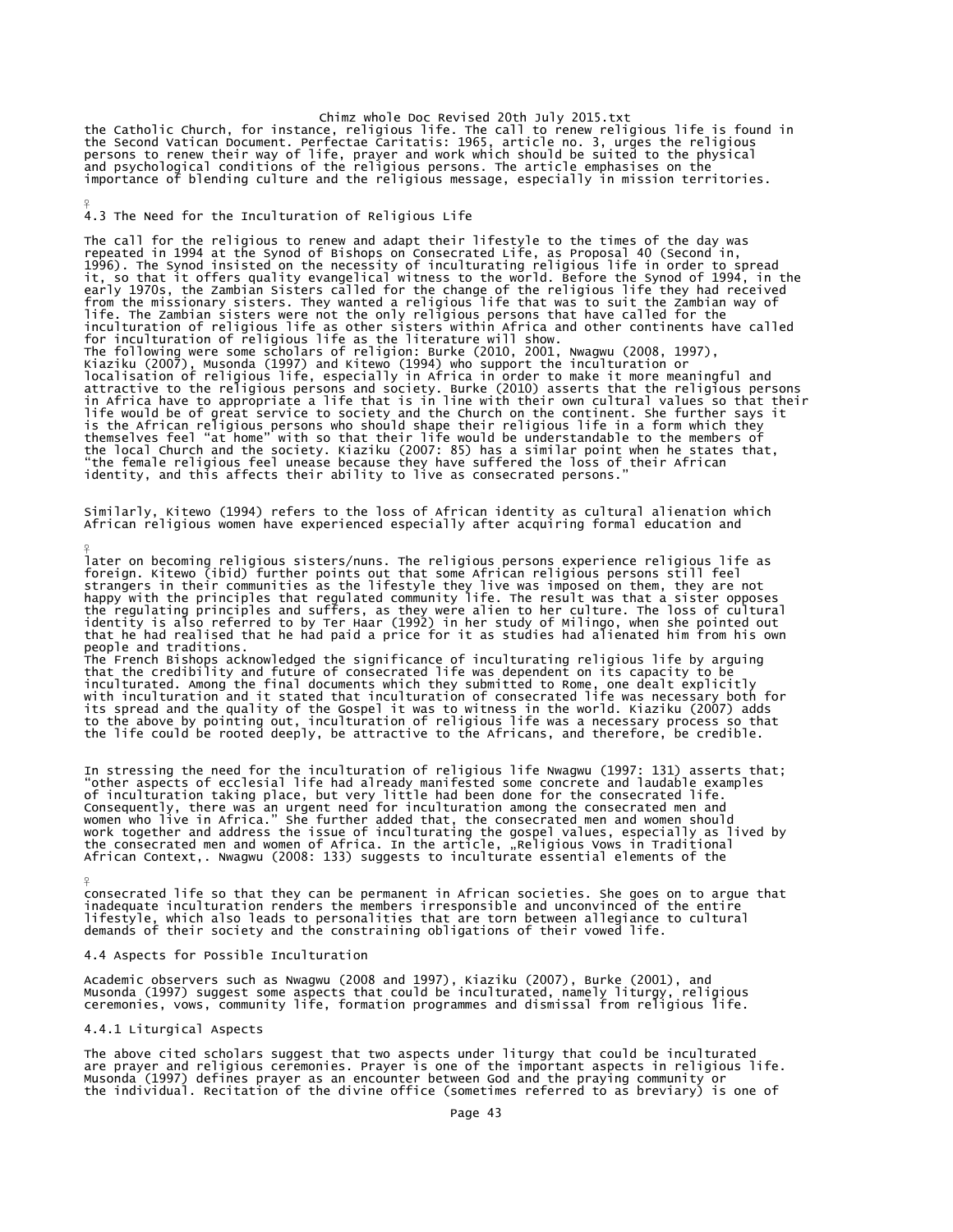Chimz whole Doc Revised 20th July 2015.txt<br>the Catholic Church, for instance, religious life. The call to renew religious life is found in<br>the Second Vatican Document. Perfectae Caritatis: 1965, article no. 3, urges the re and psychological conditions of the religious persons. The article emphasises on the importance of blending culture and the religious message, especially in mission territories.

4.3 The Need for the Inculturation of Religious Life

¥

 $\frac{9}{5}$ 

¥

The call for the religious to renew and adapt their lifestyle to the times of the day was<br>repeated in 1994 at the Synod of Bishops on Consecrated Life, as Proposal 40 (Second in,<br>1996). The synod insisted on the necessity inculturation of religious life as other sisters within Africa and other continents have called<br>for inculturation of religious life as the literature will show.<br>The following were some scholars of religion: Burke (2010, 20 Kiaziku (2007), Musonda (1997) and Kitewo (1994) who support the inculturation or<br>localisation of religious life, especially in Africa in order to make it more meaningful and<br>attractive to the religious persons and society

Similarly, Kitewo (1994) refers to the loss of African identity as cultural alienation which African religious women have experienced especially after acquiring formal education and

later on becoming religious sisters/nuns. The religious persons experience religious life as foreign. Kitewo (ibid) further points out that some African religious persons still feel strangers in their communities as the lifestyle they live was imposed on them, they are not<br>happy with the principles that regulated community life. The result was that a sister opposes<br>the regulating principles and suffer people and traditions.

The French Bishops acknowledged the significance of inculturating religious life by arguing<br>that the credibility and future of consecrated life was dependent on its capacity to be<br>inculturated. Among the final documents wh

In stressing the need for the inculturation of religious life Nwagwu (1997: 131) asserts that; "other aspects of ecclesial life had already manifested some concrete and laudable examples<br>of inculturation taking place, but very little had been done for the consecrated life.<br>Consequently, there was an urgent need for

consecrated life so that they can be permanent in African societies. She goes on to argue that<br>inadequate inculturation renders the members irresponsible and unconvinced of the entire<br>lifestyle, which also leads to persona

## 4.4 Aspects for Possible Inculturation

Academic observers such as Nwagwu (2008 and 1997), Kiaziku (2007), Burke (2001), and<br>Musonda (1997) suggest some aspects that could be inculturated, namely liturgy, religious<br>ceremonies, vows, community life, formation pro

## 4.4.1 Liturgical Aspects

The above cited scholars suggest that two aspects under liturgy that could be inculturated<br>are prayer and religious ceremonies. Prayer is one of the important aspects in religious life.<br>Musonda (1997) defines prayer as an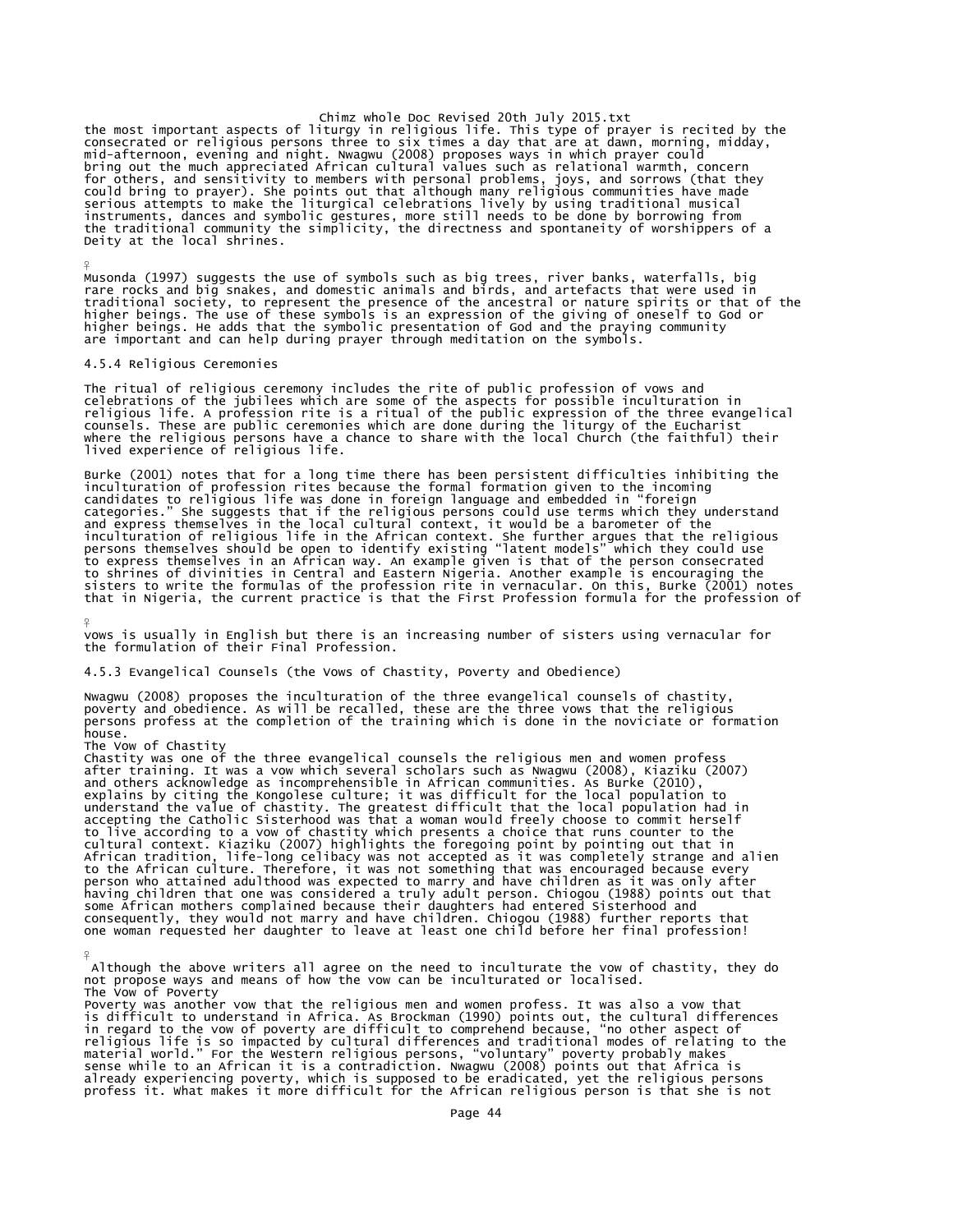chimz whole Doc Revised 20th July 2015.txt<br>consecrated or religious persons three to six times a day that are consecrated or religious persons three to six times a day that are at dawn, morning, midday,<br>mid-afternoon, even Deity at the local shrines.

Musonda (1997) suggests the use of symbols such as big trees, river banks, waterfalls, big rare rocks and big snakes, and domestic animals and birds, and artefacts that were used in traditional society, to represent the presence of the ancestral or nature spirits or that of the<br>higher beings. The use of these symbols is an expression of the giving of oneself to God or<br>higher beings. He adds that the s

#### 4.5.4 Religious Ceremonies

¥

¥

 $\frac{9}{5}$ 

The ritual of religious ceremony includes the rite of public profession of vows and celebrations of the jubilees which are some of the aspects for possible inculturation in religious life. A profession rite is a ritual of the public expression of the three evangelical<br>counsels. These are public ceremonies which are done during the liturgy of the Eucharist<br>where the religious persons have a ch

Burke (2001) notes that for a long time there has been persistent difficulties inhibiting the<br>inculturation of profession rites because the formal formation given to the incoming<br>cantedates to religious life was done in fo sisters to write the formulas of the profession rite in vernacular. On this, Burke (2001) notes<br>that in Nigeria, the current practice is that the First Profession formula for the profession of

vows is usually in English but there is an increasing number of sisters using vernacular for the formulation of their Final Profession.

4.5.3 Evangelical Counsels (the Vows of Chastity, Poverty and Obedience)

Nwagwu (2008) proposes the inculturation of the three evangelical counsels of chastity, poverty and obedience. As will be recalled, these are the three vows that the religious persons profess at the completion of the training which is done in the noviciate or formation house.

The Vow of Chastity Chastity was one of the three evangelical counsels the religious men and women profess after training. It was a vow which several scholars such as Nwagwu (2008), Kiaziku (2007) and others acknowledge as incomprehensible in African communities. As Burke (2010), explains by citing the Kongolese culture; it was difficult for the local population to understand the value of chastity. The greatest difficult that the local population had in accepting the Catholic Sisterhood was that a woman would freely choose to commit herself to live according to a vow of chastity which presents a choice that runs counter to the<br>cultural context. Kiaziku (2007) highlights the foregoing point by pointing out that in<br>African tradition, life-long celibacy was not consequently, they would not marry and have children. Chiogou (1988) further reports that one woman requested her daughter to leave at least one child before her final profession!

Although the above writers all agree on the need to inculturate the vow of chastity, they do not propose ways and means of how the vow can be inculturated or localised. The Vow of Poverty

Poverty was another vow that the religious men and women profess. It was also a vow that<br>is difficult to understand in Africa. As Brockman (1990) points out, the cultural differences<br>in regard to the vow of poverty are dif profess it. What makes it more difficult for the African religious person is that she is not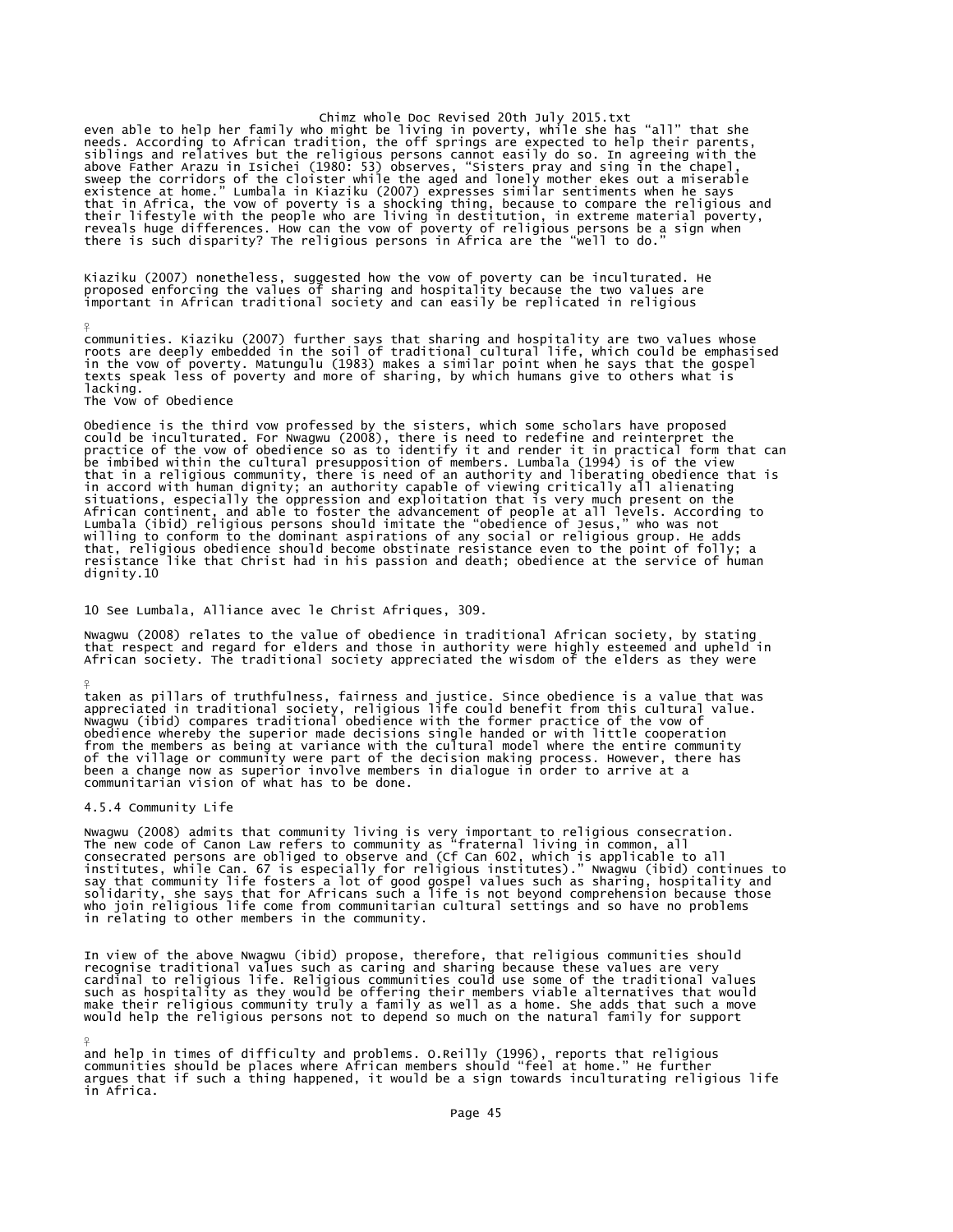Chimz whole Doc Revised 20th July 2015.txt<br>even able to help her family who might be living in poverty, while she has "all" that she<br>needs. According to African tradition, the off springs are expected to help their parents siblings and relatives but the religious persons cannot easily do so. In agreeing with the above Father Arazu in Isichei (1980: 53) observes, "Sisters pray and sing in the chapel,<br>sweep the corridors of the cloister while the aged and lonely mother ekes out a miserable<br>existence at home." Lumbala in Kiaziku (200

Kiaziku (2007) nonetheless, suggested how the vow of poverty can be inculturated. He<br>proposed enforcing the values of sharing and hospitality because the two values are<br>important in African traditional society and can easi

communities. Kiaziku (2007) further says that sharing and hospitality are two values whose<br>roots are deeply embedded in the soil of traditional cultural life, which could be emphasised<br>in the vow of poverty. Matungulu (198 lacking.

The Vow of Obedience

 $\frac{9}{5}$ 

¥

¥

Obedience is the third vow professed by the sisters, which some scholars have proposed could be inculturated. For Nwagwu (2008), there is need to redefine and reinterpret the practice of the vow of obedience so as to identify it and render it in practical form that can be imbibed within the cultural presupposition of members. Lumbala (1994) is of the view<br>that in a religious community, there is need of an authority and liberating obedience that is<br>in accord with human dignity; an authori situations, especially the oppression and exploitation that is very much present on the<br>African continent, and able to foster the advancement of people at all levels. According to<br>Lumbala (ibid) religious persons should im dignity.10

### 10 See Lumbala, Alliance avec le Christ Afriques, 309.

Nwagwu (2008) relates to the value of obedience in traditional African society, by stating that respect and regard for elders and those in authority were highly esteemed and upheld in African society. The traditional society appreciated the wisdom of the elders as they were

taken as pillars of truthfulness, fairness and justice. Since obedience is a value that was<br>appreciated in traditional society, religious life could benefit from this cultural value.<br>Nwagwu (ibid) compares traditional obed from the members as being at variance with the cultural model where the entire community of the village or community were part of the decision making process. However, there has been a change now as superior involve members in dialogue in order to arrive at a communitarian vision of what has to be done.

#### 4.5.4 Community Life

Nwagwu (2008) admits that community living is very important to religious consecration.<br>The new code of Canon Law refers to community as "fraternal living in common, all<br>consecrated persons are obliged to observe and (Cf C in relating to other members in the community.

In view of the above Nwagwu (ibid) propose, therefore, that religious communities should recognise traditional values such as caring and sharing because these values are very cardinal to religious life. Religious communities could use some of the traditional values<br>such as hospitality as they would be offering their members viable alternatives that would<br>make their religious community truly a f

and help in times of difficulty and problems. O.Reilly (1996), reports that religious communities should be places where African members should "feel at home." He further argues that if such a thing happened, it would be a sign towards inculturating religious life in Africa.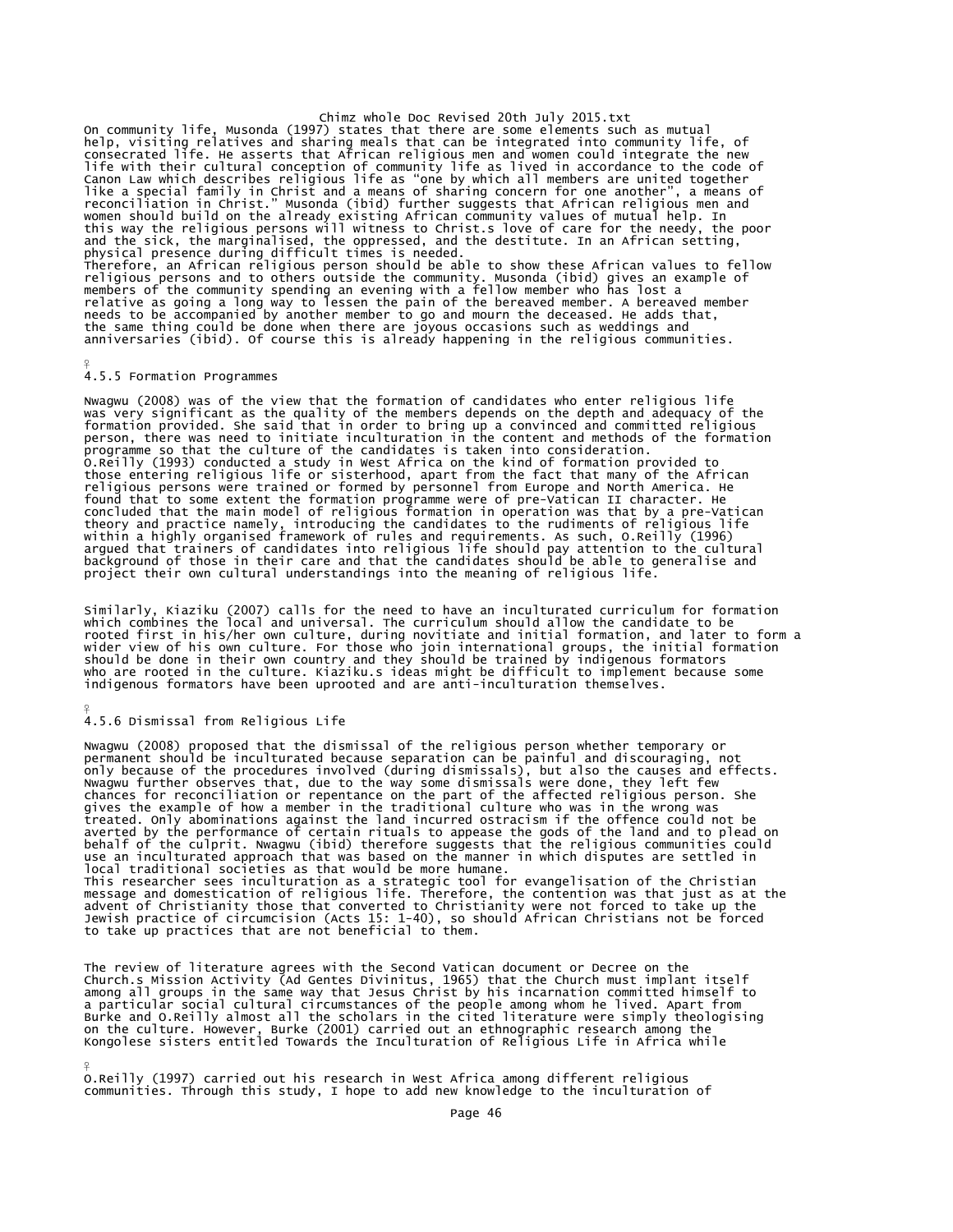Chimz whole Doc Revised 20th July 2015.txt<br>On community life, Musonda (1997) states that there are some elements such as mutual<br>help, visiting relatives and sharing meals that can be integrated into community life, of<br>cons life with their cultural conception of community life as lived in accordance to the code of<br>Canon Law which describes religious life as "one by which all members are united together<br>like a special family in Christ and a me women should build on the already existing African community values of mutual help. In<br>this way the religious persons will witness to Christ.s love of care for the needy, the poor<br>and the sick, the marginalised, the oppres

# 4.5.5 Formation Programmes

¥

Nwagwu (2008) was of the view that the formation of candidates who enter religious life<br>was very significant as the quality of the members depends on the depth and adequacy of the<br>formation provided. She said that in order person, there was need to initiate inculturation in the content and methods of the formation<br>programme so that the culture of the candidates is taken into consideration.<br>O.Reilly (1993) conducted a study in West Africa on found that to some extent the formation programme were of pre-Vatican II character. He<br>concluded that the main model of religious formation in operation was that by a pre-Vatican<br>theory and practice namely, introducing the

Similarly, Kiaziku (2007) calls for the need to have an inculturated curriculum for formation which combines the local and universal. The curriculum should allow the candidate to be rooted first in his/her own culture, during novitiate and initial formation, and later to form a<br>wider view of his own culture. For those who join international groups, the initial formation<br>should be done in their own cou

#### ¥ 4.5.6 Dismissal from Religious Life

Nwagwu (2008) proposed that the dismissal of the religious person whether temporary or permanent should be inculturated because separation can be painful and discouraging, not only because of the procedures involved (during dismissals), but also the causes and effects. Nwagwu further observes that, due to the way some dismissals were done, they left few chances for reconciliation or repentance on the part of the affected religious person. She gives the example of how a member in the traditional culture who was in the wrong was treated. Only abominations against the land incurred ostracism if the offence could not be averted by the performance of certain rituals to appease the gods of the land and to plead on behalf of the culprit. Nwagwu (ibid) therefore suggests that the religious communities could use an inculturated approach that was based on the manner in which disputes are settled in local traditional societies as that would be more humane. This researcher sees inculturation as a strategic tool for evangelisation of the Christian message and domestication of religious life. Therefore, the contention was that just as at the<br>advent of christianity those that converted to Christianity were not forced to take up the<br>Jewish practice of circumcision (Act

The review of literature agrees with the Second Vatican document or Decree on the Church.s Mission Activity (Ad Gentes Divinitus, 1965) that the Church must implant itself among all groups in the same way that Jesus Christ by his incarnation committed himself to a particular social cultural circumstances of the people among whom he lived. Apart from<br>Burke and O.Reilly almost all the scholars in the cited literature were simply theologising<br>on the culture. However, Burke (2001) car

¥ O.Reilly (1997) carried out his research in West Africa among different religious communities. Through this study, I hope to add new knowledge to the inculturation of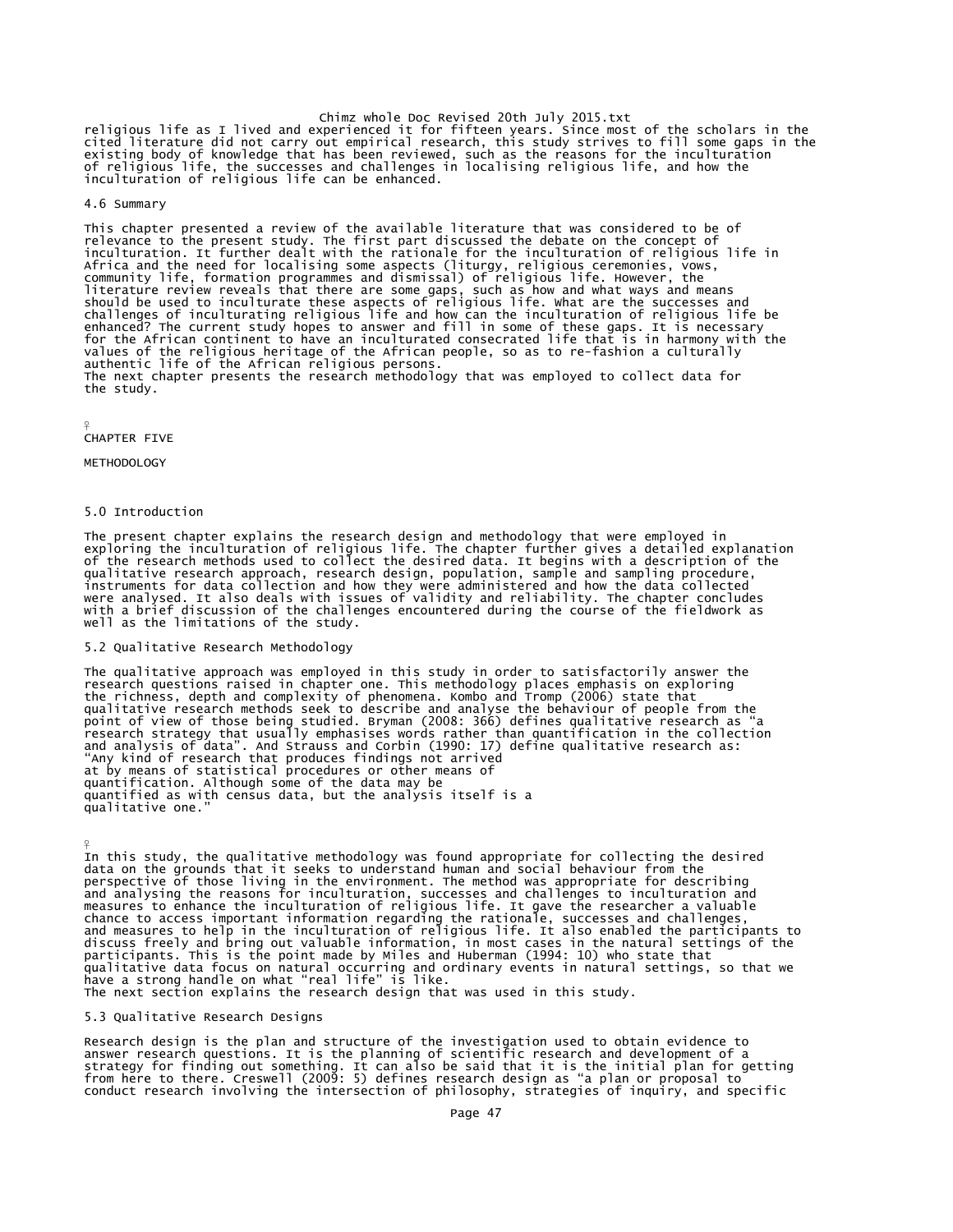chimz whole Doc Revised 20th July 2015.txt<br>cited literature did not carry out empirical term fifteen years. Since most of the scholars in the<br>existing body of knowledge that has been reviewed, such as the reasons for the i inculturation of religious life can be enhanced.

# 4.6 Summary

This chapter presented a review of the available literature that was considered to be of relevance to the present study. The first part discussed the debate on the concept of<br>inculturation. It further dealt with the rationale for the inculturation of religious life in<br>Africa and the need for localising some as values of the religious heritage of the African people, so as to re-fashion a culturally authentic life of the African religious persons. The next chapter presents the research methodology that was employed to collect data for the study.

#### ¥ CHAPTER FIVE

 $\frac{9}{5}$ 

METHODOLOGY

# 5.0 Introduction

The present chapter explains the research design and methodology that were employed in exploring the inculturation of religious life. The chapter further gives a detailed explanation of the research methods used to collect the desired data. It begins with a description of the qualitative research approach, research design, population, sample and sampling procedure, instruments for data collection and how they were administered and how the data collected<br>were analysed. It also deals with issues of validity and reliability. The chapter concludes<br>with a brief discussion of the challenge

# 5.2 Qualitative Research Methodology

The qualitative approach was employed in this study in order to satisfactorily answer the<br>research questions raised in chapter one. This methodology places emphasis on exploring<br>the richness, depth and complexity of phenom at by means of statistical procedures or other means of quantification. Although some of the data may be quantified as with census data, but the analysis itself is a qualitative one."

In this study, the qualitative methodology was found appropriate for collecting the desired data on the grounds that it seeks to understand human and social behaviour from the perspective of those living in the environment. The method was appropriate for describing and analysing the reasons for inculturation, successes and challenges to inculturation and measures to enhance the inculturation of religious life. It gave the researcher a valuable chance to access important information regarding the rationale, successes and challenges, and measures to help in the inculturation of religious life. It also enabled the participants to discuss freely and bring out valuable information, in most cases in the natural settings of the participants. This is the point made by Miles and Huberman (1994: 10) who state that qualitative data focus on natural occurring and ordinary events in natural settings, so that we have a strong handle on what "real life" is like. The next section explains the research design that was used in this study.

# 5.3 Qualitative Research Designs

Research design is the plan and structure of the investigation used to obtain evidence to answer research questions. It is the planning of scientific research and development of a<br>strategy for finding out something. It can also be said that it is the initial plan for getting<br>from here to there. Creswell (2009: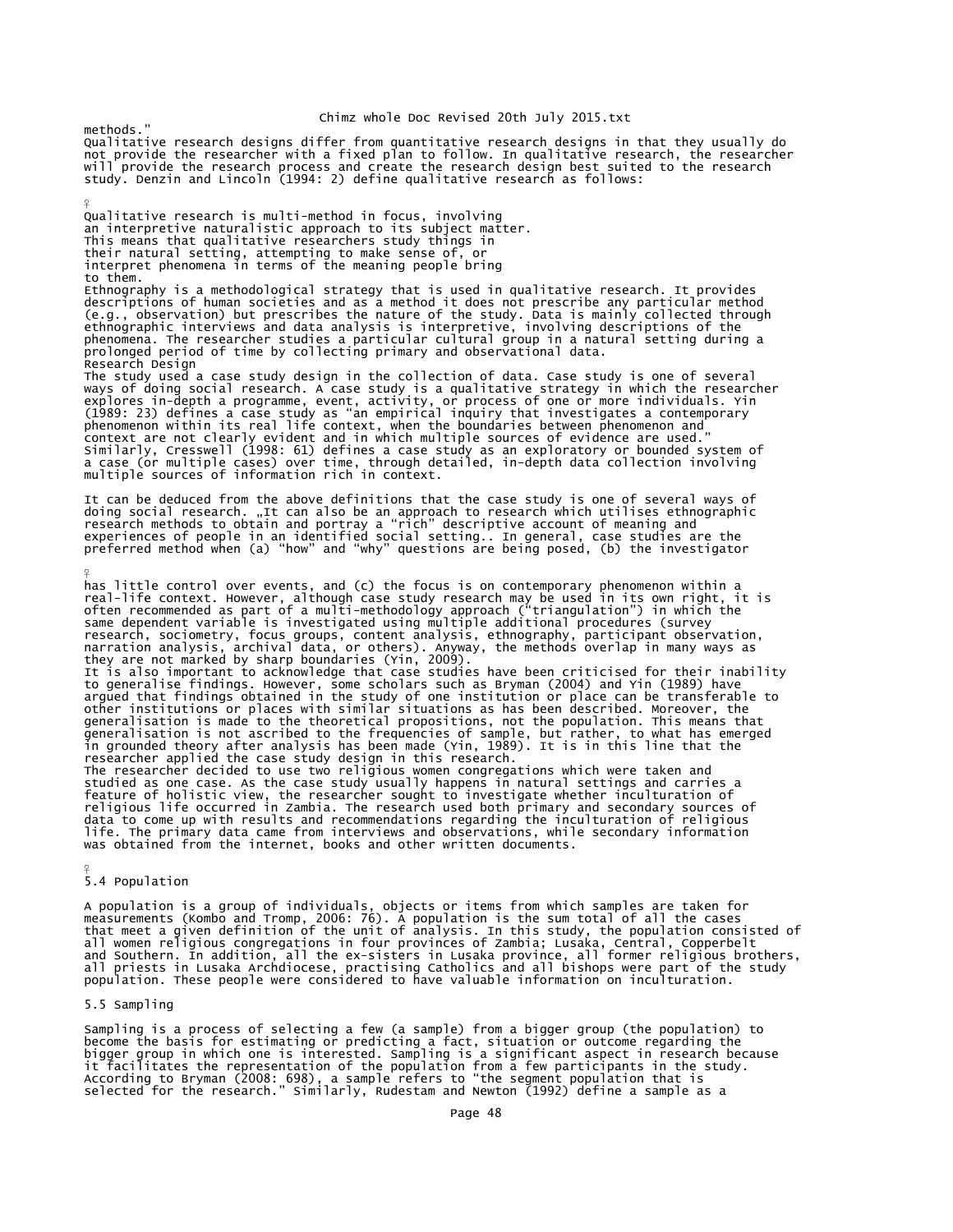methods." Qualitative research designs differ from quantitative research designs in that they usually do not provide the researcher with a fixed plan to follow. In qualitative research, the researcher will provide the research process and create the research design best suited to the research study. Denzin and Lincoln (1994: 2) define qualitative research as follows:

Qualitative research is multi-method in focus, involving an interpretive naturalistic approach to its subject matter. This means that qualitative researchers study things in their natural setting, attempting to make sense of, or interpret phenomena in terms of the meaning people bring to them.

Ethnography is a methodological strategy that is used in qualitative research. It provides descriptions of human societies and as a method it does not prescribe any particular method<br>(e.g., observation) but prescribes the nature of the study. Data is mainly collected through<br>ethnographic interviews and data anal prolonged period of time by collecting primary and observational data. Research Design

The study used a case study design in the collection of data. Case study is one of several ways of doing social research. A case study is a qualitative strategy in which the researcher<br>explores in-depth a programme, event, activity, or process of one or more individuals. Yin<br>(1989: 23) defines a case study as "a

It can be deduced from the above definitions that the case study is one of several ways of<br>doing social research. "It can also be an approach to research which utilises ethnographic<br>research methods to obtain and portray a

has little control over events, and (c) the focus is on contemporary phenomenon within a<br>real-life context. However, although case study research may be used in its own right, it is<br>often recommended as part of a multi-met research, sociometry, focus groups, content analysis, ethnography, participant observation,<br>narration analysis, archival data, or others). Anyway, the methods overlap in many ways as<br>they are not marked by sharp boundaries It is also important to acknowledge that case studies have been criticised for their inability<br>to generalise findings. However, some scholars such as Bryman (2004) and Yin (1989) have<br>argued that findings obtained in the s The researcher decided to use two religious women congregations which were taken and studied as one case. As the case study usually happens in natural settings and carries a<br>feature of holistic view, the researcher sought to investigate whether inculturation of<br>religious life occurred in Zambia. The resear

# 5.4 Population

¥

¥

¥

A population is a group of individuals, objects or items from which samples are taken for<br>measurements (Kombo and Tromp, 2006: 76). A population is the sum total of all the cases<br>that meet a given definition of the unit of

#### 5.5 Sampling

Sampling is a process of selecting a few (a sample) from a bigger group (the population) to<br>become the basis for estimating or predicting a fact, situation or outcome regarding the<br>bigger group in which one is interested.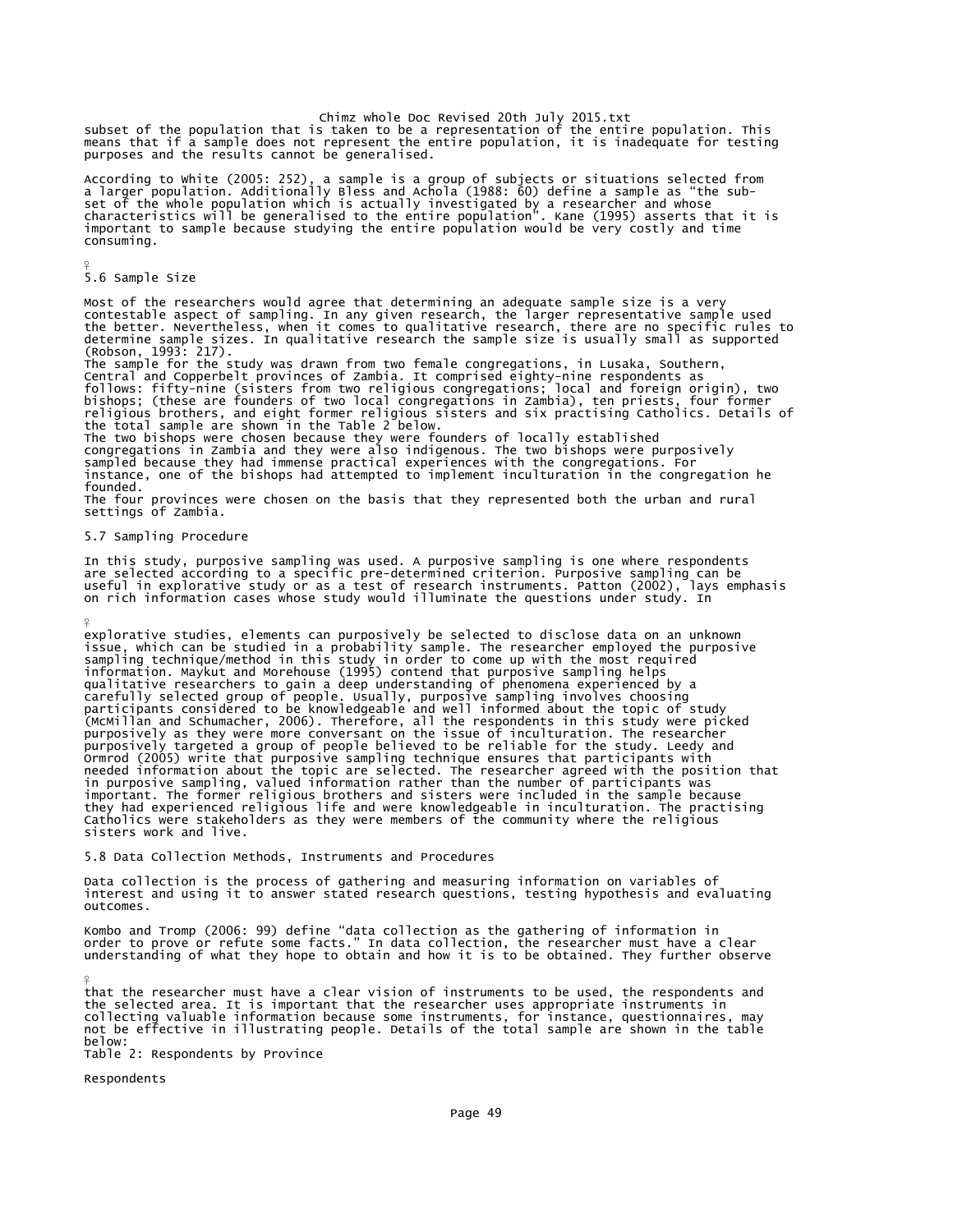Chimz whole Doc Revised 20th July 2015.txt<br>subset of the population that is taken to be a representation of the entire population. This<br>means that if a sample does not represent the entire population, it is inadequate for purposes and the results cannot be generalised.

According to White (2005: 252), a sample is a group of subjects or situations selected from<br>a larger population. Additionally Bless and Achola (1988: 60) define a sample as "the sub-<br>set of the whole population which is ac consuming.

5.6 Sample Size

¥

¥

Most of the researchers would agree that determining an adequate sample size is a very contestable aspect of sampling. In any given research, the larger representative sample used<br>the better. Nevertheless, when it comes to qualitative research, there are no specific rules to<br>determine sample sizes. In qualit (Robson, 1993: 217).

The sample for the study was drawn from two female congregations, in Lusaka, Southern, Central and Copperbelt provinces of Zambia. It comprised eighty-nine respondents as follows: fifty-nine (sisters from two religious congregations; local and foreign origin), two<br>bishops; (these are founders of two local congregations in Zambia), ten priests, four former<br>religious brothers, and eight forme

The two bishops were chosen because they were founders of locally established<br>congregations in Zambia and they were also indigenous. The two bishops were purposively<br>sampled because they had immense practical experiences w instance, one of the bishops had attempted to implement inculturation in the congregation he founded.

The four provinces were chosen on the basis that they represented both the urban and rural settings of Zambia.

# 5.7 Sampling Procedure

In this study, purposive sampling was used. A purposive sampling is one where respondents are selected according to a specific pre-determined criterion. Purposive sampling can be useful in explorative study or as a test of research instruments. Patton (2002), lays emphasis on rich information cases whose study would illuminate the questions under study. In

explorative studies, elements can purposively be selected to disclose data on an unknown<br>issue, which can be studied in a probability sample. The researcher employed the purposive<br>sampling technique/method in this study in in purposive sampling, valued information rather than the number of participants was important. The former religious brothers and sisters were included in the sample because they had experienced religious life and were knowledgeable in inculturation. The practising Catholics were stakeholders as they were members of the community where the religious sisters work and live.

5.8 Data Collection Methods, Instruments and Procedures

Data collection is the process of gathering and measuring information on variables of interest and using it to answer stated research questions, testing hypothesis and evaluating outcomes.

Kombo and Tromp (2006: 99) define "data collection as the gathering of information in<br>order to prove or refute some facts." In data collection, the researcher must have a clear<br>understanding of what they hope to obtain and

that the researcher must have a clear vision of instruments to be used, the respondents and the selected area. It is important that the researcher uses appropriate instruments in collecting valuable information because some instruments, for instance, questionnaires, may not be effective in illustrating people. Details of the total sample are shown in the table below:

Table 2: Respondents by Province

Respondents

¥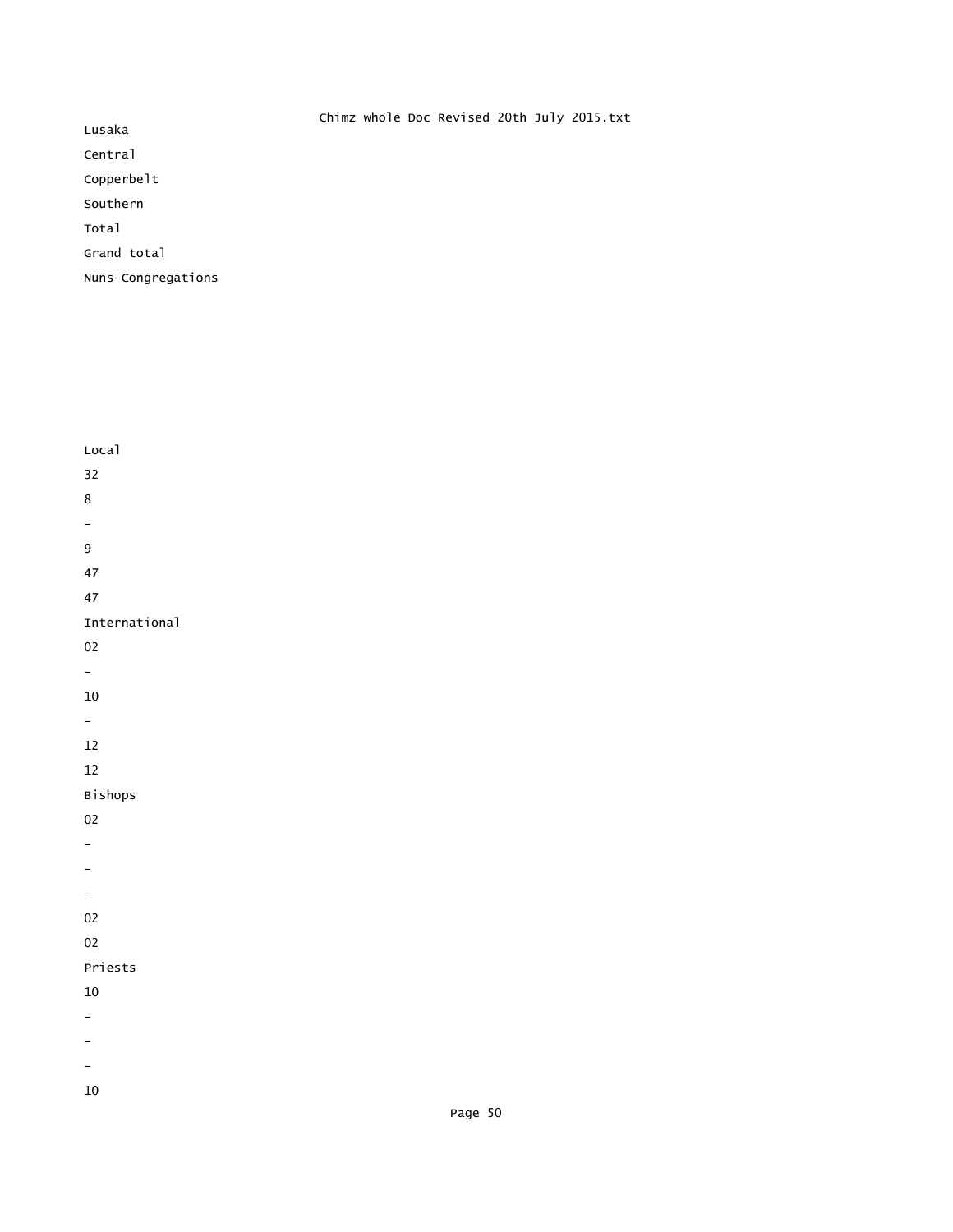|                    | Chimz whole Doc Revised 20th July 2015.txt |
|--------------------|--------------------------------------------|
| Lusaka             |                                            |
| Central            |                                            |
| Copperbelt         |                                            |
| Southern           |                                            |
| Total              |                                            |
| Grand total        |                                            |
| Nuns-Congregations |                                            |

| $32\,$                   |  |
|--------------------------|--|
| $\bf 8$                  |  |
| $\overline{\phantom{0}}$ |  |
| $\boldsymbol{9}$         |  |
| $47\,$                   |  |
| 47                       |  |
| International            |  |
| 02                       |  |
| $\equiv$                 |  |
| $10\,$                   |  |
| $\equiv$                 |  |
| $12\,$                   |  |
| $12\,$                   |  |
|                          |  |
| Bishops                  |  |
| 02                       |  |
| -                        |  |
|                          |  |
| $\qquad \qquad -$        |  |
| $02\,$                   |  |
| 02                       |  |
| Priests                  |  |
| $10\,$                   |  |
|                          |  |
|                          |  |
|                          |  |

Page 50

Local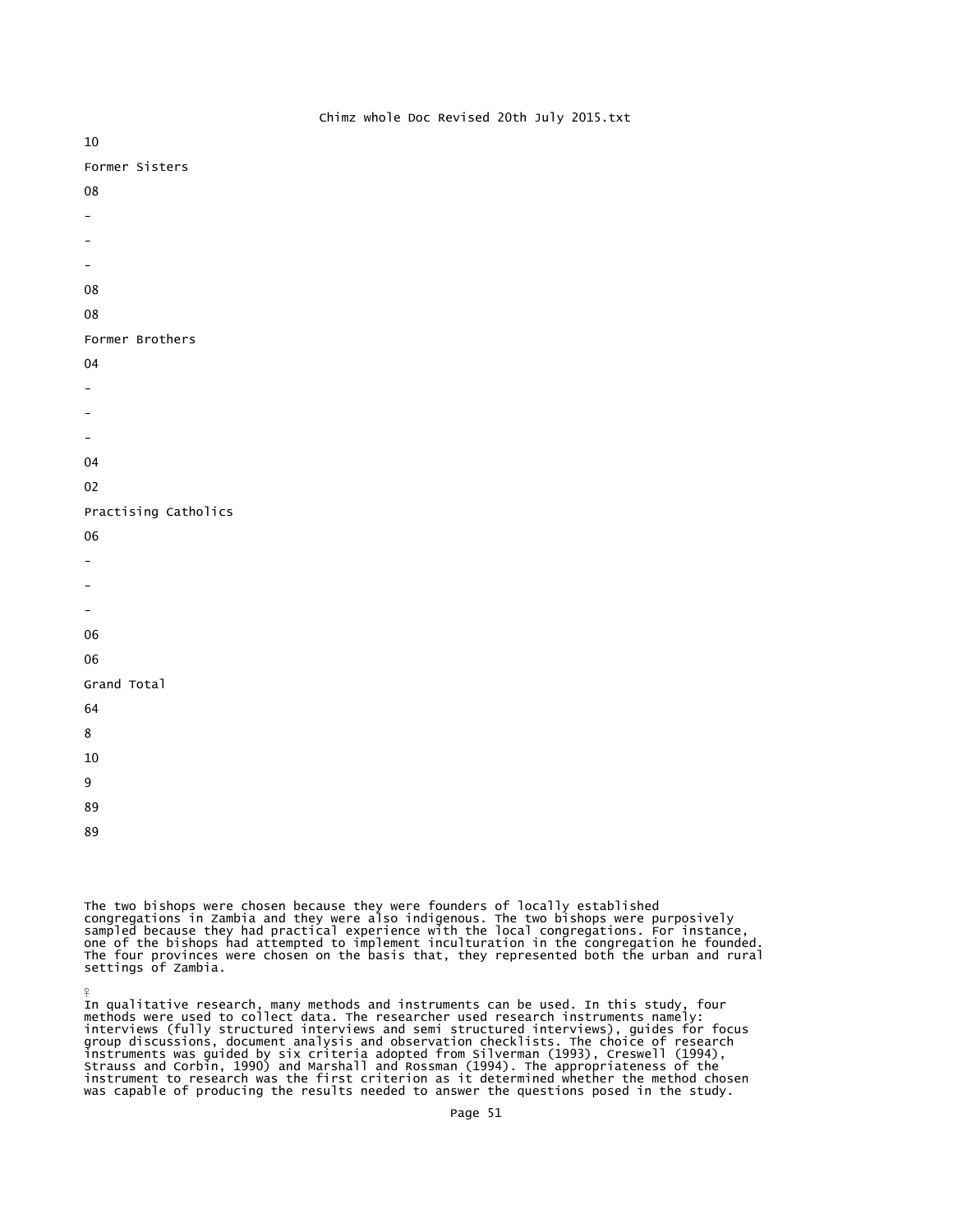10 Former Sisters 08 - - - 08 በ8 Former Brothers

- 04
- -
- -
- -
- 04
- 
- 02

# Practising Catholics

- 06
- -
- -
- -
- 
- 06

06

# Grand Total

- 64
- 8
- 10
- 9
- 89
- 89

¥

The two bishops were chosen because they were founders of locally established<br>congregations in Zambia and they were also indigenous. The two bishops were purposively<br>sampled because they had practical experience with the l settings of Zambia.

In qualitative research, many methods and instruments can be used. In this study, four<br>methods were used to collect data. The researcher used research instruments namely:<br>interviews (fully structured interviews and semi st instrument to research was the first criterion as it determined whether the method chosen was capable of producing the results needed to answer the questions posed in the study.

# Chimz whole Doc Revised 20th July 2015.txt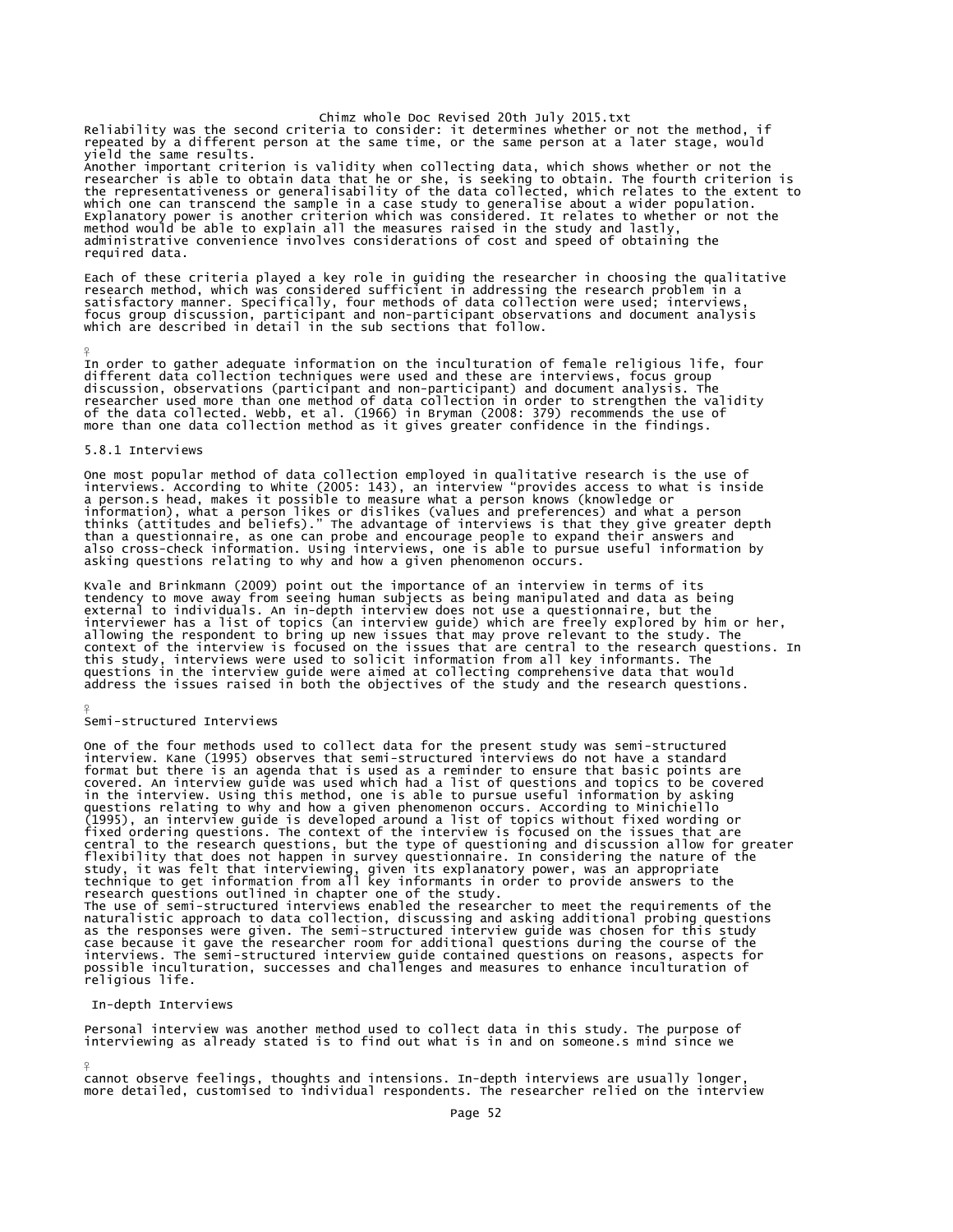Reliability was the second criteria to consider: it determines whether or not the method, if repeated by a different person at the same time, or the same person at a later stage, would yield the same results.

Another important criterion is validity when collecting data, which shows whether or not the<br>researcher is able to obtain data that he or she, is seeking to obtain. The fourth criterion is<br>the representativeness or general administrative convenience involves considerations of cost and speed of obtaining the required data.

Each of these criteria played a key role in guiding the researcher in choosing the qualitative<br>research method, which was considered sufficient in addressing the research problem in a<br>satisfactory manner. Specifically, fou

In order to gather adequate information on the inculturation of female religious life, four different data collection techniques were used and these are interviews, focus group discussion, observations (participant and non-participant) and document analysis. The<br>researcher used more than one method of data collection in order to strengthen the validity<br>of the data collected. Webb, et al. (1966) i

#### 5.8.1 Interviews

¥

¥

¥

One most popular method of data collection employed in qualitative research is the use of<br>interviews. According to White (2005: 143), an interview "provides access to what is inside<br>a person.s head, makes it possible to me

Kvale and Brinkmann (2009) point out the importance of an interview in terms of its<br>tendency to move away from seeing human subjects as being manipulated and data as being<br>external to individuals. An in-depth interview doe this study, interviews were used to solicit information from all key informants. The<br>questions in the interview guide were aimed at collecting comprehensive data that would<br>address the issues raised in both the objectives

## Semi-structured Interviews

One of the four methods used to collect data for the present study was semi-structured interview. Kane (1995) observes that semi-structured interviews do not have a standard format but there is an agenda that is used as a reminder to ensure that basic points are covered. An interview guide was used which had a list of questions and topics to be covered in the interview. Using this method, one is able to pursue useful information by asking questions relating to why and how a given phenomenon occurs. According to Minichiello<br>(1995), an interview guide is developed around a list of topics without fixed wording or<br>fixed ordering questions. The context of the in

#### In-depth Interviews

Personal interview was another method used to collect data in this study. The purpose of interviewing as already stated is to find out what is in and on someone.s mind since we

cannot observe feelings, thoughts and intensions. In-depth interviews are usually longer more detailed, customised to individual respondents. The researcher relied on the interview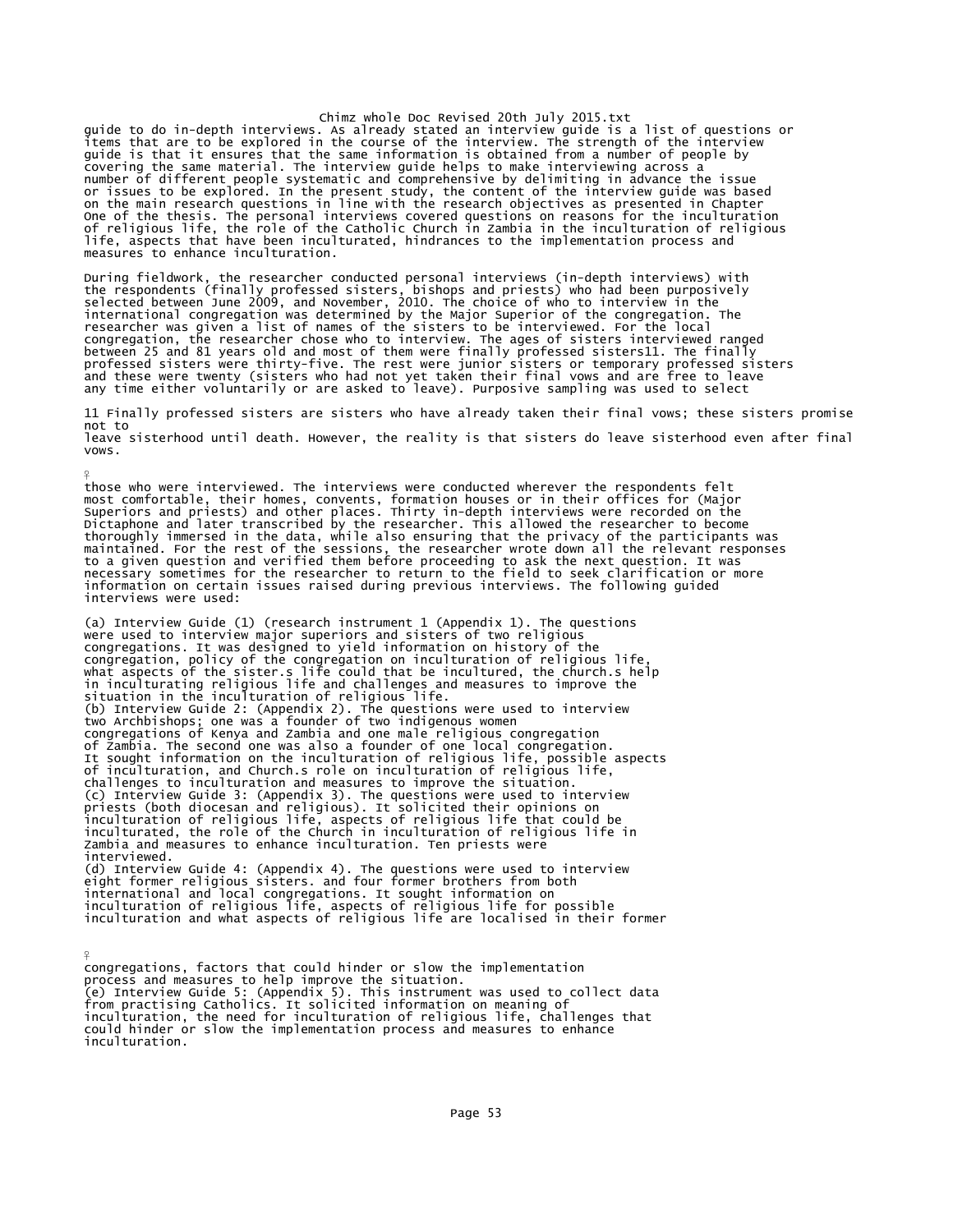guide to do in-depth interviews. As already stated an interview guide is a list of questions or items that are to be explored in the course of the interview. The strength of the interview guide is that it ensures that the same information is obtained from a number of people by covering the same material. The interview guide helps to make interviewing across a number of different people systematic and comprehensive by delimiting in advance the issue or issues to be explored. In the present study, the content of the interview guide was based<br>on the main research questions in line with the research objectives as presented in Chapter<br>One of the thesis. The personal inter measures to enhance inculturation.

During fieldwork, the researcher conducted personal interviews (in-depth interviews) with<br>the respondents (finally professed sisters, bishops and priests) who had been purposively<br>selected between June 2009, and November, professed sisters were thirty-five. The rest were junior sisters or temporary professed sisters<br>and these were twenty (sisters who had not yet taken their final vows and are free to leave any time either voluntarily or are asked to leave). Purposive sampling was used to select

11 Finally professed sisters are sisters who have already taken their final vows; these sisters promise not to leave sisterhood until death. However, the reality is that sisters do leave sisterhood even after final vows.

those who were interviewed. The interviews were conducted wherever the respondents felt most comfortable, their homes, convents, formation houses or in their offices for (Major<br>Superiors and priests) and other places. Thirty in-depth interviews were recorded on the<br>Dictaphone and later transcribed by the rese information on certain issues raised during previous interviews. The following guided interviews were used:

(a) Interview Guide (1) (research instrument 1 (Appendix 1). The questions were used to interview major superiors and sisters of two religious congregations. It was designed to yield information on history of the congregation, policy of the congregation on inculturation of religious life,<br>what aspects of the sister.s life could that be incultured, the church.s help<br>in inculturating religious life and challenges and measures to impr challenges to inculturation and measures to improve the situation.<br>(c) Interview Guide 3: (Appendix 3). The questions were used to interview<br>priests (both diocesan and religious). It solicited their opinions on<br>inculturati inculturated, the role of the Church in inculturation of religious life in Zambia and measures to enhance inculturation. Ten priests were interviewed. (d) Interview Guide 4: (Appendix 4). The questions were used to interview eight former religious sisters. and four former brothers from both international and local congregations. It sought information on inculturation of religious life, aspects of religious life for possible inculturation and what aspects of religious life are localised in their former

¥

 $\frac{9}{5}$ 

congregations, factors that could hinder or slow the implementation process and measures to help improve the situation.<br>(e) Interview Guide 5: (Appendix 5). This instrument was used to collect data<br>from practising Catholics. It solicited information on meaning of<br>inculturation, the need fo could hinder or slow the implementation process and measures to enhance inculturation.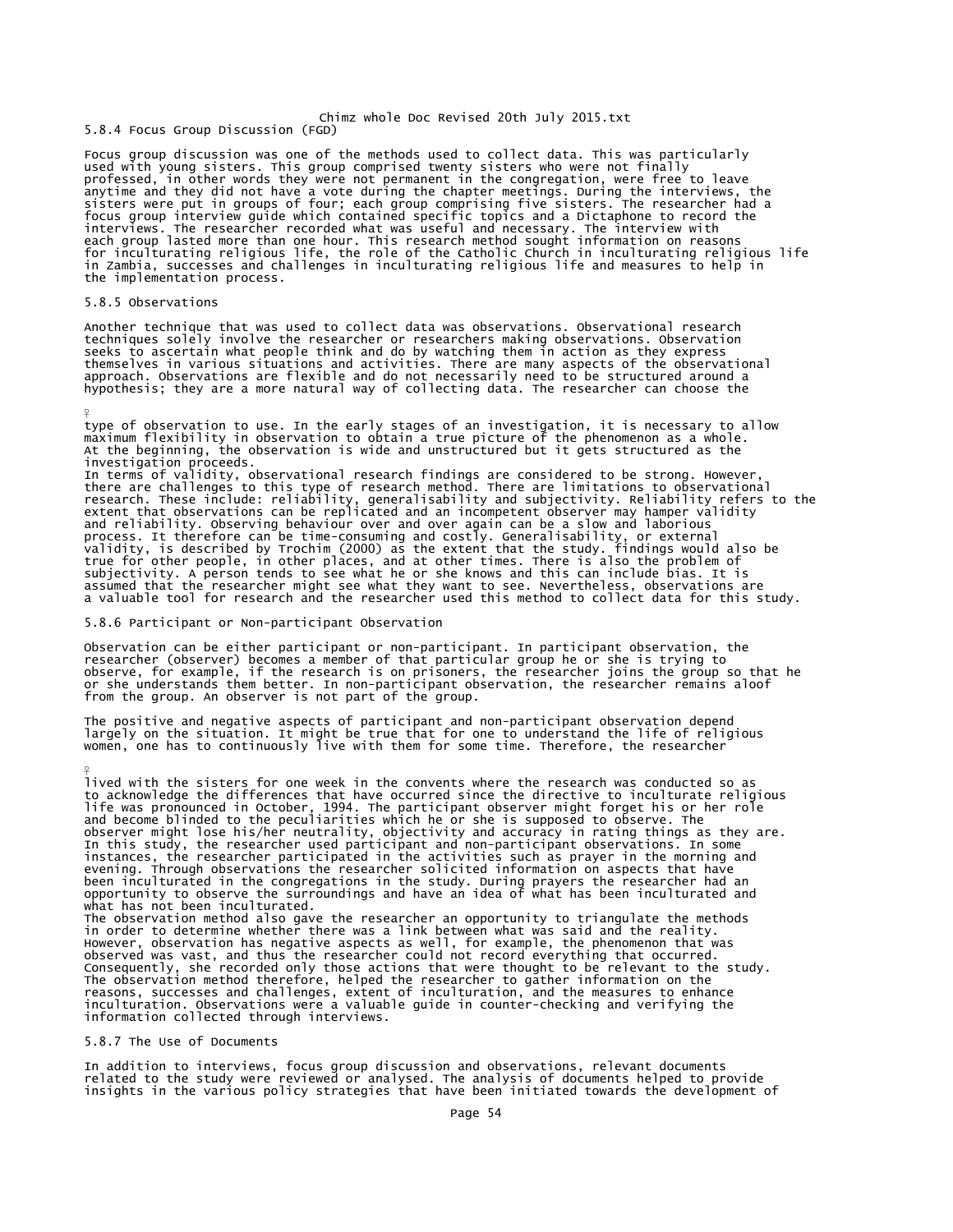5.8.4 Focus Group Discussion (FGD)

Focus group discussion was one of the methods used to collect data. This was particularly used with young sisters. This group comprised twenty sisters who were not finally<br>professed, in other words they were not permanent in the congregation, were free to leave anytime and they did not have a vote during the chapter meetings. During the interviews, the<br>sisters were put in groups of four; each group comprising five sisters. The researcher had a<br>focus group interview guide which co in Zambia, successes and challenges in inculturating religious life and measures to help in the implementation process.

### 5.8.5 Observations

¥

¥

Another technique that was used to collect data was observations. Observational research<br>techniques solely involve the researcher or researchers making observations. Observation<br>seeks to ascertain what people think and do themselves in various situations and activities. There are many aspects of the observational<br>approach. Observations are flexible and do not necessarily need to be structured around a<br>hypothesis; they are a more natural way

type of observation to use. In the early stages of an investigation, it is necessary to allow maximum flexibility in observation to obtain a true picture of the phenomenon as a whole. At the beginning, the observation is wide and unstructured but it gets structured as the investigation proceeds.

In terms of validity, observational research findings are considered to be strong. However, there are challenges to this type of research method. There are limitations to observational research. These include: relations in assumed that the researcher might see what they want to see. Nevertheless, observations are a valuable tool for research and the researcher used this method to collect data for this study.

5.8.6 Participant or Non-participant Observation

Observation can be either participant or non-participant. In participant observation, the researcher (observer) becomes a member of that particular group he or she is trying to<br>observe, for example, if the research is on prisoners, the researcher joins the group so that he<br>or she understands them better. In non from the group. An observer is not part of the group.

The positive and negative aspects of participant and non-participant observation depend<br>largely on the situation. It might be true that for one to understand the life of religious<br>women, one has to continuously live with t

lived with the sisters for one week in the convents where the research was conducted so as to acknowledge the differences that have occurred since the directive to inculturate religious life was pronounced in October, 1994. The participant observer might forget his or her role<br>and become blinded to the peculiarities which he or she is supposed to observe. The<br>observer might lose his/her neutrality, object instances, the researcher participated in the activities such as prayer in the morning and evening. Through observations the researcher solicited information on aspects that have been inculturated in the congregations in the study. During prayers the researcher had an opportunity to observe the surroundings and have an idea of what has been inculturated and what has not been inculturated.

The observation method also gave the researcher an opportunity to triangulate the methods<br>in order to determine whether there was a link between what was said and the reality.<br>However, observation has negative aspects as w Consequently, she recorded only those actions that were thought to be relevant to the study. The observation method therefore, helped the researcher to gather information on the reasons, successes and challenges, extent of inculturation, and the measures to enhance inculturation. Observations were a valuable guide in counter-checking and verifying the information collected through interviews.

# 5.8.7 The Use of Documents

In addition to interviews, focus group discussion and observations, relevant documents related to the study were reviewed or analysed. The analysis of documents helped to provide insights in the various policy strategies that have been initiated towards the development of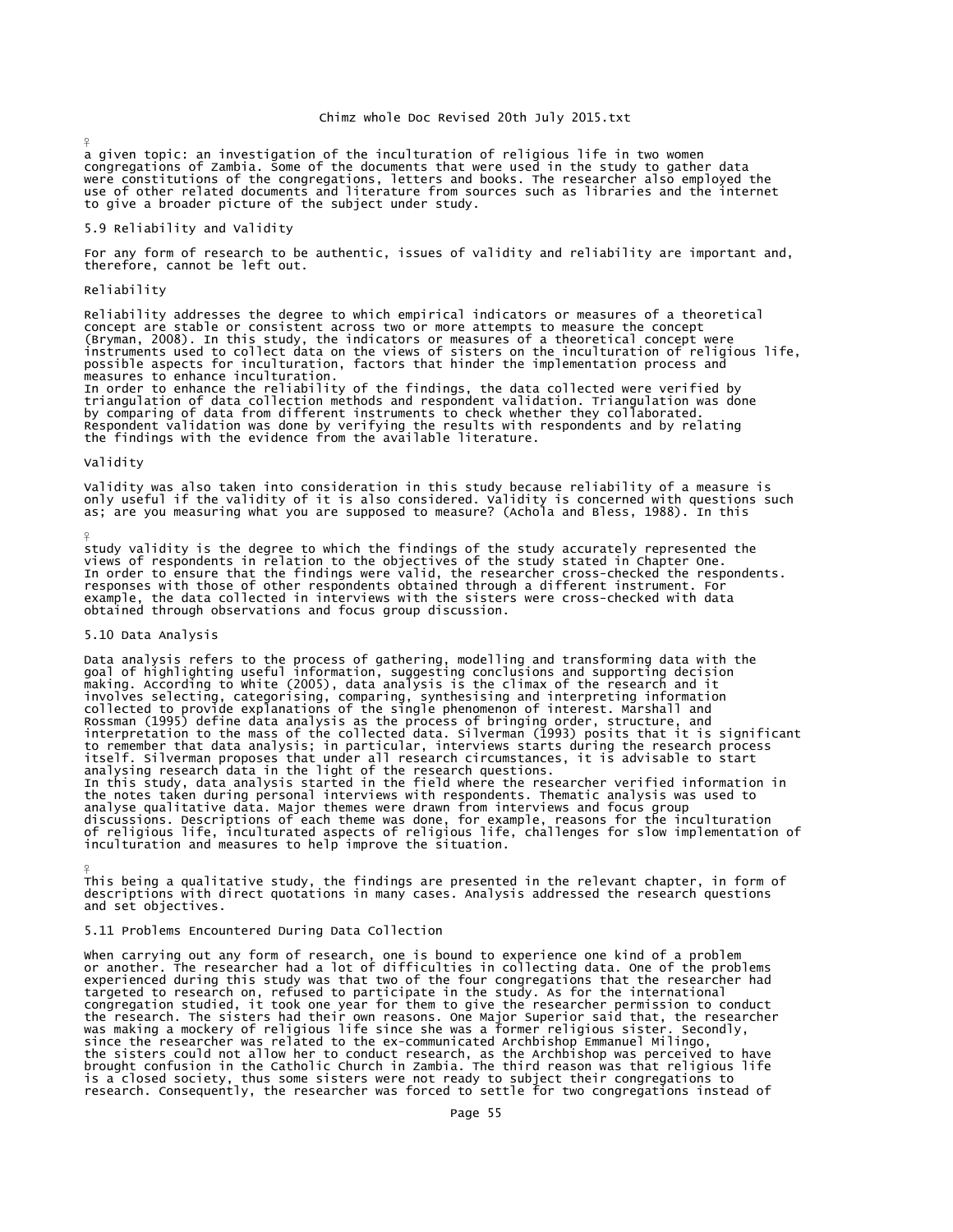a given topic: an investigation of the inculturation of religious life in two women congregations of Zambia. Some of the documents that were used in the study to gather data were constitutions of the congregations, letters and books. The researcher also employed the use of other related documents and literature from sources such as libraries and the internet to give a broader picture of the subject under study.

### 5.9 Reliability and Validity

For any form of research to be authentic, issues of validity and reliability are important and, therefore, cannot be left out.

# Reliability

¥

Reliability addresses the degree to which empirical indicators or measures of a theoretical concept are stable or consistent across two or more attempts to measure the concept<br>(Bryman, 2008). In this study, the indicators or measures of a theoretical concept were<br>instruments used to collect data on the views of s possible aspects for inculturation, factors that hinder the implementation process and measures to enhance inculturation. In order to enhance the reliability of the findings, the data collected were verified by triangulation of data collection methods and respondent validation. Triangulation was done by comparing of data from different instruments to check whether they collaborated. Respondent validation was done by verifying the results with respondents and by relating the findings with the evidence from the available literature.

# Validity

 $\frac{9}{5}$ 

¥

Validity was also taken into consideration in this study because reliability of a measure is<br>only useful if the validity of it is also considered. Validity is concerned with questions such<br>as; are you measuring what you ar

study validity is the degree to which the findings of the study accurately represented the<br>views of respondents in relation to the objectives of the study stated in Chapter One.<br>In order to ensure that the findings were va responses with those of other respondents obtained through a different instrument. For<br>example, the data collected in interviews with the sisters were cross-checked with data<br>obtained through observations and focus group d

### 5.10 Data Analysis

Data analysis refers to the process of gathering, modelling and transforming data with the<br>goal of highlighting useful information, suggesting conclusions and supporting decision<br>making. According to White (2005), data ana to remember that data analysis; in particular, interviews starts during the research process<br>itself. Silverman proposes that under all research circumstances, it is advisable to start<br>analysing research data in the light o In this study, data analysis started in the field where the researcher verified information in the notes taken during personal interviews with respondents. Thematic analysis was used to analyse qualitative data. Major themes were drawn from interviews and focus group<br>discussions. Descriptions of each theme was done, for example, reasons for the inculturation<br>of religious life, inculturated aspects of reli

This being a qualitative study, the findings are presented in the relevant chapter, in form of descriptions with direct quotations in many cases. Analysis addressed the research questions and set objectives.

# 5.11 Problems Encountered During Data Collection

when carrying out any form of research, one is bound to experience one kind of a problem<br>or another. The researcher had a lot of difficulties in collecting data. One of the problems experienced during this study was that two of the four congregations that the researcher had targeted to research on, refused to participate in the study. As for the international congregation studied, it took one year for them to give the researcher permission to conduct<br>the research. The sisters had their own reasons. One Major Superior said that, the researcher<br>was making a mockery of religious l is a closed society, thus some sisters were not ready to subject their congregations to research. Consequently, the researcher was forced to settle for two congregations instead of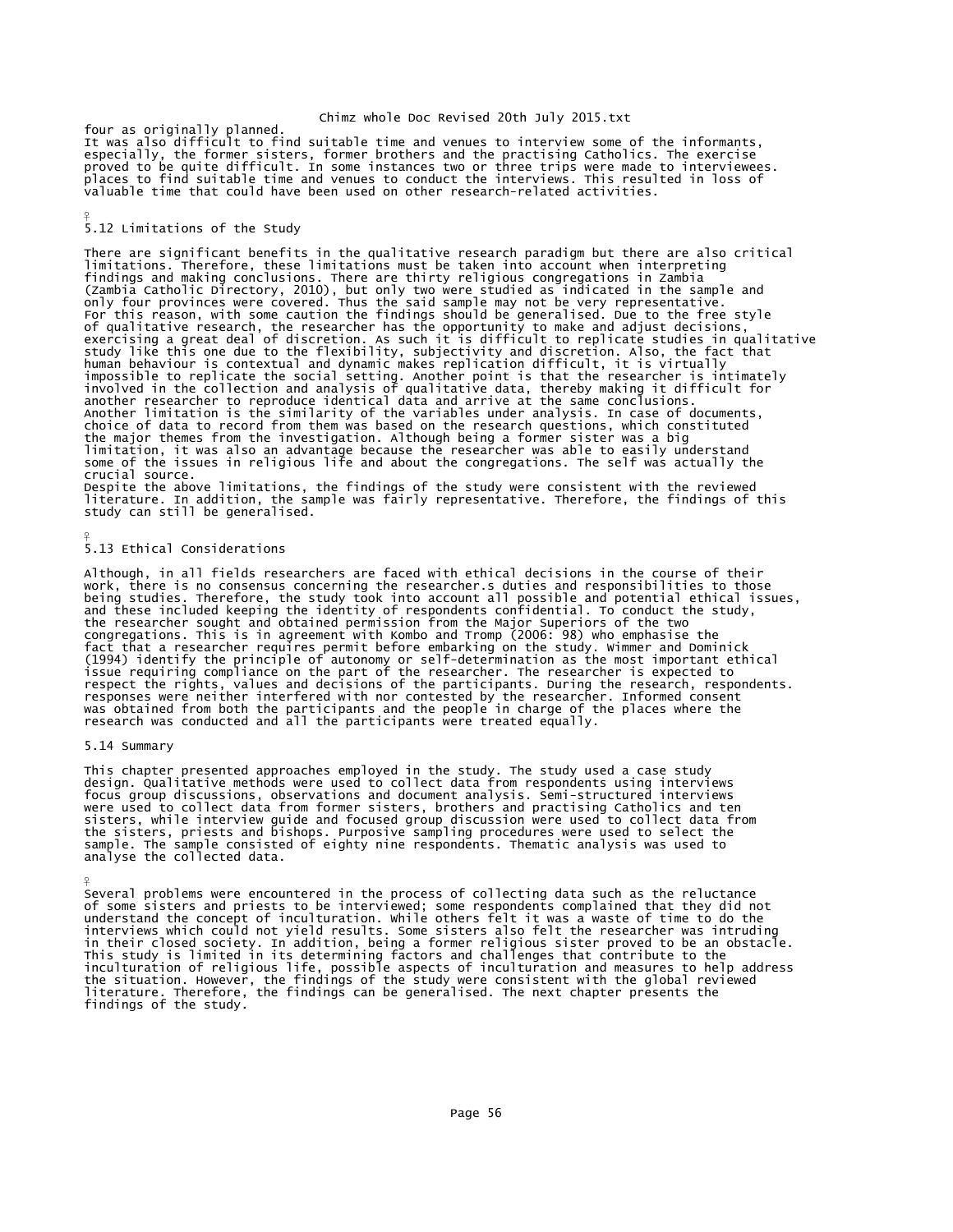four as originally planned.<br>It was also difficult to find suitable time and venues to interview some of the informants,<br>especially, the former sisters, former brothers and the practising Catholics. The exercise proved to be quite difficult. In some instances two or three trips were made to interviewees. places to find suitable time and venues to conduct the interviews. This resulted in loss of valuable time that could have been used on other research-related activities.

## 5.12 Limitations of the Study

¥

 $\frac{9}{5}$ 

¥

There are significant benefits in the qualitative research paradigm but there are also critical limitations. Therefore, these limitations must be taken into account when interpreting findings and making conclusions. There are thirty religious congregations in Zambia<br>(Zambia Catholic Directory, 2010), but only two were studied as indicated in the sample and<br>only four provinces were covered. Thus the sai of qualitative research, the researcher has the opportunity to make and adjust decisions,<br>exercising a great deal of discretion. As such it is difficult to replicate studies in qualitative<br>study like this one due to the fl human behaviour is contextual and dynamic makes replication difficult, it is virtually<br>impossible to replicate the social setting. Another point is that the researcher is intimately<br>involved in the collection and analysis Another limitation is the similarity of the variables under analysis. In case of documents, choice of data to record from them was based on the research questions, which constituted the major themes from the investigation. Although being a former sister was a big limitation, it was also an advantage because the researcher was able to easily understand some of the issues in religious life and about the congregations. The self was actually the crucial source.

Despite the above limitations, the findings of the study were consistent with the reviewed literature. In addition, the sample was fairly representative. Therefore, the findings of this study can still be generalised.

# 5.13 Ethical Considerations

Although, in all fields researchers are faced with ethical decisions in the course of their work, there is no consensus concerning the researcher.s duties and responsibilities to those being studies. Therefore, the study took into account all possible and potential ethical issues, and these included keeping the identity of respondents confidential. To conduct the study, the researcher sought and obtained permission from the Major Superiors of the two congregations. This is in agreement with Kombo and Tromp (2006: 98) who emphasise the<br>fact that a researcher requires permit before embarking on the study. Wimmer and Dominick<br>(1994) identify the principle of autonomy or s responses were neither interfered with nor contested by the researcher. Informed consent was obtained from both the participants and the people in charge of the places where the research was conducted and all the participants were treated equally.

## 5.14 Summary

This chapter presented approaches employed in the study. The study used a case study design. Qualitative methods were used to collect data from respondents using interviews focus group discussions, observations and document analysis. Semi-structured interviews were used to collect data from former sisters, brothers and practising Catholics and ten<br>sisters, while interview guide and focused group discussion were used to collect data from<br>the sisters, priests and bishops. Purposiv analyse the collected data.

Several problems were encountered in the process of collecting data such as the reluctance of some sisters and priests to be interviewed; some respondents complained that they did not understand the concept of inculturation. While others felt it was a waste of time to do the interviews which could not yield results. Some sisters also felt the researcher was intruding in their closed society. In addition, being a former religious sister proved to be an obstacle.<br>This study is limited in its determining factors and challenges that contribute to the<br>inculturation of religious life, possib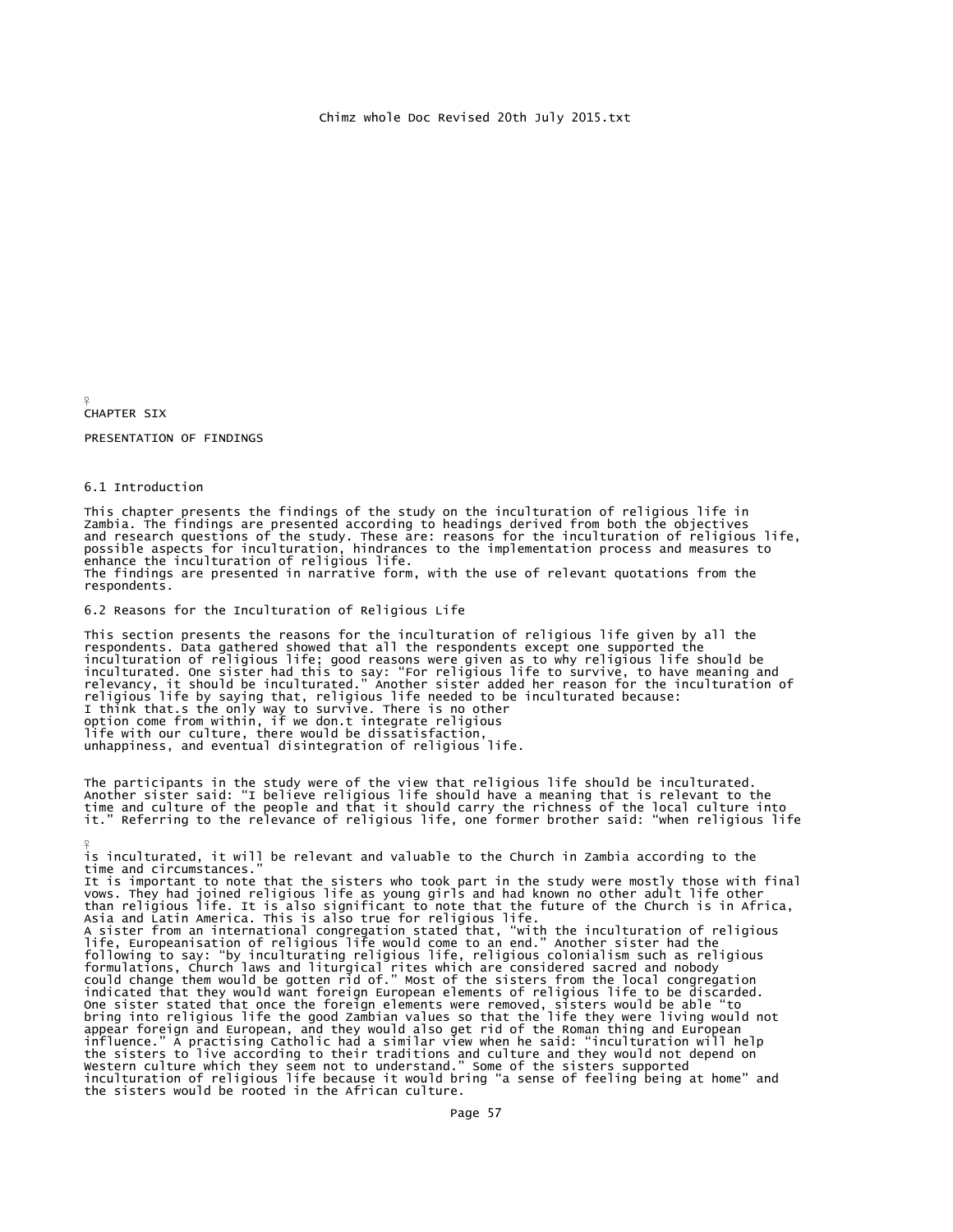¥ CHAPTER SIX

 $\frac{9}{5}$ 

PRESENTATION OF FINDINGS

6.1 Introduction

This chapter presents the findings of the study on the inculturation of religious life in<br>Zambia. The findings are presented according to headings derived from both the objectives<br>and research questions of the study. These enhance the inculturation of religious life. The findings are presented in narrative form, with the use of relevant quotations from the respondents.

6.2 Reasons for the Inculturation of Religious Life

This section presents the reasons for the inculturation of religious life given by all the respondents. Data gathered showed that all the respondents except one supported the inculturation of religious life, good reasons w unhappiness, and eventual disintegration of religious life.

The participants in the study were of the view that religious life should be inculturated. Another sister said: "I believe religious life should have a meaning that is relevant to the time and culture of the people and that it should carry the richness of the local culture into it." Referring to the relevance of religious life, one former brother said: "when religious life

is inculturated, it will be relevant and valuable to the Church in Zambia according to the time and circumstances." It is important to note that the sisters who took part in the study were mostly those with final vows. They had joined religious life as young girls and had known no other adult life other<br>than religious life. It is also significant to note that the future of the Church is in Africa,<br>Asia and Latin America. This is al One sister stated that once the foreign elements were removed, sisters would be able "to bring into religious life the good Zambian values so that the life they were living would not appear foreign and European, and they would also get rid of the Roman thing and European<br>influence." A practising Catholic had a similar view when he said: "inculturation will help<br>the sisters to live according to their tr the sisters would be rooted in the African culture.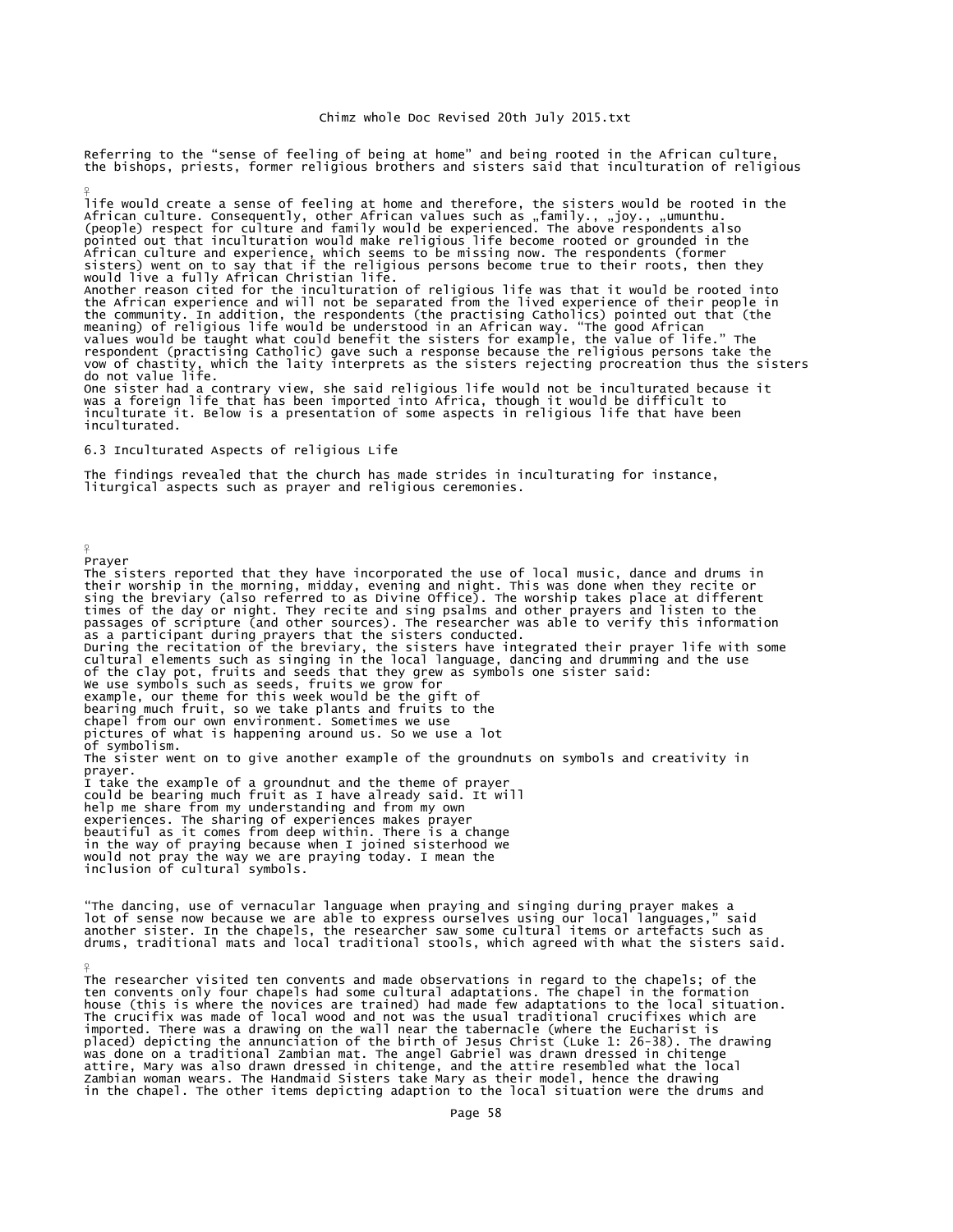Referring to the "sense of feeling of being at home" and being rooted in the African culture, the bishops, priests, former religious brothers and sisters said that inculturation of religious

life would create a sense of feeling at home and therefore, the sisters would be rooted in the African culture. Consequently, other African values such as "family., "joy., "umunthu.<br>(people) respect for culture and family would be experienced. The above respondents also pointed out that inculturation would make religious life become rooted or grounded in the<br>African culture and experience, which seems to be missing now. The respondents (former<br>sisters) went on to say that if the religious would live a fully African Christian life.<br>Another reason cited for the inculturation of religious life was that it would be rooted into<br>the African experience and will not be separated from the lived experience of their p One sister had a contrary view, she said religious life would not be inculturated because it<br>was a foreign life that has been imported into Africa, though it would be difficult to<br>inculturate it. Below is a presentation of

6.3 Inculturated Aspects of religious Life

The findings revealed that the church has made strides in inculturating for instance, liturgical aspects such as prayer and religious ceremonies.

 $\frac{9}{5}$ Prayer

¥

inculturated.

¥

The sisters reported that they have incorporated the use of local music, dance and drums in their worship in the morning, midday, evening and night. This was done when they recite or sing the breviary (also referred to as Divine Office). The worship takes place at different times of the day or night. They recite and sing psalms and other prayers and listen to the passages of scripture (and other sources). The researcher was able to verify this information passages of scripture (and other sources). The researcher was able to verify this information<br>as a participant during prayers that the sisters conducted.<br>During the recitation of the breviary, the sisters have integrated t chapel from our own environment. Sometimes we use pictures of what is happening around us. So we use a lot of symbolism. The sister went on to give another example of the groundnuts on symbols and creativity in prayer. I take the example of a groundnut and the theme of prayer could be bearing much fruit as I have already said. It will help me share from my understanding and from my own experiences. The sharing of experiences makes prayer beautiful as it comes from deep within. There is a change in the way of praying because when I joined sisterhood we would not pray the way we are praying today. I mean the inclusion of cultural symbols.

"The dancing, use of vernacular language when praying and singing during prayer makes a<br>lot of sense now because we are able to express ourselves using our local languages," said<br>another sister. In the chapels, the researc drums, traditional mats and local traditional stools, which agreed with what the sisters said.

The researcher visited ten convents and made observations in regard to the chapels; of the ten convents only four chapels had some cultural adaptations. The chapel in the formation house (this is where the novices are trained) had made few adaptations to the local situation. The crucifix was made of local wood and not was the usual traditional crucifixes which are imported. There was a drawing on the wall near the tabernacle (where the Eucharist is<br>placed) depicting the annunciation of the birth of Jesus Christ (Luke 1: 26-38). The drawing<br>was done on a traditional Zambian mat. The in the chapel. The other items depicting adaption to the local situation were the drums and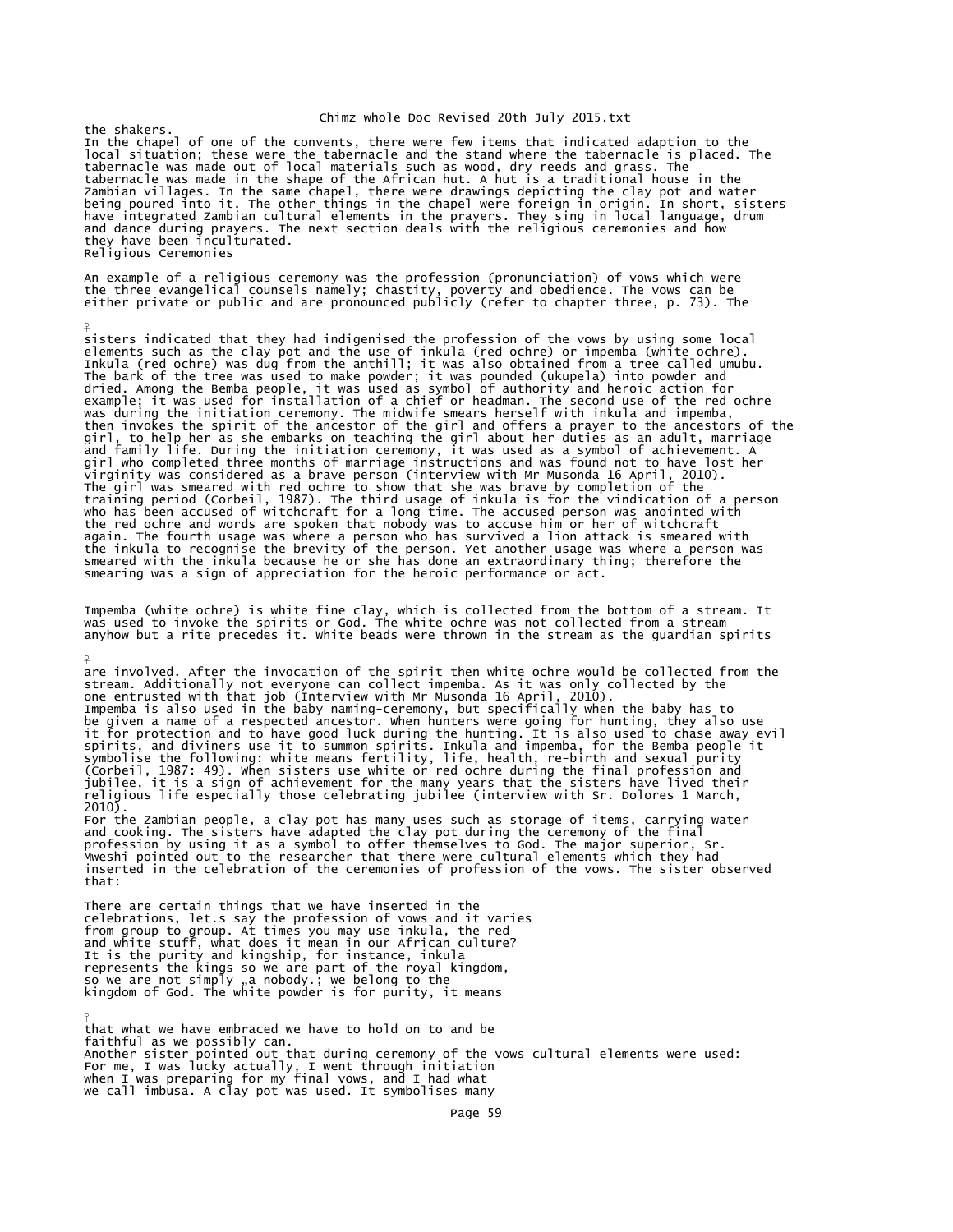the shakers. In the chapel of one of the convents, there were few items that indicated adaption to the local situation; these were the tabernacle and the stand where the tabernacle is placed. The tabernacle was made out of local materials such as wood, dry reeds and grass. The<br>tabernacle was made in the same chapel, there were drawings depicting the clay pot and water<br>Zambian villages. In the same chapel, there wer they have been inculturated. Religious Ceremonies

An example of a religious ceremony was the profession (pronunciation) of vows which were<br>the three evangelical counsels namely; chastity, poverty and obedience. The vows can be<br>either private or public and are pronounced p

 $\frac{9}{5}$ 

¥

sisters indicated that they had indigenised the profession of the vows by using some local<br>elements such as the clay pot and the use of inkula (red ochre) or impemba (white ochre).<br>Inkula (red ochre) was dug from the anthi girl, to help her as she embarks on teaching the girl about her duties as an adult, marriage<br>and family life. During the initiation cremony, it was used as a symbol of achievement. A<br>girl who completed three months of marr smearing was a sign of appreciation for the heroic performance or act.

Impemba (white ochre) is white fine clay, which is collected from the bottom of a stream. It was used to invoke the spirits or God. The white ochre was not collected from a stream anyhow but a rite precedes it. White beads were thrown in the stream as the guardian spirits

are involved. After the invocation of the spirit then white ochre would be collected from the stream. Additionally not everyone can collect impemba. As it was only collected by the<br>one entrusted with that job (Interview with Mr Musonda 16 April, 2010).<br>Impemba is also used in the baby naming-ceremony, but specifica jubilee, it is a sign of achievement for the many years that the sisters have lived their religious life especially those celebrating jubilee (interview with Sr. Dolores 1 March, 2010). For the Zambian people, a clay pot has many uses such as storage of items, carrying water

and cooking. The sisters have adapted the clay pot during the ceremony of the final<br>profession by using it as a symbol to offer themselves to God. The major superior, Sr.<br>Mweshi pointed out to the researcher that there wer that:

There are certain things that we have inserted in the celebrations, let.s say the profession of vows and it varies<br>from group to group. At times you may use inkula, the red<br>and white stuff, what does it mean in our African culture?<br>It is the purity and kingship, for instance, represents the kings so we are part of the royal kingdom, so we are not simply "a nobody.; we belong to the<br>kingdom of God. The white powder is for purity, it means

¥ that what we have embraced we have to hold on to and be faithful as we possibly can. Another sister pointed out that during ceremony of the vows cultural elements were used: For me, I was lucky actually, I went through initiation when I was preparing for my final vows, and I had what we call imbusa. A clay pot was used. It symbolises many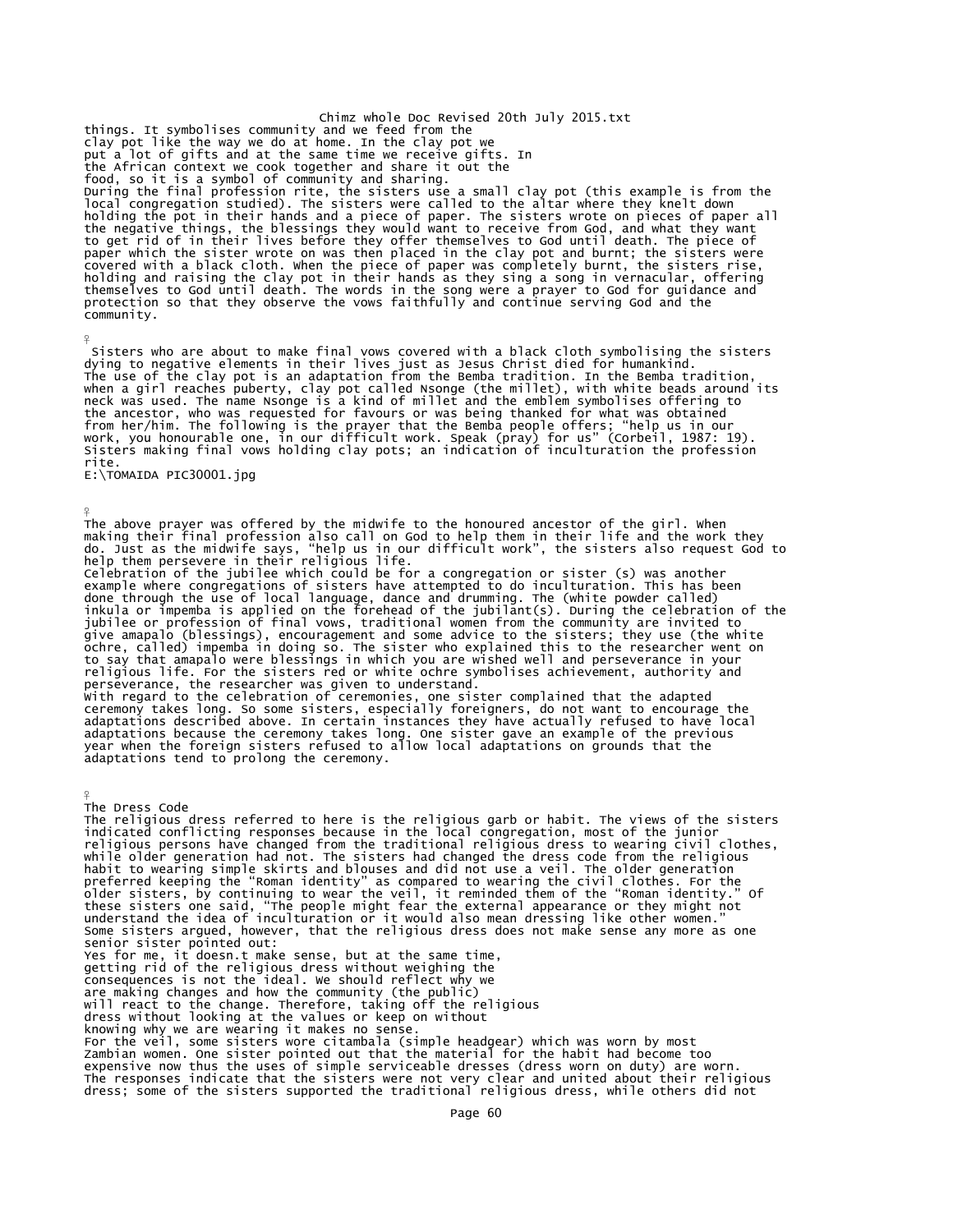Chimz whole Doc Revised 20th July 2015.txt things. It symbolises community and we feed from the clay pot like the way we do at home. In the clay pot we put a lot of gifts and at the same time we receive gifts. In the African context we cook together and share it out the food, so it is a symbol of community and sharing. During the final profession rite, the sisters use a small clay pot (this example is from the local congregation studied). The sisters were called to the altar where they knelt down holding the pot in their hands and a piece of paper. The sisters wrote on pieces of paper all<br>the negative things, the blessings they would want to receive from God, and what they want<br>to get rid of in their lives before t community.

 Sisters who are about to make final vows covered with a black cloth symbolising the sisters dying to negative elements in their lives just as Jesus Christ died for humankind. The use of the clay pot is an adaptation from the Bemba tradition. In the Bemba tradition, when a girl reaches puberty, clay pot called Nsonge (the millet), with white beads around its<br>neck was used. The name Nsonge is a kind of millet and the emblem symbolises offering to<br>the ancestor, who was requested for fav rite.

E:\TOMAIDA PIC30001.jpg

 $\frac{9}{5}$ 

¥ The above prayer was offered by the midwife to the honoured ancestor of the girl. When<br>making their final profession also call on God to help them in their life and the work they<br>do. Just as the midwife says, "help us in o example where congregations of sisters have attempted to do inculturation. This has been done through the use of local language, dance and drumming. The (white powder called) inkula or impemba is applied on the forehead of the jubilant(s). During the celebration of the jubilee or profession of final vows, traditional women from the community are invited to give amapalo (blessings), encouragement and some advice to the sisters; they use (the white<br>ochre, called) impemba in doing so. The sister who explained this to the researcher went on<br>to say that amapalo were blessings in ¥ The Dress Code The religious dress referred to here is the religious garb or habit. The views of the sisters indicated conflicting responses because in the local congregation, most of the junior religious persons have changed from the traditional religious dress to wearing civil clothes,

while older generation had not. The sisters had changed the dress code from the religious<br>habit to wearing simple skirts and blouses and did not use a veil. The older generation<br>preferred keeping the "Roman identity" as co senior sister pointed out: Yes for me, it doesn.t make sense, but at the same time, getting rid of the religious dress without weighing the consequences is not the ideal. We should reflect why we<br>are making changes and how the community (the public)<br>will react to the change. Therefore, taking off the religious<br>dress without looking at the values or keep on wit

knowing why we are wearing it makes no sense.<br>For the veil, some sisters wore citambala (simple headgear) which was worn by most<br>Zambian women. One sister pointed out that the material for the habit had become too<br>expensiv The responses indicate that the sisters were not very clear and united about their religious dress; some of the sisters supported the traditional religious dress, while others did not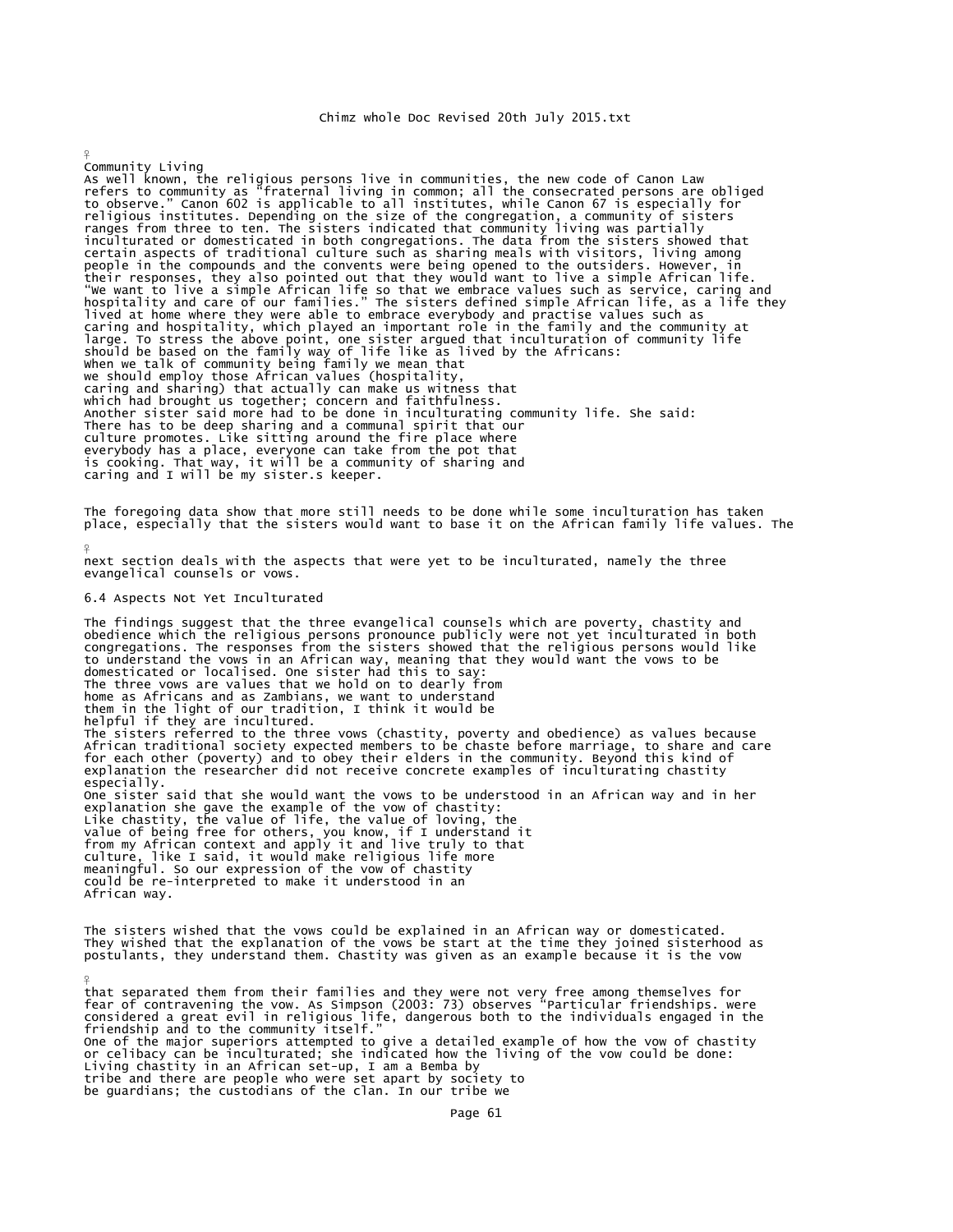Community Living<br>As well known, the religious persons live in communities, the new code of Canon Law<br>refers to community as "fraternal living in common; all the consecrated persons are obliged<br>to observe." Canon 602 is app religious institutes. Depending on the size of the congregation, a community of sisters<br>ranges from three to ten. The sisters indicated that community living was partially<br>inculturated or domesticated in both congregations When we talk of community being family we mean that we should employ those African values (hospitality, caring and sharing) that actually can make us witness that which had brought us together; concern and faithfulness. Another sister said more had to be done in inculturating community life. She said: There has to be deep sharing and a communal spirit that our culture promotes. Like sitting around the fire place where everybody has a place, everyone can take from the pot that is cooking. That way, it will be a community of sharing and caring and I will be my sister.s keeper.

The foregoing data show that more still needs to be done while some inculturation has taken<br>place, especially that the sisters would want to base it on the African family life values. The

next section deals with the aspects that were yet to be inculturated, namely the three evangelical counsels or vows.

# 6.4 Aspects Not Yet Inculturated

¥

 $\frac{9}{5}$ 

¥

The findings suggest that the three evangelical counsels which are poverty, chastity and obedience which the religious persons pronounce publicly were not yet inculturated in both<br>congregations. The responses from the sisters showed that the religious persons would like to understand the vows in an African way, meaning that they would want the vows to be domesticated or localised. One sister had this to say: The three vows are values that we hold on to dearly from home as Africans and as Zambians, we want to understand them in the light of our tradition, I think it would be helpful if they are incultured. The sisters referred to the three vows (chastity, poverty and obedience) as values because<br>African traditional society expected members to be chaste before marriage, to share and care<br>for each other (poverty) and to obey t explanation the researcher did not receive concrete examples of inculturating chastity especially. One sister said that she would want the vows to be understood in an African way and in her explanation she gave the example of the vow of chastity:<br>Like chastity, the value of life, the value of loving, the<br>value of being free for others, you know, if I understand it<br>from my African context and apply it and live could be re-interpreted to make it understood in an African way.

The sisters wished that the vows could be explained in an African way or domesticated. They wished that the explanation of the vows be start at the time they joined sisterhood as postulants, they understand them. Chastity was given as an example because it is the vow

that separated them from their families and they were not very free among themselves for<br>fear of contravening the vow. As Simpson (2003: 73) observes "Particular friendships. were<br>considered a great evil in religious life, friendship and to the community itself." One of the major superiors attempted to give a detailed example of how the vow of chastity or celibacy can be inculturated; she indicated how the living of the vow could be done: Living chastity in an African set-up, I am a Bemba by tribe and there are people who were set apart by society to be guardians; the custodians of the clan. In our tribe we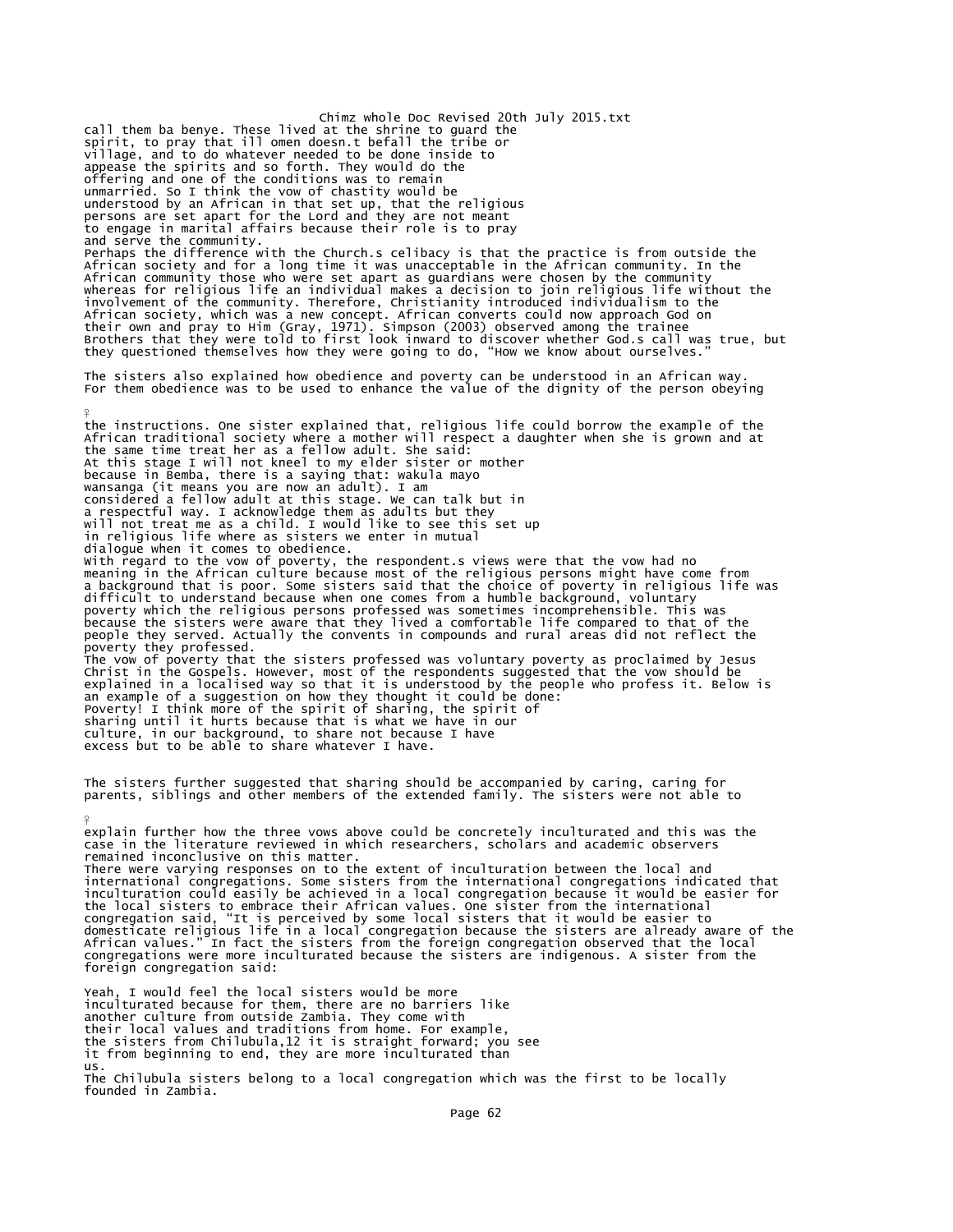Chimz whole Doc Revised 20th July 2015.txt call them ba benye. These lived at the shrine to guard the spirit, to pray that ill omen doesn.t befall the tribe or village, and to do whatever needed to be done inside to appease the spirits and so forth. They would do the offering and one of the conditions was to remain unmarried. So I think the vow of chastity would be<br>understood by an African in that set up, that the religious<br>persons are set apart for the Lord and they are not meant<br>to engage in marital affairs because their role is to and serve the community. Perhaps the difference with the Church.s celibacy is that the practice is from outside the African society and for a long time it was unacceptable in the African community. In the African community those who were set apart as guardians were chosen by the community whereas for religious life an individual makes a decision to join religious life without the involvement of the community. Therefore, Christianity introduced individualism to the<br>African society, which was a new concept. African converts could now approach God on<br>their own and pray to Him (Gray, 1971). Simpson (20 The sisters also explained how obedience and poverty can be understood in an African way. For them obedience was to be used to enhance the value of the dignity of the person obeying ¥ the instructions. One sister explained that, religious life could borrow the example of the African traditional society where a mother will respect a daughter when she is grown and at the same time treat her as a fellow adult. She said: At this stage I will not kneel to my elder sister or mother because in Bemba, there is a saying that: wakula mayo wansanga (it means you are now an adult). I am considered a fellow adult at this stage. We can talk but in<br>a respectful way. I acknowledge them as adults but they<br>will not treat me as a child. I would like to see this set up<br>in religious life where as sisters we enter dialogue when it comes to obedience.<br>With regard to the vow of poverty, the respondent.s views were that the vow had no<br>meaning in the African culture because most of the religious persons might have come from a background that is poor. Some sisters said that the choice of poverty in religious life was difficult to understand because when one comes from a humble background, voluntary poverty which the religious persons professed was sometimes incomprehensible. This was because the sisters were aware that they lived a comfortable life compared to that of the people they served. Actually the convents in compounds and rural areas did not reflect the poverty they professed. The vow of poverty that the sisters professed was voluntary poverty as proclaimed by Jesus<br>Christ in the Gospels. However, most of the respondents suggested that the vow should be<br>explained in a localised way so that it is sharing until it hurts because that is what we have in our culture, in our background, to share not because I have excess but to be able to share whatever I have. The sisters further suggested that sharing should be accompanied by caring, caring for parents, siblings and other members of the extended family. The sisters were not able to ¥ explain further how the three vows above could be concretely inculturated and this was the case in the literature reviewed in which researchers, scholars and academic observers

remained inconclusive on this matter. There were varying responses on to the extent of inculturation between the local and international congregations. Some sisters from the international congregations indicated that inculturation could easily be achieved in a local congregation because it would be easier for<br>the local sisters to embrace their African values. One sister from the international<br>congregation said, "It is perceived by some foreign congregation said:

Yeah, I would feel the local sisters would be more inculturated because for them, there are no barriers like another culture from outside Zambia. They come with their local values and traditions from home. For example, the sisters from Chilubula,12 it is straight forward; you see it from beginning to end, they are more inculturated than us. The Chilubula sisters belong to a local congregation which was the first to be locally founded in Zambia.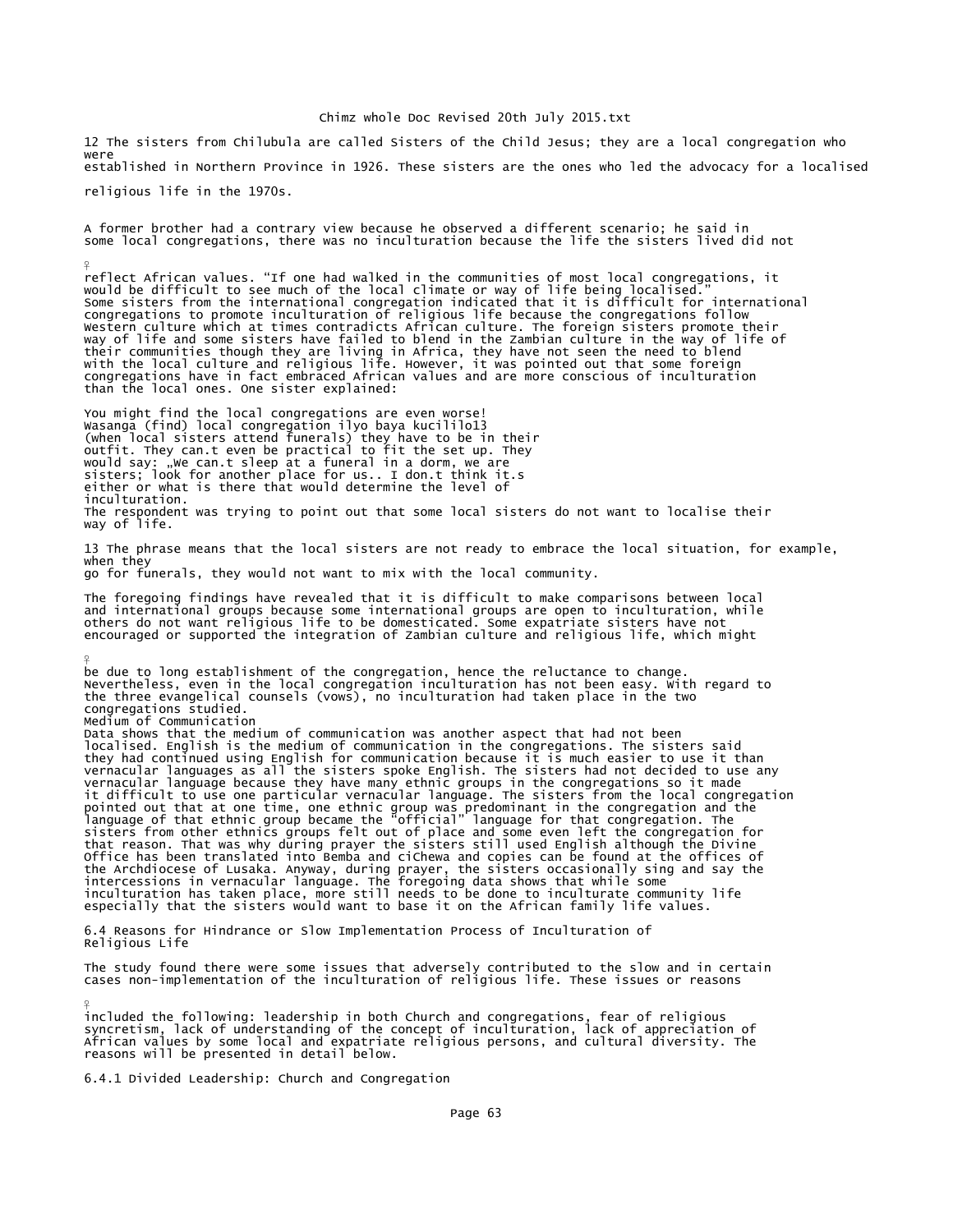12 The sisters from Chilubula are called Sisters of the Child Jesus; they are a local congregation who were established in Northern Province in 1926. These sisters are the ones who led the advocacy for a localised religious life in the 1970s.

A former brother had a contrary view because he observed a different scenario; he said in some local congregations, there was no inculturation because the life the sisters lived did not

reflect African values. "If one had walked in the communities of most local congregations, it<br>would be difficult to see much of the local climate or way of life being localised."<br>Some sisters from the international congreg congregations to promote inculturation of religious life because the congregations follow Western culture which at times contradicts African culture. The foreign sisters promote their<br>way of life and some sisters have failed to blend in the Zambian culture in the way of life of<br>their communities though they are than the local ones. One sister explained:

You might find the local congregations are even worse! Wasanga (find) local congregation ilyo baya kucililo13 (when local sisters attend funerals) they have to be in their<br>outfit. They can.t even be practical to fit the set up. They<br>would say: "we can.t sleep at a funeral in a dorm, we are<br>sisters; look for another place for us.. inculturation. The respondent was trying to point out that some local sisters do not want to localise their way of life.

13 The phrase means that the local sisters are not ready to embrace the local situation, for example, when they

go for funerals, they would not want to mix with the local community.

¥

¥

¥

The foregoing findings have revealed that it is difficult to make comparisons between local and international groups because some international groups are open to inculturation, while<br>others do not want religious life to be domesticated. Some expatriate sisters have not<br>encouraged or supported the integration of

be due to long establishment of the congregation, hence the reluctance to change. Nevertheless, even in the local congregation inculturation has not been easy. With regard to the three evangelical counsels (vows), no inculturation had taken place in the two congregations studied. Medium of Communication

Data shows that the medium of communication was another aspect that had not been localised. English is the medium of communication in the congregations. The sisters said they had continued using English for communication because it is much easier to use it than vernacular languages as all the sisters spoke English. The sisters had not decided to use any vernacular language because they have many ethnic groups in the congregations so it made it difficult to use one particular vernacular language. The sisters from the local congregation pointed out that at one time, one ethnic group was predominant in the congregation and the language of that ethnic group became the "official" language for that congregation. The sisters from other ethnics groups felt out of place and some even left the congregation for that reason. That was why during prayer the sisters still used English although the Divine Office has been translated into Bemba and cichewa and copies can be found at the offices of<br>the Archdiocese of Lusaka. Anyway, during prayer, the sisters occasionally sing and say the<br>intercessions in vernacular language.

6.4 Reasons for Hindrance or Slow Implementation Process of Inculturation of Religious Life

The study found there were some issues that adversely contributed to the slow and in certain cases non-implementation of the inculturation of religious life. These issues or reasons

included the following: leadership in both Church and congregations, fear of religious<br>syncretism, lack of understanding of the concept of inculturation, lack of appreciation of<br>African values by some local and expatriate reasons will be presented in detail below.

6.4.1 Divided Leadership: Church and Congregation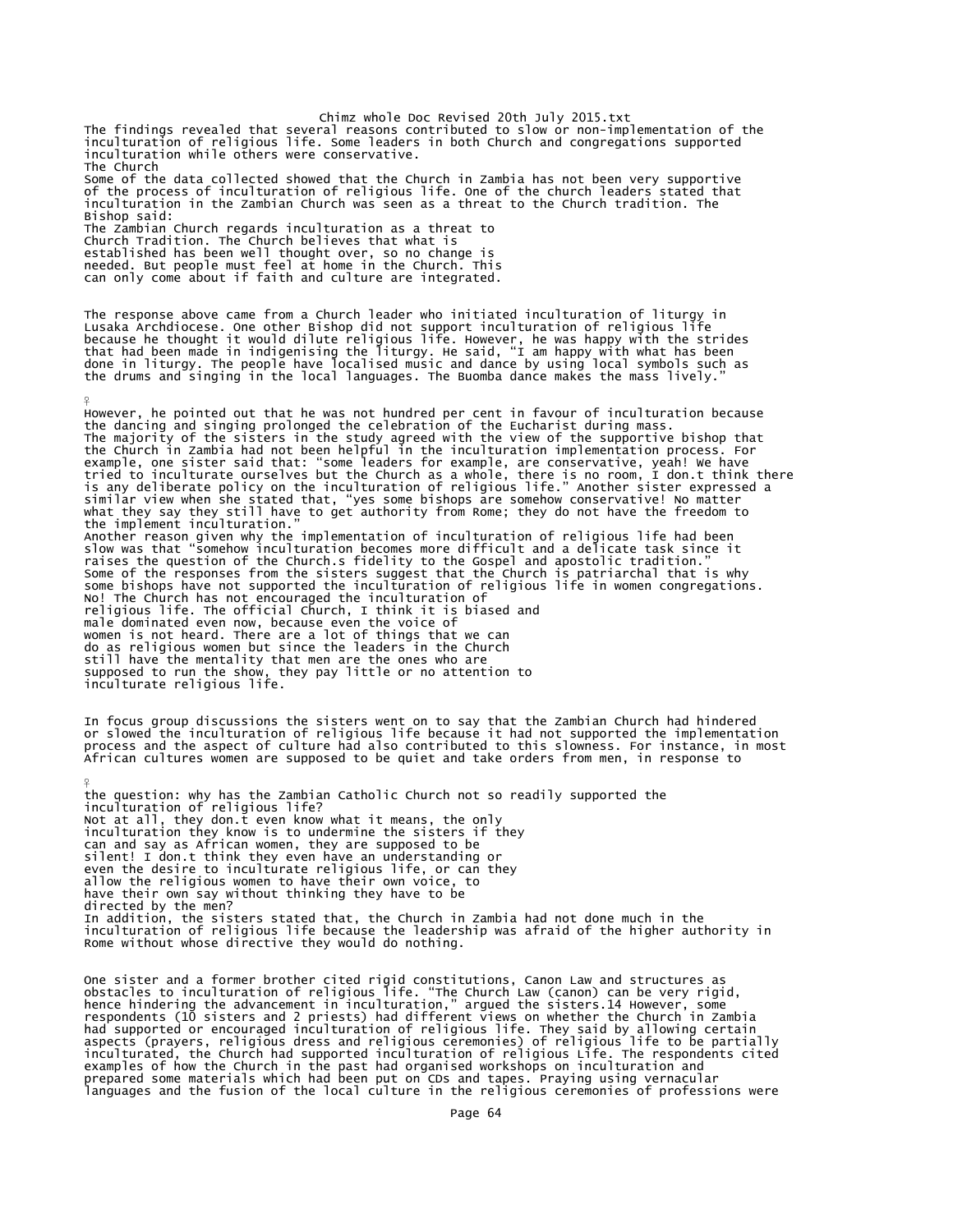Chimz whole Doc Revised 20th July 2015.txt The findings revealed that several reasons contributed to slow or non-implementation of the inculturation of religious life. Some leaders in both Church and congregations supported inculturation while others were conservative. The Church Some of the data collected showed that the Church in Zambia has not been very supportive of the process of inculturation of religious life. One of the church leaders stated that<br>inculturation in the Zambian Church was seen as a threat to the Church tradition. The Bishop said: The Zambian Church regards inculturation as a threat to Church Tradition. The Church believes that what is established has been well thought over, so no change is needed. But people must feel at home in the Church. This can only come about if faith and culture are integrated.

The response above came from a Church leader who initiated inculturation of liturgy in<br>Lusaka Archdiocese. One other Bishop did not support inculturation of religious life<br>because he thought it would dilute religious life.

¥ However, he pointed out that he was not hundred per cent in favour of inculturation because the dancing and singing prolonged the celebration of the Eucharist during mass. The majority of the sisters in the study agreed with the view of the supportive bishop that<br>the Church in Zambia had not been helpful in the inculturation implementation process. For<br>example, one sister said that: "some le Another reason given why the implementation of inculturation of religious life had been<br>slow was that "somehow inculturation becomes more difficult and a delicate task since it<br>raises the question of the Church.s fidelity No! The Church has not encouraged the inculturation of<br>religious life. The official Church, I think it is biased and<br>male dominated even now, because even the voice of<br>women is not heard. There are a lot of things that we still have the mentality that men are the ones who are supposed to run the show, they pay little or no attention to inculturate religious life.

In focus group discussions the sisters went on to say that the Zambian Church had hindered or slowed the inculturation of religious life because it had not supported the implementation process and the aspect of culture had also contributed to this slowness. For instance, in most African cultures women are supposed to be quiet and take orders from men, in response to

the question: why has the Zambian Catholic Church not so readily supported the inculturation of religious life? Not at all, they don.t even know what it means, the only inculturation they know is to undermine the sisters if they can and say as African women, they are supposed to be silent! I don.t think they even have an understanding or even the desire to inculturate religious life, or can they allow the religious women to have their own voice, to have their own say without thinking they have to be directed by the men? In addition, the sisters stated that, the Church in Zambia had not done much in the inculturation of religious life because the leadership was afraid of the higher authority in Rome without whose directive they would do nothing.

¥

One sister and a former brother cited rigid constitutions, Canon Law and structures as<br>obstacles to inculturation of religious life. "The Church Law (canon) can be very rigid,<br>hence hindering the advancement in inculturati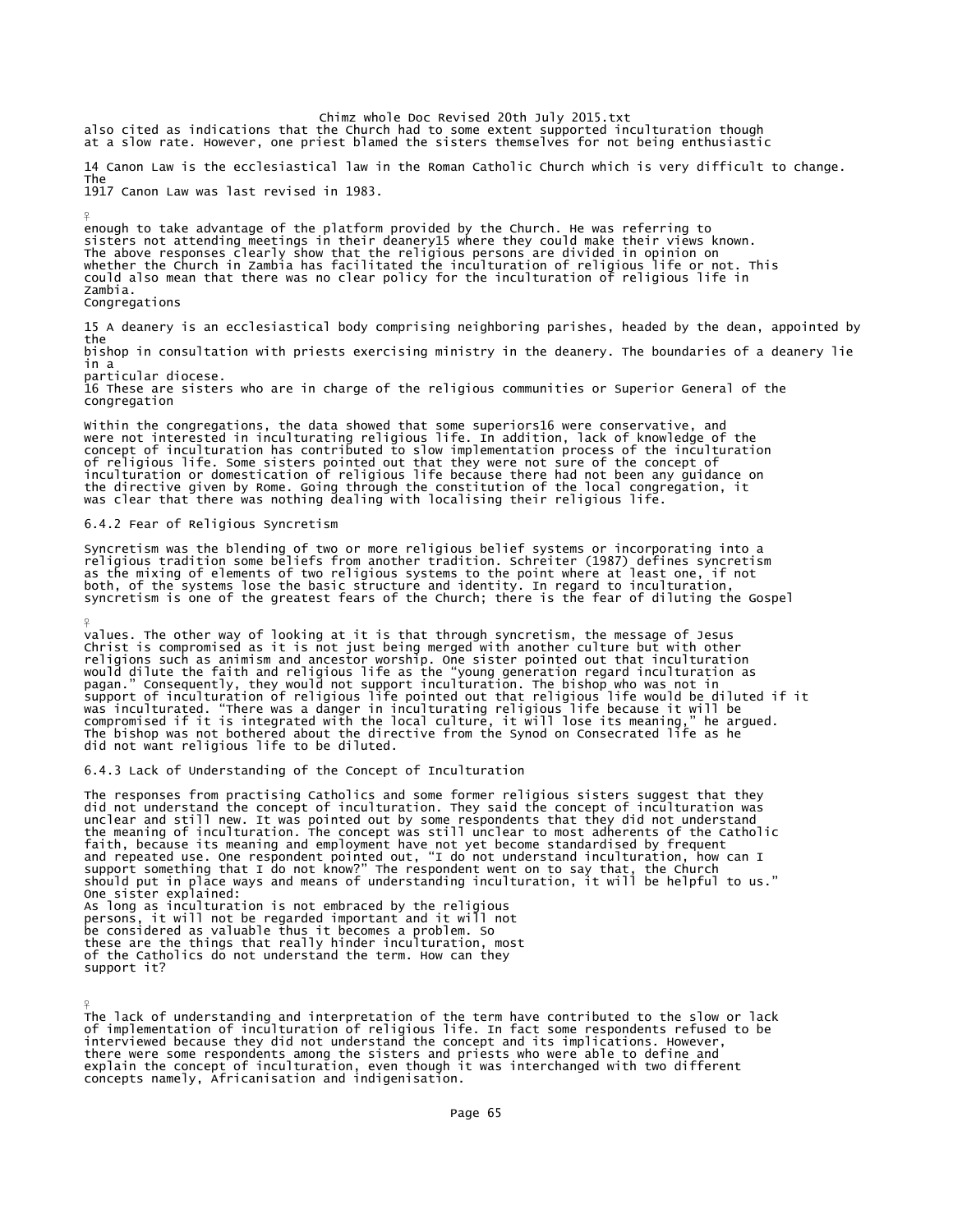Chimz whole Doc Revised 20th July 2015.txt also cited as indications that the Church had to some extent supported inculturation though at a slow rate. However, one priest blamed the sisters themselves for not being enthusiastic

14 Canon Law is the ecclesiastical law in the Roman Catholic Church which is very difficult to change. The 1917 Canon Law was last revised in 1983.

¥ enough to take advantage of the platform provided by the Church. He was referring to sisters not attending meetings in their deanery15 where they could make their views known. The above responses clearly show that the religious persons are divided in opinion on whether the Church in Zambia has facilitated the inculturation of religious life or not. This could also mean that there was no clear policy for the inculturation of religious life in Zambia.

Congregations

¥

15 A deanery is an ecclesiastical body comprising neighboring parishes, headed by the dean, appointed by the bishop in consultation with priests exercising ministry in the deanery. The boundaries of a deanery lie

in a

particular diocese.

16 These are sisters who are in charge of the religious communities or Superior General of the congregation

Within the congregations, the data showed that some superiors16 were conservative, and were not interested in inculturating religious life. In addition, lack of knowledge of the concept of inculturation has contributed to slow implementation process of the inculturation of religious life. Some sisters pointed out that they were not sure of the concept of<br>inculturation or domestication of religious life because there had not been any guidance on<br>the directive given by Rome. Going through t was clear that there was nothing dealing with localising their religious life.

6.4.2 Fear of Religious Syncretism

Syncretism was the blending of two or more religious belief systems or incorporating into a<br>religious tradition some beliefs from another tradition. Schreiter (1987) defines syncretism<br>as the mixing of elements of two reli both, of the systems lose the basic structure and identity. In regard to inculturation,<br>syncretism is one of the greatest fears of the Church; there is the fear of diluting the Gospel

¥ values. The other way of looking at it is that through syncretism, the message of Jesus Christ is compromised as it is not just being merged with another culture but with other religions such as animism and ancestor worship. One sister pointed out that inculturation<br>would dilute the faith and religious life as the "young generation regard inculturation as<br>pagan." Consequently, they would not supp did not want religious life to be diluted.

6.4.3 Lack of Understanding of the Concept of Inculturation

The responses from practising Catholics and some former religious sisters suggest that they<br>did not understand the concept of inculturation. They said the concept of inculturation was<br>unclear and still new. It was pointed the meaning of inculturation. The concept was still unclear to most adherents of the Catholic<br>faith, because its meaning and employment have not yet become standardised by frequent<br>and repeated use. One respondent pointed One sister explained: As long as inculturation is not embraced by the religious persons, it will not be regarded important and it will not<br>be considered as valuable thus it becomes a problem. So<br>these are the things that really hinder inculturation, most<br>of the Catholics do not understand the term. Ho support it?

The lack of understanding and interpretation of the term have contributed to the slow or lack of implementation of inculturation of religious life. In fact some respondents refused to be interviewed because they did not understand the concept and its implications. However, there were some respondents among the sisters and priests who were able to define and<br>explain the concept of inculturation, even though it was interchanged with two different<br>concepts namely, Africanisation and indigenisat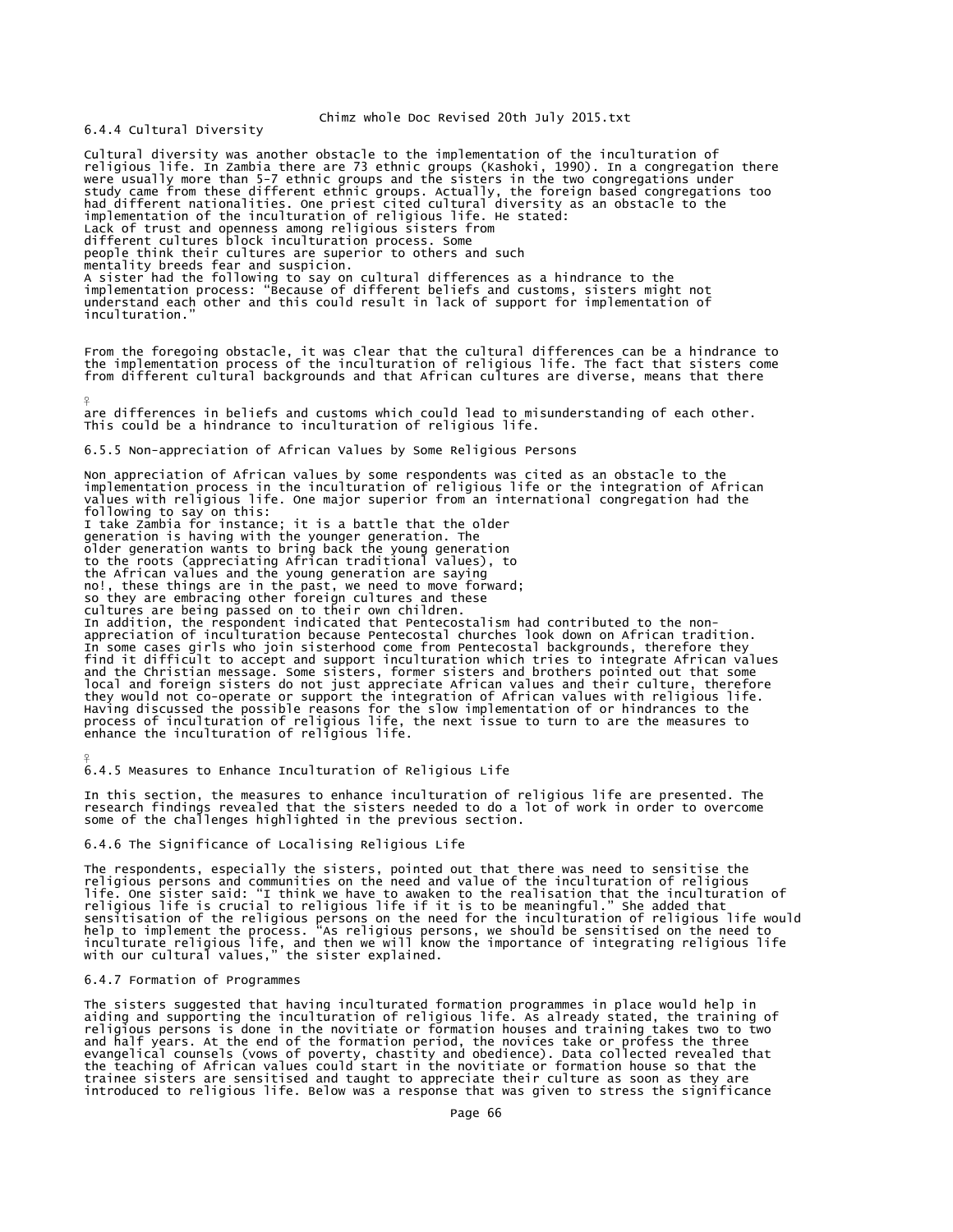6.4.4 Cultural Diversity

Cultural diversity was another obstacle to the implementation of the inculturation of<br>religious life. In Zambia there are 73 ethnic groups (Kashoki, 1990). In a congregation there<br>were usually more than 5-7 ethnic groups a study came from these different ethnic groups. Actually, the foreign based congregations too had different nationalities. One priest cited cultural diversity as an obstacle to the implementation of the inculturation of religious life. He stated: Lack of trust and openness among religious sisters from different cultures block inculturation process. Some people think their cultures are superior to others and such mentality breeds fear and suspicion.<br>A sister had the following to say on cultural differences as a hindrance to the<br>implementation process: "Because of different beliefs and customs, sisters might not<br>understand each othe inculturation. From the foregoing obstacle, it was clear that the cultural differences can be a hindrance to the implementation process of the inculturation of religious life. The fact that sisters come from different cultural backgrounds and that African cultures are diverse, means that there ¥ are differences in beliefs and customs which could lead to misunderstanding of each other. This could be a hindrance to inculturation of religious life. 6.5.5 Non-appreciation of African Values by Some Religious Persons Non appreciation of African values by some respondents was cited as an obstacle to the<br>implementation process in the inculturation of religious life or the integration of African<br>values with religious life. One major super following to say on this:<br>I take Zambia for instance; it is a battle that the older<br>generation is having with the younger generation. The<br>older generation wants to bring back the young generation<br>to the roots (appreciating the African values and the young generation are saying no!, these things are in the past, we need to move forward; so they are embracing other foreign cultures and these cultures are being passed on to their own children. In addition, the respondent indicated that Pentecostalism had contributed to the nonappreciation of inculturation because Pentecostal churches look down on African tradition. In some cases girls who join sisterhood come from Pentecostal backgrounds, therefore they find it difficult to accept and support inculturation which tries to integrate African values<br>and the Christian message. Some sisters, former sisters and brothers pointed out that some<br>local and foreign sisters do not just they would not co-operate or support the integration of African values with religious life.<br>Having discussed the possible reasons for the slow implementation of or hindrances to the<br>process of inculturation of religious li

6.4.5 Measures to Enhance Inculturation of Religious Life

In this section, the measures to enhance inculturation of religious life are presented. The research findings revealed that the sisters needed to do a lot of work in order to overcome some of the challenges highlighted in the previous section.

6.4.6 The Significance of Localising Religious Life

The respondents, especially the sisters, pointed out that there was need to sensitise the religious persons and communities on the need and value of the inculturation of religious<br>life. One sister said: "I think we have to awaken to the realisation that the inculturation of<br>religious life is crucial to religiou

### 6.4.7 Formation of Programmes

¥

The sisters suggested that having inculturated formation programmes in place would help in aiding and supporting the inculturation of religious life. As already stated, the training of religious persons is done in the novitiate or formation houses and training takes two to two<br>and half years. At the end of the formation period, the novices take or profess the three<br>evangelical counsels (vows of poverty, trainee sisters are sensitised and taught to appreciate their culture as soon as they are introduced to religious life. Below was a response that was given to stress the significance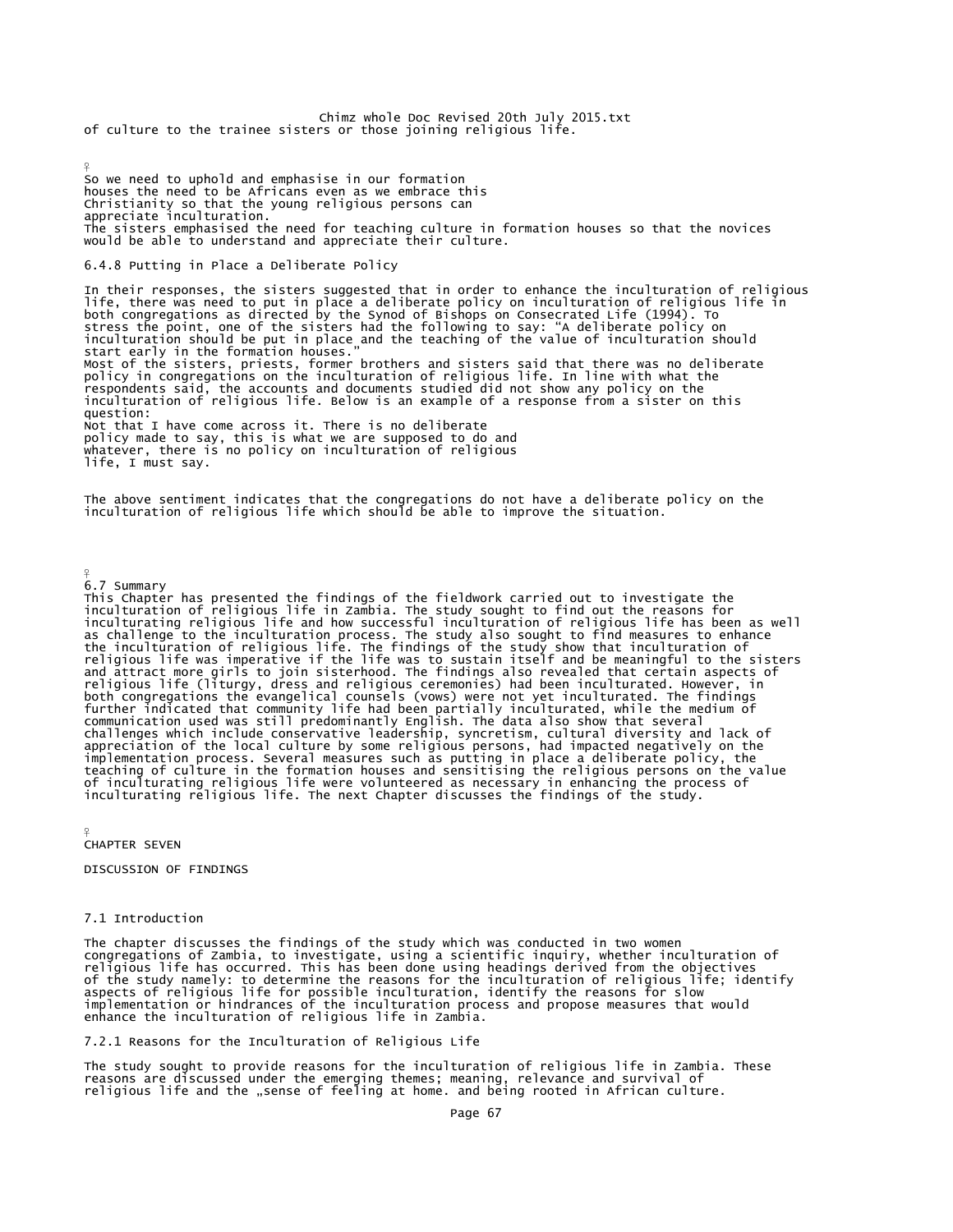Chimz whole Doc Revised 20th July 2015.txt of culture to the trainee sisters or those joining religious life.

¥ So we need to uphold and emphasise in our formation houses the need to be Africans even as we embrace this Christianity so that the young religious persons can appreciate inculturation. The sisters emphasised the need for teaching culture in formation houses so that the novices would be able to understand and appreciate their culture.

### 6.4.8 Putting in Place a Deliberate Policy

In their responses, the sisters suggested that in order to enhance the inculturation of religious life, there was need to put in place a deliberate policy on inculturation of religious life in<br>both congregations as directed by the Synod of Bishops on Consecrated Life (1994). To<br>stress the point, one of the sisters had Most of the sisters, priests, former brothers and sisters said that there was no deliberate policy in congregations on the inculturation of religious life. In line with what the respondents said, the accounts and documents studied did not show any policy on the inculturation of religious life. Below is an example of a response from a sister on this question: Not that I have come across it. There is no deliberate policy made to say, this is what we are supposed to do and whatever, there is no policy on inculturation of religious life, I must say.

The above sentiment indicates that the congregations do not have a deliberate policy on the inculturation of religious life which should be able to improve the situation.

6.7 Summary

 $\circ$ 

This Chapter has presented the findings of the fieldwork carried out to investigate the inculturation of religious life in Zambia. The study sought to find out the reasons for inculturating religious life and how successful inculturation of religious life has been as well as challenge to the inculturation process. The study also sought to find measures to enhance<br>the inculturation of religious life. The findings of the study show that inculturation of<br>religious life was imperative if the li and attract more girls to join sisterhood. The findings also revealed that certain aspects of<br>religious life (liturgy, dress and religious ceremonies) had been inculturated. However, in<br>both congregations the evangelical c of inculturating religious life were volunteered as necessary in enhancing the process of inculturating religious life. The next Chapter discusses the findings of the study.

¥ CHAPTER SEVEN

DISCUSSION OF FINDINGS

### 7.1 Introduction

The chapter discusses the findings of the study which was conducted in two women<br>congregations of Zambia, to investigate, using a scientific inquiry, whether inculturation of<br>religious life has occurred. This has been done of the study namely: to determine the reasons for the inculturation of religious life; identify aspects of religious life for possible inculturation, identify the reasons for slow implementation or hindrances of the inculturation process and propose measures that would enhance the inculturation of religious life in Zambia.

7.2.1 Reasons for the Inculturation of Religious Life

The study sought to provide reasons for the inculturation of religious life in Zambia. These reasons are discussed under the emerging themes; meaning, relevance and survival of religious life and the "sense of feeling at home. and being rooted in African culture.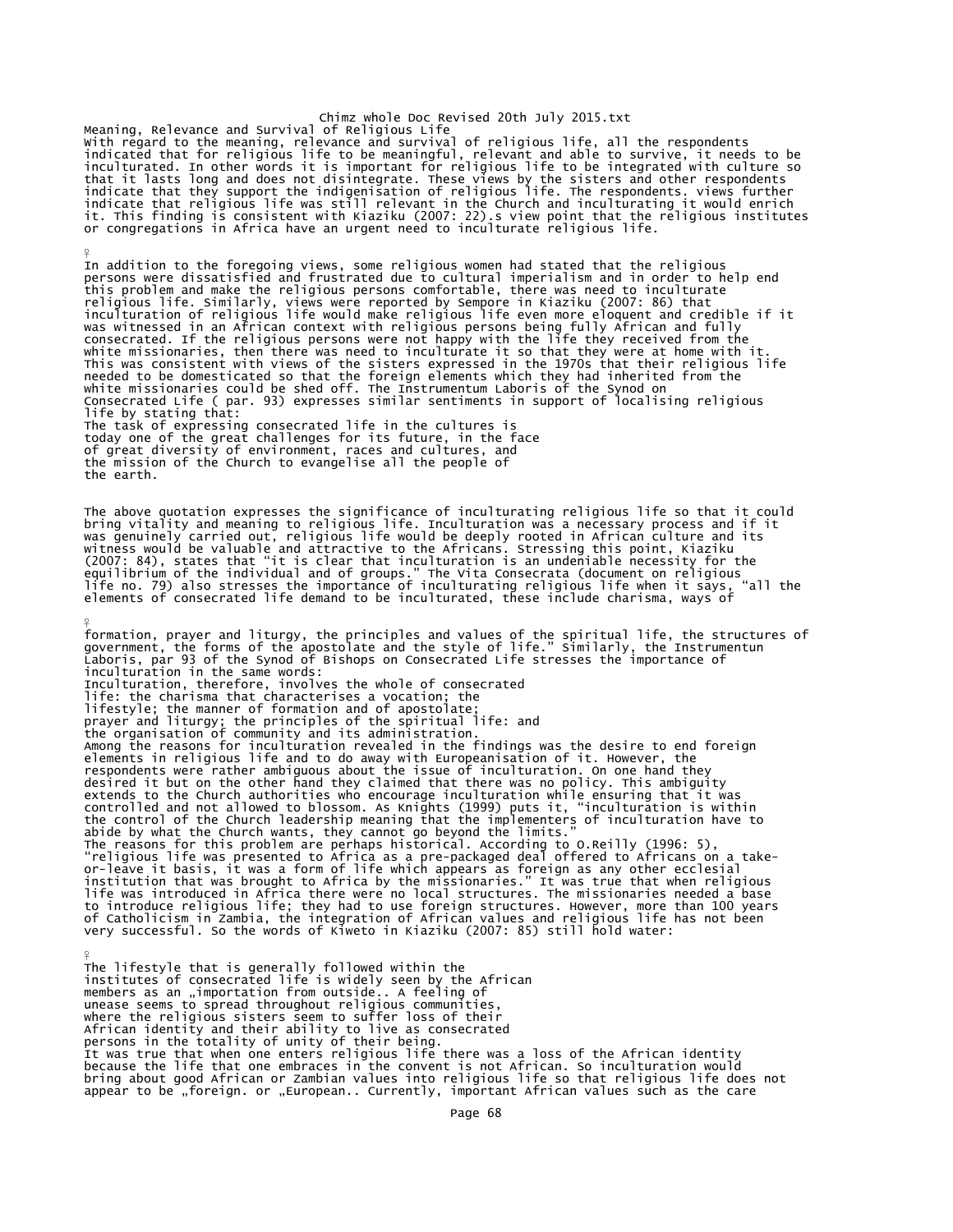Chimz whole Doc Revised 20th July 2015.txt Meaning, Relevance and Survival of Religious Life with regard to the meaning, relevance and survival of religious life, all the respondents<br>indicated that for religious life to be meaningful, relevant and able to survive, it needs to be<br>inculturated. In other words it is it. This finding is consistent with Kiaziku (2007: 22).s view point that the religious institutes<br>or congregations in Africa have an urgent need to inculturate religious life.

¥

In addition to the foregoing views, some religious women had stated that the religious<br>persons were dissatisfied and frustrated due to cultural imperialism and in order to help end<br>this problem and make the religious perso This was consistent with views of the sisters expressed in the 1970s that their religious life<br>needed to be domesticated so that the foreign elements which they had inherited from the<br>white missionaries could be shed off. life by stating that: The task of expressing consecrated life in the cultures is today one of the great challenges for its future, in the face of great diversity of environment, races and cultures, and the mission of the Church to evangelise all the people of the earth.

The above quotation expresses the significance of inculturating religious life so that it could bring vitality and meaning to religious life. Inculturation was a necessary process and if it<br>was genuinely carried out, religious life would be deeply rooted in African culture and its<br>witness would be valuable and attrac

¥ formation, prayer and liturgy, the principles and values of the spiritual life, the structures of<br>government, the forms of the apostolate and the style of life." Similarly, the Instrumentun<br>Laboris, par 93 of the Synod of inculturation in the same words: Inculturation, therefore, involves the whole of consecrated<br>life: the charisma that characterises a vocation; the<br>lifestyle; the manner of formation and of apostolate;<br>prayer and liturgy; the principles of the spiritual li The reasons for this problem are perhaps historical. According to O.Reilly (1996: 5),<br>"religious life was presented to Africa as a pre-packaged deal offered to Africans on a take-<br>"or-leave it basis, it was a form of life  $\frac{9}{5}$ 

The lifestyle that is generally followed within the institutes of consecrated life is widely seen by the African<br>members as an "importation from outside.. A feeling of unease seems to spread throughout religious communities, where the religious sisters seem to suffer loss of their African identity and their ability to live as consecrated persons in the totality of unity of their being. It was true that when one enters religious life there was a loss of the African identity<br>because the life that one embraces in the convent is not African. So inculturation would<br>bring about good African or Zambian values i appear to be "foreign. or "European.. Currently, important African values such as the care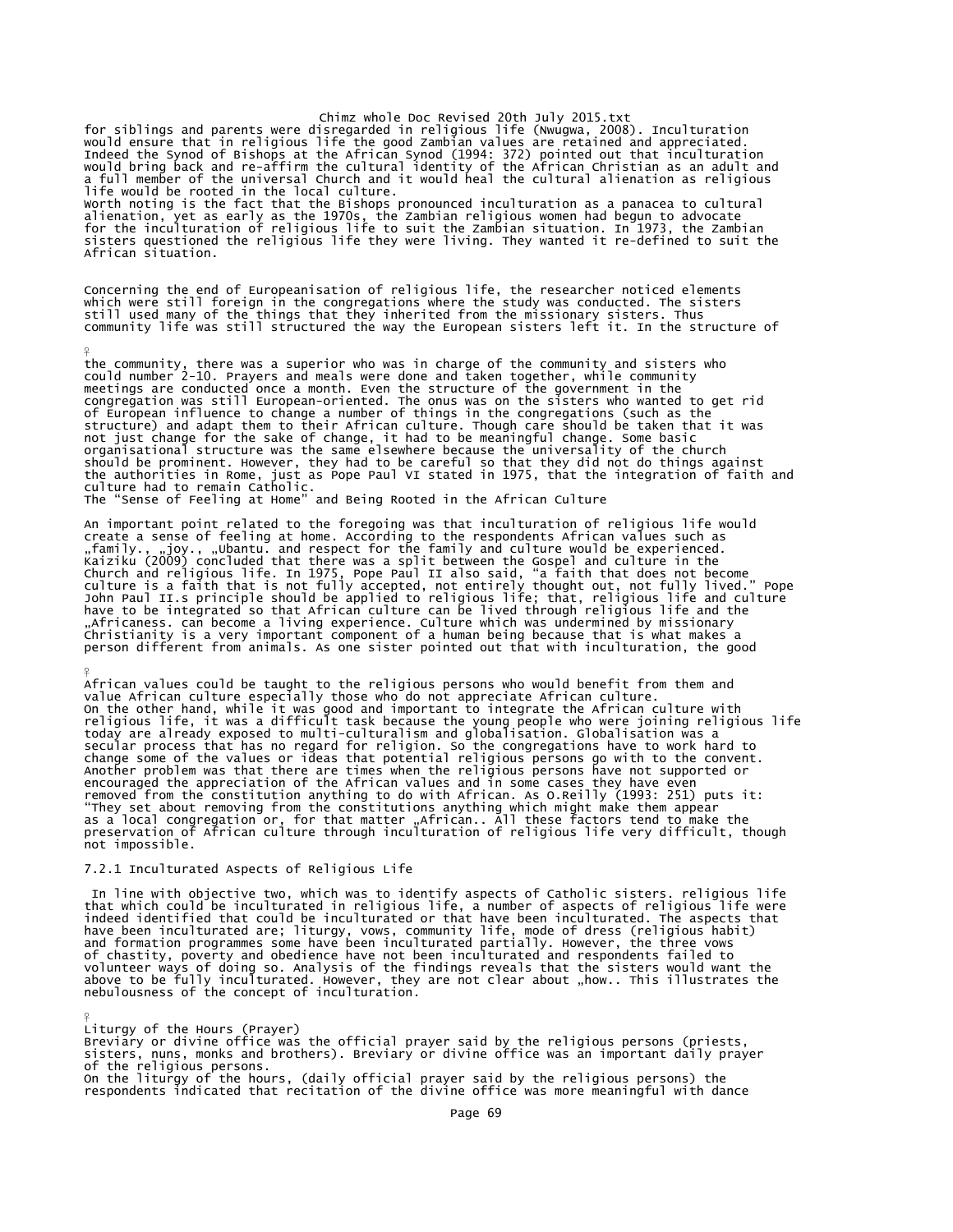Chimz whole Doc Revised 20th July 2015.txt<br>Would ensure that in religious at the good Zambian values are retained and appreciated.<br>Indeed the Synod of Bishops at the frican Synod (1994: 372) pointed out that inculturation<br> life would be rooted in the local culture. Worth noting is the fact that the Bishops pronounced inculturation as a panacea to cultural alienation, yet as early as the 1970s, the Zambian religious women had begun to advocate<br>for the inculturation of religious life to suit the Zambian situation. In 1973, the Zambian<br>sisters questioned the religious life the African situation.

Concerning the end of Europeanisation of religious life, the researcher noticed elements<br>which were still foreign in the congregations where the study was conducted. The sisters<br>still used many of the things that they inhe

the community, there was a superior who was in charge of the community and sisters who could number 2-10. Prayers and meals were done and taken together, while community meetings are conducted once a month. Even the structure of the government in the congregation was still European-oriented. The onus was on the sisters who wanted to get rid of European influence to change a number of things in the congregations (such as the structure) and adapt them to their African culture. Though care should be taken that it was not just change for the sake of change, it had to be meaningful change. Some basic organisational structure was the same elsewhere because the universality of the church should be prominent. However, they had to be careful so that they did not do things against<br>the authorities in Rome, just as Pope Paul VI stated in 1975, that the integration of faith and<br>culture had to remain Catholic.<br>Th

An important point related to the foregoing was that inculturation of religious life would<br>create a sense of feeling at home. According to the respondents African values such as<br>"family., .joy., .ylohantu.and respect for t

African values could be taught to the religious persons who would benefit from them and value African culture especially those who do not appreciate African culture.<br>On the other hand, while it was good and important to integrate the African culture with<br>religious life, it was a difficult task because the you secular process that has no regard for religion. So the congregations have to work hard to<br>change some of the values or ideas that potential religious persons go with to the convent.<br>Another problem was that there are time encouraged the appreciation of the African values and in some cases they have even<br>removed from the constitution anything to do with African. As O.Reilly (1993: 251) puts it:<br>"They set about removing from the constitutions not impossible.

# 7.2.1 Inculturated Aspects of Religious Life

¥

¥

¥

In line with objective two, which was to identify aspects of Catholic sisters. religious life<br>that which could be inculturated in religious life, a number of aspects of religious life were<br>indeed identified that could be i volunteer ways of doing so. Analysis of the findings reveals that the sisters would want the<br>above to be fully inculturated. However, they are not clear about "how.. This illustrates the<br>nebulousness of the concept of incu

Liturgy of the Hours (Prayer)<br>Breviary or divine office was the official prayer said by the religious persons (priests,<br>sisters, nuns, monks and brothers). Breviary or divine office was an important daily prayer of the religious persons. On the liturgy of the hours, (daily official prayer said by the religious persons) the respondents indicated that recitation of the divine office was more meaningful with dance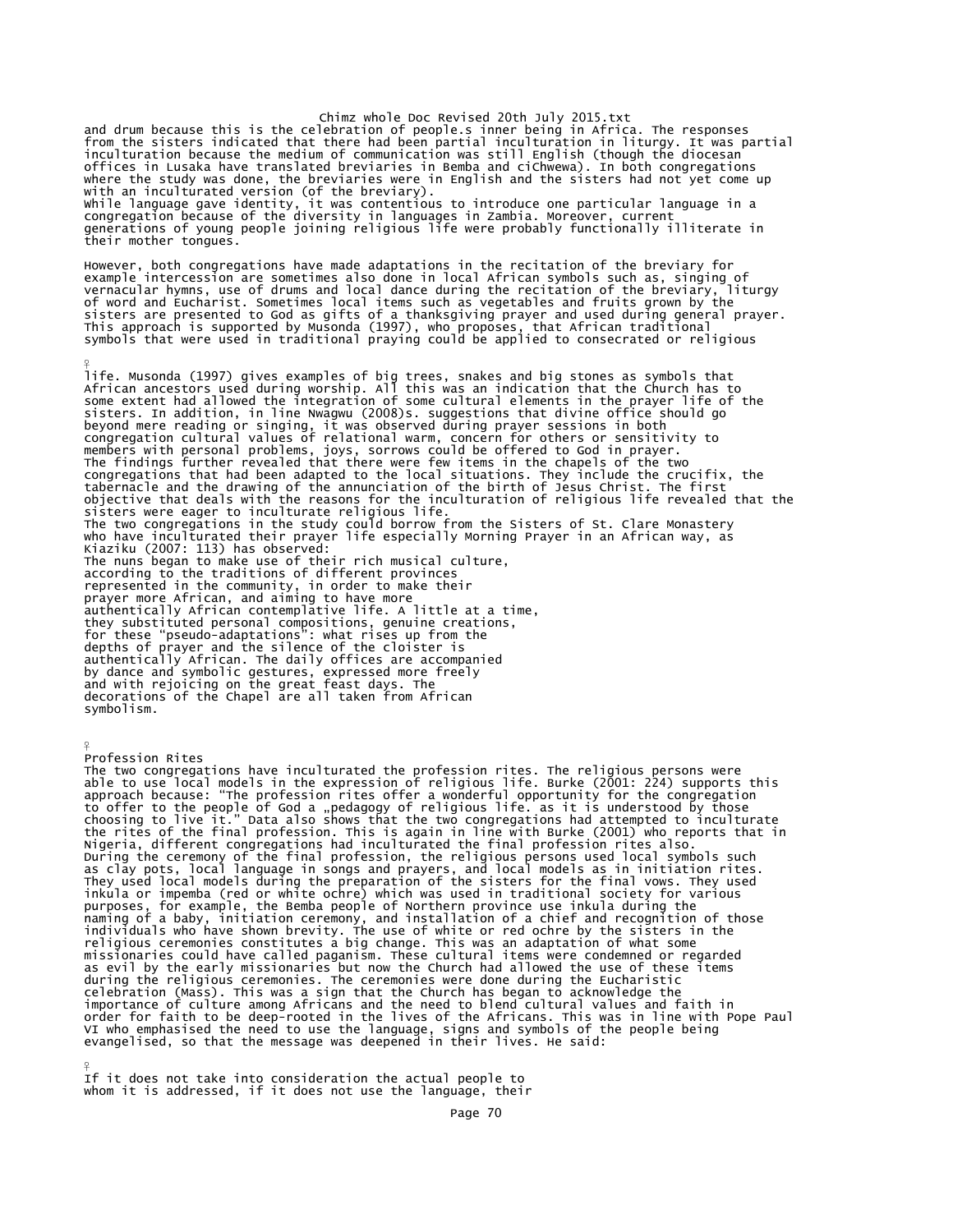Chimz whole Doc Revised 20th July 2015.txt<br>and drum because this is the celebration of people.s inner being in Africa. The responses<br>from the sisters indicated that there had been partial inculturation in liturgy. It was p offices in Lusaka have translated breviaries in Bemba and cichwewa). In both congregations<br>where the study was done, the breviaries were in English and the sisters had not yet come up<br>with an inculturated version (of the b their mother tongues.

However, both congregations have made adaptations in the recitation of the breviary for<br>example intercession are sometimes also done in local African symbols such as, singing of<br>vernacular hymns, use of drums and local dan

¥ life. Musonda (1997) gives examples of big trees, snakes and big stones as symbols that African ancestors used during worship. All this was an indication that the Church has to some extent had allowed the integration of some cultural elements in the prayer life of the sisters. In addition, in line Nwagwu (2008)s. suggestions that divine office should go<br>beyond mere reading or singing, it was observed during prayer sessions in both<br>congregation cultural values of relational warm, concern congregations that had been adapted to the local situations. They include the crucifix, the<br>tabernacle and the drawing of the annunciation of the birth of Jesus Christ. The first<br>objective that deals with the reasons for t represented in the community, in order to make their prayer more African, and aiming to have more authentically African contemplative life. A little at a time, they substituted personal compositions, genuine creations, for these "pseudo-adaptations": what rises up from the depths of prayer and the silence of the cloister is authentically African. The daily offices are accompanied by dance and symbolic gestures, expressed more freely and with rejoicing on the great feast days. The decorations of the Chapel are all taken from African symbolism.

 $\frac{9}{5}$ Profession Rites

The two congregations have inculturated the profession rites. The religious persons were able to use local models in the expression of religious life. Burke (2001: 224) supports this<br>approach because: "The profession rites offer a wonderful opportunity for the congregation<br>to offer to the people of God a "peda They used local models during the preparation of the sisters for the final vows. They used<br>inkula or impemba (red or white ochre) which was used in traditional society for various<br>purposes, for example, the Bemba people of as evil by the early missionaries but now the Church had allowed the use of these items during the religious ceremonies. The ceremonies were done during the Eucharistic celebration (Mass). This was a sign that the Church has began to acknowledge the importance of culture among Africans and the need to blend cultural values and faith in<br>order for faith to be deep-rooted in the lives of the Africans. This was in line with Pope Paul<br>VI who emphasised the need to use the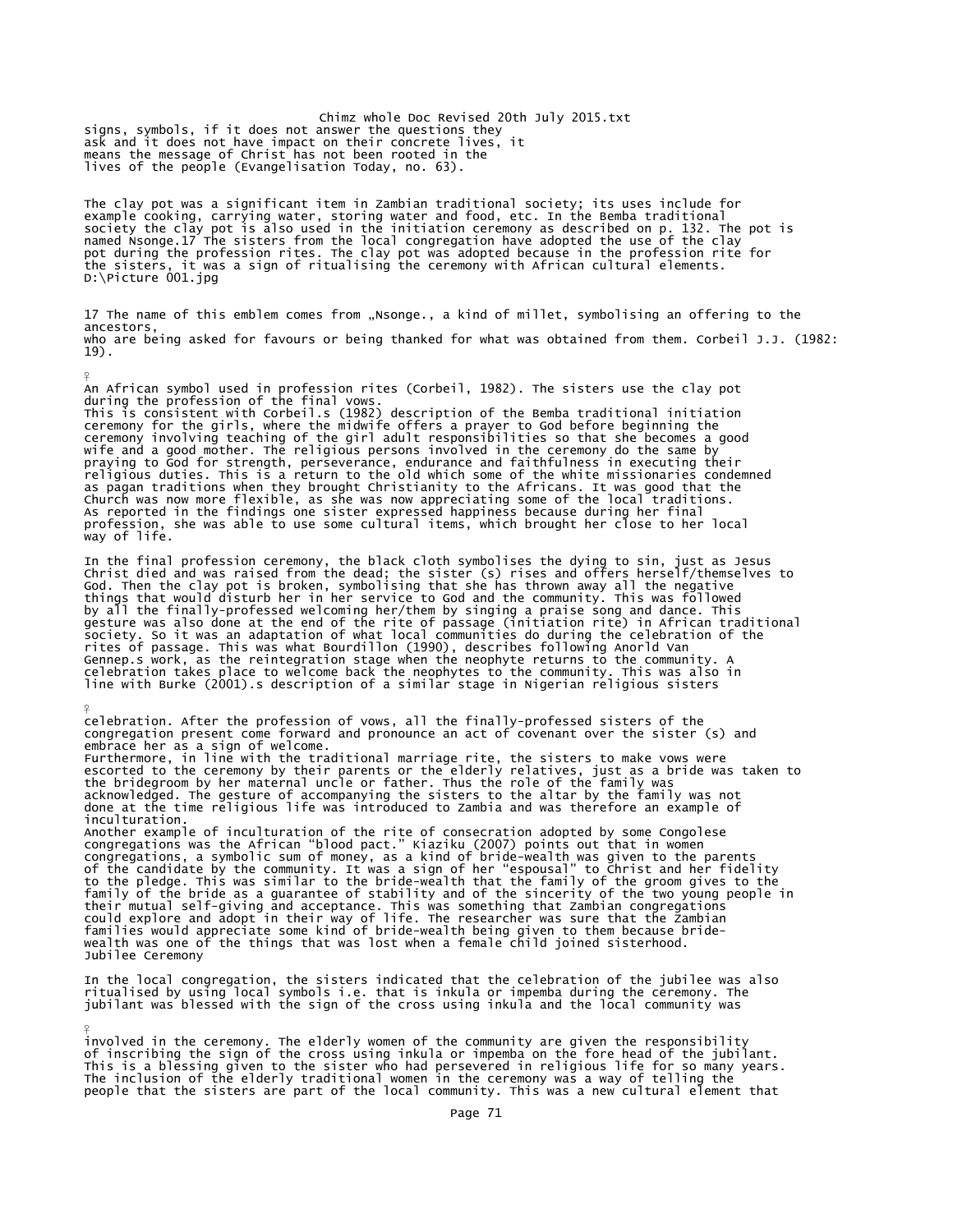Chimz whole Doc Revised 20th July 2015.txt signs, symbols, if it does not answer the questions they ask and it does not have impact on their concrete lives, it means the message of Christ has not been rooted in the lives of the people (Evangelisation Today, no. 63).

¥

¥

¥

The clay pot was a significant item in Zambian traditional society; its uses include for example cooking, carrying water, storing water and food, etc. In the Bemba traditional<br>society the clay pot is also used in the initiation ceremony as described on p. 132. The pot is<br>named Nsonge.17 The sisters from the lo D:\Picture 001.jpg

17 The name of this emblem comes from "Nsonge., a kind of millet, symbolising an offering to the ancestors, who are being asked for favours or being thanked for what was obtained from them. Corbeil J.J. (1982: 19).

An African symbol used in profession rites (Corbeil, 1982). The sisters use the clay pot<br>during the profession of the final vows.<br>This is consistent with Corbeil.s (1982) description of the Bemba traditional initiation<br>cre profession, she was able to use some cultural items, which brought her close to her local way of life.

In the final profession ceremony, the black cloth symbolises the dying to sin, just as Jesus Christ died and was raised from the dead; the sister (s) rises and offers herself/themselves to God. Then the clay pot is broken, symbolising that she has thrown away all the negative things that would disturb her in her service to God and the community. This was followed by all the finally-professed welcoming her/them by singing a praise song and dance. This<br>gesture was also done at the end of the rite of passage (initiation rite) in African traditional<br>society. So it was an adaptation of Gennep.s work, as the reintegration stage when the neophyte returns to the community. celebration takes place to welcome back the neophytes to the community. This was also in line with Burke (2001).s description of a similar stage in Nigerian religious sisters

celebration. After the profession of vows, all the finally-professed sisters of the congregation present come forward and pronounce an act of covenant over the sister (s) and embrace her as a sign of welcome. Furthermore, in line with the traditional marriage rite, the sisters to make vows were escorted to the ceremony by their parents or the elderly relatives, just as a bride was taken to the bridegroom by her maternal uncle or father. Thus the role of the family was<br>acknowledged. The gesture of accompanying the sisters to the altar by the family was not<br>done at the time religious life was introduced to Zam inculturation. Another example of inculturation of the rite of consecration adopted by some Congolese<br>congregations was the African "blood pact." Kiaziku (2007) points out that in women<br>congregations, a symbolic sum of money, as a kind o to the pledge. This was similar to the bride-wealth that the family of the groom gives to the<br>family of the bride as a guarantee of stability and of the sincerity of the two young people in<br>their mutual self-giving and acc wealth was one of the things that was lost when a female child joined sisterhood. Jubilee Ceremony

In the local congregation, the sisters indicated that the celebration of the jubilee was also<br>ritualised by using local symbols i.e. that is inkula or impemba during the ceremony. The<br>jubilant was blessed with the sign of

involved in the ceremony. The elderly women of the community are given the responsibility<br>of inscribing the sign of the cross using inkula or impemba on the fore head of the jubilant.<br>This is a blessing given to the sister The inclusion of the elderly traditional women in the ceremony was a way of telling the people that the sisters are part of the local community. This was a new cultural element that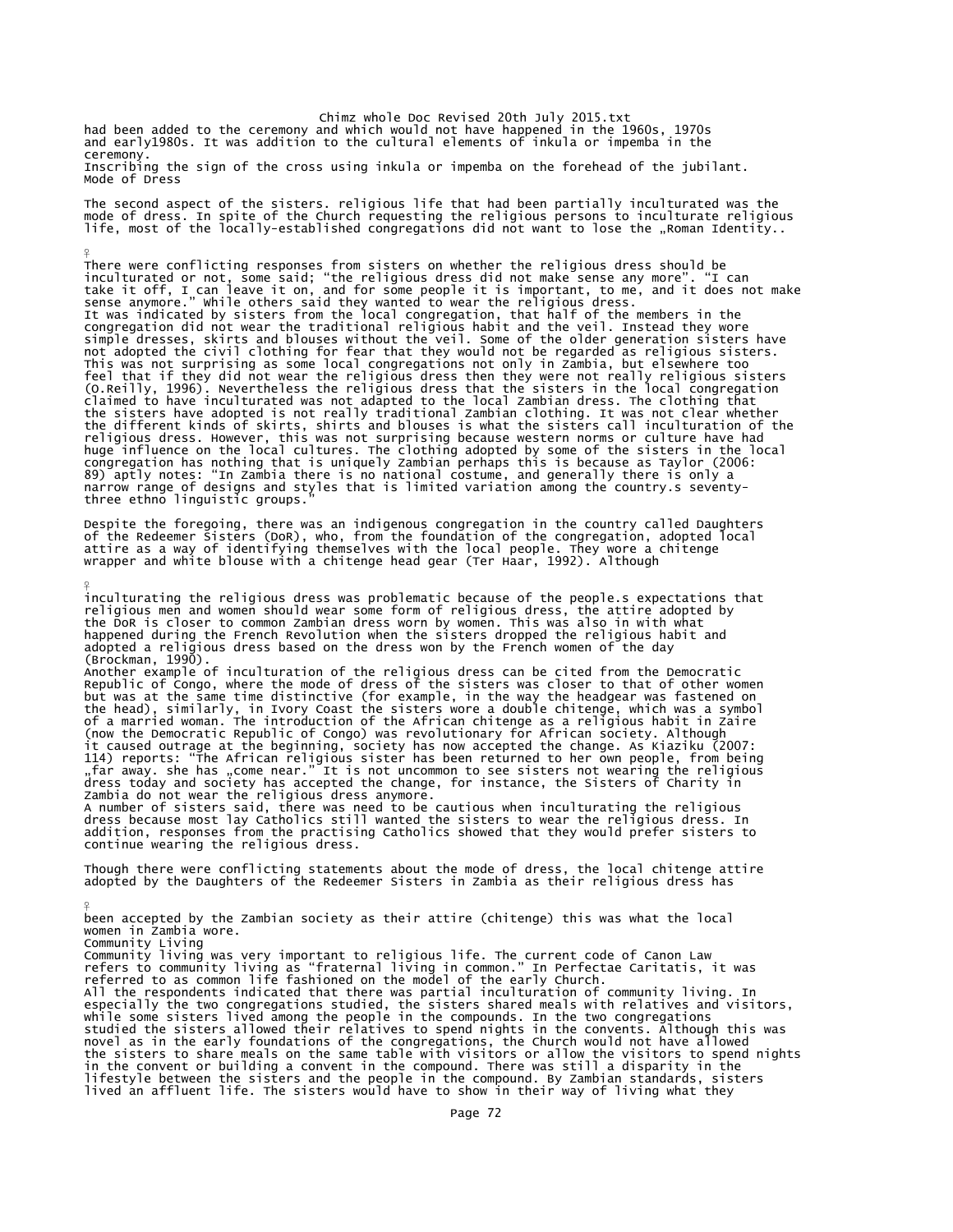Chimz whole Doc Revised 20th July 2015.txt<br>had been added to the ceremony and which would not have happened in the 1960s, 1970s<br>and early1980s. It was addition to the cultural elements of inkula or impemba in the ceremony.

¥

¥

¥

Inscribing the sign of the cross using inkula or impemba on the forehead of the jubilant. Mode of Dress

The second aspect of the sisters. religious life that had been partially inculturated was the mode of dress. In spite of the Church requesting the religious persons to inculturate religious<br>life, most of the locally-established congregations did not want to lose the "Roman Identity..

There were conflicting responses from sisters on whether the religious dress should be<br>inculturated or not, some said; "the religious dress did not make sense any more". "I can<br>take it off, I can leave it on, and for some This was not surprising as some local congregations not only in Zambia, but elsewhere too feel that if they did not wear the religious dress then they were not really religious sisters (O.Reilly, 1996). Nevertheless the religious dress that the sisters in the local congregation<br>claimed to have inculturated was not adapted to the local Zambian dress. The clothing that<br>the sisters have adopted is not reall congregation has nothing that is uniquely Zambian perhaps this is because as Taylor (2006:<br>89) aptly notes: "In Zambia there is no national costume, and generally there is only a<br>narrow range of designs and styles that is three ethno linguistic groups."

Despite the foregoing, there was an indigenous congregation in the country called Daughters<br>of the Redeemer Sisters (DoR), who, from the foundation of the congregation, adopted local<br>attire as a way of identifying themselv

inculturating the religious dress was problematic because of the people.s expectations that religious men and women should wear some form of religious dress, the attire adopted by<br>the DoR is closer to common Zambian dress worn by women. This was also in with what<br>happened during the French Revolution when the sis adopted a religious dress based on the dress won by the French women of the day

(Brockman, 1990).<br>Another example of inculturation of the religious dress can be cited from the Democratic<br>Arepublic of Congo, where the mode of dress of the sisters was closer to that of other women<br>but was at the same ti

A number of sisters said, there was need to be cautious when inculturating the religious dress. In dress because most lay Catholics still wanted the sisters to wear the religious dress. In addition, responses from the practising Catholics showed that they would prefer sisters to continue wearing the religious dress.

Though there were conflicting statements about the mode of dress, the local chitenge attire adopted by the Daughters of the Redeemer Sisters in Zambia as their religious dress has

been accepted by the Zambian society as their attire (chitenge) this was what the local women in Zambia wore.

Community Living Community living was very important to religious life. The current code of Canon Law refers to community living as "fraternal living in common." In Perfectae Caritatis, it was referred to as common life fashioned on the model of the early Church. All the respondents indicated that there was partial inculturation of community living. In

especially the two congregations studied, the sisters shared meals with relatives and visitors, while some sisters lived among the people in the compounds. In the two congregations studied the sisters allowed their relatives to spend nights in the convents. Although this was novel as in the early foundations of the congregations, the Church would not have allowed the sisters to share meals on the same table with visitors or allow the visitors to spend nights in the convent or building a convent in the compound. There was still a disparity in the lifestyle between the sisters and the people in the compound. By Zambian standards, sisters lived an affluent life. The sisters would have to show in their way of living what they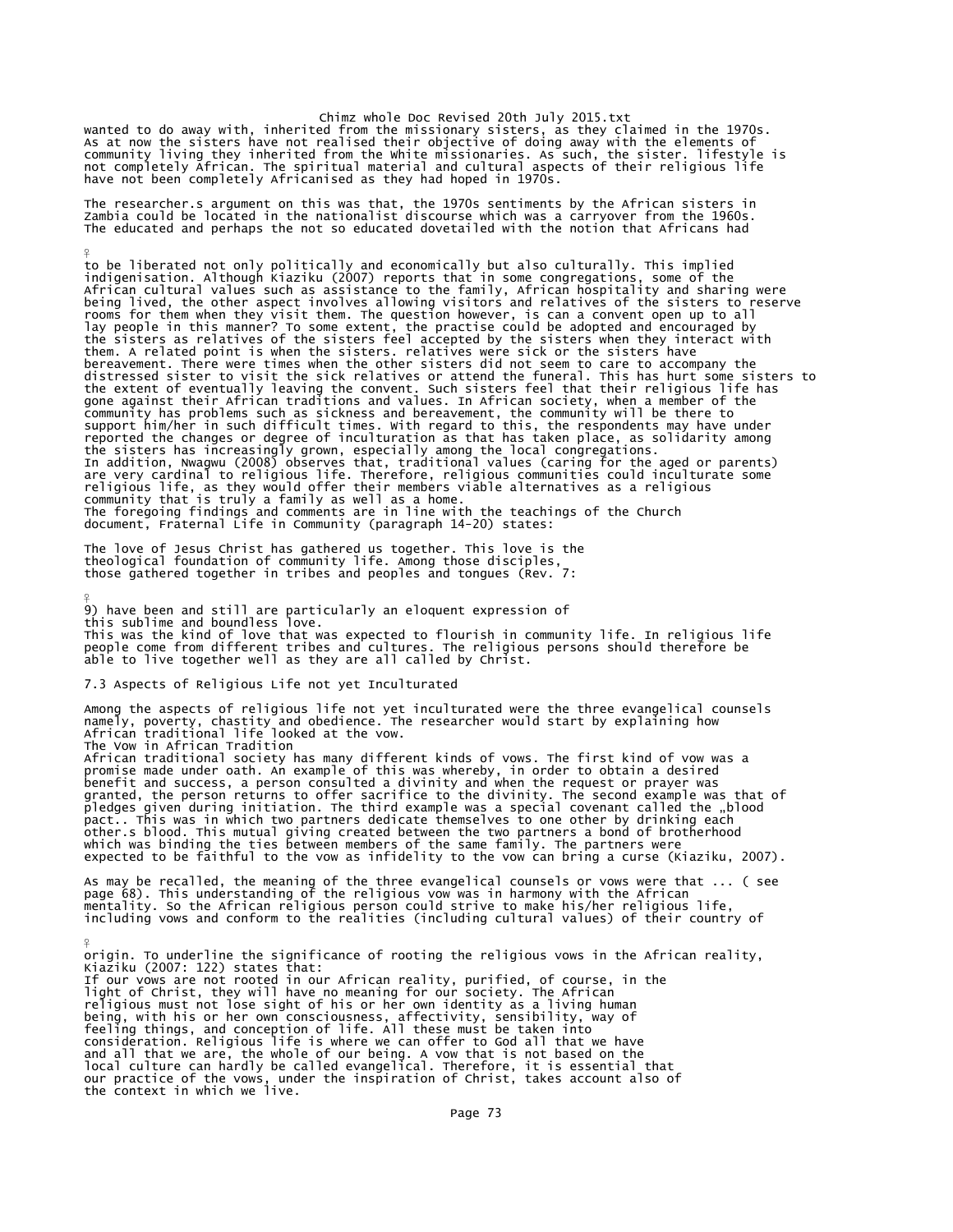# Chimz whole Doc Revised 20th July 2015.txt

wanted to do away with, inherited from the missionary sisters, as they claimed in the 1970s.<br>As at now the sisters have not realised their objective of doing away with the elements of<br>community living they inherited from t

The researcher.s argument on this was that, the 1970s sentiments by the African sisters in<br>Zambia could be located in the nationalist discourse which was a carryover from the 1960s.<br>The educated and perhaps the not so educ

to be liberated not only politically and economically but also culturally. This implied<br>indigenisation. Although Kiaziku (2007) reports that in some congregations, some of the<br>African cultural values such as assistance to them. A related point is when the sisters. relatives were sick or the sisters have bereavement. There were times when the other sisters did not seem to care to accompany the distressed sister to visit the sick relatives or attend the funeral. This has hurt some sisters to the extent of eventually leaving the convent. Such sisters feel that their religious life has gone against their African traditions and values. In African society, when a member of the community has problems such as sickness and bereavement, the community will be there to<br>support him/her in such difficult times. With regard to this, the respondents may have under<br>reported the changes or degree of incultu are very cardinal to religious life. Therefore, religious communities could inculturate some<br>religious life, as they would offer their members viable alternatives as a religious<br>community that is truly a family as well as document, Fraternal Life in Community (paragraph 14-20) states:

The love of Jesus Christ has gathered us together. This love is the theological foundation of community life. Among those disciples, those gathered together in tribes and peoples and tongues (Rev. 7:

¥ 9) have been and still are particularly an eloquent expression of this sublime and boundless love. This was the kind of love that was expected to flourish in community life. In religious life<br>people come from different tribes and cultures. The religious persons should therefore be<br>able to live together well as they are

7.3 Aspects of Religious Life not yet Inculturated

¥

Among the aspects of religious life not yet inculturated were the three evangelical counsels<br>namely, poverty, chastity and obedience. The researcher would start by explaining how<br>African traditional life looked at the vow.

benefit and success, a person consulted a divinity and when the request or prayer was<br>granted, the person returns to offer sacrifice to the divinity. The second example was that of<br>pledges given during initiation. The thir expected to be faithful to the vow as infidelity to the vow can bring a curse (Kiaziku, 2007).

As may be recalled, the meaning of the three evangelical counsels or vows were that ... ( see<br>page 68). This understanding of the religious vow was in harmony with the African<br>mentality. So the African religious person cou including vows and conform to the realities (including cultural values) of their country of

 $\frac{9}{5}$ origin. To underline the significance of rooting the religious vows in the African reality, Kiaziku (2007: 122) states that: If our vows are not rooted in our African reality, purified, of course, in the<br>light of Christ, they will have no meaning for our society. The African<br>religious must not lose sight of his or her own identity as a living hu the context in which we live.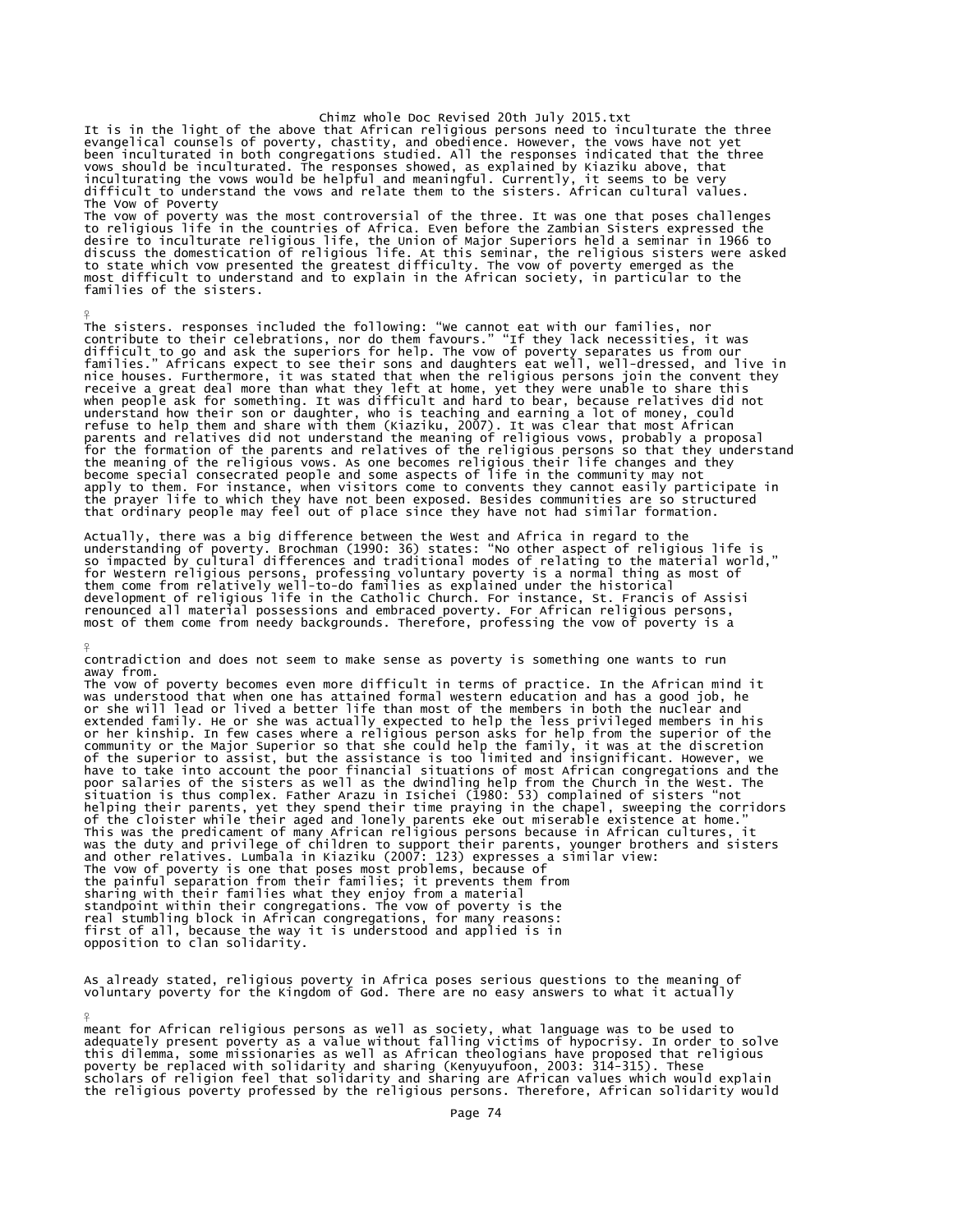Chimz whole Doc Revised 20th July 2015.txt It is in the light of the above that African religious persons need to inculturate the three<br>evangelical counsels of poverty, chastity, and obedience. However, the vows have not yet<br>been inculturated in both congregations vows should be inculturated. The responses showed, as explained by Kiaziku above, that inculturating the vows would be helpful and meaningful. Currently, it seems to be very difficult to understand the vows and relate them to the sisters. African cultural values. The Vow of Poverty

The vow of poverty was the most controversial of the three. It was one that poses challenges<br>to religious life in the countries of Africa. Even before the Zambian Sisters expressed the<br>desire to inculturate religious life, most difficult to understand and to explain in the African society, in particular to the families of the sisters.

¥

 $\frac{9}{5}$ 

¥

The sisters. responses included the following: "We cannot eat with our families, nor<br>contribute to their celebrations, nor do them favours." "If they lack necessities, it was<br>difficult to go and ask the superiors for help. receive a great deal more than what they left at home, yet they were unable to share this<br>when people ask for something. It was difficult and hard to bear, because relatives did not<br>understand how their son or daughter, wh the meaning of the religious vows. As one becomes religious their life changes and they<br>become special consecrated people and some aspects of life in the community may not<br>apply to them. For instance, when visitors come to the prayer life to which they have not been exposed. Besides communities are so structured that ordinary people may feel out of place since they have not had similar formation.

Actually, there was a big difference between the West and Africa in regard to the<br>understanding of poverty. Brochman (1990: 36) states: "No other aspect of religious life is<br>so impacted by cultural differences and traditio for Western religious persons, professing voluntary poverty is a normal thing as most of<br>them come from relatively well-to-do families as explained under the historical<br>development of religious life in the Catholic Church.

contradiction and does not seem to make sense as poverty is something one wants to run away from.

The vow of poverty becomes even more difficult in terms of practice. In the African mind it was understood that when one has attained formal western education and has a good job, he or she will lead or lived a better life than most of the members in both the nuclear and extended family. He or she was actually expected to help the less privileged members in his<br>or her kinship. In few cases where a religious person asks for help from the superior of the<br>community or the Major Superior so th poor salaries of the sisters as well as the dwindling help from the Church in the West. The situation is thus complex. Father Arazu in Isichei (1980: 53) complained of sisters "not helping their parents, yet they spend their time praying in the chapel, sweeping the corridors<br>of the cloister while their aged and lonely parents eke out miserable existence at home."<br>This was the predicament of many Afri the painful separation from their families; it prevents them from<br>sharing with their families what they enjoy from a material<br>standpoint within their congregations. The vow of poverty is the<br>real stumbling block in African opposition to clan solidarity.

As already stated, religious poverty in Africa poses serious questions to the meaning of voluntary poverty for the Kingdom of God. There are no easy answers to what it actually

meant for African religious persons as well as society, what language was to be used to<br>adequately present poverty as a value without falling victims of hypocrisy. In order to solve<br>this dilemma, some missionaries as well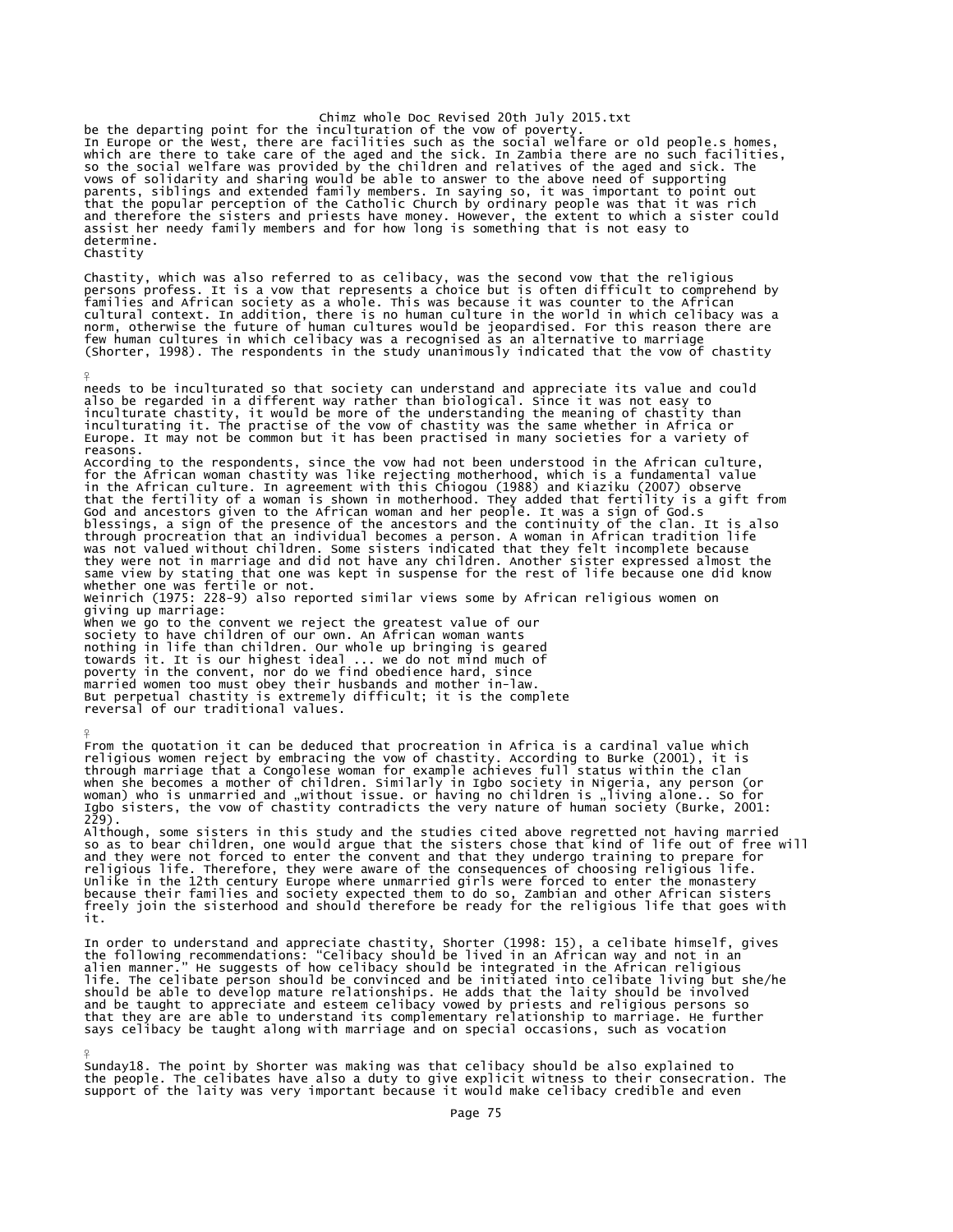chimz whole Doc Revised 20th July 2015.txt<br>In Europe or the west, there are faculturation of the vow of poverty.<br>In Europe or the West, there are facilities such as the social welfare or old people.s homes,<br>which are there determine. Chastity

Chastity, which was also referred to as celibacy, was the second vow that the religious<br>persons profess. It is a vow that represents a choice but is often difficult to comprehend by<br>families and African society as a whole.

¥

¥

 $\frac{9}{5}$ 

needs to be inculturated so that society can understand and appreciate its value and could<br>also be regarded in a different way rather than biological. Since it was not easy to<br>inculturate chastity, it would be more of the reasons.<br>According to the respondents, since the vow had not been understood in the African culture,<br>According for the African woman chastity was like rejecting motherhood, which is a fundamental value<br>in the African cultu whether one was fertile or not. Weinrich (1975: 228-9) also reported similar views some by African religious women on giving up marriage: When we go to the convent we reject the greatest value of our society to have children of our own. An African woman wants nothing in life than children. Our whole up bringing is geared towards it. It is our highest ideal ... we do not mind much of poverty in the convent, nor do we find obedience hard, since<br>married women too must obey their husbands and mother in-law.<br>But perpetual chastity is extremely difficult; it is the complete<br>reversal of our traditional value

From the quotation it can be deduced that procreation in Africa is a cardinal value which<br>religious women reject by embracing the vow of chastity. According to Burke (2001), it is<br>through marriage that a Congolese woman fo when she becomes a mother of children. Similarly in Igbo society in Nigeria, any person (or woman) who is unmarried and "without issue. or having no children is "living alone.. So for woman) who is unmarried and "without issue. or having no children is "living alone.. So for<br>Igbo sisters, the vow of chastity contradicts the very nature of human society (Burke, 2001:<br>229).

Although, some sisters in this study and the studies cited above regretted not having married<br>so as to bear children, one would argue that the sisters chose that kind of life out of free will<br>and they were not forced to en it.

In order to understand and appreciate chastity, Shorter (1998: 15), a celibate himself, gives<br>the following recommendations: "Celibacy should be lived in an African way and not in an<br>alien manner." He suggests of how celib life. The celibate person should be convinced and be initiated into celibate living but she/he should be able to develop mature relationships. He adds that the laity should be involved and be taught to appreciate and esteem celibacy vowed by priests and religious persons so that they are are able to understand its complementary relationship to marriage. He further says celibacy be taught along with marriage and on special occasions, such as vocation

Sunday18. The point by Shorter was making was that celibacy should be also explained to the people. The celibates have also a duty to give explicit witness to their consecration. The support of the laity was very important because it would make celibacy credible and even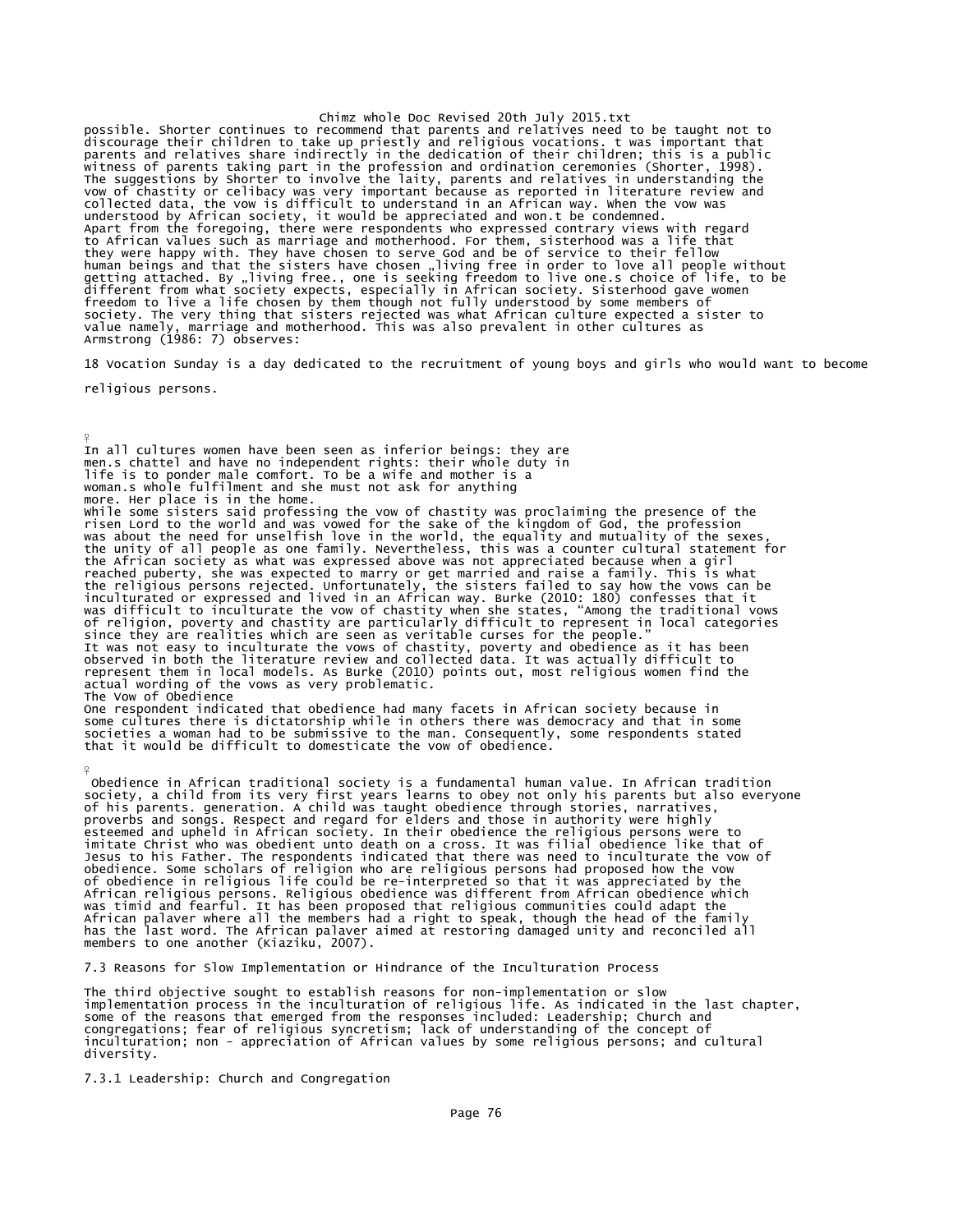Chimz whole Doc Revised 20th July 2015.txt possible. Shorter continues to recommend that parents and relatives need to be taught not to<br>discourage their children to take up priestly and religious vocations. t was important that<br>parents and relatives share indirectl to African values such as marriage and motherhood. For them, sisterhood was a life that they were happy with. They have chosen to serve God and be of service to their fellow human beings and that the sisters have chosen "living free in order to love all people without<br>getting attached. By "living free., one is seeking freedom to live one.s choice of life, to be<br>different from what society expe value namely, marriage and motherhood. This was also prevalent in other cultures as Armstrong (1986: 7) observes:

18 Vocation Sunday is a day dedicated to the recruitment of young boys and girls who would want to become

religious persons.

¥

 $\frac{9}{5}$ In all cultures women have been seen as inferior beings: they are men.s chattel and have no independent rights: their whole duty in life is to ponder male comfort. To be a wife and mother is a woman.s whole fulfilment and she must not ask for anything more. Her place is in the home.<br>While some sisters said professing the vow of chastity was proclaiming the presence of the<br>Wise nord to the world and was vowed for the sake of the kingdom of God, the profession<br>was about t since they are realities which are seen as veritable curses for the people."<br>It was not easy to inculturate the vows of chastity, poverty and obedience as it has been<br>observed in both the literature review and collected da represent them in local models. As Burke (2010) points out, most religious women find the actual wording of the vows as very problematic. The Vow of Obedience

One respondent indicated that obedience had many facets in African society because in some cultures there is dictatorship while in others there was democracy and that in some societies a woman had to be submissive to the man. Consequently, some respondents stated that it would be difficult to domesticate the vow of obedience.

Obedience in African traditional society is a fundamental human value. In African tradition<br>society, a child from its very first years learns to obey not only his parents but also everyone<br>of his parents. generation. A chi esteemed and upheld in African society. In their obedience the religious persons were to imitate Christ who was obedient unto death on a cross. It was filial obedience like that of Jesus to his Father. The respondents indicated that there was need to inculturate the vow of<br>obedience. Some scholars of religion who are religious persons had proposed how the vow<br>of obedience in religious life could be r African religious persons. Religious obedience was different from African obedience which was timid and fearful. It has been proposed that religious communities could adapt the African palaver where all the members had a right to speak, though the head of the family has the last word. The African palaver aimed at restoring damaged unity and reconciled all members to one another (Kiaziku, 2007).

7.3 Reasons for Slow Implementation or Hindrance of the Inculturation Process

The third objective sought to establish reasons for non-implementation or slow implementation process in the inculturation of religious life. As indicated in the last chapter,<br>some of the reasons that emerged from the responses included: Leadership; Church and<br>congregations; fear of religious syncret diversity.

7.3.1 Leadership: Church and Congregation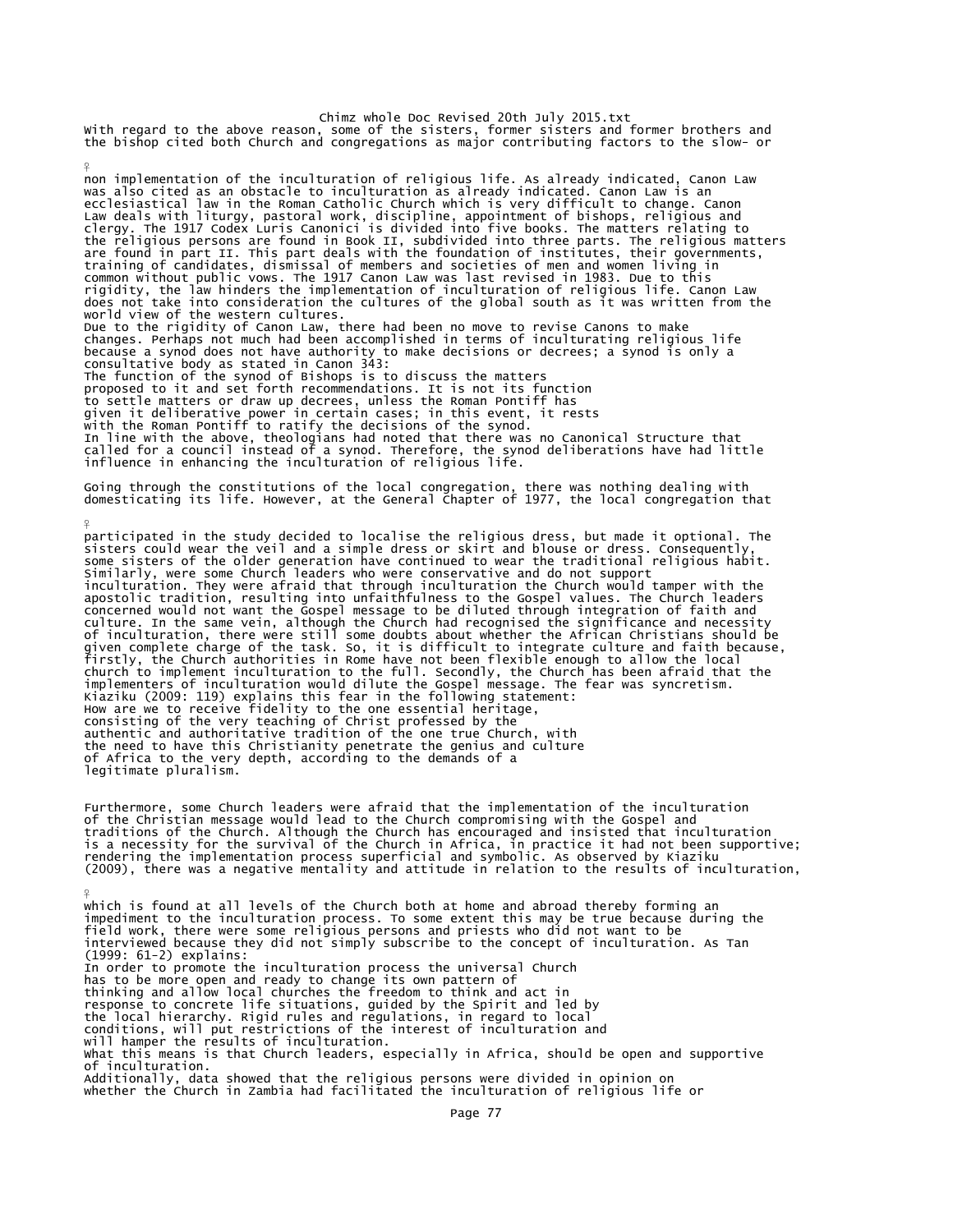Chimz whole Doc Revised 20th July 2015.txt<br>With regard to the above reason, some of the sisters, former sisters and former brothers and<br>the bishop cited both Church and congregations as major contributing factors to the sl

¥

¥

non implementation of the inculturation of religious life. As already indicated, Canon Law was also cited as an obstacle to inculturation as already indicated. Canon Law is an ecclesiastical law in the Roman Catholic Church which is very difficult to change. Canon Law deals with liturgy, pastoral work, discipline, appointment of bishops, religious and<br>clergy. The 1917 Codex Luris Canonici is divided into five books. The matters relating to<br>the religious persons are found in Book II, training of candidates, dismissal of members and societies of men and women living in<br>common without public vows. The 1917 Canon Law was last revised in 1983. Due to this<br>rigidity, the law hinders the implementation of inc Due to the rigidity of Canon Law, there had been no move to revise Canons to make changes. Perhaps not much had been accomplished in terms of inculturating religious life because a synod does not have authority to make decisions or decrees; a synod is only a consultative body as stated in Canon 343: The function of the synod of Bishops is to discuss the matters proposed to it and set forth recommendations. It is not its function<br>to settle matters or draw up decrees, unless the Roman Pontiff has<br>given it deliberative power in certain cases; in this event, it rests<br>with the Roman P In line with the above, theologians had noted that there was no Canonical Structure that called for a council instead of a synod. Therefore, the synod deliberations have had little influence in enhancing the inculturation of religious life.

Going through the constitutions of the local congregation, there was nothing dealing with domesticating its life. However, at the General Chapter of 1977, the local congregation that

participated in the study decided to localise the religious dress, but made it optional. The<br>sisters could wear the veil and a simple dress or skirt and blouse or dress. Consequently,<br>some sisters of the older generation h Similarly, were some Church leaders who were conservative and do not support inculturation. They were afraid that through inculturation the Church would tamper with the<br>apostolic tradition, resulting into unfaithfulness to the Gospel values. The Church leaders<br>concerned would not want the Gospel me of inculturation, there were still some doubts about whether the African Christians should be<br>given complete charge of the task. So, it is difficult to integrate culture and faith because,<br>firstly, the Church authorities i Kiaziku (2009: 119) explains this fear in the following statement:<br>How are we to receive fidelity to the one essential heritage,<br>consisting of the very teaching of Christ professed by the<br>authentic and authoritative tradit the need to have this Christianity penetrate the genius and culture of Africa to the very depth, according to the demands of a legitimate pluralism.

Furthermore, some Church leaders were afraid that the implementation of the inculturation of the Christian message would lead to the Church compromising with the Gospel and traditions of the Church. Although the Church has encouraged and insisted that inculturation<br>is a necessity for the survival of the Church in Africa, in practice it had not been supportive;<br>rendering the implementation pro

¥ which is found at all levels of the Church both at home and abroad thereby forming an impediment to the inculturation process. To some extent this may be true because during the<br>field work, there were some religious persons and priests who did not want to be<br>interviewed because they did not simply subscribe (1999: 61-2) explains: In order to promote the inculturation process the universal Church has to be more open and ready to change its own pattern of thinking and allow local churches the freedom to think and act in response to concrete life situations, guided by the Spirit and led by<br>the local hierarchy. Rigid rules and regulations, in regard to local<br>conditions, will put restrictions of the interest of inculturation and<br>will hamper What this means is that Church leaders, especially in Africa, should be open and supportive of inculturation. Additionally, data showed that the religious persons were divided in opinion on whether the Church in Zambia had facilitated the inculturation of religious life or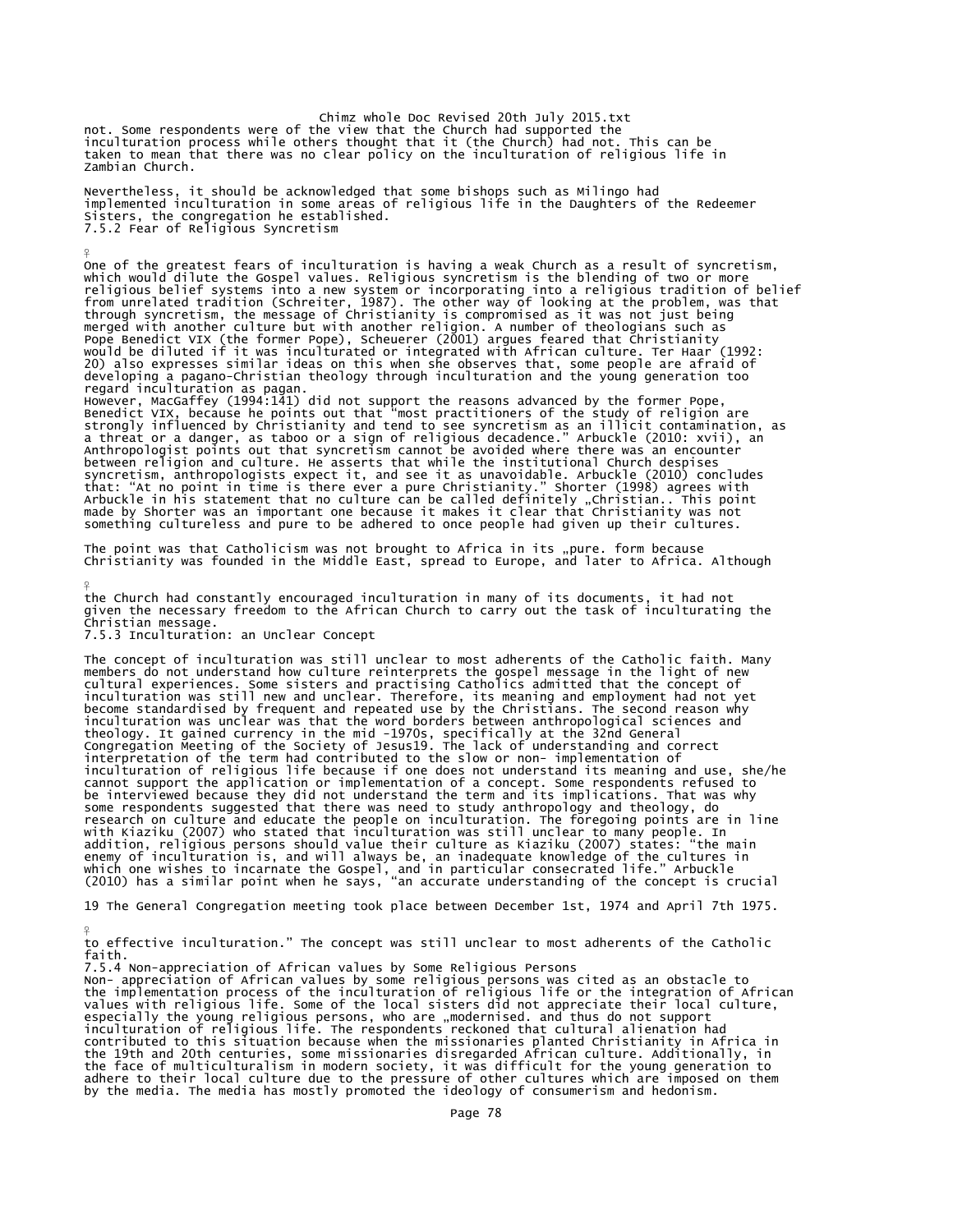Chimz whole Doc Revised 20th July 2015.txt not. Some respondents were of the view that the Church had supported the<br>inculturation process while others thought that it (the Church) had not. This can be<br>taken to mean that there was no clear policy on the inculturatio Zambian Church.

Nevertheless, it should be acknowledged that some bishops such as Milingo had implemented inculturation in some areas of religious life in the Daughters of the Redeemer Sisters, the congregation he established. 7.5.2 Fear of Religious Syncretism

One of the greatest fears of inculturation is having a weak Church as a result of syncretism, which would dilute the Gospel values. Religious syncretism is the blending of two or more religious belief systems into a new system or incorporating into a religious tradition of belief<br>from unrelated tradition (Schreiter, 1987). The other way of looking at the problem, was that<br>through syncretism, the message 20) also expresses similar ideas on this when she observes that, some people are afraid of developing a pagano-Christian theology through inculturation and the young generation too

regard inculturation as pagan. However, MacGaffey (1994:141) did not support the reasons advanced by the former Pope, Benedict VIX, because he points out that "most practitioners of the study of religion are<br>strongly influenced by Christianity and tend to see syncretism as an illicit contamination, as<br>a threat or a danger, as taboo or a s between religion and culture. He asserts that while the institutional Church despises syncretism, anthropologists expect it, and see it as unavoidable. Arbuckle (2010) concludes<br>that: "At no point in time is there ever a pure Christianity." Shorter (1998) agrees with<br>Arbuckle in his statement that no cultur something cultureless and pure to be adhered to once people had given up their cultures.

The point was that Catholicism was not brought to Africa in its "pure. form because<br>Christianity was founded in the Middle East, spread to Europe, and later to Africa. Although

¥ the Church had constantly encouraged inculturation in many of its documents, it had not given the necessary freedom to the African Church to carry out the task of inculturating the Christian message.

7.5.3 Inculturation: an Unclear Concept

¥

The concept of inculturation was still unclear to most adherents of the Catholic faith. Many members do not understand how culture reinterprets the gospel message in the light of new cultural experiences. Some sisters and practising Catholics admitted that the concept of inculturation was still new and unclear. Therefore, its meaning and employment had not yet<br>become standardised by frequent and repeated use by the Christians. The second reason why<br>inculturation was unclear was that the wo cannot support the application or implementation of a concept. Some respondents refused to<br>be interviewed because they did not understand the term and its implications. That was why<br>some respondents suggested that there wa with Kiaziku (2007) who stated that inculturation was still unclear to many people. In<br>addition, religious persons should value their culture as Kiaziku (2007) states: "the main<br>enemy of inculturation is, and will always b

19 The General Congregation meeting took place between December 1st, 1974 and April 7th 1975.

¥ to effective inculturation." The concept was still unclear to most adherents of the Catholic faith.

7.5.4 Non-appreciation of African values by Some Religious Persons

Non- appreciation of African values by some religious persons was cited as an obstacle to the implementation process of the inculturation of religious life or the integration of African values with religious life. Some of the local sisters did not appreciate their local culture, especially the young religious persons, who are "modernised. and thus do not support inculturation of religious life. The respondents reckoned that cultural alienation had<br>contributed to this situation because when the missionaries planted Christianity in Africa in<br>the 19th and 20th centuries, some mission by the media. The media has mostly promoted the ideology of consumerism and hedonism.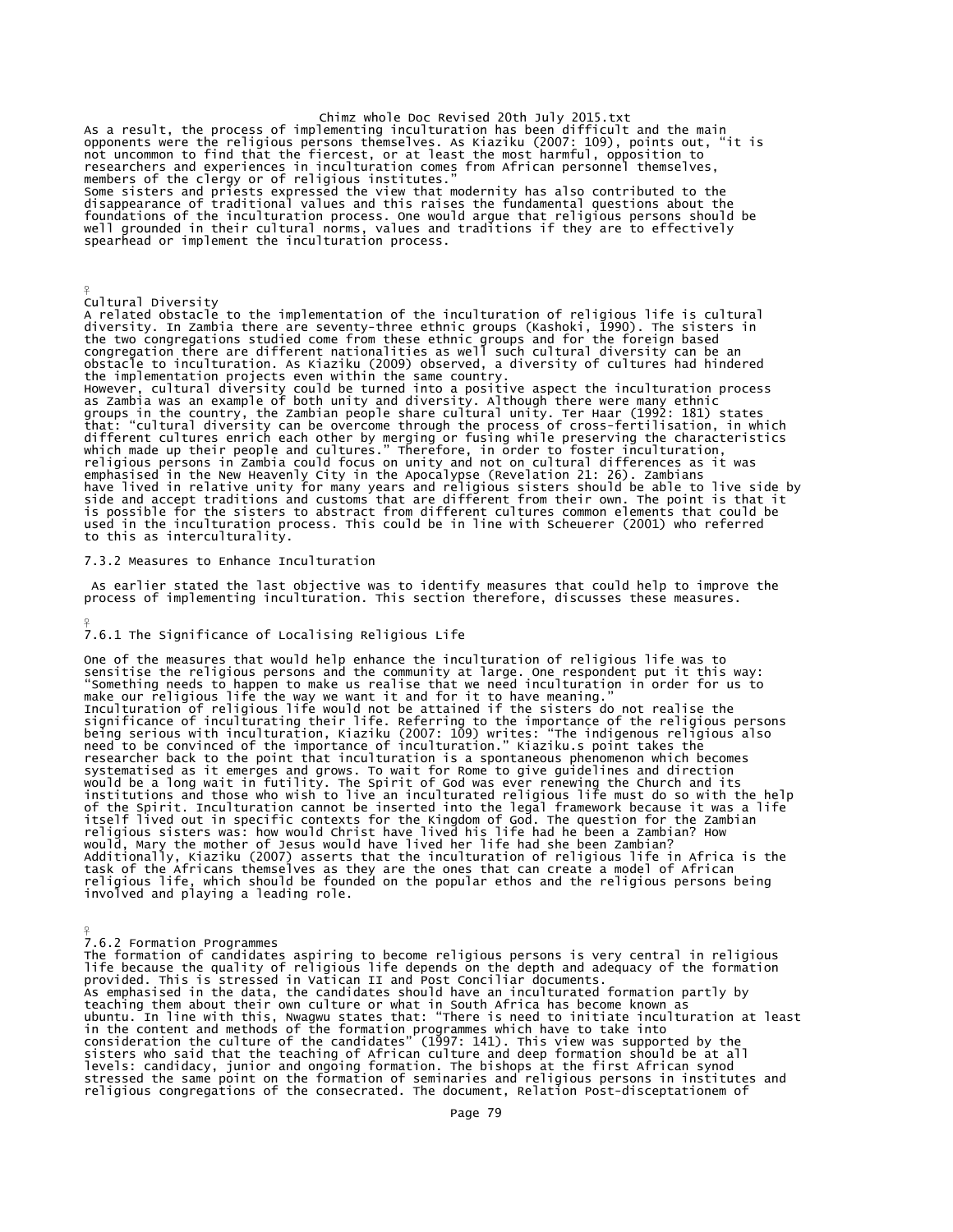Chimz whole Doc Revised 20th July 2015.txt<br>As a result, the process of implementing inculturation has been difficult and the main<br>opponents were the religious persons themselves. As Kiaziku (2007: 109), points out, "it is<br> researchers and experiences in inculturation comes from African personnel themselves, members of the clergy or of religious institutes." Some sisters and priests expressed the view that modernity has also contributed to the<br>disappearance of traditional values and this raises the fundamental questions about the<br>foundations of the inculturation process. One w spearhead or implement the inculturation process.

Cultural Diversity

¥

¥

A related obstacle to the implementation of the inculturation of religious life is cultural diversity. In Zambia there are seventy-three ethnic groups (Kashoki, Ī990). The sisters in<br>the two congregations studied come from these ethnic groups and for the foreign based<br>congregation there are different nationalitie obstacle to inculturation. As Kiaziku (2009) observed, a diversity of cultures had hindered the implementation projects even within the same country. However, cultural diversity could be turned into a positive aspect the inculturation process<br>as Zambia was an example of both unity and diversity. Although there were many ethnic<br>groups in the country, the Zambian people s different cultures enrich each other by merging or fusing while preserving the characteristics<br>which made up their people and cultures." Therefore, in order to foster inculturation,<br>religious persons in Zambia could focus

7.3.2 Measures to Enhance Inculturation

As earlier stated the last objective was to identify measures that could help to improve the process of implementing inculturation. This section therefore, discusses these measures.

used in the inculturation process. This could be in line with Scheuerer (2001) who referred to this as interculturality.

7.6.1 The Significance of Localising Religious Life

One of the measures that would help enhance the inculturation of religious life was to<br>sensitise the religious persons and the community at large. One respondent put it this way:<br>"Something needs to happen to make us reali systematised as it emerges and grows. To wait for Rome to give guidelines and direction would be a long wait in futility. The Spirit of God was ever renewing the Church and its institutions and those who wish to live an inculturated religious life must do so with the help of the Spirit. Inculturation cannot be inserted into the legal framework because it was a life<br>itself lived out in specific contexts for the Kingdom of God. The question for the Zambian<br>religious sisters was: how would Chr involved and playing a leading role.

¥

7.6.2 Formation Programmes<br>The formation of candidates aspiring to become religious persons is very central in religious<br>life because the quality of religious life depends on the depth and adequacy of the formation provided. This is stressed in Vatican II and Post Conciliar documents. As emphasised in the data, the candidates should have an inculturated formation partly by teaching them about their own culture or what in South Africa has become known as<br>ubuntu. In line with this, Nwagwu states that: "There is need to initiate inculturation at least<br>in the content and methods of the formation stressed the same point on the formation of seminaries and religious persons in institutes and religious congregations of the consecrated. The document, Relation Post-disceptationem of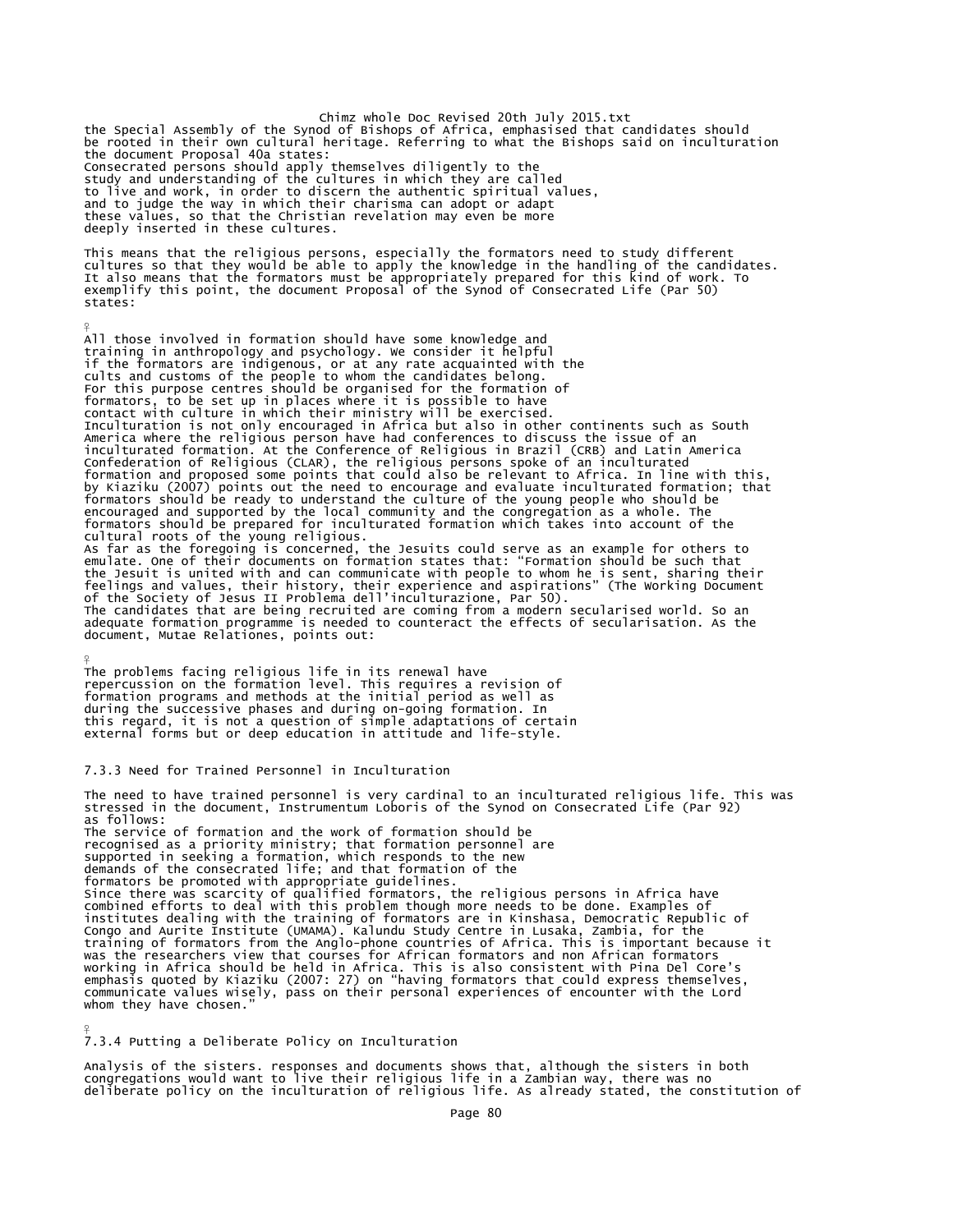Chimz whole Doc Revised 20th July 2015.txt<br>the Special Assembly of the Synod of Bishops of Africa, emphasised that candidates should<br>be rooted in their own cultural heritage. Referring to what the Bishops said on incultura the document Proposal 40a states: Consecrated persons should apply themselves diligently to the<br>study and understanding of the cultures in which they are called<br>to live and work, in order to discern the authentic spiritual values,<br>and to judge the way in w these values, so that the Christian revelation may even be more deeply inserted in these cultures.

This means that the religious persons, especially the formators need to study different<br>cultures so that they would be able to apply the knowledge in the handling of the candidates.<br>It also means that the formators must be states:

All those involved in formation should have some knowledge and training in anthropology and psychology. We consider it helpful if the formators are indigenous, or at any rate acquainted with the cults and customs of the people to whom the candidates belong. For this purpose centres should be organised for the formation of formators, to be set up in places where it is possible to have contact with culture in which their ministry will be exercised. Inculturation is not only encouraged in Africa but also in other continents such as South<br>America where the religious person have had conferences to discuss the issue of an<br>inculturated formation. At the Conference of Reli

The problems facing religious life in its renewal have repercussion on the formation level. This requires a revision of formation programs and methods at the initial period as well as during the successive phases and during on-going formation. In this regard, it is not a question of simple adaptations of certain external forms but or deep education in attitude and life-style.

# 7.3.3 Need for Trained Personnel in Inculturation

 $\frac{9}{5}$ 

¥

¥

The need to have trained personnel is very cardinal to an inculturated religious life. This was stressed in the document, Instrumentum Loboris of the Synod on Consecrated Life (Par 92) as follows: The service of formation and the work of formation should be<br>recognised as a priority ministry; that formation personnel are<br>supported in seeking a formation, which responds to the new<br>demands of the consecrated life; and formators be promoted with appropriate guidelines. Since there was scarcity of qualified formators, the religious persons in Africa have combined efforts to deal with this problem though more needs to be done. Examples of institutes dealing with the training of formators are in Kinshasa, Democratic Republic of Congo and Aurite Institute (UMAMA). Kalundu Study Centre in Lusaka, Zambia, for the training of formators from the Anglo-phone countries of Africa. This is important because it<br>was the researchers view that courses for African formators and non African formators<br>working in Africa should be held in Africa. whom they have chosen.

7.3.4 Putting a Deliberate Policy on Inculturation

Analysis of the sisters. responses and documents shows that, although the sisters in both congregations would want to live their religious life in a Zambian way, there was no deliberate policy on the inculturation of religious life. As already stated, the constitution of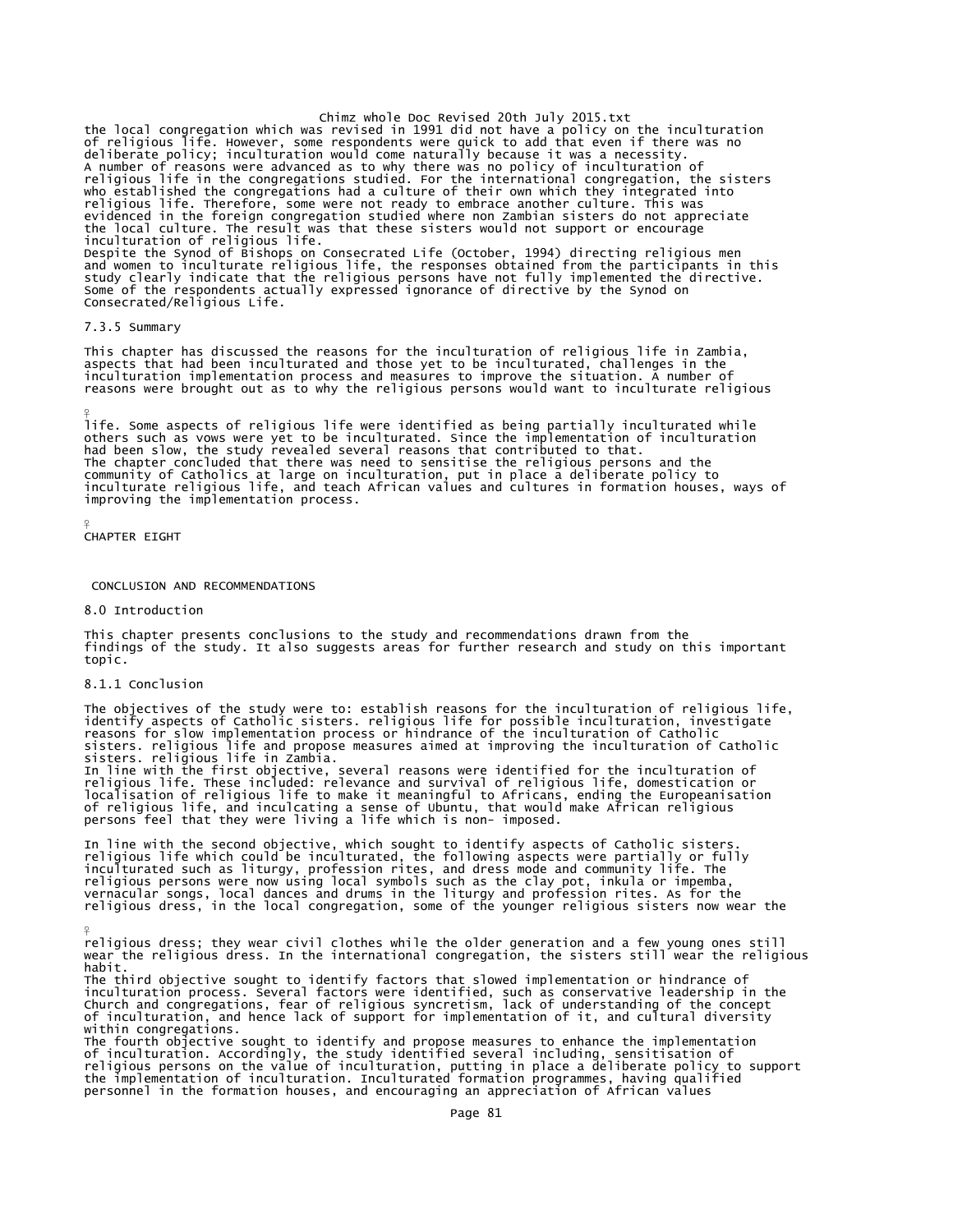Chimz whole Doc Revised 20th July 2015.txt<br>the local congregation which was revised in 1991 did not have a policy on the inculturation<br>of religious life. However, some respondents were quick to add that even if there was n A number of reasons were advanced as to why there was no policy of inculturation of religious life in the congregations studied. For the international congregation, the sisters who established the congregations had a culture of their own which they integrated into<br>religious life. Therefore, some were not ready to embrace another culture. This was<br>evidenced in the foreign congregation studied wher Consecrated/Religious Life.

## 7.3.5 Summary

¥

¥

This chapter has discussed the reasons for the inculturation of religious life in Zambia, aspects that had been inculturated and those yet to be inculturated, challenges in the inculturation implementation process and measures to improve the situation. A number of reasons were brought out as to why the religious persons would want to inculturate religious

life. Some aspects of religious life were identified as being partially inculturated while others such as vows were yet to be inculturated. Since the implementation of inculturation had been slow, the study revealed several reasons that contributed to that. The chapter concluded that there was need to sensitise the religious persons and the<br>community of Catholics at large on inculturation, put in place a deliberate policy to<br>inculturate religious life, and teach African value improving the implementation process.

```
¥
CHAPTER EIGHT
```
## CONCLUSION AND RECOMMENDATIONS

### 8.0 Introduction

This chapter presents conclusions to the study and recommendations drawn from the findings of the study. It also suggests areas for further research and study on this important topic.

# 8.1.1 Conclusion

The objectives of the study were to: establish reasons for the inculturation of religious life, identify aspects of Catholic sisters. religious life for possible inculturation, investigate<br>reasons for slow implementation process or hindrance of the inculturation of Catholic<br>sisters. religious life and propose measure In line with the first objective, several reasons were identified for the inculturation of religious life. These included: relevance and survival of religious life, domestication or localisation of religious life to make it meaningful to Africans, ending the Europeanisation of religious life, and inculcating a sense of Ubuntu, that would make African religious persons feel that they were living a life which is non- imposed.

In line with the second objective, which sought to identify aspects of Catholic sisters.<br>religious life which could be inculturated, the following aspects were partially or fully<br>inculturated such as liturgy, profession ri

religious dress; they wear civil clothes while the older generation and a few young ones still wear the religious dress. In the international congregation, the sisters still wear the religious habit.

The third objective sought to identify factors that slowed implementation or hindrance of<br>inculturation process. Several factors were identified, such as conservative leadership in the<br>Church and congregations, fear of rel within congregations.

The fourth objective sought to identify and propose measures to enhance the implementation of inculturation. Accordingly, the study identified several including, sensitisation of<br>religious persons on the value of inculturation, putting in place a deliberate policy to support<br>the implementation of inculturation. personnel in the formation houses, and encouraging an appreciation of African values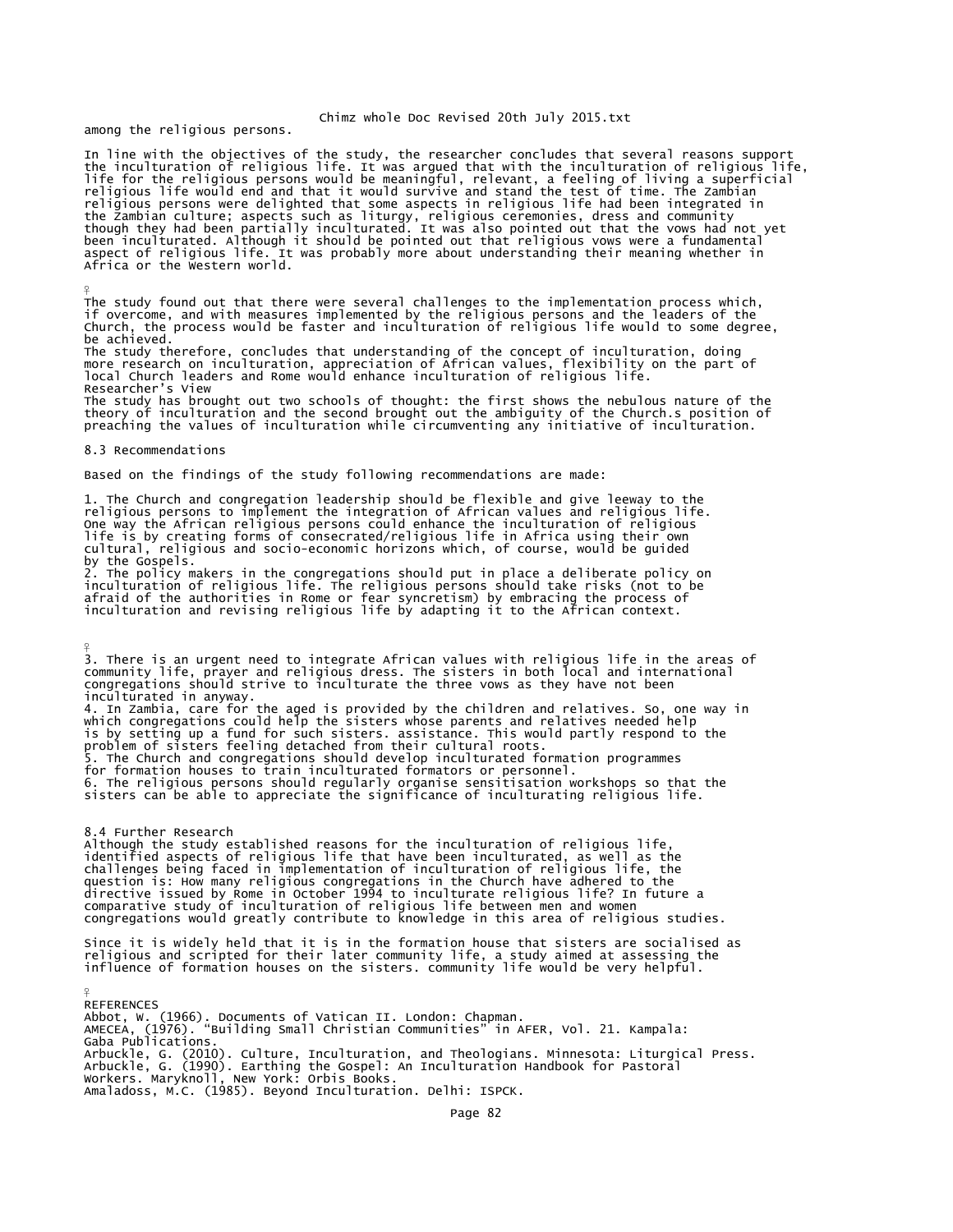Chimz whole Doc Revised 20th July 2015.txt

among the religious persons.

In line with the objectives of the study, the researcher concludes that several reasons support the inculturation of religious life. It was argued that with the inculturation of religious life,<br>life for the religious persons would be meaningful, relevant, a feeling of living a superficial<br>religious life would end and

The study found out that there were several challenges to the implementation process which,<br>if overcome, and with measures implemented by the religious persons and the leaders of the<br>Church, the process would be faster and be achieved.

The study therefore, concludes that understanding of the concept of inculturation, doing more research on inculturation, appreciation of African values, flexibility on the part of local Church leaders and Rome would enhance inculturation of religious life. Researcher's View

The study has brought out two schools of thought: the first shows the nebulous nature of the<br>theory of inculturation and the second brought out the ambiguity of the Church.s position of<br>preaching the values of inculturatio

#### 8.3 Recommendations

¥

 $\frac{9}{5}$ 

Based on the findings of the study following recommendations are made:

1. The Church and congregation leadership should be flexible and give leeway to the religious persons to implement the integration of African values and religious life. One way the African religious persons could enhance the inculturation of religious life is by creating forms of consecrated/religious life in Africa using their own cultural, religious and socio-economic horizons which, of course, would be guided

by the Gospels.<br>2. The policy makers in the congregations should put in place a deliberate policy on inculturation of religious life. The religious persons should take risks (not to be<br>afraid of the authorities in Rome or fear syncretism) by embracing the process of<br>inculturation and revising religious life by adapting it

3. There is an urgent need to integrate African values with religious life in the areas of<br>community life, prayer and religious dress. The sisters in both local and international<br>congregations should strive to inculturate

inculturated in anyway.<br>4. In Zambia, care for the aged is provided by the children and relatives. So, one way in<br>which congregations could help the sisters whose parents and relatives needed help<br>is by setting up a fund f for formation houses to train inculturated formators or personnel. 6. The religious persons should regularly organise sensitisation workshops so that the sisters can be able to appreciate the significance of inculturating religious life.

8.4 Further Research Although the study established reasons for the inculturation of religious life,<br>identified aspects of religious life that have been inculturated, as well as the<br>challenges being faced in implementation of inculturation of question is: How many religious congregations in the Church have adhered to the<br>directive issued by Rome in October 1994 to inculturate religious life? In future a<br>comparative study of inculturation of religious life betwe congregations would greatly contribute to knowledge in this area of religious studies.

Since it is widely held that it is in the formation house that sisters are socialised as religious and scripted for their later community life, a study aimed at assessing the influence of formation houses on the sisters. community life would be very helpful.

¥ REFERENCES Abbot, W. (1966). Documents of Vatican II. London: Chapman. AMECEA, (1976). "Building Small Christian Communities" in AFER, Vol. 21. Kampala: Gaba Publications. Arbuckle, G. (2010). Culture, Inculturation, and Theologians. Minnesota: Liturgical Press. Arbuckle, G. (1990). Earthing the Gospel: An Inculturation Handbook for Pastoral Workers. Maryknoll, New York: Orbis Books. Amaladoss, M.C. (1985). Beyond Inculturation. Delhi: ISPCK.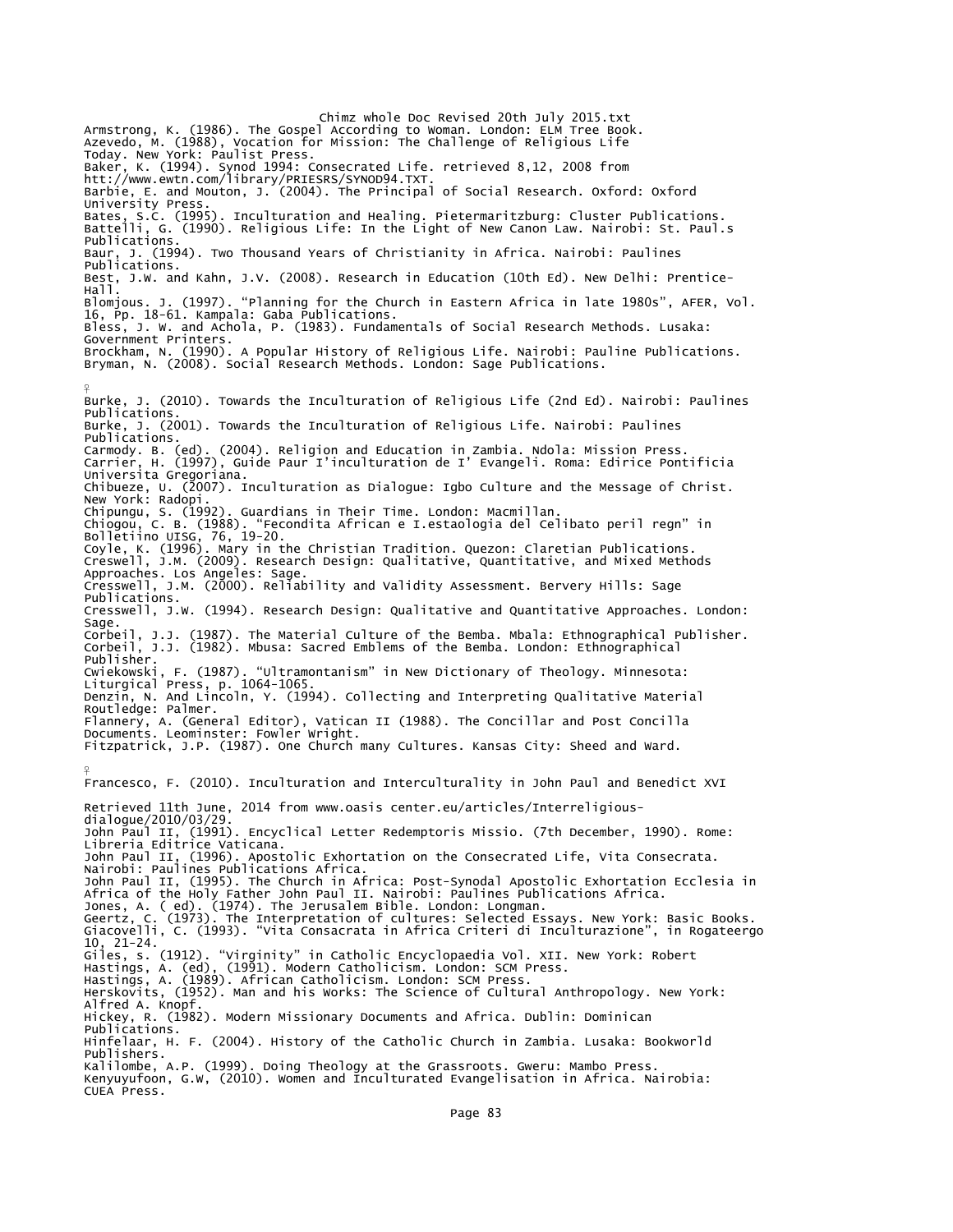Chimz whole Doc Revised 20th July 2015.txt<br>Armstrong, K. (1986). The Gospel According to Woman. London: ELM Tree Book.<br>Azevedo, M. (1988), Vocation for Mission: The Challenge of Religious Life Today. New York: Paulist Press. Baker, K. (1994). Synod 1994: Consecrated Life. retrieved 8,12, 2008 from htt://www.ewtn.com/library/PRIESRS/SYNOD94.TXT. Barbie, E. and Mouton, J. (2004). The Principal of Social Research. Oxford: Oxford University Press. Bates, S.C. (1995). Inculturation and Healing. Pietermaritzburg: Cluster Publications. Battelli, G. (1990). Religious Life: In the Light of New Canon Law. Nairobi: St. Paul.s Publications. Baur, J. (1994). Two Thousand Years of Christianity in Africa. Nairobi: Paulines Publications. Best, J.W. and Kahn, J.V. (2008). Research in Education (10th Ed). New Delhi: Prentice-Hall. Blomjous. J. (1997). "Planning for the Church in Eastern Africa in late 1980s", AFER, Vol.<br>16, Pp. 18-61. Kampala: Gaba Publications.<br>Bless, J. W. and Achola, P. (1983). Fundamentals of Social Research Methods. Lusaka: Government Printers. Brockham, N. (1990). A Popular History of Religious Life. Nairobi: Pauline Publications. Bryman, N. (2008). Social Research Methods. London: Sage Publications. ¥ Burke, J. (2010). Towards the Inculturation of Religious Life (2nd Ed). Nairobi: Paulines Publications. Burke, J. (2001). Towards the Inculturation of Religious Life. Nairobi: Paulines Publications. Carmody. B. (ed). (2004). Religion and Education in Zambia. Ndola: Mission Press. Carrier, H. (1997), Guide Paur I'inculturation de I' Evangeli. Roma: Edirice Pontificia Universita Gregoriana. Chibueze, U. (2007). Inculturation as Dialogue: Igbo Culture and the Message of Christ. New York: Radopi. Chipungu, S. (1992). Guardians in Their Time. London: Macmillan.<br>Chiogou, C. B. (1988). "Fecondita African e I.estaologia del Celibato peril regn" in<br>Bolletiino UISG, 76, 19-20.<br>Coyle, K. (1996). Mary in the Christian Trad Approaches. Los Angeles: Sage. Cresswell, J.M. (2000). Reliability and Validity Assessment. Bervery Hills: Sage Publications. Cresswell, J.W. (1994). Research Design: Qualitative and Quantitative Approaches. London: Sage. Corbeil, J.J. (1987). The Material Culture of the Bemba. Mbala: Ethnographical Publisher. Corbeil, J.J. (1982). Mbusa: Sacred Emblems of the Bemba. London: Ethnographical Publisher. Cwiekowski, F. (1987). "Ultramontanism" in New Dictionary of Theology. Minnesota: Liturgical Press, p. 1064-1065. Denzin, N. And Lincoln, Y. (1994). Collecting and Interpreting Qualitative Material Routledge: Palmer. Flannery, A. (General Editor), Vatican II (1988). The Concillar and Post Concilla Documents. Leominster: Fowler Wright. Fitzpatrick, J.P. (1987). One Church many Cultures. Kansas City: Sheed and Ward. ¥ Francesco, F. (2010). Inculturation and Interculturality in John Paul and Benedict XVI Retrieved 11th June, 2014 from www.oasis center.eu/articles/Interreligiousdialogue/2010/03/29. John Paul II, (1991). Encyclical Letter Redemptoris Missio. (7th December, 1990). Rome: Libreria Editrice Vaticana. John Paul II, (1996). Apostolic Exhortation on the Consecrated Life, Vita Consecrata. Nairobi: Paulines Publications Africa. John Paul II, (1995). The Church in Africa: Post-Synodal Apostolic Exhortation Ecclesia in<br>Africa of the Holy Father John Paul II. Nairobi: Paulines Publications Africa.<br>Jones, A. ( ed). (1974). The Jerusalem Bible. London 10, 21-24. Giles, s. (1912). "Virginity" in Catholic Encyclopaedia Vol. XII. New York: Robert Hastings, A. (ed), (1991). Modern Catholicism. London: SCM Press. Hastings, A. (1989). African Catholicism. London: SCM Press. Herskovits, (1952). Man and his Works: The Science of Cultural Anthropology. New York: Alfred A. Knopf. Hickey, R. (1982). Modern Missionary Documents and Africa. Dublin: Dominican Publications. Hinfelaar, H. F. (2004). History of the Catholic Church in Zambia. Lusaka: Bookworld Publishers. Kalilombe, A.P. (1999). Doing Theology at the Grassroots. Gweru: Mambo Press. Kenyuyufoon, G.W, (2010). Women and Inculturated Evangelisation in Africa. Nairobia: CUEA Press.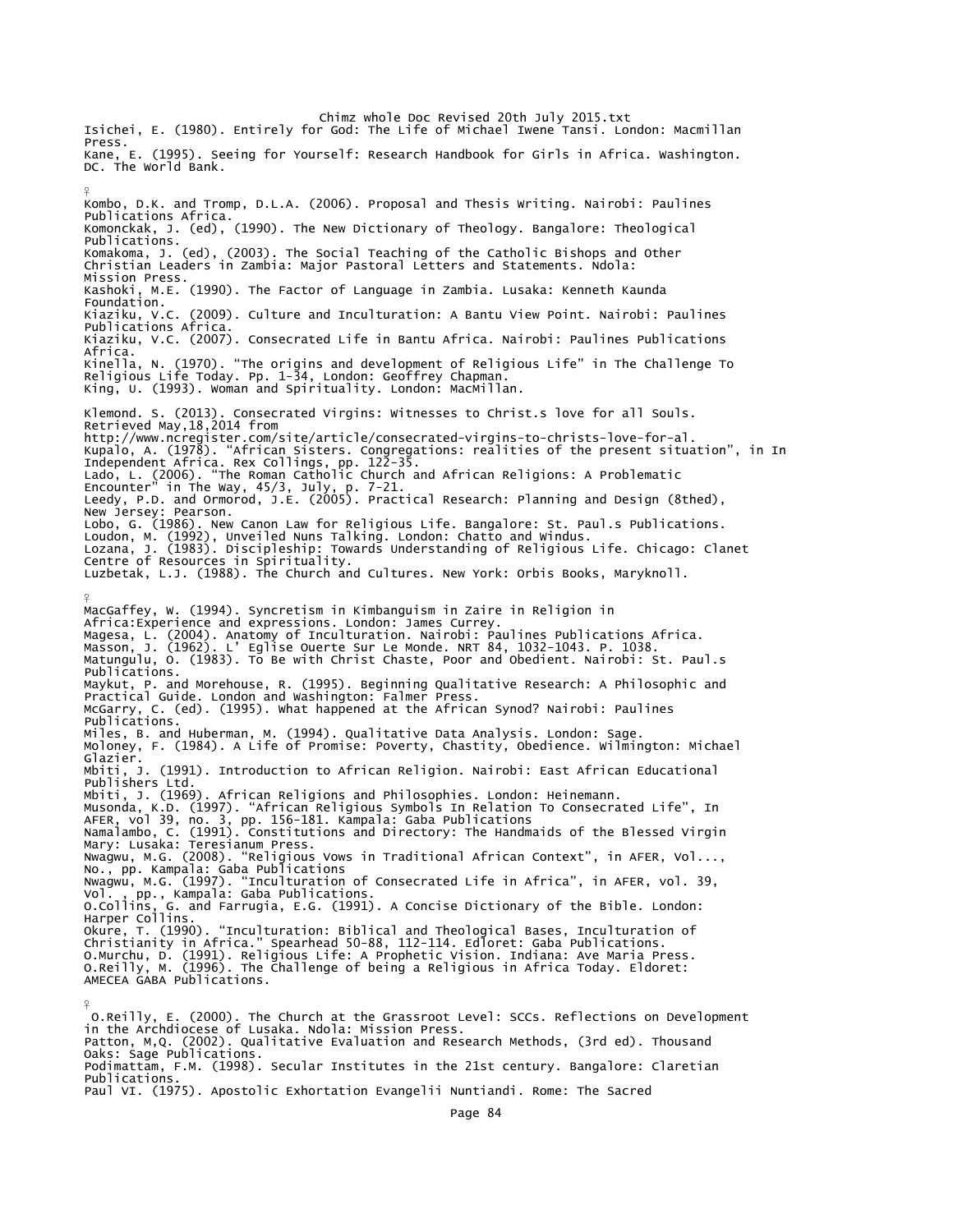Chimz whole Doc Revised 20th July 2015.txt Isichei, E. (1980). Entirely for God: The Life of Michael Iwene Tansi. London: Macmillan Press. Kane, E. (1995). Seeing for Yourself: Research Handbook for Girls in Africa. Washington. DC. The World Bank. ¥ Kombo, D.K. and Tromp, D.L.A. (2006). Proposal and Thesis Writing. Nairobi: Paulines Publications Africa. Komonckak, J. (ed), (1990). The New Dictionary of Theology. Bangalore: Theological Publications. Komakoma, J. (ed), (2003). The Social Teaching of the Catholic Bishops and Other Christian Leaders in Zambia: Major Pastoral Letters and Statements. Ndola: Mission Press. Kashoki, M.E. (1990). The Factor of Language in Zambia. Lusaka: Kenneth Kaunda Foundation. Kiaziku, V.C. (2009). Culture and Inculturation: A Bantu View Point. Nairobi: Paulines Publications Africa. Kiaziku, V.C. (2007). Consecrated Life in Bantu Africa. Nairobi: Paulines Publications Africa. Kinella, N. (1970). "The origins and development of Religious Life" in The Challenge To<br>Religious Life Today. Pp. 1-34, London: Geoffrey Chapman.<br>King, U. (1993). Woman and Spirituality. London: MacMillan. Klemond. S. (2013). Consecrated Virgins: Witnesses to Christ.s love for all Souls. Retrieved May,18,2014 from http://www.ncregister.com/site/article/consecrated-virgins-to-christs-love-for-al.<br>Kupalo, A. (1978). "African Sisters. Congregations: realities of the present situation", in In<br>Independent Africa. Rex Collings, pp. 122-35 New Jersey: Pearson. Lobo, G. (1986). New Canon Law for Religious Life. Bangalore: St. Paul.s Publications.<br>Loudon, M. (1992), Unveiled Nuns Talking. London: Chatto and Windus.<br>Lozana, J. (1983). Discipleship: Towards Understanding of Religiou ¥ MacGaffey, W. (1994). Syncretism in Kimbanguism in Zaire in Religion in<br>Africa:Experience and expressions. London: James Currey.<br>Magesa, L. (2004). Anatomy of Inculturation. Nairobi: Paulines Publications Africa.<br>Masson, J Publications. Maykut, P. and Morehouse, R. (1995). Beginning Qualitative Research: A Philosophic and<br>Practical Guide. London and Washington: Falmer Press.<br>McGarry, C. (ed). (1995). What happened at the African Synod? Nairobi: Paulines Publications. Miles, B. and Huberman, M. (1994). Qualitative Data Analysis. London: Sage. Moloney, F. (1984). A Life of Promise: Poverty, Chastity, Obedience. Wilmington: Michael Glazier. Mbiti, J. (1991). Introduction to African Religion. Nairobi: East African Educational Publishers Ltd.<br>Mbiti, J. (1969). African Religions and Philosophies. London: Heinemann. Musonda, K.D. (1997). "African Religious Symbols In Relation To Consecrated Life", In<br>AFER, vol 39, no. 3, pp. 156-181. Kampala: Gaba Publications<br>Namalambo, C. (1991). Constitutions and Directory: The Handmaids of the Ble Nwagwu, M.G. (2008). "Religious Vows in Traditional African Context", in AFER, Vol...,<br>No., pp. Kampala: Gaba Publications<br>Nwagwu, M.G. (1997). "Inculturation of Consecrated Life in Africa", in AFER, vol. 39,<br>Vol. pp., Kam Harper Collins. Okure, T. (1990). "Inculturation: Biblical and Theological Bases, Inculturation of<br>Christianity in Africa." Spearhead 50-88, 112-114. Edloret: Gaba Publications.<br>O.Murchu, D. (1991). Religious Life: A Prophetic Vision. Ind AMECEA GABA Publications. ¥ O.Reilly, E. (2000). The Church at the Grassroot Level: SCCs. Reflections on Development in the Archdiocese of Lusaka. Ndola: Mission Press.

Patton, M,Q. (2002). Qualitative Evaluation and Research Methods, (3rd ed). Thousand Oaks: Sage Publications.

Podimattam, F.M. (1998). Secular Institutes in the 21st century. Bangalore: Claretian Publications.

Paul VI. (1975). Apostolic Exhortation Evangelii Nuntiandi. Rome: The Sacred

Page 84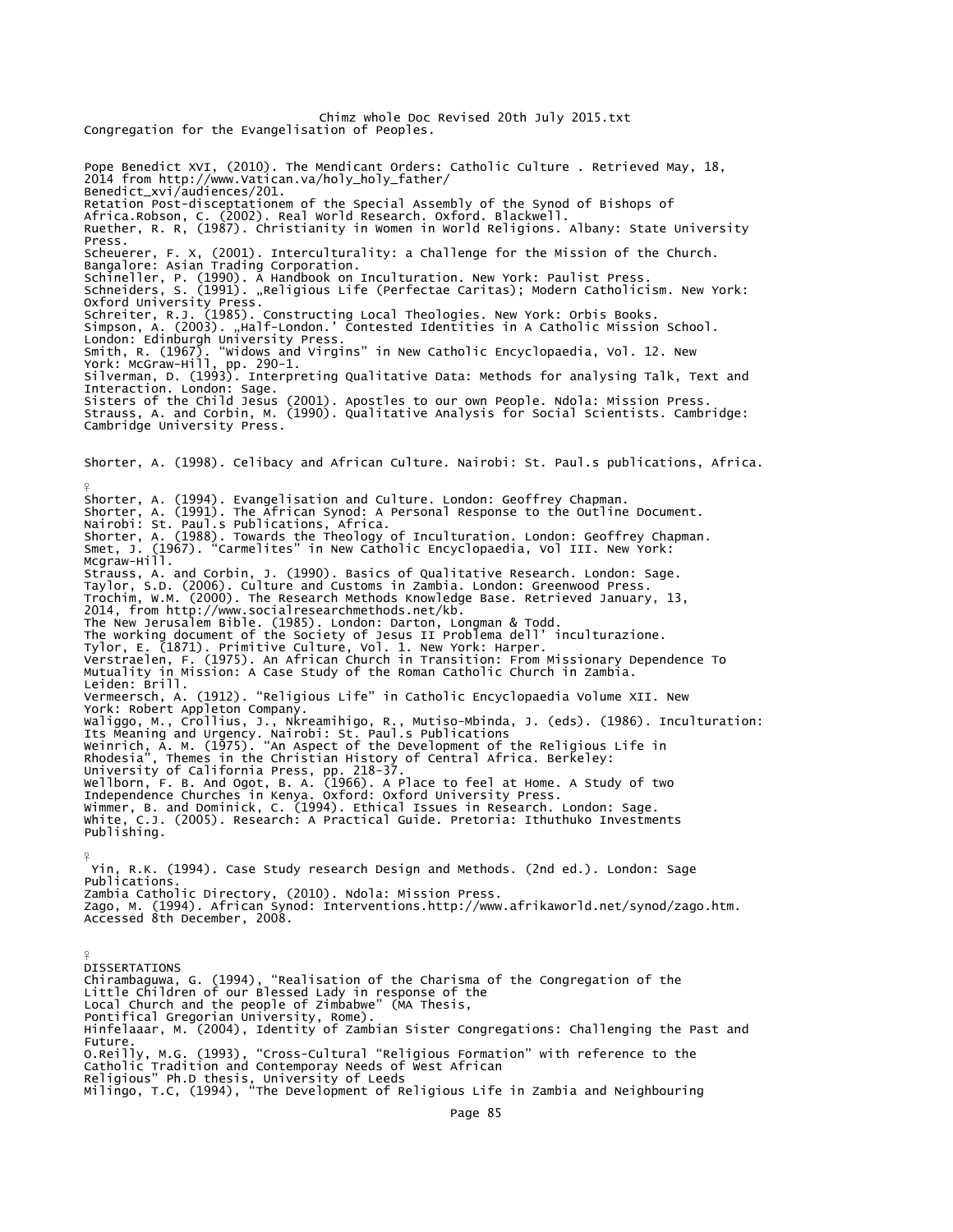Chimz whole Doc Revised 20th July 2015.txt Congregation for the Evangelisation of Peoples. Pope Benedict XVI, (2010). The Mendicant Orders: Catholic Culture . Retrieved May, 18, 2014 from http://www.Vatican.va/holy\_holy\_father/ Benedict\_xvi/audiences/201. Retation Post-disceptationem of the Special Assembly of the Synod of Bishops of Africa.Robson, C. (2002). Real World Research. Oxford. Blackwell. Ruether, R. R, (1987). Christianity in Women in World Religions. Albany: State University Press. Scheuerer, F. X, (2001). Interculturality: a Challenge for the Mission of the Church. Bangalore: Asian Trading Corporation. Schineller, P. (1990). A Handbook on Inculturation. New York: Paulist Press. Schneiders, S. (1991). "Religious Life (Perfectae Caritas); Modern Catholicism. New York: Oxford University Press.<br>Schreiter, R.J. (1985). Constructing Local Theologies. New York: Orbis Books.<br>Simpson, A. (2003). "Half-London.' Contested Identities in A Catholic Mission School.<br>London: Edinburgh University Pres Silverman, D. (1993). Interpreting Qualitative Data: Methods for analysing Talk, Text and Interaction. London: Sage. Sisters of the Child Jesus (2001). Apostles to our own People. Ndola: Mission Press. Strauss, A. and Corbin, M. (1990). Qualitative Analysis for Social Scientists. Cambridge: Cambridge University Press. Shorter, A. (1998). Celibacy and African Culture. Nairobi: St. Paul.s publications, Africa. ¥ Shorter, A. (1994). Evangelisation and Culture. London: Geoffrey Chapman.<br>Shorter, A. (1991). The African Synod: A Personal Response to the Outline Document.<br>Nairobi: St. Paul.s Publications, Africa.<br>Shorter, A. (1988). To Strauss, A. and Corbin, J. (1990). Basics of Qualitative Research. London: Sage. Taylor, S.D. (2006). Culture and Customs in Zambia. London: Greenwood Press. Trochim, W.M. (2000). The Research Methods Knowledge Base. Retrieved January, 13, 2014, from http://www.socialresearchmethods.net/kb. The New Jerusalem Bible. (1985). London: Darton, Longman & Todd.<br>The working document of the Society of Jesus II Problema dell' inculturazione.<br>Tylor, E. (1871). Primitive Culture, Vol. 1. New York: Harper.<br>Verstraelen, F. Mutuality in Mission: A Case Study of the Roman Catholic Church in Zambia. Leiden: Brill. Vermeersch, A. (1912). "Religious Life" in Catholic Encyclopaedia Volume XII. New York: Robert Appleton Company. Waliggo, M., Crollius, J., Nkreamihigo, R., Mutiso-Mbinda, J. (eds). (1986). Inculturation:<br>Its Meaning and Urgency. Nairobi: St. Paul.s Publications<br>Weinrich, A. M. (1975). "An Aspect of the Development of the Religious L Publishing.  $\frac{9}{5}$  Yin, R.K. (1994). Case Study research Design and Methods. (2nd ed.). London: Sage Publications. Zambia Catholic Directory, (2010). Ndola: Mission Press. Zago, M. (1994). African Synod: Interventions.http://www.afrikaworld.net/synod/zago.htm. Accessed 8th December, 2008.  $\frac{9}{5}$ DISSERTATIONS Chirambaguwa, G. (1994), "Realisation of the Charisma of the Congregation of the<br>Little Children of our Blessed Lady in response of the<br>Local Church and the people of Zimbabwe" (MA Thesis,<br>Pontifical Gregorian University, Hinfelaaar, M. (2004), Identity of Zambian Sister Congregations: Challenging the Past and Future.

O.Reilly, M.G. (1993), "Cross-Cultural "Religious Formation" with reference to the<br>Catholic Tradition and Contemporay Needs of West African<br>Religious" Ph.D thesis, University of Leeds<br>Milingo, T.C, (1994), "The Development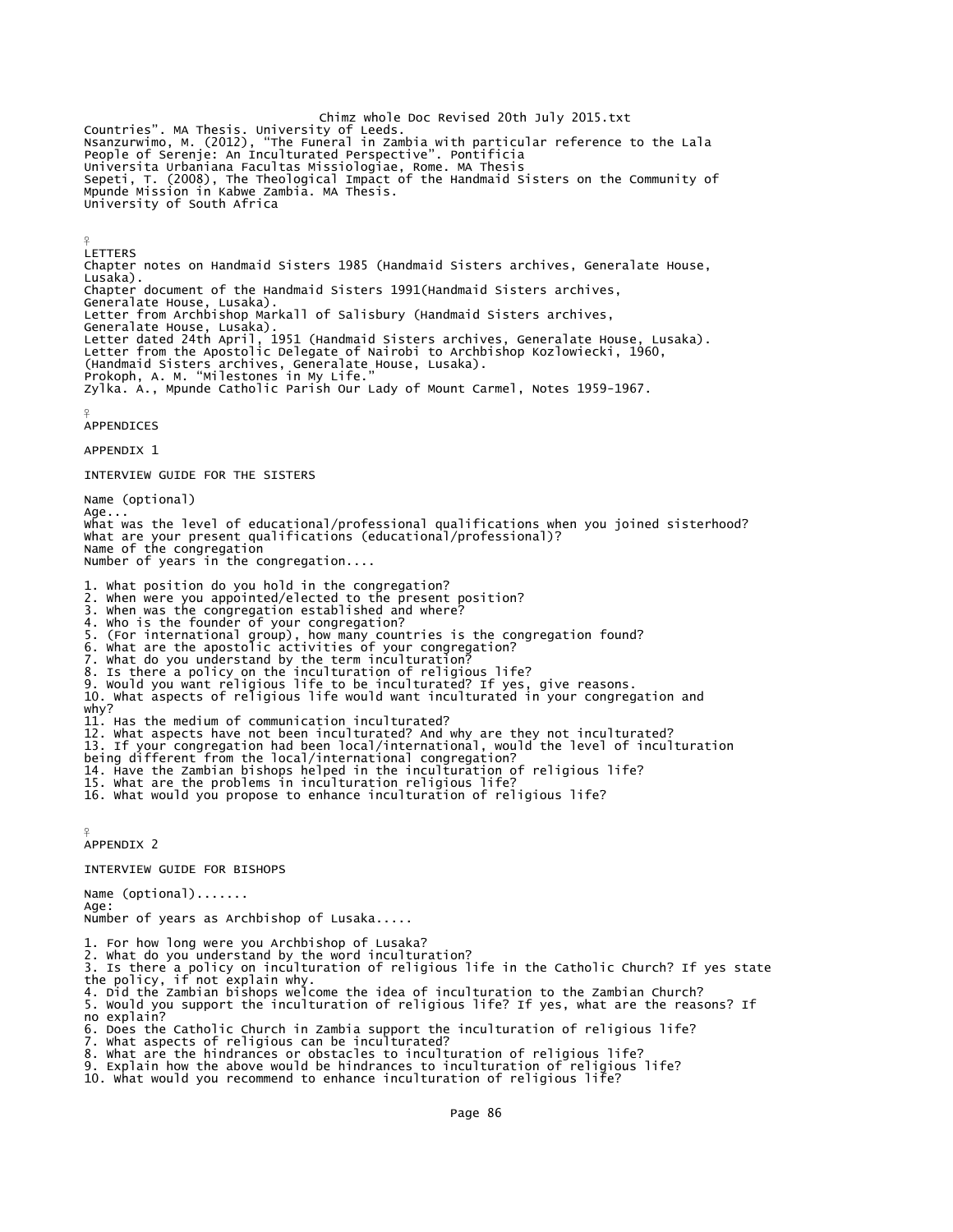Countries". MA Thesis. University of Leeds.<br>Countries". MA Thesis. University of Leeds.<br>Nsanzurwimo, M. (2012), "The Funeral in Zambia with particular reference to the Lala People of Serenje: An Inculturated Perspective". Pontificia Universita Urbaniana Facultas Missiologiae, Rome. MA Thesis Sepeti, T. (2008), The Theological Impact of the Handmaid Sisters on the Community of Mpunde Mission in Kabwe Zambia. MA Thesis. University of South Africa

LETTERS Chapter notes on Handmaid Sisters 1985 (Handmaid Sisters archives, Generalate House, Lusaka). Chapter document of the Handmaid Sisters 1991(Handmaid Sisters archives, Generalate House, Lusaka). Letter from Archbishop Markall of Salisbury (Handmaid Sisters archives, Generalate House, Lusaka). Letter dated 24th April, 1951 (Handmaid Sisters archives, Generalate House, Lusaka). Letter from the Apostolic Delegate of Nairobi to Archbishop Kozlowiecki, 1960, (Handmaid Sisters archives, Generalate House, Lusaka). Prokoph, A. M. "Milestones in My Life." Zylka. A., Mpunde Catholic Parish Our Lady of Mount Carmel, Notes 1959-1967.

¥ APPENDICES

 $\frac{9}{5}$ 

APPENDIX 1

INTERVIEW GUIDE FOR THE SISTERS

Name (optional) Age... What was the level of educational/professional qualifications when you joined sisterhood? What are your present qualifications (educational/professional)? Name of the congregation Number of years in the congregation.... 1. What position do you hold in the congregation? 2. When were you appointed/elected to the present position? 3. When was the congregation established and where? 4. Who is the founder of your congregation?

- 
- 5. (For international group), how many countries is the congregation found?<br>6. What are the apostolic activities of your congregation?<br>7. What do you understand by the term inculturation?<br>8. Is there a policy on the incult
- 
- 
- 
- 
- 10. What aspects of religious life would want inculturated in your congregation and why?
- 11. Has the medium of communication inculturated? 12. What aspects have not been inculturated? And why are they not inculturated?
- 13. If your congregation had been local/international, would the level of inculturation being different from the local/international congregation?
- 
- 14. Have the Zambian bishops helped in the inculturation of religious life?
- 15. What are the problems in inculturation religious life?
- 16. What would you propose to enhance inculturation of religious life?

¥ APPENDIX 2

INTERVIEW GUIDE FOR BISHOPS

Name (optional)....... Age: Number of years as Archbishop of Lusaka.....

- 
- 1. For how long were you Archbishop of Lusaka? 2. What do you understand by the word inculturation? 3. Is there a policy on inculturation of religious life in the Catholic Church? If yes state the policy, if not explain why. 4. Did the Zambian bishops welcome the idea of inculturation to the Zambian Church?
- 
- 5. Would you support the inculturation of religious life? If yes, what are the reasons? If no explain?
- 6. Does the Catholic Church in Zambia support the inculturation of religious life?
- 7. What aspects of religious can be inculturated?
- 
- 8. What are the hindrances or obstacles to inculturation of religious life? 9. Explain how the above would be hindrances to inculturation of religious life?
- 10. What would you recommend to enhance inculturation of religious life?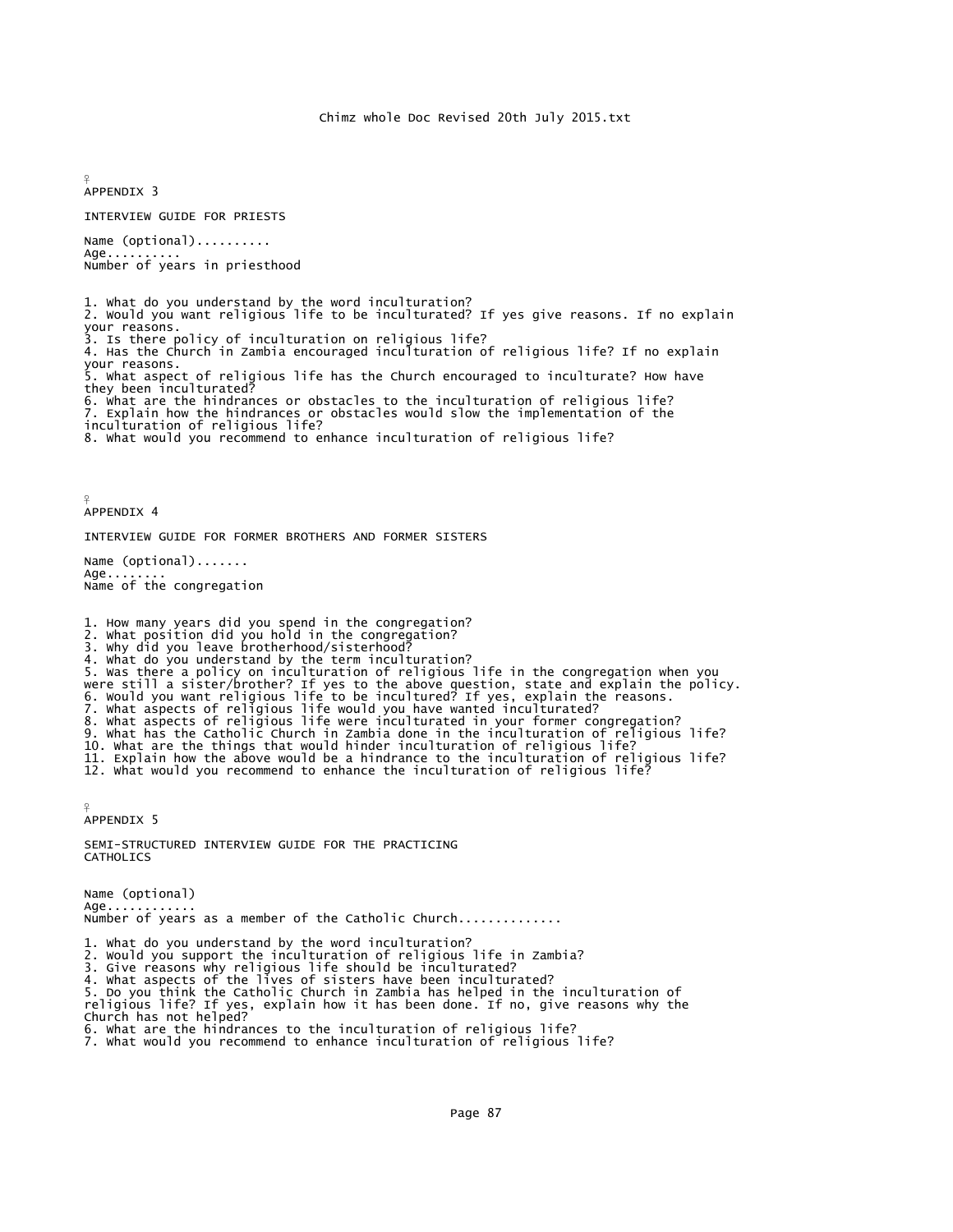¥ APPENDIX 3

INTERVIEW GUIDE FOR PRIESTS

Name (optional).......... Age... Number of years in priesthood

1. What do you understand by the word inculturation? 2. Would you want religious life to be inculturated? If yes give reasons. If no explain your reasons. 3. Is there policy of inculturation on religious life? 4. Has the Church in Zambia encouraged inculturation of religious life? If no explain your reasons. . What aspect of religious life has the Church encouraged to inculturate? How have they been inculturated? 6. What are the hindrances or obstacles to the inculturation of religious life? 7. Explain how the hindrances or obstacles would slow the implementation of the inculturation of religious life? 8. What would you recommend to enhance inculturation of religious life?

¥ APPENDIX 4

INTERVIEW GUIDE FOR FORMER BROTHERS AND FORMER SISTERS

Name (optional)....... Age.. Name of the congregation

1. How many years did you spend in the congregation?

2. What position did you hold in the congregation? 3. Why did you leave brotherhood/sisterhood?

4. What do you understand by the term inculturation?

5. Was there a policy on inculturation of religious life in the congregation when you<br>were still a sister/brother? If yes to the above question, state and explain the policy.<br>6. Would you want religious life to be incultur

12. What would you recommend to enhance the inculturation of religious life?

¥ APPENDIX 5

SEMI-STRUCTURED INTERVIEW GUIDE FOR THE PRACTICING **CATHOLICS** 

Name (optional)  $Age......$ Number of years as a member of the Catholic Church..............

1. What do you understand by the word inculturation? 2. Would you support the inculturation of religious life in Zambia?

3. Give reasons why religious life should be inculturated?

4. what aspects of the lives of sisters have been inculturated?<br>5. Do you think the Catholic Church in Zambia has helped in the inculturation of<br>religious life? If yes, explain how it has been done. If no, give reasons why

6. What are the hindrances to the inculturation of religious life? 7. What would you recommend to enhance inculturation of religious life?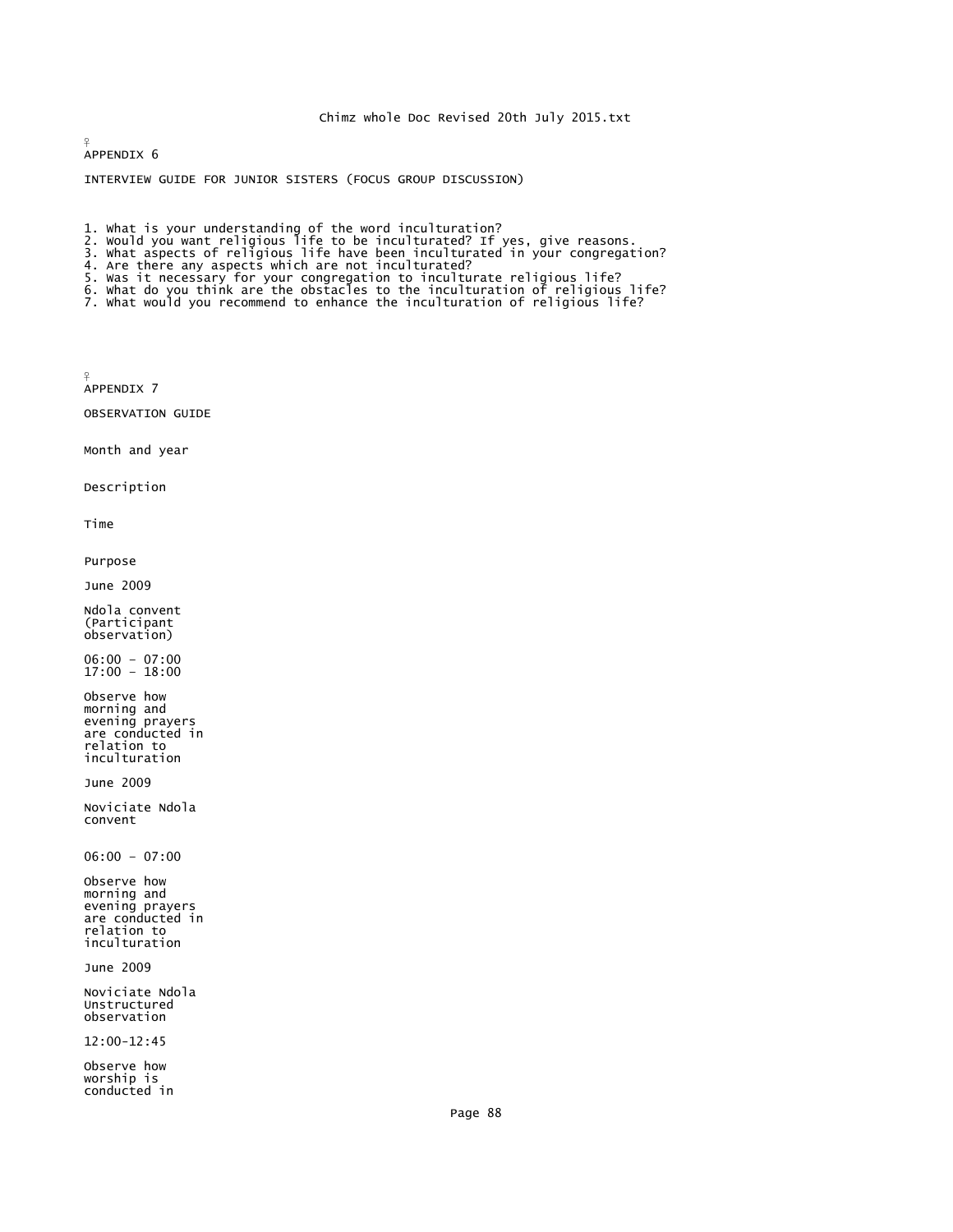APPENDIX 6

¥

INTERVIEW GUIDE FOR JUNIOR SISTERS (FOCUS GROUP DISCUSSION)

- 
- 1. what is your understanding of the word inculturation?<br>2. would you want religious life to be inculturated? If yes, give reasons.<br>3. what aspects of religious life have been inculturated in your congregation?<br>4. Are ther
- 
- 
- 
- 5. Was it necessary for your congregation to inculturate religious life?<br>6. What do you think are the obstacles to the inculturation of religious life?<br>7. What would you recommend to enhance the inculturation of religious
- 

APPENDIX 7

 $\circ$ 

OBSERVATION GUIDE

Month and year

Description

Time

Purpose

June 2009

Ndola convent (Participant observation)

06:00 – 07:00 17:00 – 18:00

Observe how morning and evening prayers are conducted in relation to inculturation

June 2009

Noviciate Ndola convent

06:00 – 07:00

Observe how morning and evening prayers are conducted in relation to inculturation

June 2009

Noviciate Ndola Unstructured observation

12:00-12:45

Observe how worship is conducted in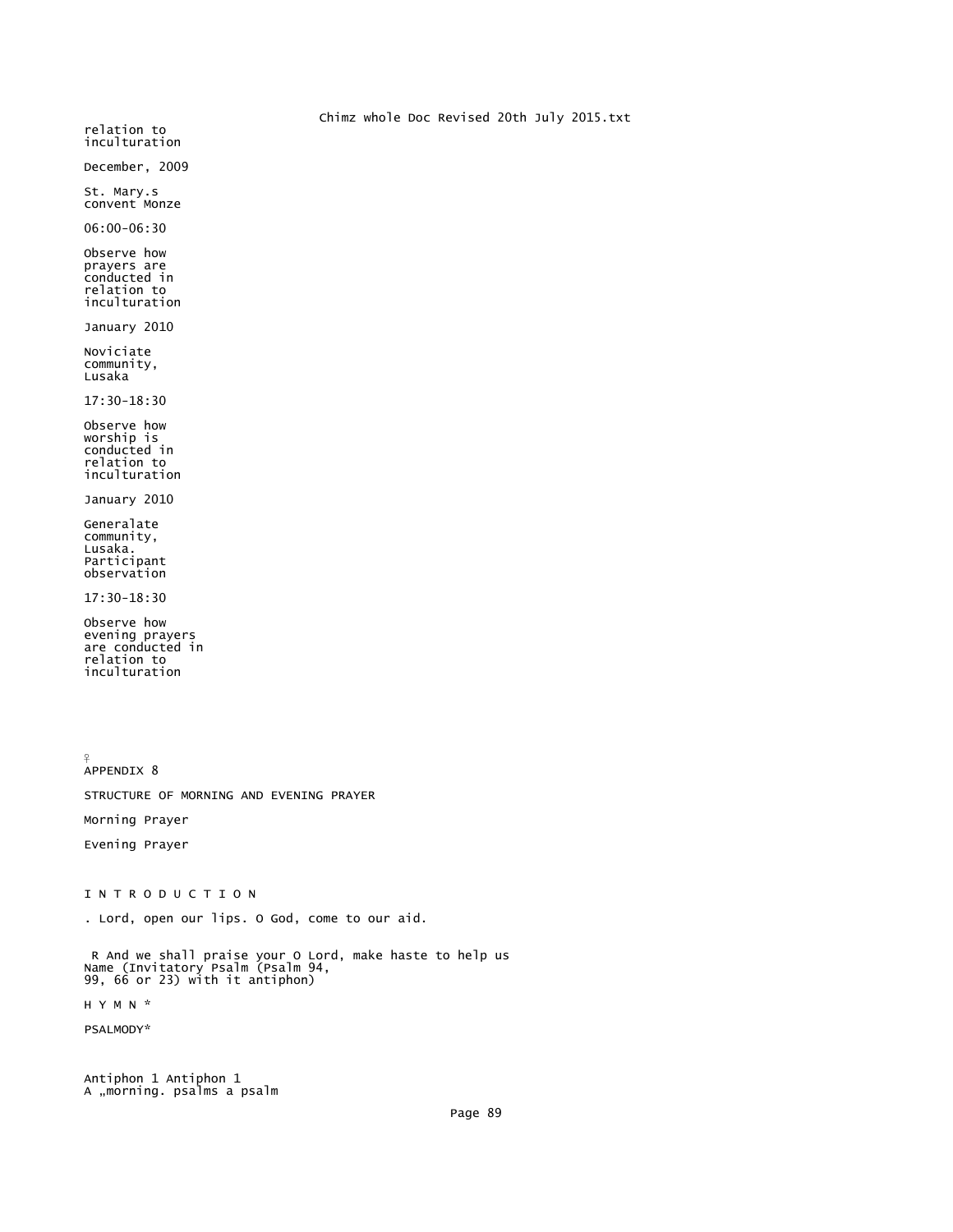Chimz whole Doc Revised 20th July 2015.txt relation to inculturation December, 2009 St. Mary.s convent Monze 06:00-06:30 Observe how prayers are conducted in relation to inculturation January 2010 Noviciate community, Lusaka 17:30-18:30 Observe how worship is<br>conducted in relation to inculturation

January 2010

Generalate community, Lusaka. Participant observation

17:30-18:30

Observe how evening prayers are conducted in relation to inculturation

¥ APPENDIX 8

STRUCTURE OF MORNING AND EVENING PRAYER

Morning Prayer

Evening Prayer

I N T R O D U C T I O N

. Lord, open our lips. O God, come to our aid.

R And we shall praise your O Lord, make haste to help us Name (Invitatory Psalm (Psalm 94, 99, 66 or 23) with it antiphon)

H Y M N \*

PSALMODY\*

Antiphon 1 Antiphon 1 A "morning. psalms a psalm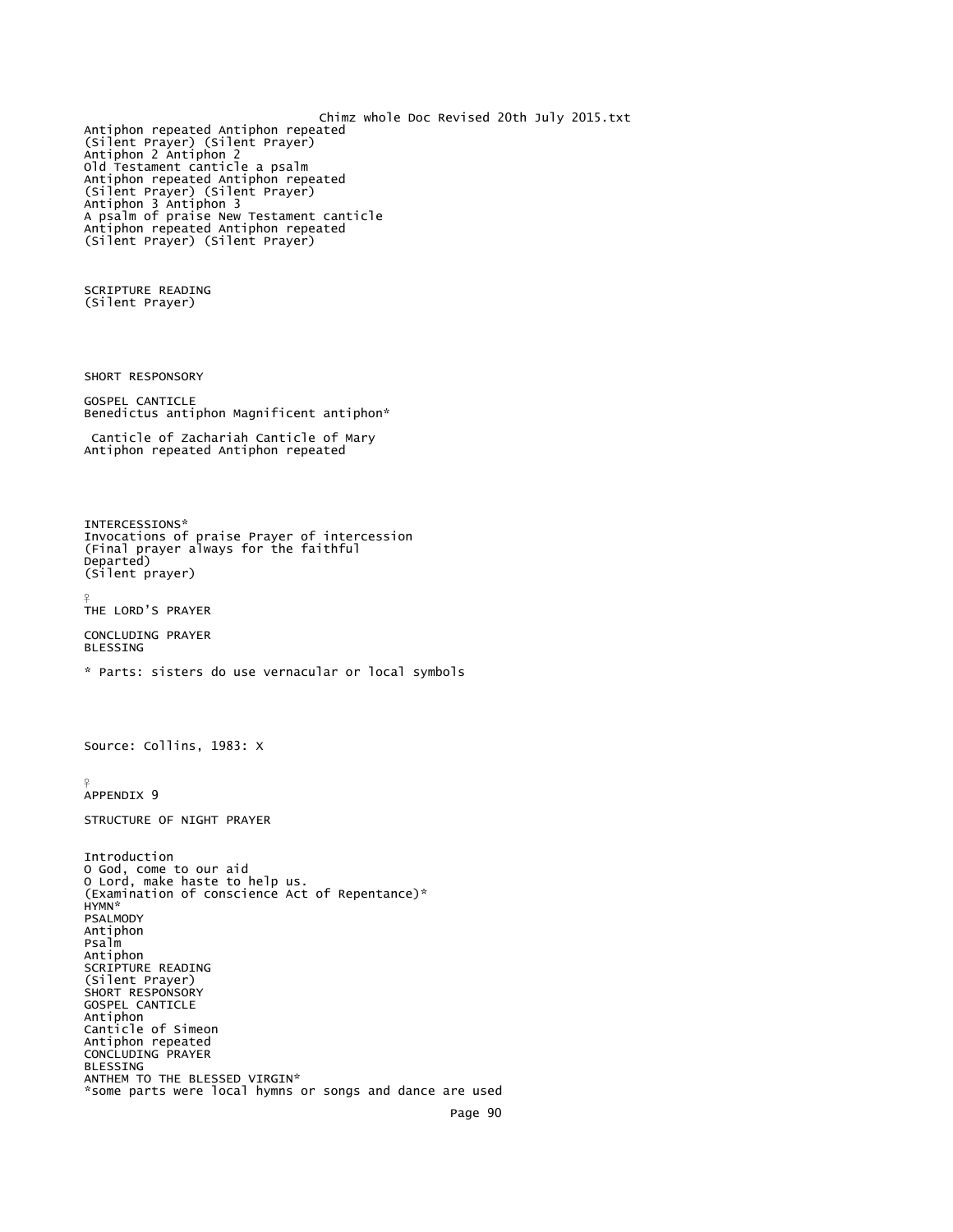```
Chimz whole Doc Revised 20th July 2015.txt
Antiphon repeated Antiphon repeated 
(Silent Prayer) (Silent Prayer) 
Antiphon 2 Antiphon 2 
Old Testament canticle a psalm 
Antiphon repeated Antiphon repeated 
(Silent Prayer) (Silent Prayer) 
Antiphon 3 Antiphon 3 
A psalm of praise New Testament canticle 
Antiphon repeated Antiphon repeated 
(Silent Prayer) (Silent Prayer) 
SCRIPTURE READING 
(Silent Prayer) 
SHORT RESPONSORY 
GOSPEL CANTICLE 
Benedictus antiphon Magnificent antiphon* 
  Canticle of Zachariah Canticle of Mary 
Antiphon repeated Antiphon repeated 
INTERCESSIONS* 
Invocations of praise Prayer of intercession 
(Final prayer always for the faithful 
Departed) 
(Silent prayer) 
¥
THE LORD'S PRAYER 
CONCLUDING PRAYER 
BLESSING 
* Parts: sisters do use vernacular or local symbols
Source: Collins, 1983: X 
¥
APPENDIX 9 
STRUCTURE OF NIGHT PRAYER 
Introduction 
O God, come to our aid 
O Lord, make haste to help us. 
(Examination of conscience Act of Repentance)* 
HYMN* 
PSALMODY 
Antiphon 
Psalm 
Antiphon 
SCRIPTURE READING 
(Silent Prayer) 
SHORT RESPONSORY
GOSPEL CANTICLE 
Antiphon 
Canticle of Simeon 
Antiphon repeated 
CONCLUDING PRAYER 
BLESSING 
ANTHEM TO THE BLESSED VIRGIN* 
*some parts were local hymns or songs and dance are used 
                                                           Page 90
```